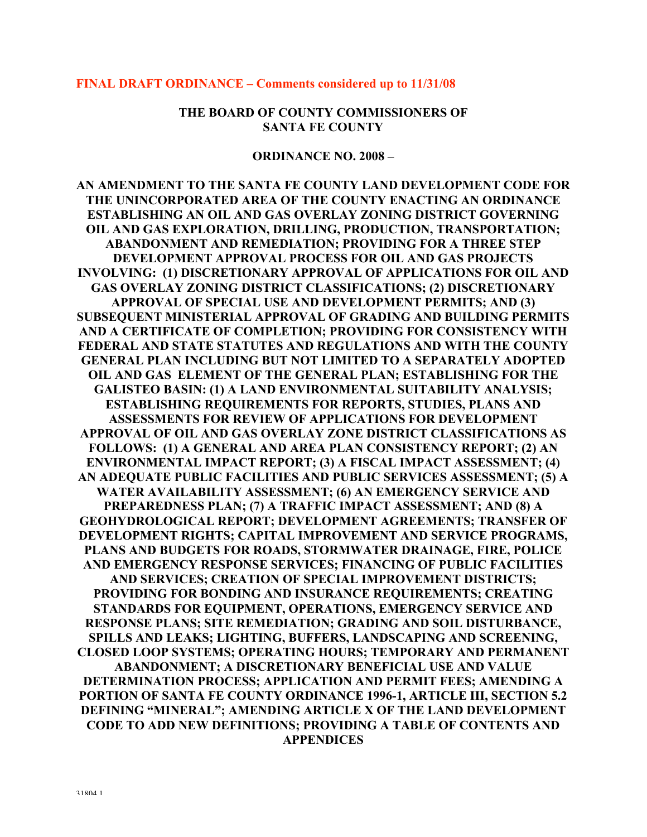#### **FINAL DRAFT ORDINANCE – Comments considered up to 11/31/08**

**THE BOARD OF COUNTY COMMISSIONERS OF SANTA FE COUNTY**

**ORDINANCE NO. 2008 –**

**AN AMENDMENT TO THE SANTA FE COUNTY LAND DEVELOPMENT CODE FOR THE UNINCORPORATED AREA OF THE COUNTY ENACTING AN ORDINANCE ESTABLISHING AN OIL AND GAS OVERLAY ZONING DISTRICT GOVERNING OIL AND GAS EXPLORATION, DRILLING, PRODUCTION, TRANSPORTATION; ABANDONMENT AND REMEDIATION; PROVIDING FOR A THREE STEP DEVELOPMENT APPROVAL PROCESS FOR OIL AND GAS PROJECTS INVOLVING: (1) DISCRETIONARY APPROVAL OF APPLICATIONS FOR OIL AND GAS OVERLAY ZONING DISTRICT CLASSIFICATIONS; (2) DISCRETIONARY APPROVAL OF SPECIAL USE AND DEVELOPMENT PERMITS; AND (3) SUBSEQUENT MINISTERIAL APPROVAL OF GRADING AND BUILDING PERMITS AND A CERTIFICATE OF COMPLETION; PROVIDING FOR CONSISTENCY WITH FEDERAL AND STATE STATUTES AND REGULATIONS AND WITH THE COUNTY GENERAL PLAN INCLUDING BUT NOT LIMITED TO A SEPARATELY ADOPTED OIL AND GAS ELEMENT OF THE GENERAL PLAN; ESTABLISHING FOR THE GALISTEO BASIN: (1) A LAND ENVIRONMENTAL SUITABILITY ANALYSIS; ESTABLISHING REQUIREMENTS FOR REPORTS, STUDIES, PLANS AND ASSESSMENTS FOR REVIEW OF APPLICATIONS FOR DEVELOPMENT APPROVAL OF OIL AND GAS OVERLAY ZONE DISTRICT CLASSIFICATIONS AS FOLLOWS: (1) A GENERAL AND AREA PLAN CONSISTENCY REPORT; (2) AN ENVIRONMENTAL IMPACT REPORT; (3) A FISCAL IMPACT ASSESSMENT; (4) AN ADEQUATE PUBLIC FACILITIES AND PUBLIC SERVICES ASSESSMENT; (5) A WATER AVAILABILITY ASSESSMENT; (6) AN EMERGENCY SERVICE AND PREPAREDNESS PLAN; (7) A TRAFFIC IMPACT ASSESSMENT; AND (8) A GEOHYDROLOGICAL REPORT; DEVELOPMENT AGREEMENTS; TRANSFER OF DEVELOPMENT RIGHTS; CAPITAL IMPROVEMENT AND SERVICE PROGRAMS, PLANS AND BUDGETS FOR ROADS, STORMWATER DRAINAGE, FIRE, POLICE AND EMERGENCY RESPONSE SERVICES; FINANCING OF PUBLIC FACILITIES AND SERVICES; CREATION OF SPECIAL IMPROVEMENT DISTRICTS; PROVIDING FOR BONDING AND INSURANCE REQUIREMENTS; CREATING STANDARDS FOR EQUIPMENT, OPERATIONS, EMERGENCY SERVICE AND RESPONSE PLANS; SITE REMEDIATION; GRADING AND SOIL DISTURBANCE, SPILLS AND LEAKS; LIGHTING, BUFFERS, LANDSCAPING AND SCREENING, CLOSED LOOP SYSTEMS; OPERATING HOURS; TEMPORARY AND PERMANENT ABANDONMENT; A DISCRETIONARY BENEFICIAL USE AND VALUE DETERMINATION PROCESS; APPLICATION AND PERMIT FEES; AMENDING A PORTION OF SANTA FE COUNTY ORDINANCE 1996-1, ARTICLE III, SECTION 5.2 DEFINING "MINERAL"; AMENDING ARTICLE X OF THE LAND DEVELOPMENT CODE TO ADD NEW DEFINITIONS; PROVIDING A TABLE OF CONTENTS AND APPENDICES**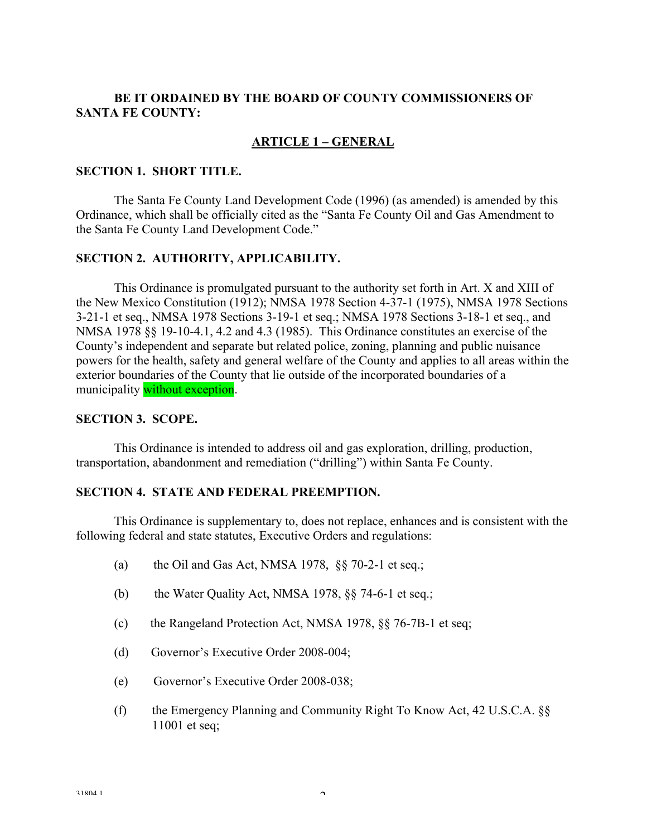### **BE IT ORDAINED BY THE BOARD OF COUNTY COMMISSIONERS OF SANTA FE COUNTY:**

### **ARTICLE 1 – GENERAL**

#### **SECTION 1. SHORT TITLE.**

 The Santa Fe County Land Development Code (1996) (as amended) is amended by this Ordinance, which shall be officially cited as the "Santa Fe County Oil and Gas Amendment to the Santa Fe County Land Development Code."

#### **SECTION 2. AUTHORITY, APPLICABILITY.**

This Ordinance is promulgated pursuant to the authority set forth in Art. X and XIII of the New Mexico Constitution (1912); NMSA 1978 Section 4-37-1 (1975), NMSA 1978 Sections 3-21-1 et seq., NMSA 1978 Sections 3-19-1 et seq.; NMSA 1978 Sections 3-18-1 et seq., and NMSA 1978 §§ 19-10-4.1, 4.2 and 4.3 (1985). This Ordinance constitutes an exercise of the County's independent and separate but related police, zoning, planning and public nuisance powers for the health, safety and general welfare of the County and applies to all areas within the exterior boundaries of the County that lie outside of the incorporated boundaries of a municipality without exception.

#### **SECTION 3. SCOPE.**

 This Ordinance is intended to address oil and gas exploration, drilling, production, transportation, abandonment and remediation ("drilling") within Santa Fe County.

#### **SECTION 4. STATE AND FEDERAL PREEMPTION.**

 This Ordinance is supplementary to, does not replace, enhances and is consistent with the following federal and state statutes, Executive Orders and regulations:

- (a) the Oil and Gas Act, NMSA 1978,  $\S$  $\S$  70-2-1 et seq.;
- (b) the Water Quality Act, NMSA 1978,  $\S$ § 74-6-1 et seq.;
- (c) the Rangeland Protection Act, NMSA 1978, §§ 76-7B-1 et seq;
- (d) Governor's Executive Order 2008-004;
- (e) Governor's Executive Order 2008-038;
- (f) the Emergency Planning and Community Right To Know Act, 42 U.S.C.A. §§ 11001 et seq;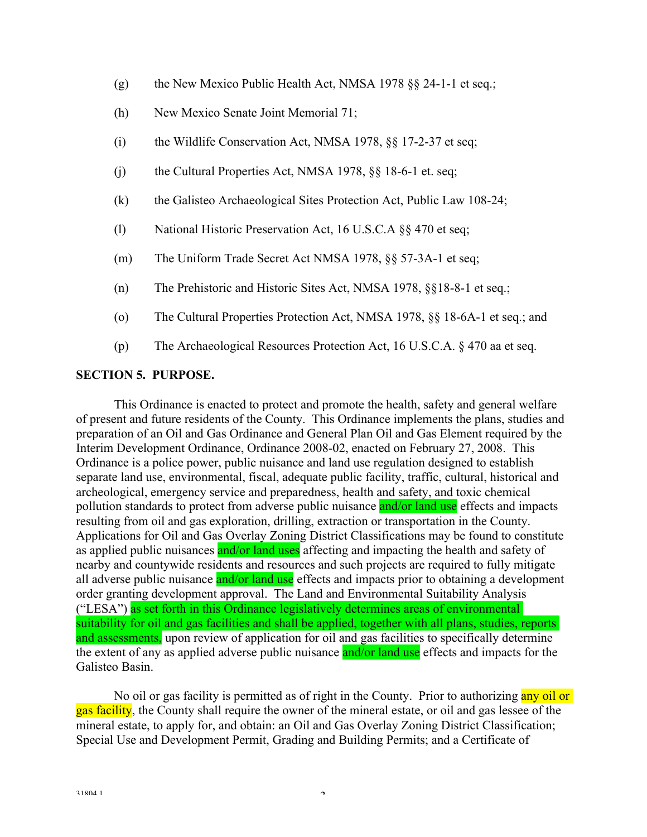- (g) the New Mexico Public Health Act, NMSA 1978 §§ 24-1-1 et seq.;
- (h) New Mexico Senate Joint Memorial 71;
- (i) the Wildlife Conservation Act, NMSA 1978, §§ 17-2-37 et seq;
- (i) the Cultural Properties Act, NMSA 1978,  $\S$ § 18-6-1 et. seq;
- (k) the Galisteo Archaeological Sites Protection Act, Public Law 108-24;
- (l) National Historic Preservation Act, 16 U.S.C.A §§ 470 et seq;
- (m) The Uniform Trade Secret Act NMSA 1978, §§ 57-3A-1 et seq;
- (n) The Prehistoric and Historic Sites Act, NMSA 1978, §§18-8-1 et seq.;
- (o) The Cultural Properties Protection Act, NMSA 1978, §§ 18-6A-1 et seq.; and
- (p) The Archaeological Resources Protection Act, 16 U.S.C.A. § 470 aa et seq.

#### **SECTION 5. PURPOSE.**

 This Ordinance is enacted to protect and promote the health, safety and general welfare of present and future residents of the County. This Ordinance implements the plans, studies and preparation of an Oil and Gas Ordinance and General Plan Oil and Gas Element required by the Interim Development Ordinance, Ordinance 2008-02, enacted on February 27, 2008. This Ordinance is a police power, public nuisance and land use regulation designed to establish separate land use, environmental, fiscal, adequate public facility, traffic, cultural, historical and archeological, emergency service and preparedness, health and safety, and toxic chemical pollution standards to protect from adverse public nuisance and/or land use effects and impacts resulting from oil and gas exploration, drilling, extraction or transportation in the County. Applications for Oil and Gas Overlay Zoning District Classifications may be found to constitute as applied public nuisances and/or land uses affecting and impacting the health and safety of nearby and countywide residents and resources and such projects are required to fully mitigate all adverse public nuisance and/or land use effects and impacts prior to obtaining a development order granting development approval. The Land and Environmental Suitability Analysis ("LESA") as set forth in this Ordinance legislatively determines areas of environmental suitability for oil and gas facilities and shall be applied, together with all plans, studies, reports and assessments, upon review of application for oil and gas facilities to specifically determine the extent of any as applied adverse public nuisance and/or land use effects and impacts for the Galisteo Basin.

No oil or gas facility is permitted as of right in the County. Prior to authorizing any oil or gas facility, the County shall require the owner of the mineral estate, or oil and gas lessee of the mineral estate, to apply for, and obtain: an Oil and Gas Overlay Zoning District Classification; Special Use and Development Permit, Grading and Building Permits; and a Certificate of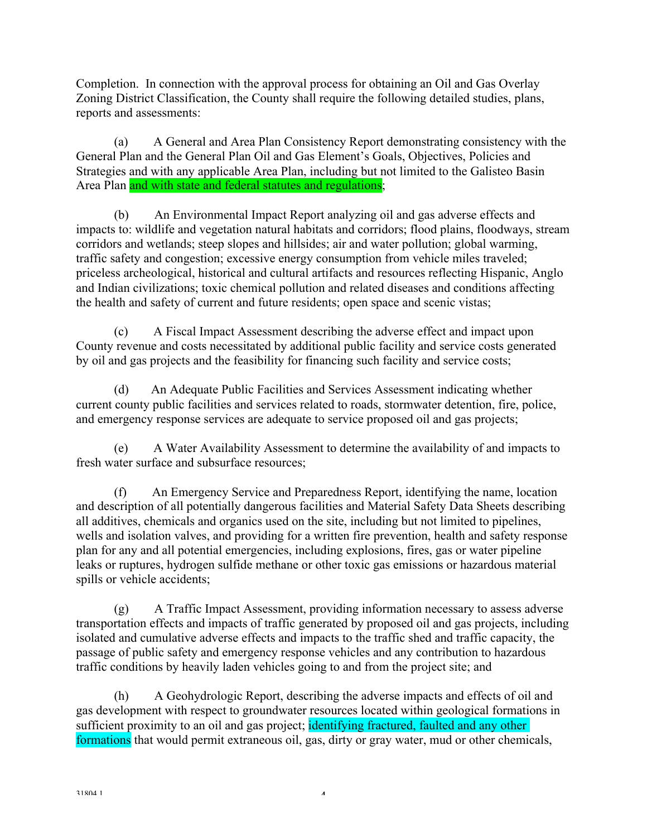Completion. In connection with the approval process for obtaining an Oil and Gas Overlay Zoning District Classification, the County shall require the following detailed studies, plans, reports and assessments:

 (a) A General and Area Plan Consistency Report demonstrating consistency with the General Plan and the General Plan Oil and Gas Element's Goals, Objectives, Policies and Strategies and with any applicable Area Plan, including but not limited to the Galisteo Basin Area Plan and with state and federal statutes and regulations;

 (b) An Environmental Impact Report analyzing oil and gas adverse effects and impacts to: wildlife and vegetation natural habitats and corridors; flood plains, floodways, stream corridors and wetlands; steep slopes and hillsides; air and water pollution; global warming, traffic safety and congestion; excessive energy consumption from vehicle miles traveled; priceless archeological, historical and cultural artifacts and resources reflecting Hispanic, Anglo and Indian civilizations; toxic chemical pollution and related diseases and conditions affecting the health and safety of current and future residents; open space and scenic vistas;

 (c) A Fiscal Impact Assessment describing the adverse effect and impact upon County revenue and costs necessitated by additional public facility and service costs generated by oil and gas projects and the feasibility for financing such facility and service costs;

 (d) An Adequate Public Facilities and Services Assessment indicating whether current county public facilities and services related to roads, stormwater detention, fire, police, and emergency response services are adequate to service proposed oil and gas projects;

 (e) A Water Availability Assessment to determine the availability of and impacts to fresh water surface and subsurface resources;

 (f) An Emergency Service and Preparedness Report, identifying the name, location and description of all potentially dangerous facilities and Material Safety Data Sheets describing all additives, chemicals and organics used on the site, including but not limited to pipelines, wells and isolation valves, and providing for a written fire prevention, health and safety response plan for any and all potential emergencies, including explosions, fires, gas or water pipeline leaks or ruptures, hydrogen sulfide methane or other toxic gas emissions or hazardous material spills or vehicle accidents;

 (g) A Traffic Impact Assessment, providing information necessary to assess adverse transportation effects and impacts of traffic generated by proposed oil and gas projects, including isolated and cumulative adverse effects and impacts to the traffic shed and traffic capacity, the passage of public safety and emergency response vehicles and any contribution to hazardous traffic conditions by heavily laden vehicles going to and from the project site; and

 (h) A Geohydrologic Report, describing the adverse impacts and effects of oil and gas development with respect to groundwater resources located within geological formations in sufficient proximity to an oil and gas project; identifying fractured, faulted and any other formations that would permit extraneous oil, gas, dirty or gray water, mud or other chemicals,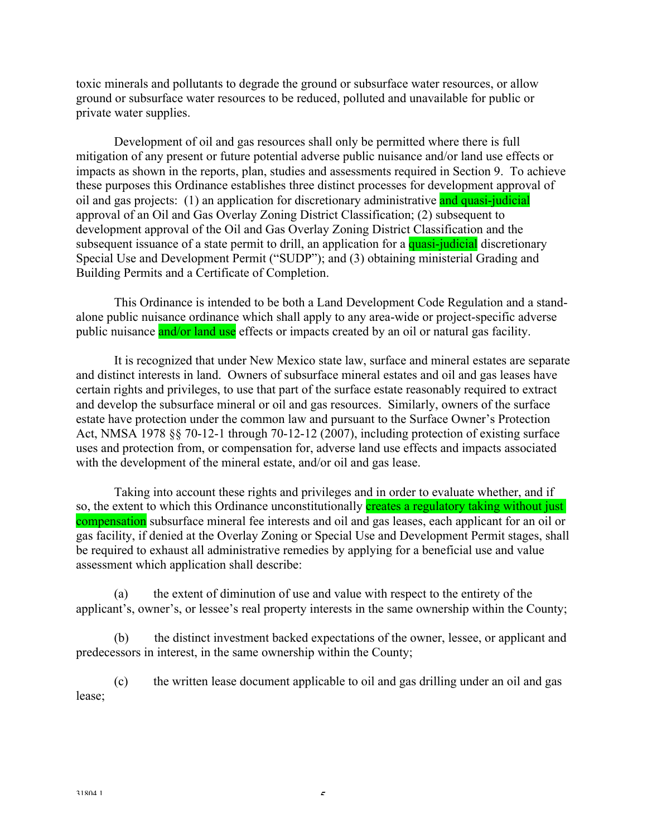toxic minerals and pollutants to degrade the ground or subsurface water resources, or allow ground or subsurface water resources to be reduced, polluted and unavailable for public or private water supplies.

 Development of oil and gas resources shall only be permitted where there is full mitigation of any present or future potential adverse public nuisance and/or land use effects or impacts as shown in the reports, plan, studies and assessments required in Section 9. To achieve these purposes this Ordinance establishes three distinct processes for development approval of oil and gas projects: (1) an application for discretionary administrative and quasi-judicial approval of an Oil and Gas Overlay Zoning District Classification; (2) subsequent to development approval of the Oil and Gas Overlay Zoning District Classification and the subsequent issuance of a state permit to drill, an application for a quasi-judicial discretionary Special Use and Development Permit ("SUDP"); and (3) obtaining ministerial Grading and Building Permits and a Certificate of Completion.

 This Ordinance is intended to be both a Land Development Code Regulation and a standalone public nuisance ordinance which shall apply to any area-wide or project-specific adverse public nuisance and/or land use effects or impacts created by an oil or natural gas facility.

 It is recognized that under New Mexico state law, surface and mineral estates are separate and distinct interests in land. Owners of subsurface mineral estates and oil and gas leases have certain rights and privileges, to use that part of the surface estate reasonably required to extract and develop the subsurface mineral or oil and gas resources. Similarly, owners of the surface estate have protection under the common law and pursuant to the Surface Owner's Protection Act, NMSA 1978 §§ 70-12-1 through 70-12-12 (2007), including protection of existing surface uses and protection from, or compensation for, adverse land use effects and impacts associated with the development of the mineral estate, and/or oil and gas lease.

 Taking into account these rights and privileges and in order to evaluate whether, and if so, the extent to which this Ordinance unconstitutionally **creates a regulatory taking without just** compensation subsurface mineral fee interests and oil and gas leases, each applicant for an oil or gas facility, if denied at the Overlay Zoning or Special Use and Development Permit stages, shall be required to exhaust all administrative remedies by applying for a beneficial use and value assessment which application shall describe:

 (a) the extent of diminution of use and value with respect to the entirety of the applicant's, owner's, or lessee's real property interests in the same ownership within the County;

 (b) the distinct investment backed expectations of the owner, lessee, or applicant and predecessors in interest, in the same ownership within the County;

 (c) the written lease document applicable to oil and gas drilling under an oil and gas lease;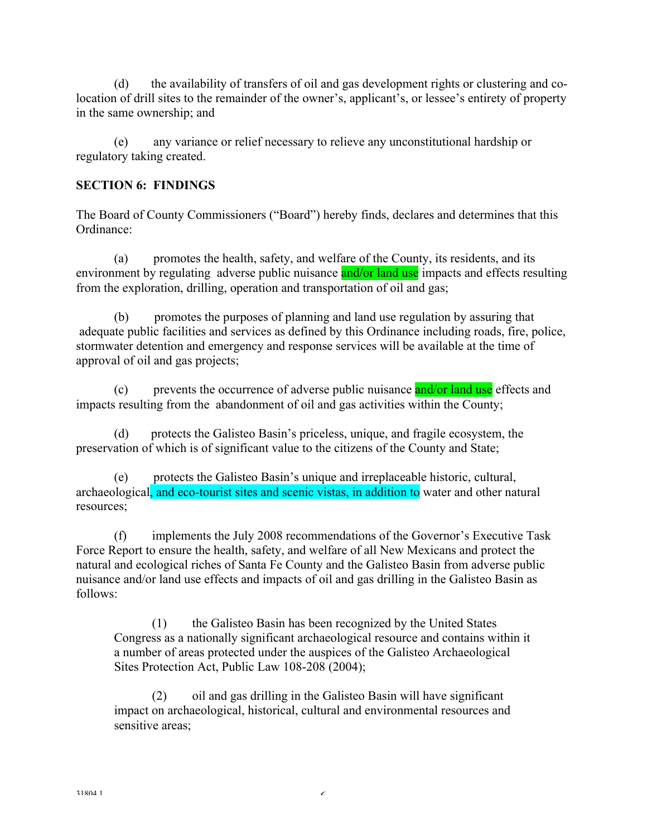(d) the availability of transfers of oil and gas development rights or clustering and colocation of drill sites to the remainder of the owner's, applicant's, or lessee's entirety of property in the same ownership; and

 (e) any variance or relief necessary to relieve any unconstitutional hardship or regulatory taking created.

### **SECTION 6: FINDINGS**

The Board of County Commissioners ("Board") hereby finds, declares and determines that this Ordinance:

 (a) promotes the health, safety, and welfare of the County, its residents, and its environment by regulating adverse public nuisance and/or land use impacts and effects resulting from the exploration, drilling, operation and transportation of oil and gas;

 (b) promotes the purposes of planning and land use regulation by assuring that adequate public facilities and services as defined by this Ordinance including roads, fire, police, stormwater detention and emergency and response services will be available at the time of approval of oil and gas projects;

(c) prevents the occurrence of adverse public nuisance and/or land use effects and impacts resulting from the abandonment of oil and gas activities within the County;

 (d) protects the Galisteo Basin's priceless, unique, and fragile ecosystem, the preservation of which is of significant value to the citizens of the County and State;

 (e) protects the Galisteo Basin's unique and irreplaceable historic, cultural, archaeological, and eco-tourist sites and scenic vistas, in addition to water and other natural resources;

 (f) implements the July 2008 recommendations of the Governor's Executive Task Force Report to ensure the health, safety, and welfare of all New Mexicans and protect the natural and ecological riches of Santa Fe County and the Galisteo Basin from adverse public nuisance and/or land use effects and impacts of oil and gas drilling in the Galisteo Basin as follows:

 (1) the Galisteo Basin has been recognized by the United States Congress as a nationally significant archaeological resource and contains within it a number of areas protected under the auspices of the Galisteo Archaeological Sites Protection Act, Public Law 108-208 (2004);

 (2) oil and gas drilling in the Galisteo Basin will have significant impact on archaeological, historical, cultural and environmental resources and sensitive areas;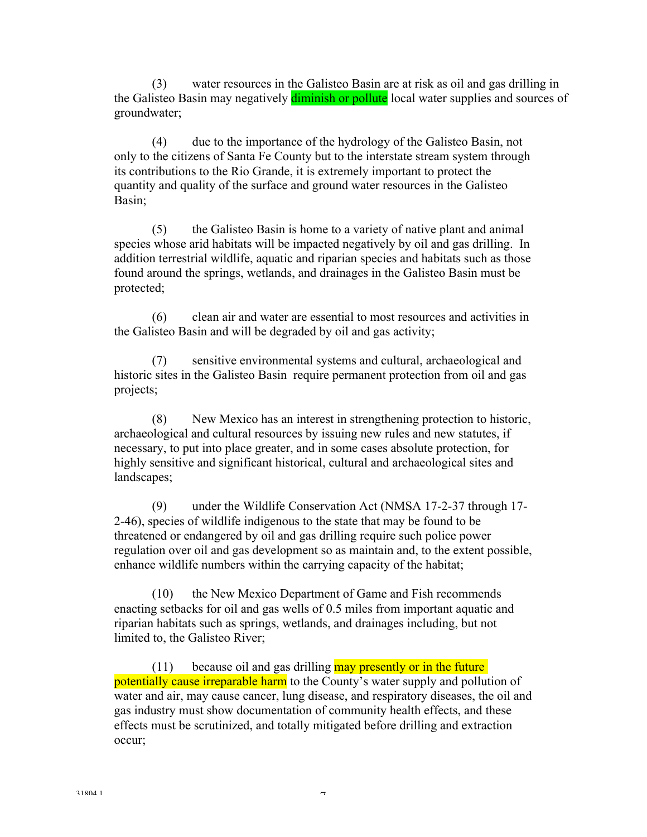(3) water resources in the Galisteo Basin are at risk as oil and gas drilling in the Galisteo Basin may negatively **diminish or pollute** local water supplies and sources of groundwater;

 (4) due to the importance of the hydrology of the Galisteo Basin, not only to the citizens of Santa Fe County but to the interstate stream system through its contributions to the Rio Grande, it is extremely important to protect the quantity and quality of the surface and ground water resources in the Galisteo Basin;

 (5) the Galisteo Basin is home to a variety of native plant and animal species whose arid habitats will be impacted negatively by oil and gas drilling. In addition terrestrial wildlife, aquatic and riparian species and habitats such as those found around the springs, wetlands, and drainages in the Galisteo Basin must be protected;

 (6) clean air and water are essential to most resources and activities in the Galisteo Basin and will be degraded by oil and gas activity;

 (7) sensitive environmental systems and cultural, archaeological and historic sites in the Galisteo Basin require permanent protection from oil and gas projects;

 (8) New Mexico has an interest in strengthening protection to historic, archaeological and cultural resources by issuing new rules and new statutes, if necessary, to put into place greater, and in some cases absolute protection, for highly sensitive and significant historical, cultural and archaeological sites and landscapes;

 (9) under the Wildlife Conservation Act (NMSA 17-2-37 through 17- 2-46), species of wildlife indigenous to the state that may be found to be threatened or endangered by oil and gas drilling require such police power regulation over oil and gas development so as maintain and, to the extent possible, enhance wildlife numbers within the carrying capacity of the habitat;

 (10) the New Mexico Department of Game and Fish recommends enacting setbacks for oil and gas wells of 0.5 miles from important aquatic and riparian habitats such as springs, wetlands, and drainages including, but not limited to, the Galisteo River;

 $(11)$  because oil and gas drilling **may presently or in the future** potentially cause irreparable harm to the County's water supply and pollution of water and air, may cause cancer, lung disease, and respiratory diseases, the oil and gas industry must show documentation of community health effects, and these effects must be scrutinized, and totally mitigated before drilling and extraction occur;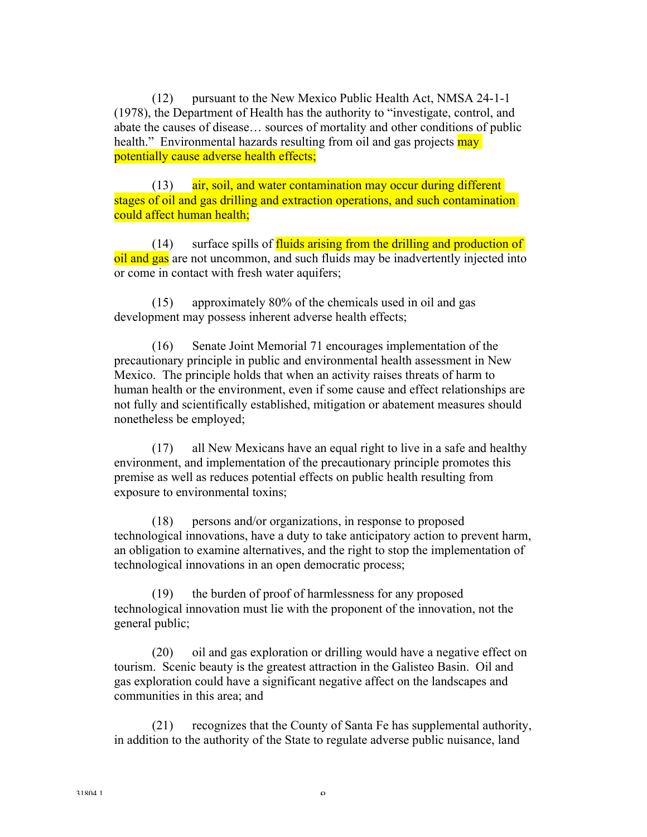(12) pursuant to the New Mexico Public Health Act, NMSA 24-1-1 (1978), the Department of Health has the authority to "investigate, control, and abate the causes of disease… sources of mortality and other conditions of public health." Environmental hazards resulting from oil and gas projects may potentially cause adverse health effects;

 (13) air, soil, and water contamination may occur during different stages of oil and gas drilling and extraction operations, and such contamination could affect human health;

 $(14)$  surface spills of fluids arising from the drilling and production of oil and gas are not uncommon, and such fluids may be inadvertently injected into or come in contact with fresh water aquifers;

 (15) approximately 80% of the chemicals used in oil and gas development may possess inherent adverse health effects;

 (16) Senate Joint Memorial 71 encourages implementation of the precautionary principle in public and environmental health assessment in New Mexico. The principle holds that when an activity raises threats of harm to human health or the environment, even if some cause and effect relationships are not fully and scientifically established, mitigation or abatement measures should nonetheless be employed;

 (17) all New Mexicans have an equal right to live in a safe and healthy environment, and implementation of the precautionary principle promotes this premise as well as reduces potential effects on public health resulting from exposure to environmental toxins;

 (18) persons and/or organizations, in response to proposed technological innovations, have a duty to take anticipatory action to prevent harm, an obligation to examine alternatives, and the right to stop the implementation of technological innovations in an open democratic process;

 (19) the burden of proof of harmlessness for any proposed technological innovation must lie with the proponent of the innovation, not the general public;

 (20) oil and gas exploration or drilling would have a negative effect on tourism. Scenic beauty is the greatest attraction in the Galisteo Basin. Oil and gas exploration could have a significant negative affect on the landscapes and communities in this area; and

 (21) recognizes that the County of Santa Fe has supplemental authority, in addition to the authority of the State to regulate adverse public nuisance, land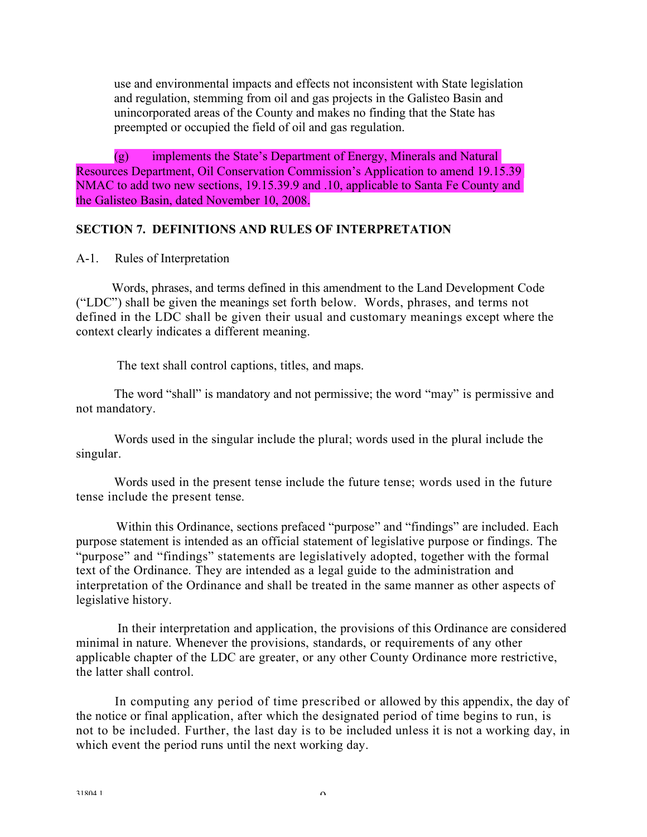use and environmental impacts and effects not inconsistent with State legislation and regulation, stemming from oil and gas projects in the Galisteo Basin and unincorporated areas of the County and makes no finding that the State has preempted or occupied the field of oil and gas regulation.

(g) implements the State's Department of Energy, Minerals and Natural Resources Department, Oil Conservation Commission's Application to amend 19.15.39 NMAC to add two new sections, 19.15.39.9 and .10, applicable to Santa Fe County and the Galisteo Basin, dated November 10, 2008.

#### **SECTION 7. DEFINITIONS AND RULES OF INTERPRETATION**

A-1. Rules of Interpretation

Words, phrases, and terms defined in this amendment to the Land Development Code ("LDC") shall be given the meanings set forth below. Words, phrases, and terms not defined in the LDC shall be given their usual and customary meanings except where the context clearly indicates a different meaning.

The text shall control captions, titles, and maps.

 The word "shall" is mandatory and not permissive; the word "may" is permissive and not mandatory.

 Words used in the singular include the plural; words used in the plural include the singular.

 Words used in the present tense include the future tense; words used in the future tense include the present tense.

Within this Ordinance, sections prefaced "purpose" and "findings" are included. Each purpose statement is intended as an official statement of legislative purpose or findings. The "purpose" and "findings" statements are legislatively adopted, together with the formal text of the Ordinance. They are intended as a legal guide to the administration and interpretation of the Ordinance and shall be treated in the same manner as other aspects of legislative history.

In their interpretation and application, the provisions of this Ordinance are considered minimal in nature. Whenever the provisions, standards, or requirements of any other applicable chapter of the LDC are greater, or any other County Ordinance more restrictive, the latter shall control.

In computing any period of time prescribed or allowed by this appendix, the day of the notice or final application, after which the designated period of time begins to run, is not to be included. Further, the last day is to be included unless it is not a working day, in which event the period runs until the next working day.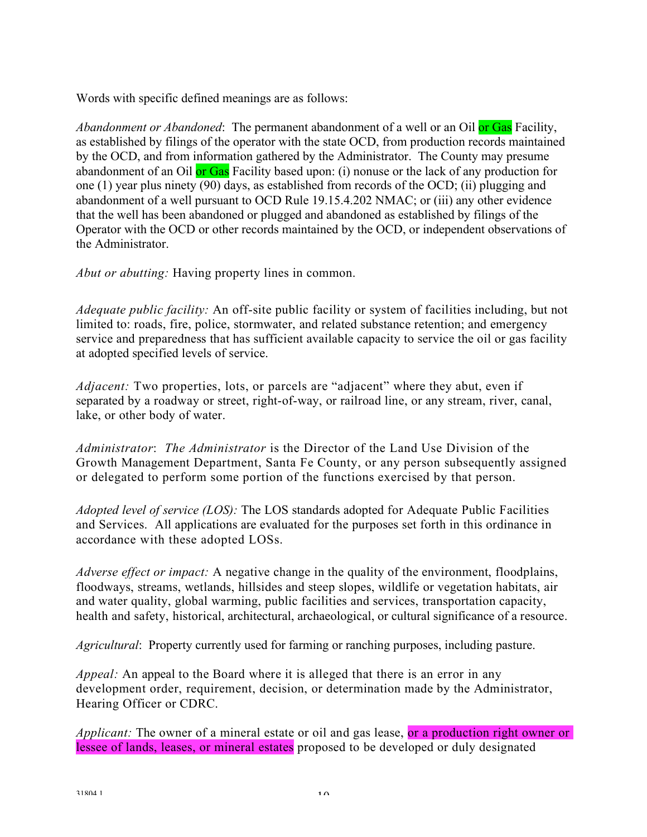Words with specific defined meanings are as follows:

*Abandonment or Abandoned*: The permanent abandonment of a well or an Oil or Gas Facility, as established by filings of the operator with the state OCD, from production records maintained by the OCD, and from information gathered by the Administrator. The County may presume abandonment of an Oil or Gas Facility based upon: (i) nonuse or the lack of any production for one (1) year plus ninety  $(90)$  days, as established from records of the OCD; (ii) plugging and abandonment of a well pursuant to OCD Rule 19.15.4.202 NMAC; or (iii) any other evidence that the well has been abandoned or plugged and abandoned as established by filings of the Operator with the OCD or other records maintained by the OCD, or independent observations of the Administrator.

*Abut or abutting:* Having property lines in common.

*Adequate public facility:* An off-site public facility or system of facilities including, but not limited to: roads, fire, police, stormwater, and related substance retention; and emergency service and preparedness that has sufficient available capacity to service the oil or gas facility at adopted specified levels of service.

*Adjacent:* Two properties, lots, or parcels are "adjacent" where they abut, even if separated by a roadway or street, right-of-way, or railroad line, or any stream, river, canal, lake, or other body of water.

*Administrator*: *The Administrator* is the Director of the Land Use Division of the Growth Management Department, Santa Fe County, or any person subsequently assigned or delegated to perform some portion of the functions exercised by that person.

*Adopted level of service (LOS):* The LOS standards adopted for Adequate Public Facilities and Services. All applications are evaluated for the purposes set forth in this ordinance in accordance with these adopted LOSs.

*Adverse effect or impact:* A negative change in the quality of the environment, floodplains, floodways, streams, wetlands, hillsides and steep slopes, wildlife or vegetation habitats, air and water quality, global warming, public facilities and services, transportation capacity, health and safety, historical, architectural, archaeological, or cultural significance of a resource.

*Agricultural*: Property currently used for farming or ranching purposes, including pasture.

*Appeal:* An appeal to the Board where it is alleged that there is an error in any development order, requirement, decision, or determination made by the Administrator, Hearing Officer or CDRC.

*Applicant:* The owner of a mineral estate or oil and gas lease, or a production right owner or lessee of lands, leases, or mineral estates proposed to be developed or duly designated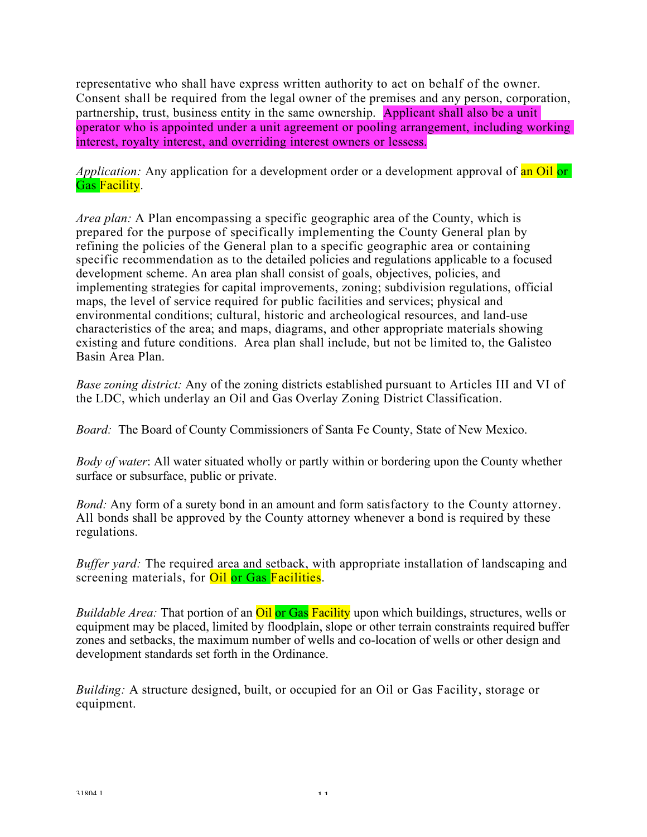representative who shall have express written authority to act on behalf of the owner. Consent shall be required from the legal owner of the premises and any person, corporation, partnership, trust, business entity in the same ownership. Applicant shall also be a unit operator who is appointed under a unit agreement or pooling arrangement, including working interest, royalty interest, and overriding interest owners or lessess.

*Application:* Any application for a development order or a development approval of an Oil or Gas Facility.

*Area plan:* A Plan encompassing a specific geographic area of the County, which is prepared for the purpose of specifically implementing the County General plan by refining the policies of the General plan to a specific geographic area or containing specific recommendation as to the detailed policies and regulations applicable to a focused development scheme. An area plan shall consist of goals, objectives, policies, and implementing strategies for capital improvements, zoning; subdivision regulations, official maps, the level of service required for public facilities and services; physical and environmental conditions; cultural, historic and archeological resources, and land-use characteristics of the area; and maps, diagrams, and other appropriate materials showing existing and future conditions. Area plan shall include, but not be limited to, the Galisteo Basin Area Plan.

*Base zoning district:* Any of the zoning districts established pursuant to Articles III and VI of the LDC, which underlay an Oil and Gas Overlay Zoning District Classification.

*Board:* The Board of County Commissioners of Santa Fe County, State of New Mexico.

*Body of water*: All water situated wholly or partly within or bordering upon the County whether surface or subsurface, public or private.

*Bond:* Any form of a surety bond in an amount and form satisfactory to the County attorney. All bonds shall be approved by the County attorney whenever a bond is required by these regulations.

*Buffer yard:* The required area and setback, with appropriate installation of landscaping and screening materials, for **Oil or Gas Facilities**.

*Buildable Area:* That portion of an *Oil* or Gas Facility upon which buildings, structures, wells or equipment may be placed, limited by floodplain, slope or other terrain constraints required buffer zones and setbacks, the maximum number of wells and co-location of wells or other design and development standards set forth in the Ordinance.

*Building:* A structure designed, built, or occupied for an Oil or Gas Facility, storage or equipment.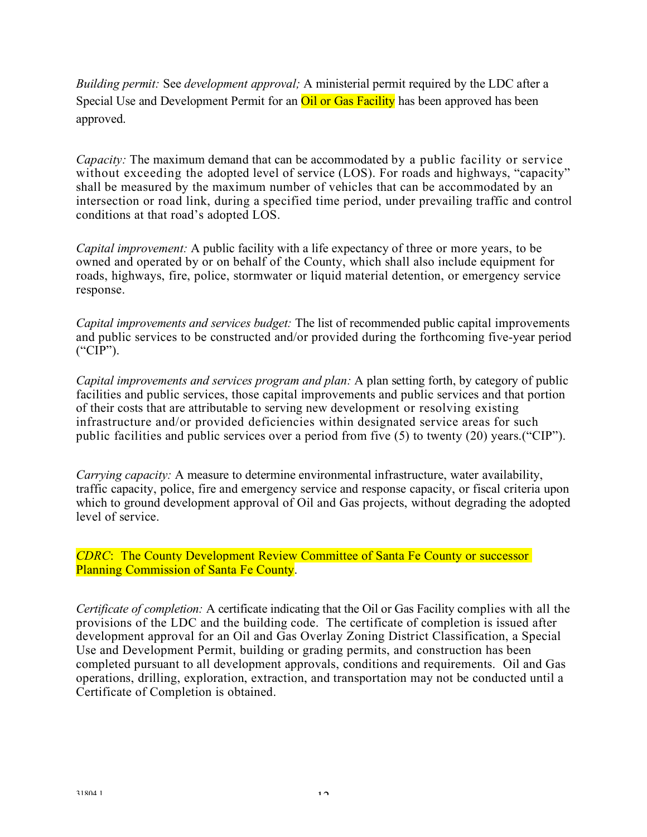*Building permit:* See *development approval;* A ministerial permit required by the LDC after a Special Use and Development Permit for an **Oil or Gas Facility** has been approved has been approved.

*Capacity:* The maximum demand that can be accommodated by a public facility or service without exceeding the adopted level of service (LOS). For roads and highways, "capacity" shall be measured by the maximum number of vehicles that can be accommodated by an intersection or road link, during a specified time period, under prevailing traffic and control conditions at that road's adopted LOS.

*Capital improvement:* A public facility with a life expectancy of three or more years, to be owned and operated by or on behalf of the County, which shall also include equipment for roads, highways, fire, police, stormwater or liquid material detention, or emergency service response.

*Capital improvements and services budget:* The list of recommended public capital improvements and public services to be constructed and/or provided during the forthcoming five-year period ("CIP").

*Capital improvements and services program and plan:* A plan setting forth, by category of public facilities and public services, those capital improvements and public services and that portion of their costs that are attributable to serving new development or resolving existing infrastructure and/or provided deficiencies within designated service areas for such public facilities and public services over a period from five (5) to twenty (20) years.("CIP").

*Carrying capacity:* A measure to determine environmental infrastructure, water availability, traffic capacity, police, fire and emergency service and response capacity, or fiscal criteria upon which to ground development approval of Oil and Gas projects, without degrading the adopted level of service.

*CDRC*: The County Development Review Committee of Santa Fe County or successor Planning Commission of Santa Fe County.

*Certificate of completion:* A certificate indicating that the Oil or Gas Facility complies with all the provisions of the LDC and the building code. The certificate of completion is issued after development approval for an Oil and Gas Overlay Zoning District Classification, a Special Use and Development Permit, building or grading permits, and construction has been completed pursuant to all development approvals, conditions and requirements. Oil and Gas operations, drilling, exploration, extraction, and transportation may not be conducted until a Certificate of Completion is obtained.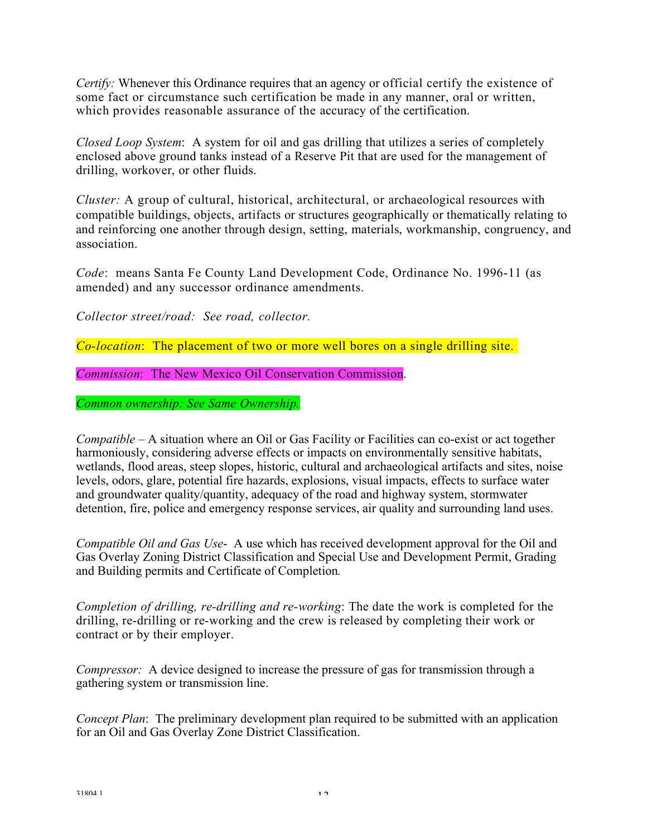*Certify:* Whenever this Ordinance requires that an agency or official certify the existence of some fact or circumstance such certification be made in any manner, oral or written, which provides reasonable assurance of the accuracy of the certification.

*Closed Loop System*: A system for oil and gas drilling that utilizes a series of completely enclosed above ground tanks instead of a Reserve Pit that are used for the management of drilling, workover, or other fluids.

*Cluster:* A group of cultural, historical, architectural, or archaeological resources with compatible buildings, objects, artifacts or structures geographically or thematically relating to and reinforcing one another through design, setting, materials, workmanship, congruency, and association.

*Code*: means Santa Fe County Land Development Code, Ordinance No. 1996-11 (as amended) and any successor ordinance amendments.

*Collector street/road: See road, collector.*

*Co-location*: The placement of two or more well bores on a single drilling site.

*Commission*: The New Mexico Oil Conservation Commission.

*Common ownership: See Same Ownership.*

*Compatible* – A situation where an Oil or Gas Facility or Facilities can co-exist or act together harmoniously, considering adverse effects or impacts on environmentally sensitive habitats, wetlands, flood areas, steep slopes, historic, cultural and archaeological artifacts and sites, noise levels, odors, glare, potential fire hazards, explosions, visual impacts, effects to surface water and groundwater quality/quantity, adequacy of the road and highway system, stormwater detention, fire, police and emergency response services, air quality and surrounding land uses.

*Compatible Oil and Gas Use*- A use which has received development approval for the Oil and Gas Overlay Zoning District Classification and Special Use and Development Permit, Grading and Building permits and Certificate of Completion*.*

*Completion of drilling, re-drilling and re-working*: The date the work is completed for the drilling, re-drilling or re-working and the crew is released by completing their work or contract or by their employer.

*Compressor:* A device designed to increase the pressure of gas for transmission through a gathering system or transmission line.

*Concept Plan*: The preliminary development plan required to be submitted with an application for an Oil and Gas Overlay Zone District Classification.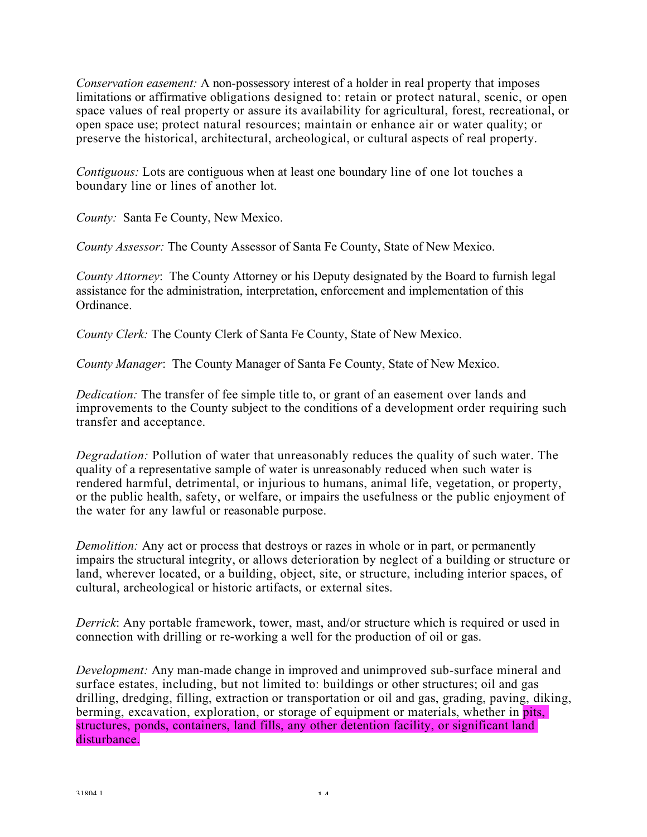*Conservation easement:* A non-possessory interest of a holder in real property that imposes limitations or affirmative obligations designed to: retain or protect natural, scenic, or open space values of real property or assure its availability for agricultural, forest, recreational, or open space use; protect natural resources; maintain or enhance air or water quality; or preserve the historical, architectural, archeological, or cultural aspects of real property.

*Contiguous:* Lots are contiguous when at least one boundary line of one lot touches a boundary line or lines of another lot.

*County:* Santa Fe County, New Mexico.

*County Assessor:* The County Assessor of Santa Fe County, State of New Mexico.

*County Attorney*: The County Attorney or his Deputy designated by the Board to furnish legal assistance for the administration, interpretation, enforcement and implementation of this Ordinance.

*County Clerk:* The County Clerk of Santa Fe County, State of New Mexico.

*County Manager*: The County Manager of Santa Fe County, State of New Mexico.

*Dedication:* The transfer of fee simple title to, or grant of an easement over lands and improvements to the County subject to the conditions of a development order requiring such transfer and acceptance.

*Degradation:* Pollution of water that unreasonably reduces the quality of such water. The quality of a representative sample of water is unreasonably reduced when such water is rendered harmful, detrimental, or injurious to humans, animal life, vegetation, or property, or the public health, safety, or welfare, or impairs the usefulness or the public enjoyment of the water for any lawful or reasonable purpose.

*Demolition:* Any act or process that destroys or razes in whole or in part, or permanently impairs the structural integrity, or allows deterioration by neglect of a building or structure or land, wherever located, or a building, object, site, or structure, including interior spaces, of cultural, archeological or historic artifacts, or external sites.

*Derrick*: Any portable framework, tower, mast, and/or structure which is required or used in connection with drilling or re-working a well for the production of oil or gas.

*Development:* Any man-made change in improved and unimproved sub-surface mineral and surface estates, including, but not limited to: buildings or other structures; oil and gas drilling, dredging, filling, extraction or transportation or oil and gas, grading, paving, diking, berming, excavation, exploration, or storage of equipment or materials, whether in pits, structures, ponds, containers, land fills, any other detention facility, or significant land disturbance.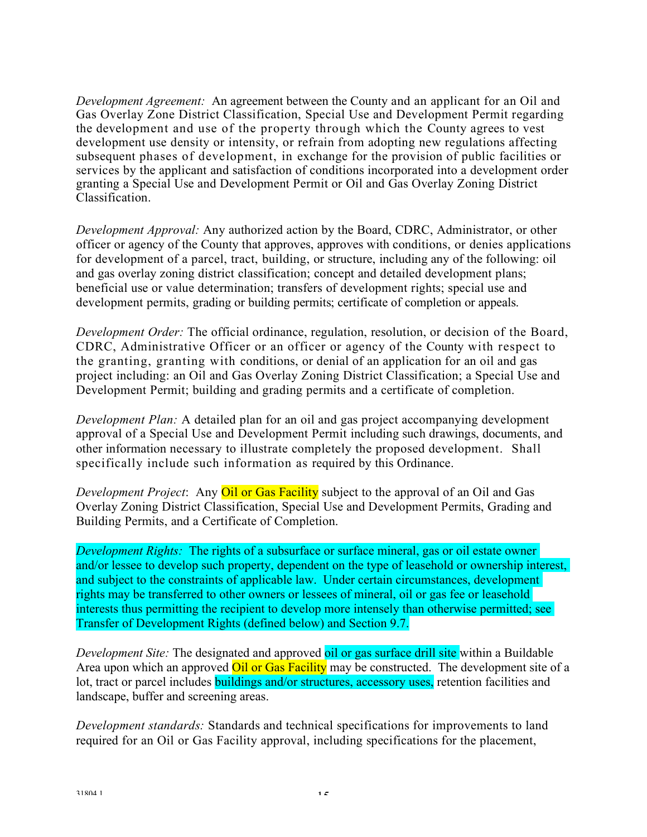*Development Agreement:* An agreement between the County and an applicant for an Oil and Gas Overlay Zone District Classification, Special Use and Development Permit regarding the development and use of the property through which the County agrees to vest development use density or intensity, or refrain from adopting new regulations affecting subsequent phases of development, in exchange for the provision of public facilities or services by the applicant and satisfaction of conditions incorporated into a development order granting a Special Use and Development Permit or Oil and Gas Overlay Zoning District Classification.

*Development Approval:* Any authorized action by the Board, CDRC, Administrator, or other officer or agency of the County that approves, approves with conditions, or denies applications for development of a parcel, tract, building, or structure, including any of the following: oil and gas overlay zoning district classification; concept and detailed development plans; beneficial use or value determination; transfers of development rights; special use and development permits, grading or building permits; certificate of completion or appeals.

*Development Order:* The official ordinance, regulation, resolution, or decision of the Board, CDRC, Administrative Officer or an officer or agency of the County with respect to the granting, granting with conditions, or denial of an application for an oil and gas project including: an Oil and Gas Overlay Zoning District Classification; a Special Use and Development Permit; building and grading permits and a certificate of completion.

*Development Plan:* A detailed plan for an oil and gas project accompanying development approval of a Special Use and Development Permit including such drawings, documents, and other information necessary to illustrate completely the proposed development. Shall specifically include such information as required by this Ordinance.

*Development Project*: Any *Oil or Gas Facility* subject to the approval of an Oil and Gas Overlay Zoning District Classification, Special Use and Development Permits, Grading and Building Permits, and a Certificate of Completion.

*Development Rights:* The rights of a subsurface or surface mineral, gas or oil estate owner and/or lessee to develop such property, dependent on the type of leasehold or ownership interest, and subject to the constraints of applicable law. Under certain circumstances, development rights may be transferred to other owners or lessees of mineral, oil or gas fee or leasehold interests thus permitting the recipient to develop more intensely than otherwise permitted; see Transfer of Development Rights (defined below) and Section 9.7.

*Development Site:* The designated and approved oil or gas surface drill site within a Buildable Area upon which an approved **Oil or Gas Facility** may be constructed. The development site of a lot, tract or parcel includes buildings and/or structures, accessory uses, retention facilities and landscape, buffer and screening areas.

*Development standards:* Standards and technical specifications for improvements to land required for an Oil or Gas Facility approval, including specifications for the placement,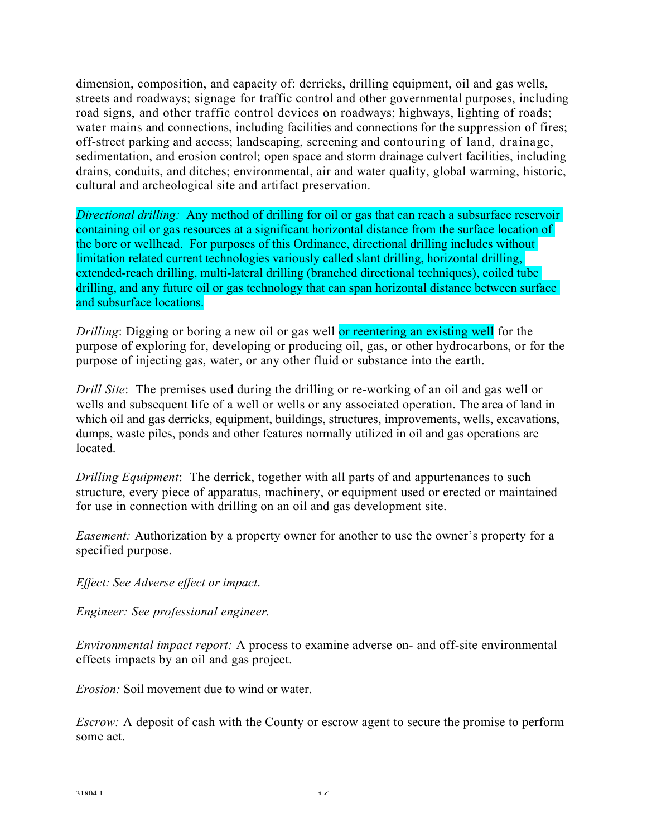dimension, composition, and capacity of: derricks, drilling equipment, oil and gas wells, streets and roadways; signage for traffic control and other governmental purposes, including road signs, and other traffic control devices on roadways; highways, lighting of roads; water mains and connections, including facilities and connections for the suppression of fires; off-street parking and access; landscaping, screening and contouring of land, drainage, sedimentation, and erosion control; open space and storm drainage culvert facilities, including drains, conduits, and ditches; environmental, air and water quality, global warming, historic, cultural and archeological site and artifact preservation.

*Directional drilling:* Any method of drilling for oil or gas that can reach a subsurface reservoir containing oil or gas resources at a significant horizontal distance from the surface location of the bore or wellhead. For purposes of this Ordinance, directional drilling includes without limitation related current technologies variously called slant drilling, horizontal drilling, extended-reach drilling, multi-lateral drilling (branched directional techniques), coiled tube drilling, and any future oil or gas technology that can span horizontal distance between surface and subsurface locations.

*Drilling*: Digging or boring a new oil or gas well or reentering an existing well for the purpose of exploring for, developing or producing oil, gas, or other hydrocarbons, or for the purpose of injecting gas, water, or any other fluid or substance into the earth.

*Drill Site*: The premises used during the drilling or re-working of an oil and gas well or wells and subsequent life of a well or wells or any associated operation. The area of land in which oil and gas derricks, equipment, buildings, structures, improvements, wells, excavations, dumps, waste piles, ponds and other features normally utilized in oil and gas operations are located.

*Drilling Equipment*: The derrick, together with all parts of and appurtenances to such structure, every piece of apparatus, machinery, or equipment used or erected or maintained for use in connection with drilling on an oil and gas development site.

*Easement:* Authorization by a property owner for another to use the owner's property for a specified purpose.

*Effect: See Adverse effect or impact*.

*Engineer: See professional engineer.*

*Environmental impact report:* A process to examine adverse on- and off-site environmental effects impacts by an oil and gas project.

*Erosion:* Soil movement due to wind or water.

*Escrow:* A deposit of cash with the County or escrow agent to secure the promise to perform some act.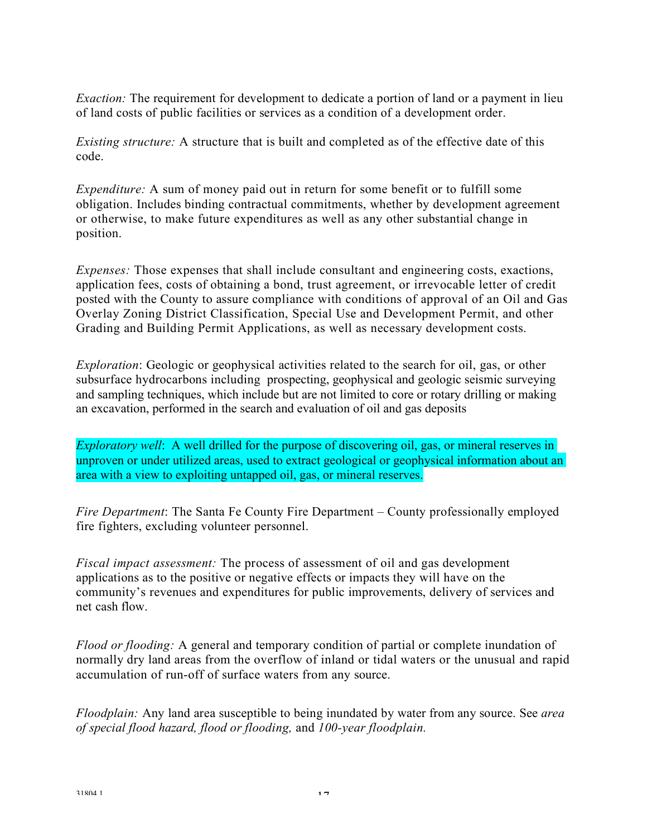*Exaction:* The requirement for development to dedicate a portion of land or a payment in lieu of land costs of public facilities or services as a condition of a development order.

*Existing structure:* A structure that is built and completed as of the effective date of this code.

*Expenditure:* A sum of money paid out in return for some benefit or to fulfill some obligation. Includes binding contractual commitments, whether by development agreement or otherwise, to make future expenditures as well as any other substantial change in position.

*Expenses:* Those expenses that shall include consultant and engineering costs, exactions, application fees, costs of obtaining a bond, trust agreement, or irrevocable letter of credit posted with the County to assure compliance with conditions of approval of an Oil and Gas Overlay Zoning District Classification, Special Use and Development Permit, and other Grading and Building Permit Applications, as well as necessary development costs.

*Exploration*: Geologic or geophysical activities related to the search for oil, gas, or other subsurface hydrocarbons including prospecting, geophysical and geologic seismic surveying and sampling techniques, which include but are not limited to core or rotary drilling or making an excavation, performed in the search and evaluation of oil and gas deposits

*Exploratory well*: A well drilled for the purpose of discovering oil, gas, or mineral reserves in unproven or under utilized areas, used to extract geological or geophysical information about an area with a view to exploiting untapped oil, gas, or mineral reserves.

*Fire Department*: The Santa Fe County Fire Department – County professionally employed fire fighters, excluding volunteer personnel.

*Fiscal impact assessment:* The process of assessment of oil and gas development applications as to the positive or negative effects or impacts they will have on the community's revenues and expenditures for public improvements, delivery of services and net cash flow.

*Flood or flooding:* A general and temporary condition of partial or complete inundation of normally dry land areas from the overflow of inland or tidal waters or the unusual and rapid accumulation of run-off of surface waters from any source.

*Floodplain:* Any land area susceptible to being inundated by water from any source. See *area of special flood hazard, flood or flooding,* and *100-year floodplain.*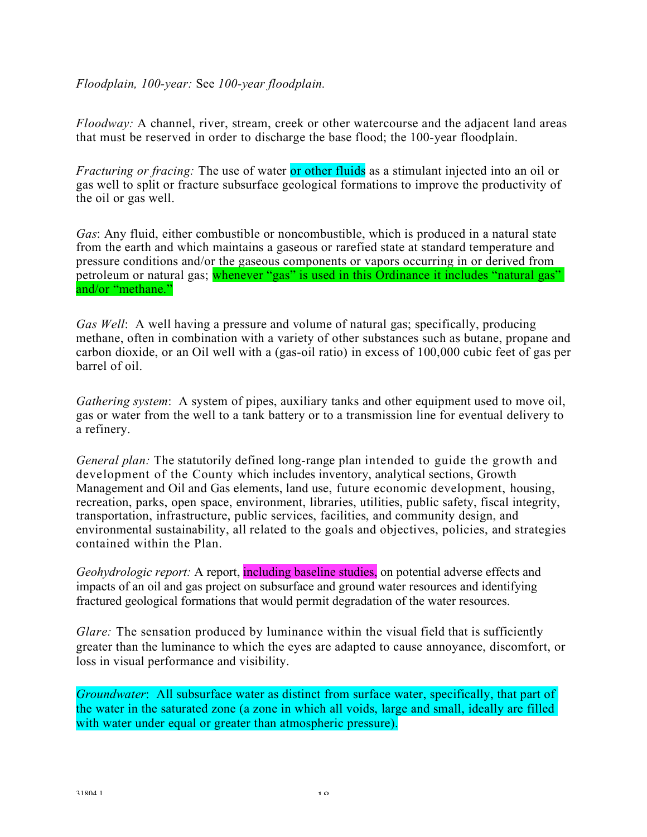### *Floodplain, 100-year:* See *100-year floodplain.*

*Floodway:* A channel, river, stream, creek or other watercourse and the adjacent land areas that must be reserved in order to discharge the base flood; the 100-year floodplain.

*Fracturing or fracing:* The use of water or other fluids as a stimulant injected into an oil or gas well to split or fracture subsurface geological formations to improve the productivity of the oil or gas well.

*Gas*: Any fluid, either combustible or noncombustible, which is produced in a natural state from the earth and which maintains a gaseous or rarefied state at standard temperature and pressure conditions and/or the gaseous components or vapors occurring in or derived from petroleum or natural gas; whenever "gas" is used in this Ordinance it includes "natural gas" and/or "methane."

*Gas Well*: A well having a pressure and volume of natural gas; specifically, producing methane, often in combination with a variety of other substances such as butane, propane and carbon dioxide, or an Oil well with a (gas-oil ratio) in excess of 100,000 cubic feet of gas per barrel of oil.

*Gathering system*: A system of pipes, auxiliary tanks and other equipment used to move oil, gas or water from the well to a tank battery or to a transmission line for eventual delivery to a refinery.

*General plan:* The statutorily defined long-range plan intended to guide the growth and development of the County which includes inventory, analytical sections, Growth Management and Oil and Gas elements, land use, future economic development, housing, recreation, parks, open space, environment, libraries, utilities, public safety, fiscal integrity, transportation, infrastructure, public services, facilities, and community design, and environmental sustainability, all related to the goals and objectives, policies, and strategies contained within the Plan.

*Geohydrologic report:* A report, **including baseline studies**, on potential adverse effects and impacts of an oil and gas project on subsurface and ground water resources and identifying fractured geological formations that would permit degradation of the water resources.

*Glare:* The sensation produced by luminance within the visual field that is sufficiently greater than the luminance to which the eyes are adapted to cause annoyance, discomfort, or loss in visual performance and visibility.

*Groundwater*: All subsurface water as distinct from surface water, specifically, that part of the water in the saturated zone (a zone in which all voids, large and small, ideally are filled with water under equal or greater than atmospheric pressure).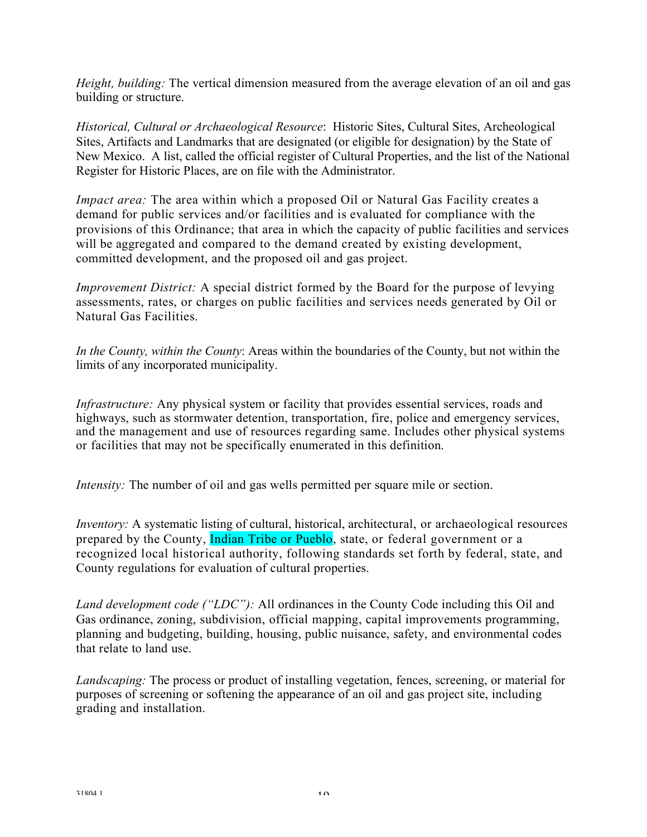*Height, building:* The vertical dimension measured from the average elevation of an oil and gas building or structure.

*Historical, Cultural or Archaeological Resource*: Historic Sites, Cultural Sites, Archeological Sites, Artifacts and Landmarks that are designated (or eligible for designation) by the State of New Mexico. A list, called the official register of Cultural Properties, and the list of the National Register for Historic Places, are on file with the Administrator.

*Impact area:* The area within which a proposed Oil or Natural Gas Facility creates a demand for public services and/or facilities and is evaluated for compliance with the provisions of this Ordinance; that area in which the capacity of public facilities and services will be aggregated and compared to the demand created by existing development, committed development, and the proposed oil and gas project.

*Improvement District:* A special district formed by the Board for the purpose of levying assessments, rates, or charges on public facilities and services needs generated by Oil or Natural Gas Facilities.

*In the County, within the County*: Areas within the boundaries of the County, but not within the limits of any incorporated municipality.

*Infrastructure:* Any physical system or facility that provides essential services, roads and highways, such as stormwater detention, transportation, fire, police and emergency services, and the management and use of resources regarding same. Includes other physical systems or facilities that may not be specifically enumerated in this definition.

*Intensity:* The number of oil and gas wells permitted per square mile or section.

*Inventory:* A systematic listing of cultural, historical, architectural, or archaeological resources prepared by the County, Indian Tribe or Pueblo, state, or federal government or a recognized local historical authority, following standards set forth by federal, state, and County regulations for evaluation of cultural properties.

*Land development code ("LDC"):* All ordinances in the County Code including this Oil and Gas ordinance, zoning, subdivision, official mapping, capital improvements programming, planning and budgeting, building, housing, public nuisance, safety, and environmental codes that relate to land use.

*Landscaping:* The process or product of installing vegetation, fences, screening, or material for purposes of screening or softening the appearance of an oil and gas project site, including grading and installation.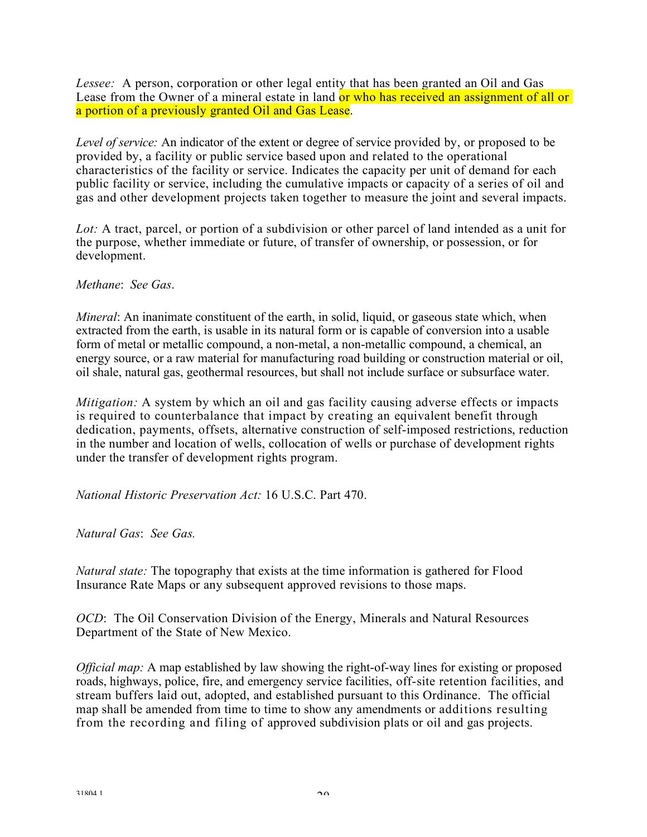*Lessee:* A person, corporation or other legal entity that has been granted an Oil and Gas Lease from the Owner of a mineral estate in land or who has received an assignment of all or a portion of a previously granted Oil and Gas Lease.

*Level of service:* An indicator of the extent or degree of service provided by, or proposed to be provided by, a facility or public service based upon and related to the operational characteristics of the facility or service. Indicates the capacity per unit of demand for each public facility or service, including the cumulative impacts or capacity of a series of oil and gas and other development projects taken together to measure the joint and several impacts.

*Lot:* A tract, parcel, or portion of a subdivision or other parcel of land intended as a unit for the purpose, whether immediate or future, of transfer of ownership, or possession, or for development.

#### *Methane*: *See Gas*.

*Mineral*: An inanimate constituent of the earth, in solid, liquid, or gaseous state which, when extracted from the earth, is usable in its natural form or is capable of conversion into a usable form of metal or metallic compound, a non-metal, a non-metallic compound, a chemical, an energy source, or a raw material for manufacturing road building or construction material or oil, oil shale, natural gas, geothermal resources, but shall not include surface or subsurface water.

*Mitigation:* A system by which an oil and gas facility causing adverse effects or impacts is required to counterbalance that impact by creating an equivalent benefit through dedication, payments, offsets, alternative construction of self-imposed restrictions, reduction in the number and location of wells, collocation of wells or purchase of development rights under the transfer of development rights program.

*National Historic Preservation Act:* 16 U.S.C. Part 470.

*Natural Gas*: *See Gas.*

*Natural state:* The topography that exists at the time information is gathered for Flood Insurance Rate Maps or any subsequent approved revisions to those maps.

*OCD*: The Oil Conservation Division of the Energy, Minerals and Natural Resources Department of the State of New Mexico.

*Official map:* A map established by law showing the right-of-way lines for existing or proposed roads, highways, police, fire, and emergency service facilities, off-site retention facilities, and stream buffers laid out, adopted, and established pursuant to this Ordinance. The official map shall be amended from time to time to show any amendments or additions resulting from the recording and filing of approved subdivision plats or oil and gas projects.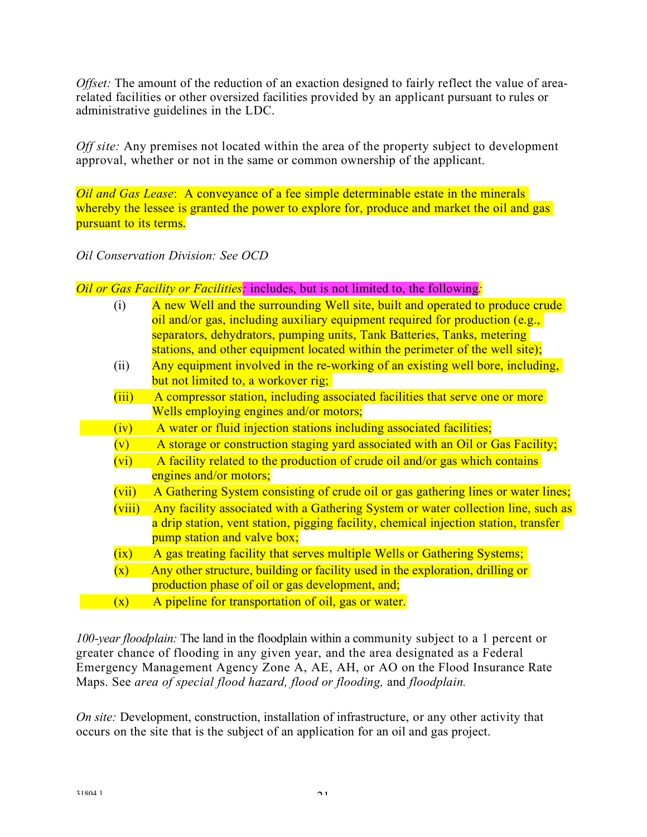*Offset:* The amount of the reduction of an exaction designed to fairly reflect the value of arearelated facilities or other oversized facilities provided by an applicant pursuant to rules or administrative guidelines in the LDC.

*Off* site: Any premises not located within the area of the property subject to development approval, whether or not in the same or common ownership of the applicant.

*Oil and Gas Lease*: A conveyance of a fee simple determinable estate in the minerals whereby the lessee is granted the power to explore for, produce and market the oil and gas pursuant to its terms.

*Oil Conservation Division: See OCD*

*Oil or Gas Facility or Facilities:* includes, but is not limited to, the following*:*

| (i)            | A new Well and the surrounding Well site, built and operated to produce crude<br>oil and/or gas, including auxiliary equipment required for production (e.g.,<br>separators, dehydrators, pumping units, Tank Batteries, Tanks, metering<br>stations, and other equipment located within the perimeter of the well site); |
|----------------|---------------------------------------------------------------------------------------------------------------------------------------------------------------------------------------------------------------------------------------------------------------------------------------------------------------------------|
| (ii)           | Any equipment involved in the re-working of an existing well bore, including,<br>but not limited to, a workover rig;                                                                                                                                                                                                      |
| (iii)          | A compressor station, including associated facilities that serve one or more<br>Wells employing engines and/or motors;                                                                                                                                                                                                    |
| (iv)           | A water or fluid injection stations including associated facilities;                                                                                                                                                                                                                                                      |
| (v)            | A storage or construction staging yard associated with an Oil or Gas Facility;                                                                                                                                                                                                                                            |
| (vi)           | A facility related to the production of crude oil and/or gas which contains<br>engines and/or motors;                                                                                                                                                                                                                     |
| (vii)          | A Gathering System consisting of crude oil or gas gathering lines or water lines;                                                                                                                                                                                                                                         |
| (viii)         | Any facility associated with a Gathering System or water collection line, such as<br>a drip station, vent station, pigging facility, chemical injection station, transfer<br>pump station and valve box;                                                                                                                  |
| (ix)           | A gas treating facility that serves multiple Wells or Gathering Systems;                                                                                                                                                                                                                                                  |
| $(\mathbf{x})$ | Any other structure, building or facility used in the exploration, drilling or<br>production phase of oil or gas development, and;                                                                                                                                                                                        |
| $(\mathbf{x})$ | A pipeline for transportation of oil, gas or water.                                                                                                                                                                                                                                                                       |

*100-year floodplain:* The land in the floodplain within a community subject to a 1 percent or greater chance of flooding in any given year, and the area designated as a Federal Emergency Management Agency Zone A, AE, AH, or AO on the Flood Insurance Rate Maps. See *area of special flood hazard, flood or flooding,* and *floodplain.*

*On site:* Development, construction, installation of infrastructure, or any other activity that occurs on the site that is the subject of an application for an oil and gas project.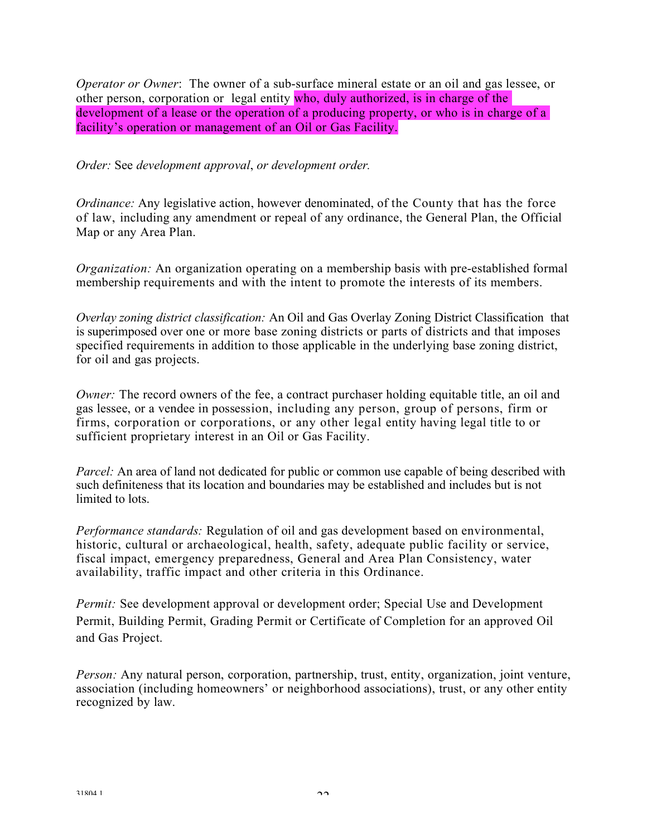*Operator or Owner*: The owner of a sub-surface mineral estate or an oil and gas lessee, or other person, corporation or legal entity who, duly authorized, is in charge of the development of a lease or the operation of a producing property, or who is in charge of a facility's operation or management of an Oil or Gas Facility.

*Order:* See *development approval*, *or development order.*

*Ordinance:* Any legislative action, however denominated, of the County that has the force of law, including any amendment or repeal of any ordinance, the General Plan, the Official Map or any Area Plan.

*Organization:* An organization operating on a membership basis with pre-established formal membership requirements and with the intent to promote the interests of its members.

*Overlay zoning district classification:* An Oil and Gas Overlay Zoning District Classification that is superimposed over one or more base zoning districts or parts of districts and that imposes specified requirements in addition to those applicable in the underlying base zoning district, for oil and gas projects.

*Owner:* The record owners of the fee, a contract purchaser holding equitable title, an oil and gas lessee, or a vendee in possession, including any person, group of persons, firm or firms, corporation or corporations, or any other legal entity having legal title to or sufficient proprietary interest in an Oil or Gas Facility.

*Parcel:* An area of land not dedicated for public or common use capable of being described with such definiteness that its location and boundaries may be established and includes but is not limited to lots.

*Performance standards:* Regulation of oil and gas development based on environmental, historic, cultural or archaeological, health, safety, adequate public facility or service, fiscal impact, emergency preparedness, General and Area Plan Consistency, water availability, traffic impact and other criteria in this Ordinance.

*Permit:* See development approval or development order; Special Use and Development Permit, Building Permit, Grading Permit or Certificate of Completion for an approved Oil and Gas Project.

*Person:* Any natural person, corporation, partnership, trust, entity, organization, joint venture, association (including homeowners' or neighborhood associations), trust, or any other entity recognized by law.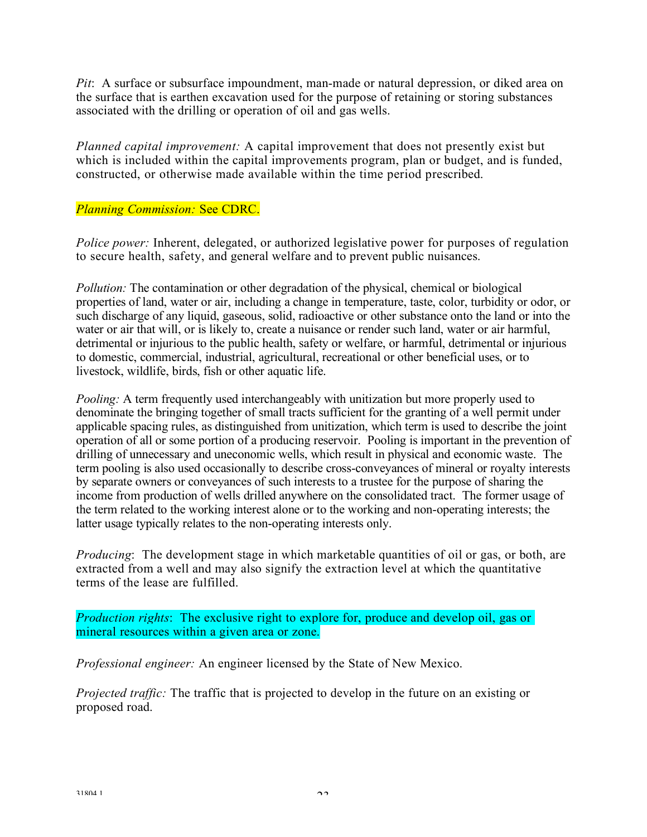*Pit*: A surface or subsurface impoundment, man-made or natural depression, or diked area on the surface that is earthen excavation used for the purpose of retaining or storing substances associated with the drilling or operation of oil and gas wells.

*Planned capital improvement:* A capital improvement that does not presently exist but which is included within the capital improvements program, plan or budget, and is funded, constructed, or otherwise made available within the time period prescribed.

### *Planning Commission:* See CDRC.

*Police power:* Inherent, delegated, or authorized legislative power for purposes of regulation to secure health, safety, and general welfare and to prevent public nuisances.

*Pollution:* The contamination or other degradation of the physical, chemical or biological properties of land, water or air, including a change in temperature, taste, color, turbidity or odor, or such discharge of any liquid, gaseous, solid, radioactive or other substance onto the land or into the water or air that will, or is likely to, create a nuisance or render such land, water or air harmful, detrimental or injurious to the public health, safety or welfare, or harmful, detrimental or injurious to domestic, commercial, industrial, agricultural, recreational or other beneficial uses, or to livestock, wildlife, birds, fish or other aquatic life.

*Pooling:* A term frequently used interchangeably with unitization but more properly used to denominate the bringing together of small tracts sufficient for the granting of a well permit under applicable spacing rules, as distinguished from unitization, which term is used to describe the joint operation of all or some portion of a producing reservoir. Pooling is important in the prevention of drilling of unnecessary and uneconomic wells, which result in physical and economic waste. The term pooling is also used occasionally to describe cross-conveyances of mineral or royalty interests by separate owners or conveyances of such interests to a trustee for the purpose of sharing the income from production of wells drilled anywhere on the consolidated tract. The former usage of the term related to the working interest alone or to the working and non-operating interests; the latter usage typically relates to the non-operating interests only.

*Producing*: The development stage in which marketable quantities of oil or gas, or both, are extracted from a well and may also signify the extraction level at which the quantitative terms of the lease are fulfilled.

*Production rights*: The exclusive right to explore for, produce and develop oil, gas or mineral resources within a given area or zone.

*Professional engineer:* An engineer licensed by the State of New Mexico.

*Projected traffic:* The traffic that is projected to develop in the future on an existing or proposed road.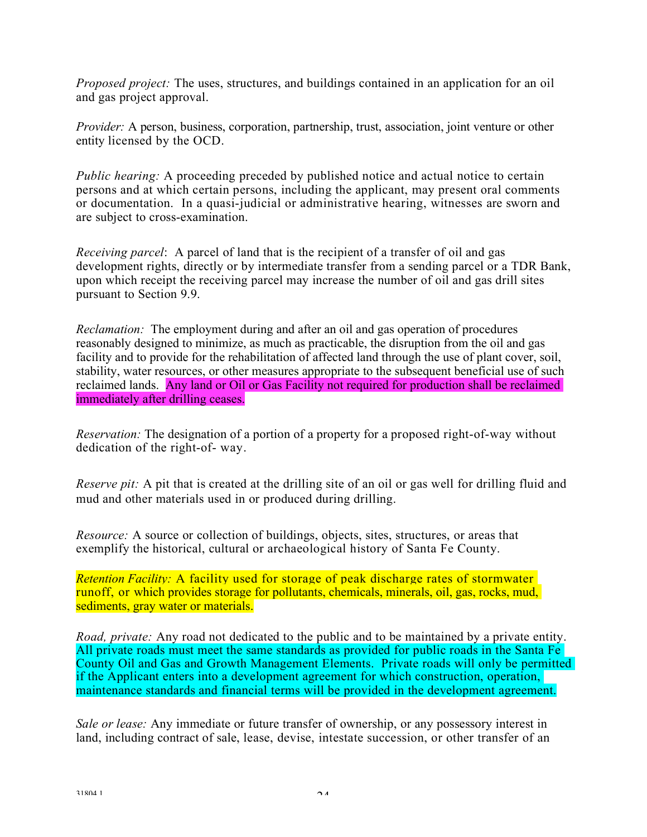*Proposed project:* The uses, structures, and buildings contained in an application for an oil and gas project approval.

*Provider:* A person, business, corporation, partnership, trust, association, joint venture or other entity licensed by the OCD.

*Public hearing:* A proceeding preceded by published notice and actual notice to certain persons and at which certain persons, including the applicant, may present oral comments or documentation. In a quasi-judicial or administrative hearing, witnesses are sworn and are subject to cross-examination.

*Receiving parcel*: A parcel of land that is the recipient of a transfer of oil and gas development rights, directly or by intermediate transfer from a sending parcel or a TDR Bank, upon which receipt the receiving parcel may increase the number of oil and gas drill sites pursuant to Section 9.9.

*Reclamation:* The employment during and after an oil and gas operation of procedures reasonably designed to minimize, as much as practicable, the disruption from the oil and gas facility and to provide for the rehabilitation of affected land through the use of plant cover, soil, stability, water resources, or other measures appropriate to the subsequent beneficial use of such reclaimed lands. Any land or Oil or Gas Facility not required for production shall be reclaimed immediately after drilling ceases.

*Reservation:* The designation of a portion of a property for a proposed right-of-way without dedication of the right-of- way.

*Reserve pit:* A pit that is created at the drilling site of an oil or gas well for drilling fluid and mud and other materials used in or produced during drilling.

*Resource:* A source or collection of buildings, objects, sites, structures, or areas that exemplify the historical, cultural or archaeological history of Santa Fe County.

*Retention Facility:* A facility used for storage of peak discharge rates of stormwater runoff, or which provides storage for pollutants, chemicals, minerals, oil, gas, rocks, mud, sediments, gray water or materials.

*Road, private:* Any road not dedicated to the public and to be maintained by a private entity. All private roads must meet the same standards as provided for public roads in the Santa Fe County Oil and Gas and Growth Management Elements. Private roads will only be permitted if the Applicant enters into a development agreement for which construction, operation, maintenance standards and financial terms will be provided in the development agreement.

*Sale or lease:* Any immediate or future transfer of ownership, or any possessory interest in land, including contract of sale, lease, devise, intestate succession, or other transfer of an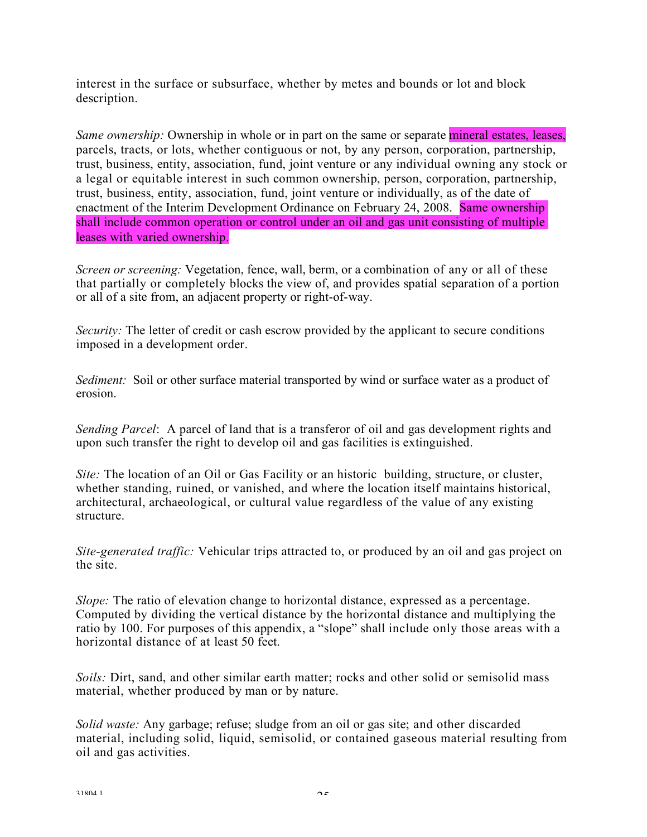interest in the surface or subsurface, whether by metes and bounds or lot and block description.

*Same ownership:* Ownership in whole or in part on the same or separate mineral estates, leases, parcels, tracts, or lots, whether contiguous or not, by any person, corporation, partnership, trust, business, entity, association, fund, joint venture or any individual owning any stock or a legal or equitable interest in such common ownership, person, corporation, partnership, trust, business, entity, association, fund, joint venture or individually, as of the date of enactment of the Interim Development Ordinance on February 24, 2008. Same ownership shall include common operation or control under an oil and gas unit consisting of multiple leases with varied ownership.

*Screen or screening:* Vegetation, fence, wall, berm, or a combination of any or all of these that partially or completely blocks the view of, and provides spatial separation of a portion or all of a site from, an adjacent property or right-of-way.

*Security:* The letter of credit or cash escrow provided by the applicant to secure conditions imposed in a development order.

*Sediment:* Soil or other surface material transported by wind or surface water as a product of erosion.

*Sending Parcel*: A parcel of land that is a transferor of oil and gas development rights and upon such transfer the right to develop oil and gas facilities is extinguished.

*Site:* The location of an Oil or Gas Facility or an historic building, structure, or cluster, whether standing, ruined, or vanished, and where the location itself maintains historical, architectural, archaeological, or cultural value regardless of the value of any existing structure.

*Site-generated traffic:* Vehicular trips attracted to, or produced by an oil and gas project on the site.

*Slope:* The ratio of elevation change to horizontal distance, expressed as a percentage. Computed by dividing the vertical distance by the horizontal distance and multiplying the ratio by 100. For purposes of this appendix, a "slope" shall include only those areas with a horizontal distance of at least 50 feet.

*Soils:* Dirt, sand, and other similar earth matter; rocks and other solid or semisolid mass material, whether produced by man or by nature.

*Solid waste:* Any garbage; refuse; sludge from an oil or gas site; and other discarded material, including solid, liquid, semisolid, or contained gaseous material resulting from oil and gas activities.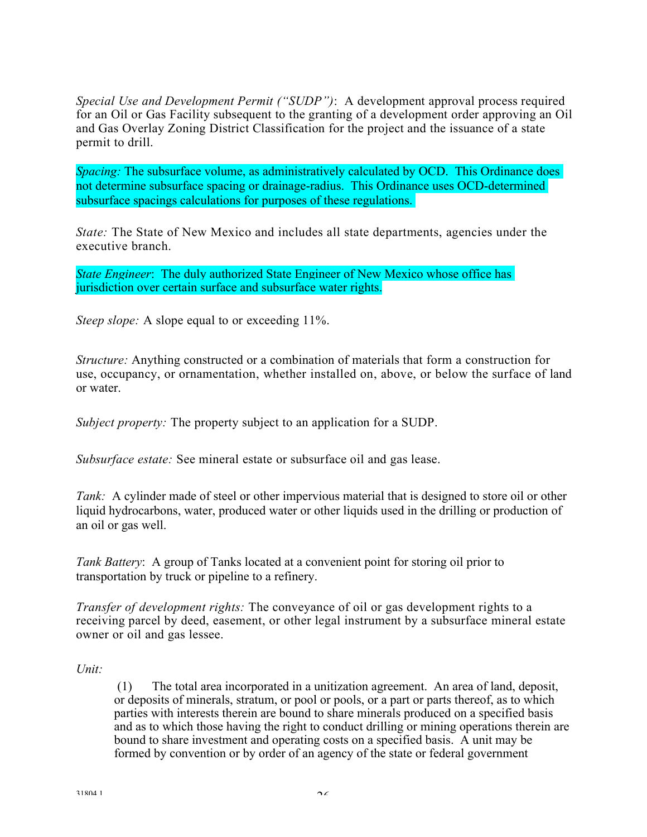*Special Use and Development Permit ("SUDP")*: A development approval process required for an Oil or Gas Facility subsequent to the granting of a development order approving an Oil and Gas Overlay Zoning District Classification for the project and the issuance of a state permit to drill.

*Spacing:* The subsurface volume, as administratively calculated by OCD. This Ordinance does not determine subsurface spacing or drainage-radius. This Ordinance uses OCD-determined subsurface spacings calculations for purposes of these regulations.

*State:* The State of New Mexico and includes all state departments, agencies under the executive branch.

*State Engineer*: The duly authorized State Engineer of New Mexico whose office has jurisdiction over certain surface and subsurface water rights.

*Steep slope:* A slope equal to or exceeding 11%.

*Structure:* Anything constructed or a combination of materials that form a construction for use, occupancy, or ornamentation, whether installed on, above, or below the surface of land or water.

*Subject property:* The property subject to an application for a SUDP.

*Subsurface estate:* See mineral estate or subsurface oil and gas lease.

*Tank:* A cylinder made of steel or other impervious material that is designed to store oil or other liquid hydrocarbons, water, produced water or other liquids used in the drilling or production of an oil or gas well.

*Tank Battery*: A group of Tanks located at a convenient point for storing oil prior to transportation by truck or pipeline to a refinery.

*Transfer of development rights:* The conveyance of oil or gas development rights to a receiving parcel by deed, easement, or other legal instrument by a subsurface mineral estate owner or oil and gas lessee.

#### *Unit:*

(1) The total area incorporated in a unitization agreement. An area of land, deposit, or deposits of minerals, stratum, or pool or pools, or a part or parts thereof, as to which parties with interests therein are bound to share minerals produced on a specified basis and as to which those having the right to conduct drilling or mining operations therein are bound to share investment and operating costs on a specified basis. A unit may be formed by convention or by order of an agency of the state or federal government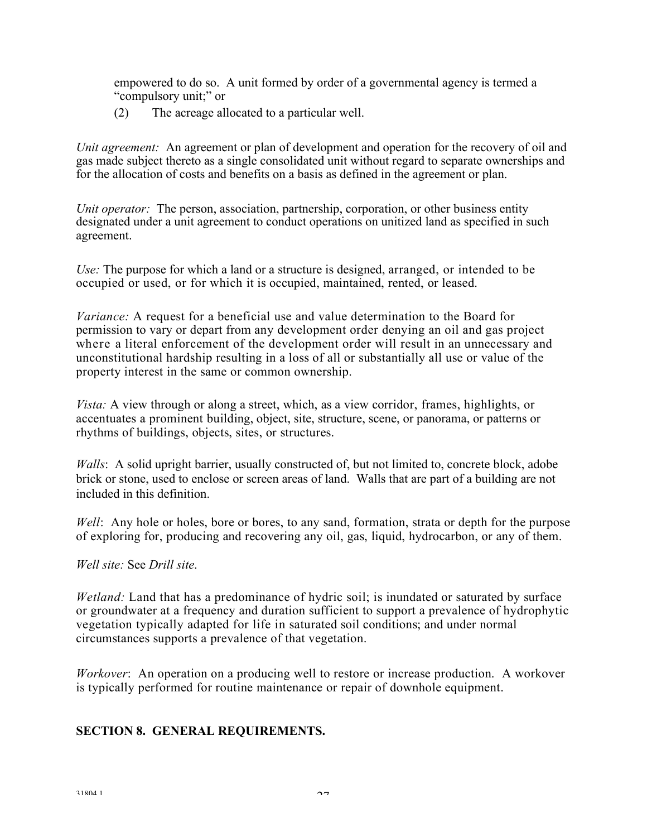empowered to do so. A unit formed by order of a governmental agency is termed a "compulsory unit;" or

(2) The acreage allocated to a particular well.

*Unit agreement:* An agreement or plan of development and operation for the recovery of oil and gas made subject thereto as a single consolidated unit without regard to separate ownerships and for the allocation of costs and benefits on a basis as defined in the agreement or plan.

*Unit operator:* The person, association, partnership, corporation, or other business entity designated under a unit agreement to conduct operations on unitized land as specified in such agreement.

*Use:* The purpose for which a land or a structure is designed, arranged, or intended to be occupied or used, or for which it is occupied, maintained, rented, or leased.

*Variance:* A request for a beneficial use and value determination to the Board for permission to vary or depart from any development order denying an oil and gas project where a literal enforcement of the development order will result in an unnecessary and unconstitutional hardship resulting in a loss of all or substantially all use or value of the property interest in the same or common ownership.

*Vista:* A view through or along a street, which, as a view corridor, frames, highlights, or accentuates a prominent building, object, site, structure, scene, or panorama, or patterns or rhythms of buildings, objects, sites, or structures.

*Walls*: A solid upright barrier, usually constructed of, but not limited to, concrete block, adobe brick or stone, used to enclose or screen areas of land. Walls that are part of a building are not included in this definition.

*Well*: Any hole or holes, bore or bores, to any sand, formation, strata or depth for the purpose of exploring for, producing and recovering any oil, gas, liquid, hydrocarbon, or any of them.

#### *Well site:* See *Drill site*.

*Wetland:* Land that has a predominance of hydric soil; is inundated or saturated by surface or groundwater at a frequency and duration sufficient to support a prevalence of hydrophytic vegetation typically adapted for life in saturated soil conditions; and under normal circumstances supports a prevalence of that vegetation.

*Workover*: An operation on a producing well to restore or increase production. A workover is typically performed for routine maintenance or repair of downhole equipment.

#### **SECTION 8. GENERAL REQUIREMENTS.**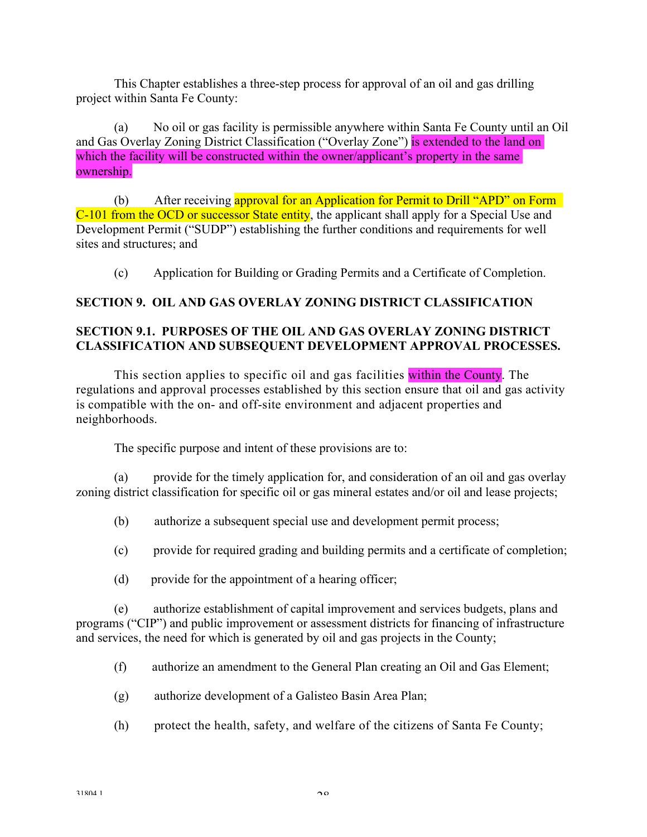This Chapter establishes a three-step process for approval of an oil and gas drilling project within Santa Fe County:

(a) No oil or gas facility is permissible anywhere within Santa Fe County until an Oil and Gas Overlay Zoning District Classification ("Overlay Zone") is extended to the land on which the facility will be constructed within the owner/applicant's property in the same ownership.

(b) After receiving approval for an Application for Permit to Drill "APD" on Form C-101 from the OCD or successor State entity, the applicant shall apply for a Special Use and Development Permit ("SUDP") establishing the further conditions and requirements for well sites and structures; and

(c) Application for Building or Grading Permits and a Certificate of Completion.

# **SECTION 9. OIL AND GAS OVERLAY ZONING DISTRICT CLASSIFICATION**

# **SECTION 9.1. PURPOSES OF THE OIL AND GAS OVERLAY ZONING DISTRICT CLASSIFICATION AND SUBSEQUENT DEVELOPMENT APPROVAL PROCESSES.**

This section applies to specific oil and gas facilities within the County. The regulations and approval processes established by this section ensure that oil and gas activity is compatible with the on- and off-site environment and adjacent properties and neighborhoods.

The specific purpose and intent of these provisions are to:

(a) provide for the timely application for, and consideration of an oil and gas overlay zoning district classification for specific oil or gas mineral estates and/or oil and lease projects;

- (b) authorize a subsequent special use and development permit process;
- (c) provide for required grading and building permits and a certificate of completion;
- (d) provide for the appointment of a hearing officer;

(e) authorize establishment of capital improvement and services budgets, plans and programs ("CIP") and public improvement or assessment districts for financing of infrastructure and services, the need for which is generated by oil and gas projects in the County;

- (f) authorize an amendment to the General Plan creating an Oil and Gas Element;
- (g) authorize development of a Galisteo Basin Area Plan;
- (h) protect the health, safety, and welfare of the citizens of Santa Fe County;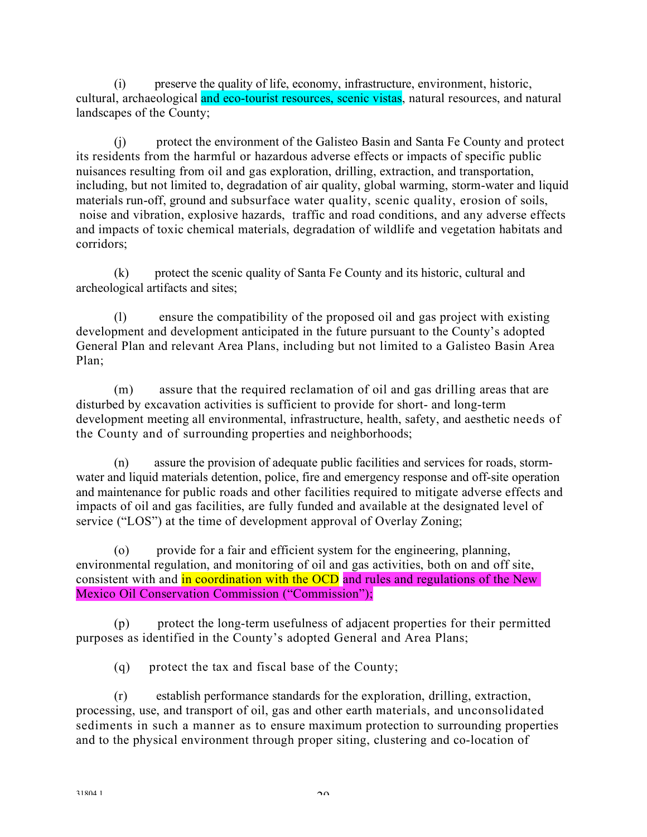(i) preserve the quality of life, economy, infrastructure, environment, historic, cultural, archaeological and eco-tourist resources, scenic vistas, natural resources, and natural landscapes of the County;

(j) protect the environment of the Galisteo Basin and Santa Fe County and protect its residents from the harmful or hazardous adverse effects or impacts of specific public nuisances resulting from oil and gas exploration, drilling, extraction, and transportation, including, but not limited to, degradation of air quality, global warming, storm-water and liquid materials run-off, ground and subsurface water quality, scenic quality, erosion of soils, noise and vibration, explosive hazards, traffic and road conditions, and any adverse effects and impacts of toxic chemical materials, degradation of wildlife and vegetation habitats and corridors;

(k) protect the scenic quality of Santa Fe County and its historic, cultural and archeological artifacts and sites;

(l) ensure the compatibility of the proposed oil and gas project with existing development and development anticipated in the future pursuant to the County's adopted General Plan and relevant Area Plans, including but not limited to a Galisteo Basin Area Plan;

(m) assure that the required reclamation of oil and gas drilling areas that are disturbed by excavation activities is sufficient to provide for short- and long-term development meeting all environmental, infrastructure, health, safety, and aesthetic needs of the County and of surrounding properties and neighborhoods;

(n) assure the provision of adequate public facilities and services for roads, stormwater and liquid materials detention, police, fire and emergency response and off-site operation and maintenance for public roads and other facilities required to mitigate adverse effects and impacts of oil and gas facilities, are fully funded and available at the designated level of service ("LOS") at the time of development approval of Overlay Zoning;

(o) provide for a fair and efficient system for the engineering, planning, environmental regulation, and monitoring of oil and gas activities, both on and off site, consistent with and in coordination with the OCD and rules and regulations of the New Mexico Oil Conservation Commission ("Commission");

(p) protect the long-term usefulness of adjacent properties for their permitted purposes as identified in the County's adopted General and Area Plans;

(q) protect the tax and fiscal base of the County;

(r) establish performance standards for the exploration, drilling, extraction, processing, use, and transport of oil, gas and other earth materials, and unconsolidated sediments in such a manner as to ensure maximum protection to surrounding properties and to the physical environment through proper siting, clustering and co-location of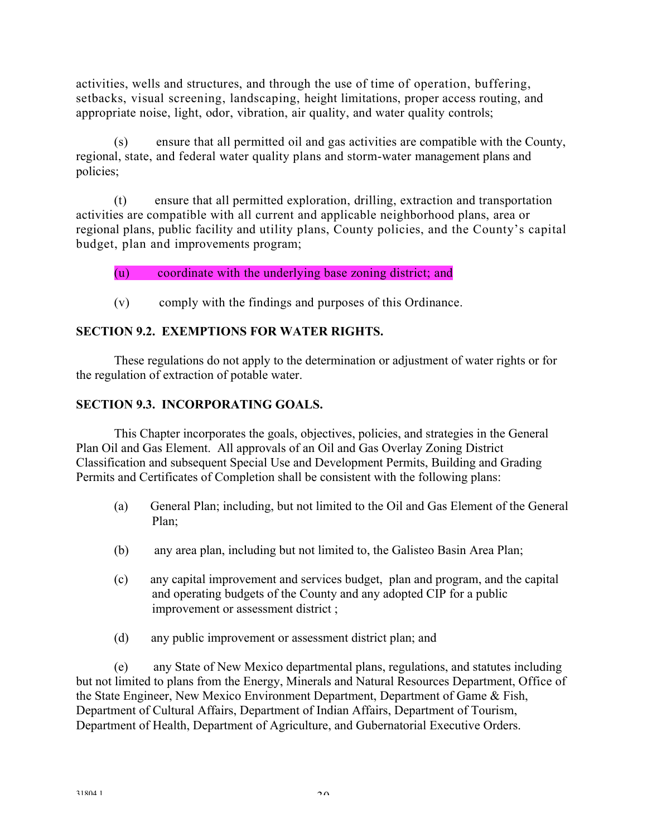activities, wells and structures, and through the use of time of operation, buffering, setbacks, visual screening, landscaping, height limitations, proper access routing, and appropriate noise, light, odor, vibration, air quality, and water quality controls;

(s) ensure that all permitted oil and gas activities are compatible with the County, regional, state, and federal water quality plans and storm-water management plans and policies;

(t) ensure that all permitted exploration, drilling, extraction and transportation activities are compatible with all current and applicable neighborhood plans, area or regional plans, public facility and utility plans, County policies, and the County's capital budget, plan and improvements program;

# (u) coordinate with the underlying base zoning district; and

(v) comply with the findings and purposes of this Ordinance.

# **SECTION 9.2. EXEMPTIONS FOR WATER RIGHTS.**

These regulations do not apply to the determination or adjustment of water rights or for the regulation of extraction of potable water.

# **SECTION 9.3. INCORPORATING GOALS.**

This Chapter incorporates the goals, objectives, policies, and strategies in the General Plan Oil and Gas Element. All approvals of an Oil and Gas Overlay Zoning District Classification and subsequent Special Use and Development Permits, Building and Grading Permits and Certificates of Completion shall be consistent with the following plans:

- (a) General Plan; including, but not limited to the Oil and Gas Element of the General Plan;
- (b) any area plan, including but not limited to, the Galisteo Basin Area Plan;
- (c) any capital improvement and services budget, plan and program, and the capital and operating budgets of the County and any adopted CIP for a public improvement or assessment district ;
- (d) any public improvement or assessment district plan; and

 (e) any State of New Mexico departmental plans, regulations, and statutes including but not limited to plans from the Energy, Minerals and Natural Resources Department, Office of the State Engineer, New Mexico Environment Department, Department of Game & Fish, Department of Cultural Affairs, Department of Indian Affairs, Department of Tourism, Department of Health, Department of Agriculture, and Gubernatorial Executive Orders.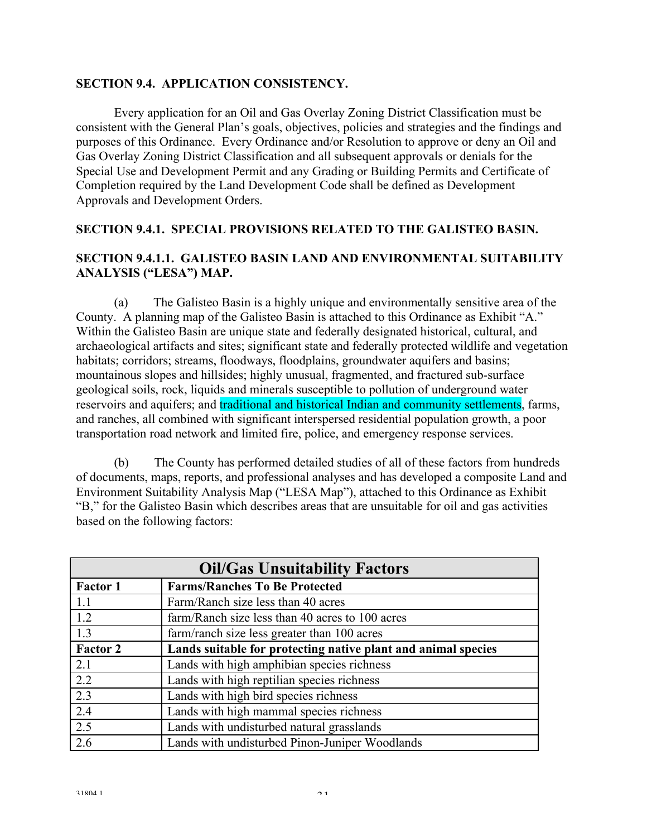#### **SECTION 9.4. APPLICATION CONSISTENCY.**

Every application for an Oil and Gas Overlay Zoning District Classification must be consistent with the General Plan's goals, objectives, policies and strategies and the findings and purposes of this Ordinance. Every Ordinance and/or Resolution to approve or deny an Oil and Gas Overlay Zoning District Classification and all subsequent approvals or denials for the Special Use and Development Permit and any Grading or Building Permits and Certificate of Completion required by the Land Development Code shall be defined as Development Approvals and Development Orders.

### **SECTION 9.4.1. SPECIAL PROVISIONS RELATED TO THE GALISTEO BASIN.**

### **SECTION 9.4.1.1. GALISTEO BASIN LAND AND ENVIRONMENTAL SUITABILITY ANALYSIS ("LESA") MAP.**

 (a) The Galisteo Basin is a highly unique and environmentally sensitive area of the County. A planning map of the Galisteo Basin is attached to this Ordinance as Exhibit "A." Within the Galisteo Basin are unique state and federally designated historical, cultural, and archaeological artifacts and sites; significant state and federally protected wildlife and vegetation habitats; corridors; streams, floodways, floodplains, groundwater aquifers and basins; mountainous slopes and hillsides; highly unusual, fragmented, and fractured sub-surface geological soils, rock, liquids and minerals susceptible to pollution of underground water reservoirs and aquifers; and traditional and historical Indian and community settlements, farms, and ranches, all combined with significant interspersed residential population growth, a poor transportation road network and limited fire, police, and emergency response services.

 (b) The County has performed detailed studies of all of these factors from hundreds of documents, maps, reports, and professional analyses and has developed a composite Land and Environment Suitability Analysis Map ("LESA Map"), attached to this Ordinance as Exhibit "B," for the Galisteo Basin which describes areas that are unsuitable for oil and gas activities based on the following factors:

| <b>Oil/Gas Unsuitability Factors</b> |                                                               |  |
|--------------------------------------|---------------------------------------------------------------|--|
| <b>Factor 1</b>                      | <b>Farms/Ranches To Be Protected</b>                          |  |
| 1.1                                  | Farm/Ranch size less than 40 acres                            |  |
| 1.2                                  | farm/Ranch size less than 40 acres to 100 acres               |  |
| $\overline{1.3}$                     | farm/ranch size less greater than 100 acres                   |  |
| <b>Factor 2</b>                      | Lands suitable for protecting native plant and animal species |  |
| 2.1                                  | Lands with high amphibian species richness                    |  |
| 2.2                                  | Lands with high reptilian species richness                    |  |
| 2.3                                  | Lands with high bird species richness                         |  |
| 2.4                                  | Lands with high mammal species richness                       |  |
| 2.5                                  | Lands with undisturbed natural grasslands                     |  |
| $\overline{2.6}$                     | Lands with undisturbed Pinon-Juniper Woodlands                |  |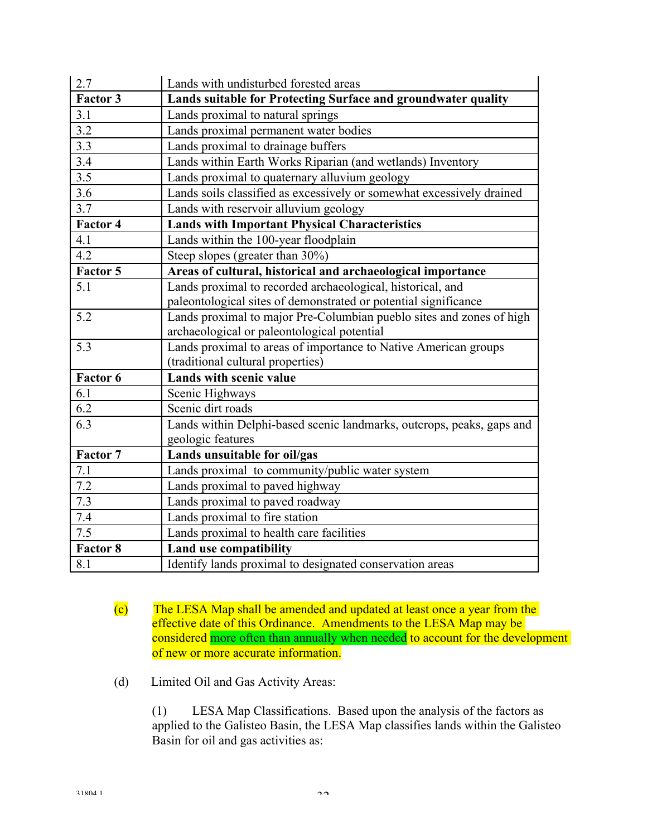| 2.7             | Lands with undisturbed forested areas                                 |
|-----------------|-----------------------------------------------------------------------|
| Factor 3        | Lands suitable for Protecting Surface and groundwater quality         |
| 3.1             | Lands proximal to natural springs                                     |
| 3.2             | Lands proximal permanent water bodies                                 |
| 3.3             | Lands proximal to drainage buffers                                    |
| 3.4             | Lands within Earth Works Riparian (and wetlands) Inventory            |
| 3.5             | Lands proximal to quaternary alluvium geology                         |
| 3.6             | Lands soils classified as excessively or somewhat excessively drained |
| 3.7             | Lands with reservoir alluvium geology                                 |
| Factor 4        | <b>Lands with Important Physical Characteristics</b>                  |
| 4.1             | Lands within the 100-year floodplain                                  |
| 4.2             | Steep slopes (greater than 30%)                                       |
| Factor 5        | Areas of cultural, historical and archaeological importance           |
| 5.1             | Lands proximal to recorded archaeological, historical, and            |
|                 | paleontological sites of demonstrated or potential significance       |
| 5.2             | Lands proximal to major Pre-Columbian pueblo sites and zones of high  |
|                 | archaeological or paleontological potential                           |
| 5.3             | Lands proximal to areas of importance to Native American groups       |
|                 | (traditional cultural properties)                                     |
| Factor 6        | <b>Lands with scenic value</b>                                        |
| 6.1             | Scenic Highways                                                       |
| 6.2             | Scenic dirt roads                                                     |
| 6.3             | Lands within Delphi-based scenic landmarks, outcrops, peaks, gaps and |
|                 | geologic features                                                     |
| Factor 7        | Lands unsuitable for oil/gas                                          |
| 7.1             | Lands proximal to community/public water system                       |
| 7.2             | Lands proximal to paved highway                                       |
| 7.3             | Lands proximal to paved roadway                                       |
| 7.4             | Lands proximal to fire station                                        |
| 7.5             | Lands proximal to health care facilities                              |
| <b>Factor 8</b> | Land use compatibility                                                |
| 8.1             | Identify lands proximal to designated conservation areas              |

- (c) The LESA Map shall be amended and updated at least once a year from the effective date of this Ordinance. Amendments to the LESA Map may be considered more often than annually when needed to account for the development of new or more accurate information.
- (d) Limited Oil and Gas Activity Areas:

 (1) LESA Map Classifications. Based upon the analysis of the factors as applied to the Galisteo Basin, the LESA Map classifies lands within the Galisteo Basin for oil and gas activities as: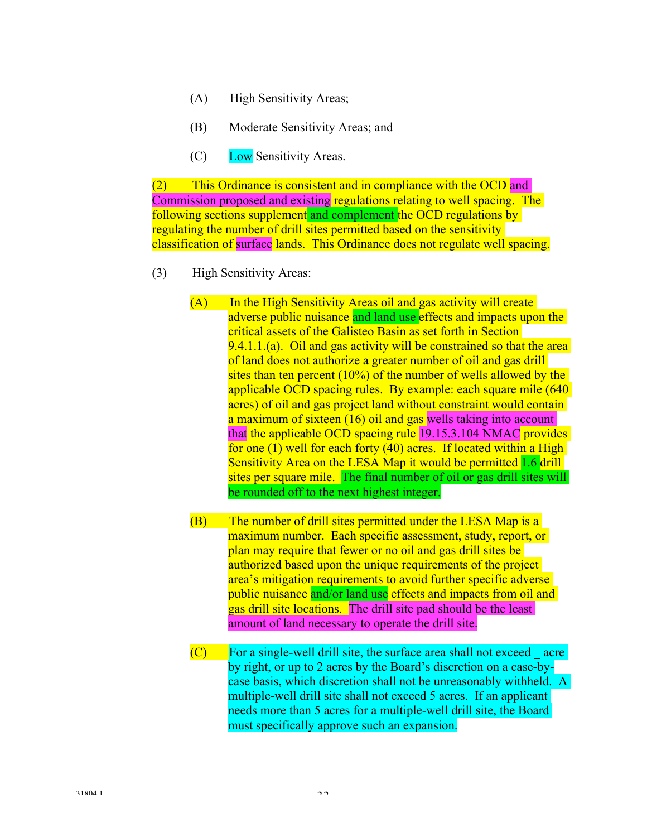- (A) High Sensitivity Areas;
- (B) Moderate Sensitivity Areas; and
- (C) Low Sensitivity Areas.

(2) This Ordinance is consistent and in compliance with the OCD and Commission proposed and existing regulations relating to well spacing. The following sections supplement and complement the OCD regulations by regulating the number of drill sites permitted based on the sensitivity classification of surface lands. This Ordinance does not regulate well spacing.

- (3) High Sensitivity Areas:
	- (A) In the High Sensitivity Areas oil and gas activity will create adverse public nuisance and land use effects and impacts upon the critical assets of the Galisteo Basin as set forth in Section 9.4.1.1.(a). Oil and gas activity will be constrained so that the area of land does not authorize a greater number of oil and gas drill sites than ten percent (10%) of the number of wells allowed by the applicable OCD spacing rules. By example: each square mile (640 acres) of oil and gas project land without constraint would contain a maximum of sixteen (16) oil and gas wells taking into account that the applicable OCD spacing rule 19.15.3.104 NMAC provides for one (1) well for each forty (40) acres. If located within a High Sensitivity Area on the LESA Map it would be permitted 1.6 drill sites per square mile. The final number of oil or gas drill sites will be rounded off to the next highest integer.
	- (B) The number of drill sites permitted under the LESA Map is a maximum number. Each specific assessment, study, report, or plan may require that fewer or no oil and gas drill sites be authorized based upon the unique requirements of the project area's mitigation requirements to avoid further specific adverse public nuisance and/or land use effects and impacts from oil and gas drill site locations. The drill site pad should be the least amount of land necessary to operate the drill site.
	- $(C)$  For a single-well drill site, the surface area shall not exceed acre by right, or up to 2 acres by the Board's discretion on a case-bycase basis, which discretion shall not be unreasonably withheld. A multiple-well drill site shall not exceed 5 acres. If an applicant needs more than 5 acres for a multiple-well drill site, the Board must specifically approve such an expansion.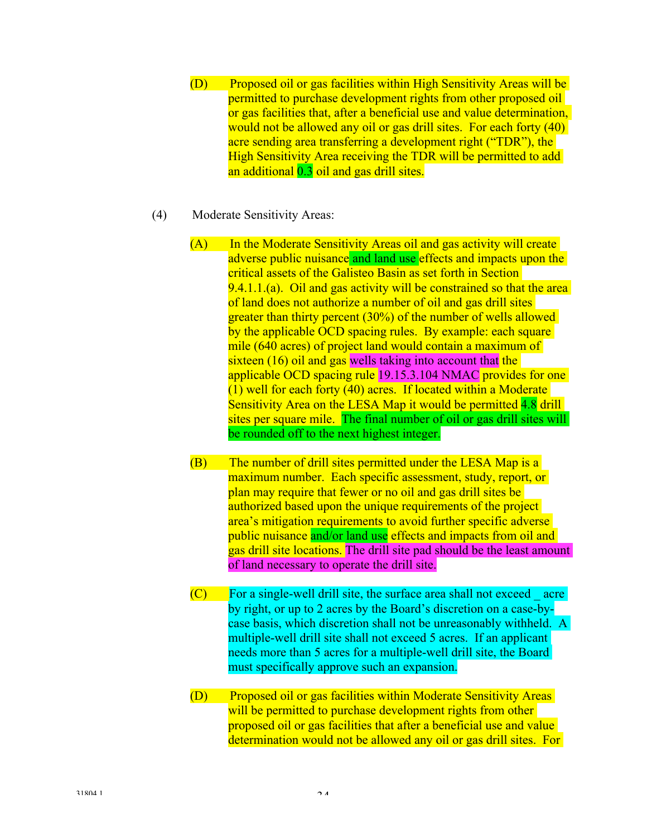- (D) Proposed oil or gas facilities within High Sensitivity Areas will be permitted to purchase development rights from other proposed oil or gas facilities that, after a beneficial use and value determination, would not be allowed any oil or gas drill sites. For each forty (40) acre sending area transferring a development right ("TDR"), the High Sensitivity Area receiving the TDR will be permitted to add an additional 0.3 oil and gas drill sites.
- (4) Moderate Sensitivity Areas:
	- (A) In the Moderate Sensitivity Areas oil and gas activity will create adverse public nuisance and land use effects and impacts upon the critical assets of the Galisteo Basin as set forth in Section 9.4.1.1.(a). Oil and gas activity will be constrained so that the area of land does not authorize a number of oil and gas drill sites greater than thirty percent (30%) of the number of wells allowed by the applicable OCD spacing rules. By example: each square mile (640 acres) of project land would contain a maximum of sixteen (16) oil and gas wells taking into account that the applicable OCD spacing rule 19.15.3.104 NMAC provides for one (1) well for each forty (40) acres. If located within a Moderate Sensitivity Area on the LESA Map it would be permitted 4.8 drill sites per square mile. The final number of oil or gas drill sites will be rounded off to the next highest integer.
	- (B) The number of drill sites permitted under the LESA Map is a maximum number. Each specific assessment, study, report, or plan may require that fewer or no oil and gas drill sites be authorized based upon the unique requirements of the project area's mitigation requirements to avoid further specific adverse public nuisance and/or land use effects and impacts from oil and gas drill site locations. The drill site pad should be the least amount of land necessary to operate the drill site.
	- $(C)$  For a single-well drill site, the surface area shall not exceed acre by right, or up to 2 acres by the Board's discretion on a case-bycase basis, which discretion shall not be unreasonably withheld. A multiple-well drill site shall not exceed 5 acres. If an applicant needs more than 5 acres for a multiple-well drill site, the Board must specifically approve such an expansion.
	- (D) Proposed oil or gas facilities within Moderate Sensitivity Areas will be permitted to purchase development rights from other proposed oil or gas facilities that after a beneficial use and value determination would not be allowed any oil or gas drill sites. For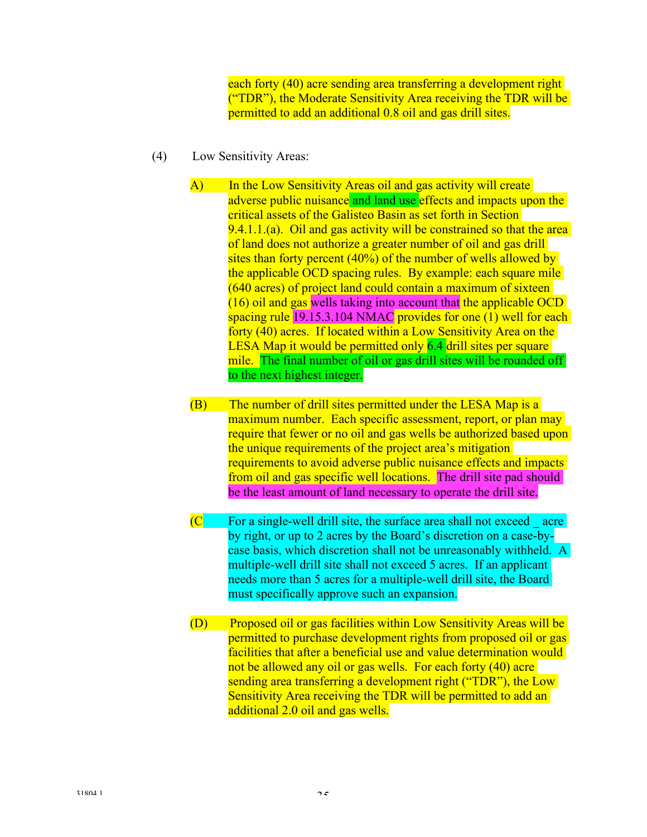each forty (40) acre sending area transferring a development right ("TDR"), the Moderate Sensitivity Area receiving the TDR will be permitted to add an additional 0.8 oil and gas drill sites.

- (4) Low Sensitivity Areas:
	- A) In the Low Sensitivity Areas oil and gas activity will create adverse public nuisance and land use effects and impacts upon the critical assets of the Galisteo Basin as set forth in Section 9.4.1.1.(a). Oil and gas activity will be constrained so that the area of land does not authorize a greater number of oil and gas drill sites than forty percent (40%) of the number of wells allowed by the applicable OCD spacing rules. By example: each square mile (640 acres) of project land could contain a maximum of sixteen (16) oil and gas wells taking into account that the applicable OCD spacing rule 19.15.3.104 NMAC provides for one (1) well for each forty (40) acres. If located within a Low Sensitivity Area on the LESA Map it would be permitted only 6.4 drill sites per square mile. The final number of oil or gas drill sites will be rounded off to the next highest integer.
	- (B) The number of drill sites permitted under the LESA Map is a maximum number. Each specific assessment, report, or plan may require that fewer or no oil and gas wells be authorized based upon the unique requirements of the project area's mitigation requirements to avoid adverse public nuisance effects and impacts from oil and gas specific well locations. The drill site pad should be the least amount of land necessary to operate the drill site.
	- $(C \tFor a single-well drill site, the surface area shall not exceed acre$ by right, or up to 2 acres by the Board's discretion on a case-bycase basis, which discretion shall not be unreasonably withheld. A multiple-well drill site shall not exceed 5 acres. If an applicant needs more than 5 acres for a multiple-well drill site, the Board must specifically approve such an expansion.
	- (D) Proposed oil or gas facilities within Low Sensitivity Areas will be permitted to purchase development rights from proposed oil or gas facilities that after a beneficial use and value determination would not be allowed any oil or gas wells. For each forty (40) acre sending area transferring a development right ("TDR"), the Low Sensitivity Area receiving the TDR will be permitted to add an additional 2.0 oil and gas wells.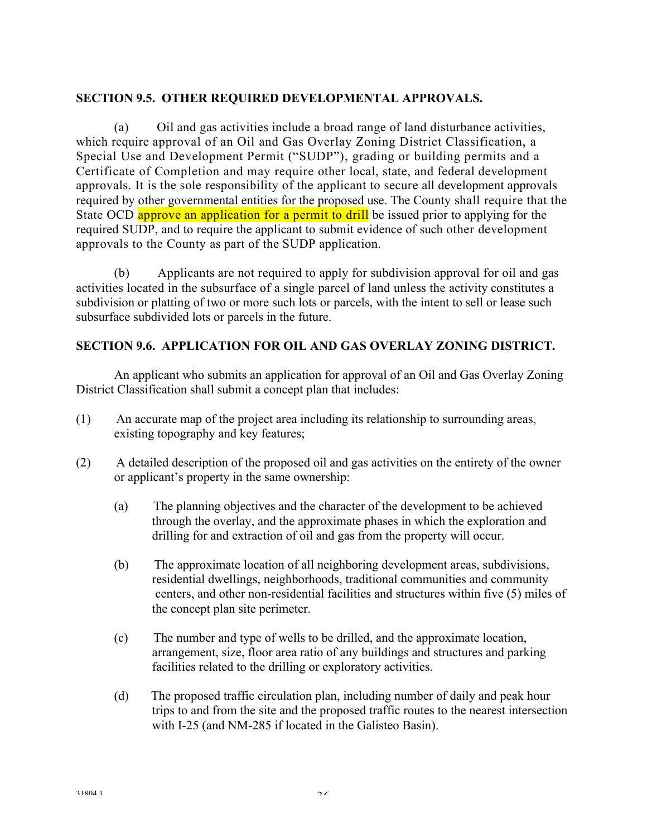# **SECTION 9.5. OTHER REQUIRED DEVELOPMENTAL APPROVALS.**

(a) Oil and gas activities include a broad range of land disturbance activities, which require approval of an Oil and Gas Overlay Zoning District Classification, a Special Use and Development Permit ("SUDP"), grading or building permits and a Certificate of Completion and may require other local, state, and federal development approvals. It is the sole responsibility of the applicant to secure all development approvals required by other governmental entities for the proposed use. The County shall require that the State OCD approve an application for a permit to drill be issued prior to applying for the required SUDP, and to require the applicant to submit evidence of such other development approvals to the County as part of the SUDP application.

(b) Applicants are not required to apply for subdivision approval for oil and gas activities located in the subsurface of a single parcel of land unless the activity constitutes a subdivision or platting of two or more such lots or parcels, with the intent to sell or lease such subsurface subdivided lots or parcels in the future.

# **SECTION 9.6. APPLICATION FOR OIL AND GAS OVERLAY ZONING DISTRICT.**

An applicant who submits an application for approval of an Oil and Gas Overlay Zoning District Classification shall submit a concept plan that includes:

- (1) An accurate map of the project area including its relationship to surrounding areas, existing topography and key features;
- (2) A detailed description of the proposed oil and gas activities on the entirety of the owner or applicant's property in the same ownership:
	- (a) The planning objectives and the character of the development to be achieved through the overlay, and the approximate phases in which the exploration and drilling for and extraction of oil and gas from the property will occur.
	- (b) The approximate location of all neighboring development areas, subdivisions, residential dwellings, neighborhoods, traditional communities and community centers, and other non-residential facilities and structures within five (5) miles of the concept plan site perimeter.
	- (c) The number and type of wells to be drilled, and the approximate location, arrangement, size, floor area ratio of any buildings and structures and parking facilities related to the drilling or exploratory activities.
	- (d) The proposed traffic circulation plan, including number of daily and peak hour trips to and from the site and the proposed traffic routes to the nearest intersection with I-25 (and NM-285 if located in the Galisteo Basin).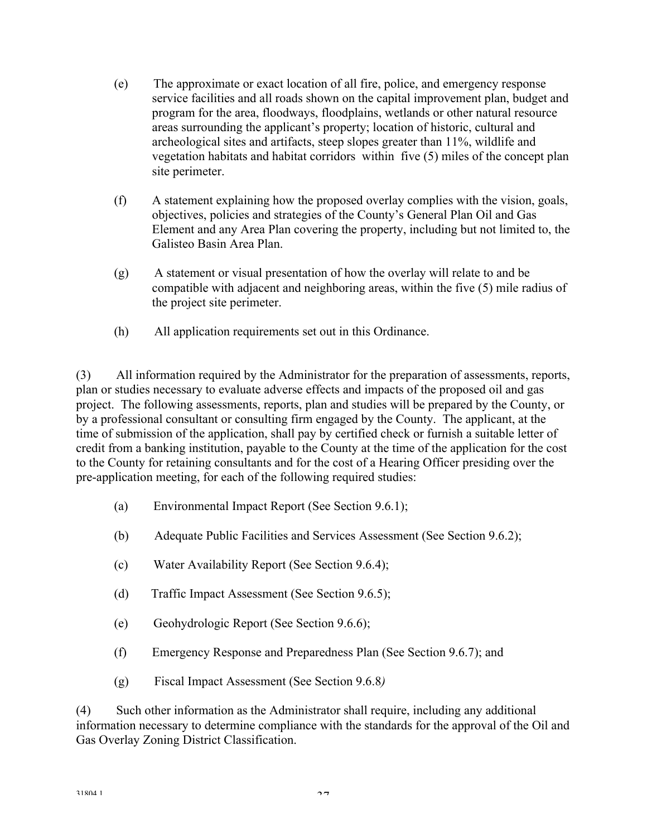- (e) The approximate or exact location of all fire, police, and emergency response service facilities and all roads shown on the capital improvement plan, budget and program for the area, floodways, floodplains, wetlands or other natural resource areas surrounding the applicant's property; location of historic, cultural and archeological sites and artifacts, steep slopes greater than 11%, wildlife and vegetation habitats and habitat corridors within five (5) miles of the concept plan site perimeter.
- (f) A statement explaining how the proposed overlay complies with the vision, goals, objectives, policies and strategies of the County's General Plan Oil and Gas Element and any Area Plan covering the property, including but not limited to, the Galisteo Basin Area Plan.
- (g) A statement or visual presentation of how the overlay will relate to and be compatible with adjacent and neighboring areas, within the five (5) mile radius of the project site perimeter.
- (h) All application requirements set out in this Ordinance.

(3) All information required by the Administrator for the preparation of assessments, reports, plan or studies necessary to evaluate adverse effects and impacts of the proposed oil and gas project. The following assessments, reports, plan and studies will be prepared by the County, or by a professional consultant or consulting firm engaged by the County. The applicant, at the time of submission of the application, shall pay by certified check or furnish a suitable letter of credit from a banking institution, payable to the County at the time of the application for the cost to the County for retaining consultants and for the cost of a Hearing Officer presiding over the pre-application meeting, for each of the following required studies:

- (a) Environmental Impact Report (See Section 9.6.1);
- (b) Adequate Public Facilities and Services Assessment (See Section 9.6.2);
- (c) Water Availability Report (See Section 9.6.4);
- (d) Traffic Impact Assessment (See Section 9.6.5);
- (e) Geohydrologic Report (See Section 9.6.6);
- (f) Emergency Response and Preparedness Plan (See Section 9.6.7); and
- (g) Fiscal Impact Assessment (See Section 9.6.8*)*

(4) Such other information as the Administrator shall require, including any additional information necessary to determine compliance with the standards for the approval of the Oil and Gas Overlay Zoning District Classification.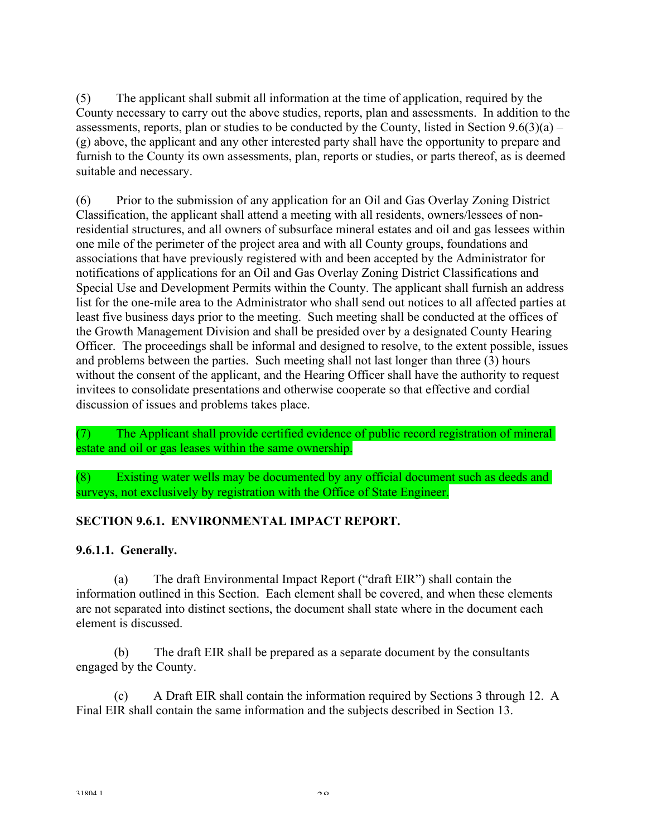(5) The applicant shall submit all information at the time of application, required by the County necessary to carry out the above studies, reports, plan and assessments. In addition to the assessments, reports, plan or studies to be conducted by the County, listed in Section  $9.6(3)(a)$  – (g) above, the applicant and any other interested party shall have the opportunity to prepare and furnish to the County its own assessments, plan, reports or studies, or parts thereof, as is deemed suitable and necessary.

(6) Prior to the submission of any application for an Oil and Gas Overlay Zoning District Classification, the applicant shall attend a meeting with all residents, owners/lessees of nonresidential structures, and all owners of subsurface mineral estates and oil and gas lessees within one mile of the perimeter of the project area and with all County groups, foundations and associations that have previously registered with and been accepted by the Administrator for notifications of applications for an Oil and Gas Overlay Zoning District Classifications and Special Use and Development Permits within the County. The applicant shall furnish an address list for the one-mile area to the Administrator who shall send out notices to all affected parties at least five business days prior to the meeting. Such meeting shall be conducted at the offices of the Growth Management Division and shall be presided over by a designated County Hearing Officer. The proceedings shall be informal and designed to resolve, to the extent possible, issues and problems between the parties. Such meeting shall not last longer than three (3) hours without the consent of the applicant, and the Hearing Officer shall have the authority to request invitees to consolidate presentations and otherwise cooperate so that effective and cordial discussion of issues and problems takes place.

(7) The Applicant shall provide certified evidence of public record registration of mineral estate and oil or gas leases within the same ownership.

(8) Existing water wells may be documented by any official document such as deeds and surveys, not exclusively by registration with the Office of State Engineer.

# **SECTION 9.6.1. ENVIRONMENTAL IMPACT REPORT.**

## **9.6.1.1. Generally.**

(a) The draft Environmental Impact Report ("draft EIR") shall contain the information outlined in this Section. Each element shall be covered, and when these elements are not separated into distinct sections, the document shall state where in the document each element is discussed.

(b) The draft EIR shall be prepared as a separate document by the consultants engaged by the County.

(c) A Draft EIR shall contain the information required by Sections 3 through 12. A Final EIR shall contain the same information and the subjects described in Section 13.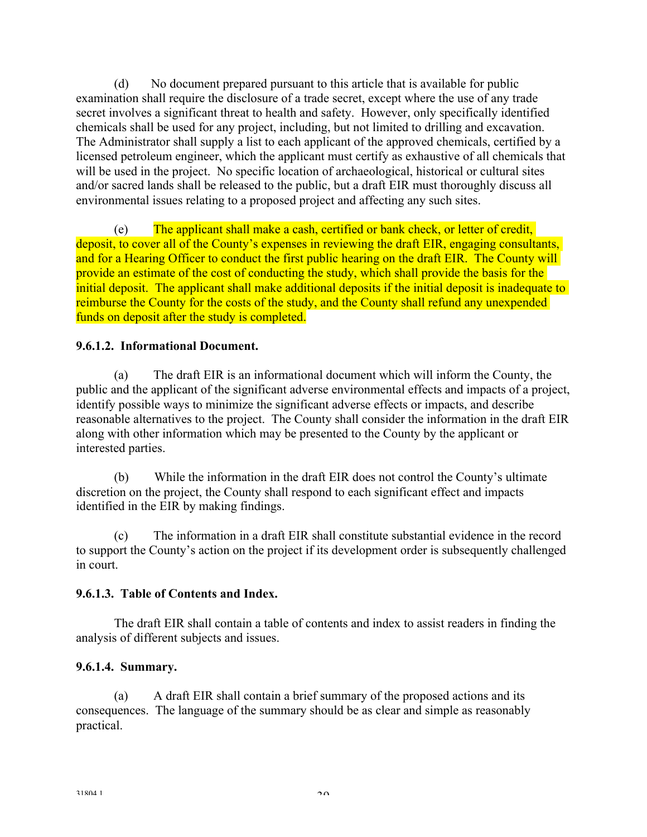(d) No document prepared pursuant to this article that is available for public examination shall require the disclosure of a trade secret, except where the use of any trade secret involves a significant threat to health and safety. However, only specifically identified chemicals shall be used for any project, including, but not limited to drilling and excavation. The Administrator shall supply a list to each applicant of the approved chemicals, certified by a licensed petroleum engineer, which the applicant must certify as exhaustive of all chemicals that will be used in the project. No specific location of archaeological, historical or cultural sites and/or sacred lands shall be released to the public, but a draft EIR must thoroughly discuss all environmental issues relating to a proposed project and affecting any such sites.

(e) The applicant shall make a cash, certified or bank check, or letter of credit, deposit, to cover all of the County's expenses in reviewing the draft EIR, engaging consultants, and for a Hearing Officer to conduct the first public hearing on the draft EIR. The County will provide an estimate of the cost of conducting the study, which shall provide the basis for the initial deposit. The applicant shall make additional deposits if the initial deposit is inadequate to reimburse the County for the costs of the study, and the County shall refund any unexpended funds on deposit after the study is completed.

## **9.6.1.2. Informational Document.**

(a) The draft EIR is an informational document which will inform the County, the public and the applicant of the significant adverse environmental effects and impacts of a project, identify possible ways to minimize the significant adverse effects or impacts, and describe reasonable alternatives to the project. The County shall consider the information in the draft EIR along with other information which may be presented to the County by the applicant or interested parties.

(b) While the information in the draft EIR does not control the County's ultimate discretion on the project, the County shall respond to each significant effect and impacts identified in the EIR by making findings.

(c) The information in a draft EIR shall constitute substantial evidence in the record to support the County's action on the project if its development order is subsequently challenged in court.

## **9.6.1.3. Table of Contents and Index.**

 The draft EIR shall contain a table of contents and index to assist readers in finding the analysis of different subjects and issues.

# **9.6.1.4. Summary.**

(a) A draft EIR shall contain a brief summary of the proposed actions and its consequences. The language of the summary should be as clear and simple as reasonably practical.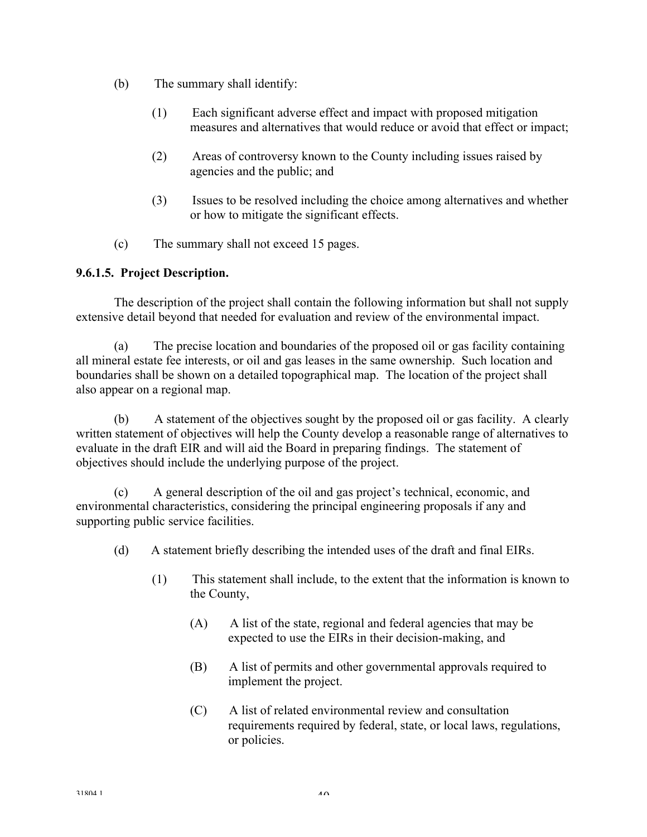- (b) The summary shall identify:
	- (1) Each significant adverse effect and impact with proposed mitigation measures and alternatives that would reduce or avoid that effect or impact;
	- (2) Areas of controversy known to the County including issues raised by agencies and the public; and
	- (3) Issues to be resolved including the choice among alternatives and whether or how to mitigate the significant effects.
- (c) The summary shall not exceed 15 pages.

### **9.6.1.5. Project Description.**

The description of the project shall contain the following information but shall not supply extensive detail beyond that needed for evaluation and review of the environmental impact.

(a) The precise location and boundaries of the proposed oil or gas facility containing all mineral estate fee interests, or oil and gas leases in the same ownership. Such location and boundaries shall be shown on a detailed topographical map. The location of the project shall also appear on a regional map.

(b) A statement of the objectives sought by the proposed oil or gas facility. A clearly written statement of objectives will help the County develop a reasonable range of alternatives to evaluate in the draft EIR and will aid the Board in preparing findings. The statement of objectives should include the underlying purpose of the project.

(c) A general description of the oil and gas project's technical, economic, and environmental characteristics, considering the principal engineering proposals if any and supporting public service facilities.

- (d) A statement briefly describing the intended uses of the draft and final EIRs.
	- (1) This statement shall include, to the extent that the information is known to the County,
		- (A) A list of the state, regional and federal agencies that may be expected to use the EIRs in their decision-making, and
		- (B) A list of permits and other governmental approvals required to implement the project.
		- (C) A list of related environmental review and consultation requirements required by federal, state, or local laws, regulations, or policies.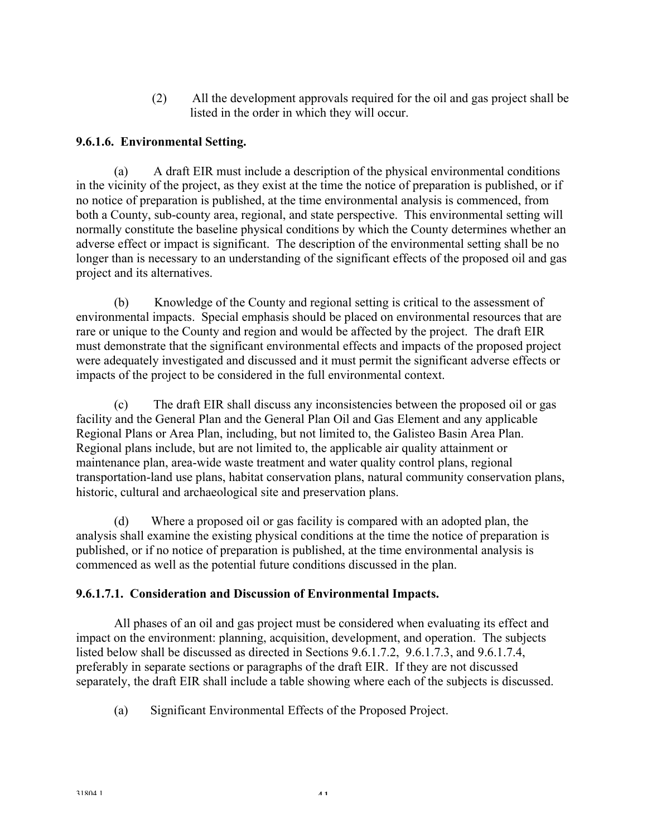(2) All the development approvals required for the oil and gas project shall be listed in the order in which they will occur.

## **9.6.1.6. Environmental Setting.**

(a) A draft EIR must include a description of the physical environmental conditions in the vicinity of the project, as they exist at the time the notice of preparation is published, or if no notice of preparation is published, at the time environmental analysis is commenced, from both a County, sub-county area, regional, and state perspective. This environmental setting will normally constitute the baseline physical conditions by which the County determines whether an adverse effect or impact is significant. The description of the environmental setting shall be no longer than is necessary to an understanding of the significant effects of the proposed oil and gas project and its alternatives.

(b) Knowledge of the County and regional setting is critical to the assessment of environmental impacts. Special emphasis should be placed on environmental resources that are rare or unique to the County and region and would be affected by the project. The draft EIR must demonstrate that the significant environmental effects and impacts of the proposed project were adequately investigated and discussed and it must permit the significant adverse effects or impacts of the project to be considered in the full environmental context.

(c) The draft EIR shall discuss any inconsistencies between the proposed oil or gas facility and the General Plan and the General Plan Oil and Gas Element and any applicable Regional Plans or Area Plan, including, but not limited to, the Galisteo Basin Area Plan. Regional plans include, but are not limited to, the applicable air quality attainment or maintenance plan, area-wide waste treatment and water quality control plans, regional transportation-land use plans, habitat conservation plans, natural community conservation plans, historic, cultural and archaeological site and preservation plans.

(d) Where a proposed oil or gas facility is compared with an adopted plan, the analysis shall examine the existing physical conditions at the time the notice of preparation is published, or if no notice of preparation is published, at the time environmental analysis is commenced as well as the potential future conditions discussed in the plan.

### **9.6.1.7.1. Consideration and Discussion of Environmental Impacts.**

 All phases of an oil and gas project must be considered when evaluating its effect and impact on the environment: planning, acquisition, development, and operation. The subjects listed below shall be discussed as directed in Sections 9.6.1.7.2, 9.6.1.7.3, and 9.6.1.7.4, preferably in separate sections or paragraphs of the draft EIR. If they are not discussed separately, the draft EIR shall include a table showing where each of the subjects is discussed.

(a) Significant Environmental Effects of the Proposed Project.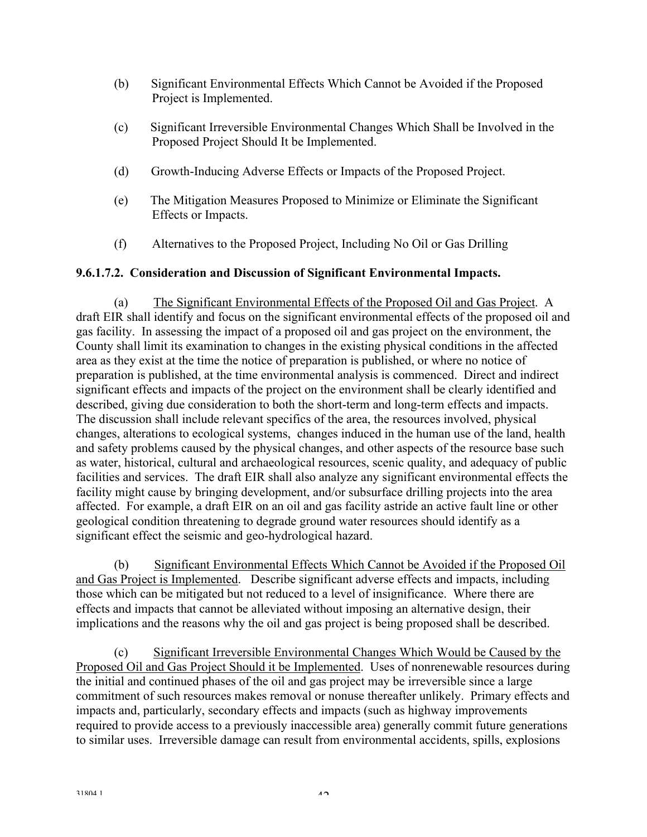- (b) Significant Environmental Effects Which Cannot be Avoided if the Proposed Project is Implemented.
- (c) Significant Irreversible Environmental Changes Which Shall be Involved in the Proposed Project Should It be Implemented.
- (d) Growth-Inducing Adverse Effects or Impacts of the Proposed Project.
- (e) The Mitigation Measures Proposed to Minimize or Eliminate the Significant Effects or Impacts.
- (f) Alternatives to the Proposed Project, Including No Oil or Gas Drilling

## **9.6.1.7.2. Consideration and Discussion of Significant Environmental Impacts.**

(a) The Significant Environmental Effects of the Proposed Oil and Gas Project. A draft EIR shall identify and focus on the significant environmental effects of the proposed oil and gas facility. In assessing the impact of a proposed oil and gas project on the environment, the County shall limit its examination to changes in the existing physical conditions in the affected area as they exist at the time the notice of preparation is published, or where no notice of preparation is published, at the time environmental analysis is commenced. Direct and indirect significant effects and impacts of the project on the environment shall be clearly identified and described, giving due consideration to both the short-term and long-term effects and impacts. The discussion shall include relevant specifics of the area, the resources involved, physical changes, alterations to ecological systems, changes induced in the human use of the land, health and safety problems caused by the physical changes, and other aspects of the resource base such as water, historical, cultural and archaeological resources, scenic quality, and adequacy of public facilities and services. The draft EIR shall also analyze any significant environmental effects the facility might cause by bringing development, and/or subsurface drilling projects into the area affected. For example, a draft EIR on an oil and gas facility astride an active fault line or other geological condition threatening to degrade ground water resources should identify as a significant effect the seismic and geo-hydrological hazard.

(b) Significant Environmental Effects Which Cannot be Avoided if the Proposed Oil and Gas Project is Implemented. Describe significant adverse effects and impacts, including those which can be mitigated but not reduced to a level of insignificance. Where there are effects and impacts that cannot be alleviated without imposing an alternative design, their implications and the reasons why the oil and gas project is being proposed shall be described.

(c) Significant Irreversible Environmental Changes Which Would be Caused by the Proposed Oil and Gas Project Should it be Implemented. Uses of nonrenewable resources during the initial and continued phases of the oil and gas project may be irreversible since a large commitment of such resources makes removal or nonuse thereafter unlikely. Primary effects and impacts and, particularly, secondary effects and impacts (such as highway improvements required to provide access to a previously inaccessible area) generally commit future generations to similar uses. Irreversible damage can result from environmental accidents, spills, explosions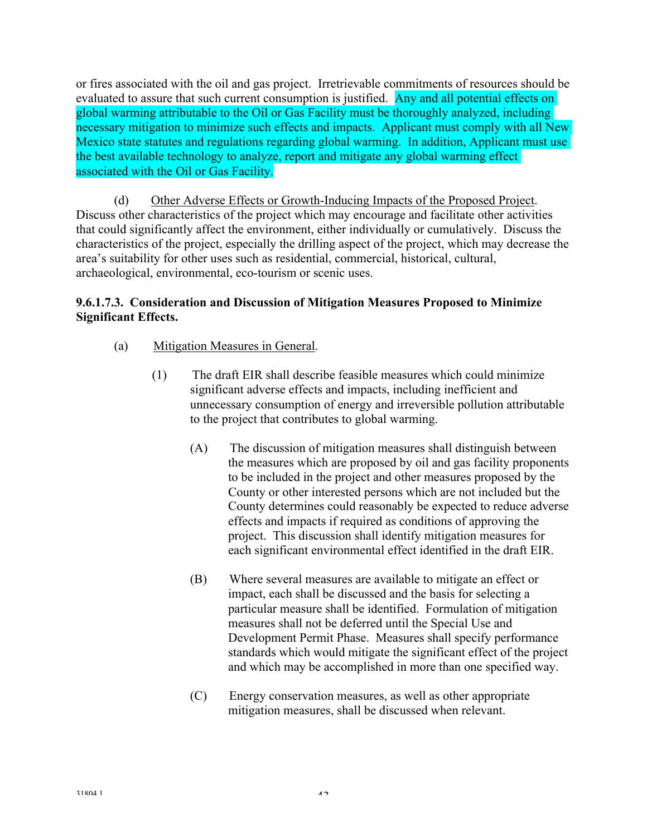or fires associated with the oil and gas project. Irretrievable commitments of resources should be evaluated to assure that such current consumption is justified. Any and all potential effects on global warming attributable to the Oil or Gas Facility must be thoroughly analyzed, including necessary mitigation to minimize such effects and impacts. Applicant must comply with all New Mexico state statutes and regulations regarding global warming. In addition, Applicant must use the best available technology to analyze, report and mitigate any global warming effect associated with the Oil or Gas Facility.

(d) Other Adverse Effects or Growth-Inducing Impacts of the Proposed Project. Discuss other characteristics of the project which may encourage and facilitate other activities that could significantly affect the environment, either individually or cumulatively. Discuss the characteristics of the project, especially the drilling aspect of the project, which may decrease the area's suitability for other uses such as residential, commercial, historical, cultural, archaeological, environmental, eco-tourism or scenic uses.

## **9.6.1.7.3. Consideration and Discussion of Mitigation Measures Proposed to Minimize Significant Effects.**

- (a) Mitigation Measures in General.
	- (1) The draft EIR shall describe feasible measures which could minimize significant adverse effects and impacts, including inefficient and unnecessary consumption of energy and irreversible pollution attributable to the project that contributes to global warming.
		- (A) The discussion of mitigation measures shall distinguish between the measures which are proposed by oil and gas facility proponents to be included in the project and other measures proposed by the County or other interested persons which are not included but the County determines could reasonably be expected to reduce adverse effects and impacts if required as conditions of approving the project. This discussion shall identify mitigation measures for each significant environmental effect identified in the draft EIR.
		- (B) Where several measures are available to mitigate an effect or impact, each shall be discussed and the basis for selecting a particular measure shall be identified. Formulation of mitigation measures shall not be deferred until the Special Use and Development Permit Phase. Measures shall specify performance standards which would mitigate the significant effect of the project and which may be accomplished in more than one specified way.
		- (C) Energy conservation measures, as well as other appropriate mitigation measures, shall be discussed when relevant.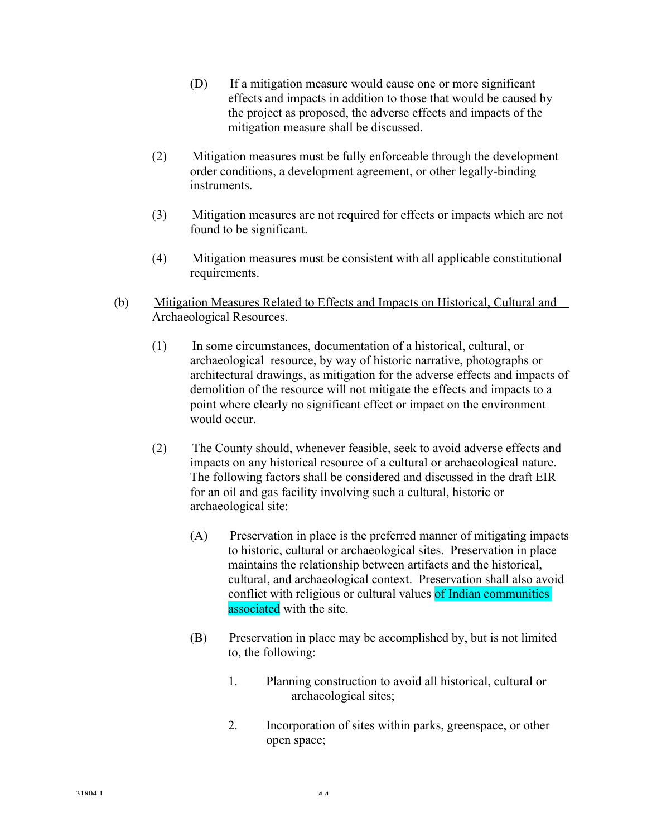- (D) If a mitigation measure would cause one or more significant effects and impacts in addition to those that would be caused by the project as proposed, the adverse effects and impacts of the mitigation measure shall be discussed.
- (2) Mitigation measures must be fully enforceable through the development order conditions, a development agreement, or other legally-binding instruments.
- (3) Mitigation measures are not required for effects or impacts which are not found to be significant.
- (4) Mitigation measures must be consistent with all applicable constitutional requirements.
- (b) Mitigation Measures Related to Effects and Impacts on Historical, Cultural and Archaeological Resources.
	- (1) In some circumstances, documentation of a historical, cultural, or archaeological resource, by way of historic narrative, photographs or architectural drawings, as mitigation for the adverse effects and impacts of demolition of the resource will not mitigate the effects and impacts to a point where clearly no significant effect or impact on the environment would occur.
	- (2) The County should, whenever feasible, seek to avoid adverse effects and impacts on any historical resource of a cultural or archaeological nature. The following factors shall be considered and discussed in the draft EIR for an oil and gas facility involving such a cultural, historic or archaeological site:
		- (A) Preservation in place is the preferred manner of mitigating impacts to historic, cultural or archaeological sites. Preservation in place maintains the relationship between artifacts and the historical, cultural, and archaeological context. Preservation shall also avoid conflict with religious or cultural values of Indian communities associated with the site.
		- (B) Preservation in place may be accomplished by, but is not limited to, the following:
			- 1. Planning construction to avoid all historical, cultural or archaeological sites;
			- 2. Incorporation of sites within parks, greenspace, or other open space;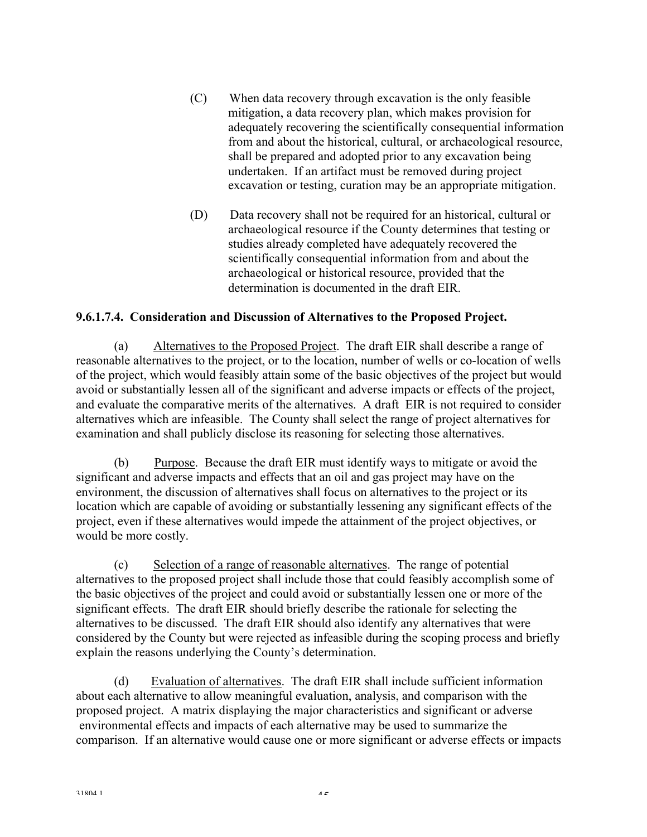- (C) When data recovery through excavation is the only feasible mitigation, a data recovery plan, which makes provision for adequately recovering the scientifically consequential information from and about the historical, cultural, or archaeological resource, shall be prepared and adopted prior to any excavation being undertaken. If an artifact must be removed during project excavation or testing, curation may be an appropriate mitigation.
- (D) Data recovery shall not be required for an historical, cultural or archaeological resource if the County determines that testing or studies already completed have adequately recovered the scientifically consequential information from and about the archaeological or historical resource, provided that the determination is documented in the draft EIR.

### **9.6.1.7.4. Consideration and Discussion of Alternatives to the Proposed Project.**

(a) Alternatives to the Proposed Project. The draft EIR shall describe a range of reasonable alternatives to the project, or to the location, number of wells or co-location of wells of the project, which would feasibly attain some of the basic objectives of the project but would avoid or substantially lessen all of the significant and adverse impacts or effects of the project, and evaluate the comparative merits of the alternatives. A draft EIR is not required to consider alternatives which are infeasible. The County shall select the range of project alternatives for examination and shall publicly disclose its reasoning for selecting those alternatives.

(b) Purpose. Because the draft EIR must identify ways to mitigate or avoid the significant and adverse impacts and effects that an oil and gas project may have on the environment, the discussion of alternatives shall focus on alternatives to the project or its location which are capable of avoiding or substantially lessening any significant effects of the project, even if these alternatives would impede the attainment of the project objectives, or would be more costly.

(c) Selection of a range of reasonable alternatives. The range of potential alternatives to the proposed project shall include those that could feasibly accomplish some of the basic objectives of the project and could avoid or substantially lessen one or more of the significant effects. The draft EIR should briefly describe the rationale for selecting the alternatives to be discussed. The draft EIR should also identify any alternatives that were considered by the County but were rejected as infeasible during the scoping process and briefly explain the reasons underlying the County's determination.

(d) Evaluation of alternatives. The draft EIR shall include sufficient information about each alternative to allow meaningful evaluation, analysis, and comparison with the proposed project. A matrix displaying the major characteristics and significant or adverse environmental effects and impacts of each alternative may be used to summarize the comparison. If an alternative would cause one or more significant or adverse effects or impacts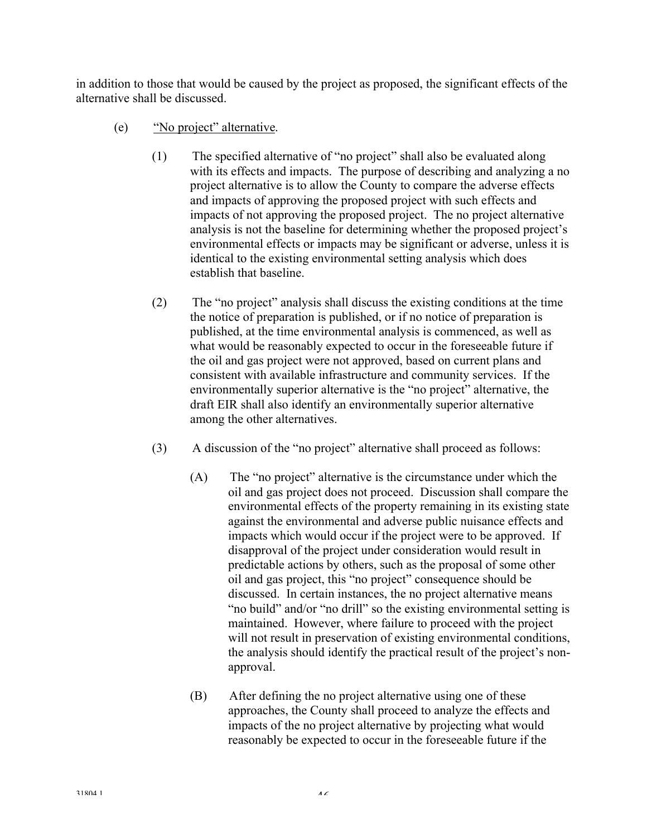in addition to those that would be caused by the project as proposed, the significant effects of the alternative shall be discussed.

- (e) "No project" alternative.
	- (1) The specified alternative of "no project" shall also be evaluated along with its effects and impacts. The purpose of describing and analyzing a no project alternative is to allow the County to compare the adverse effects and impacts of approving the proposed project with such effects and impacts of not approving the proposed project. The no project alternative analysis is not the baseline for determining whether the proposed project's environmental effects or impacts may be significant or adverse, unless it is identical to the existing environmental setting analysis which does establish that baseline.
	- (2) The "no project" analysis shall discuss the existing conditions at the time the notice of preparation is published, or if no notice of preparation is published, at the time environmental analysis is commenced, as well as what would be reasonably expected to occur in the foreseeable future if the oil and gas project were not approved, based on current plans and consistent with available infrastructure and community services. If the environmentally superior alternative is the "no project" alternative, the draft EIR shall also identify an environmentally superior alternative among the other alternatives.
	- (3) A discussion of the "no project" alternative shall proceed as follows:
		- (A) The "no project" alternative is the circumstance under which the oil and gas project does not proceed. Discussion shall compare the environmental effects of the property remaining in its existing state against the environmental and adverse public nuisance effects and impacts which would occur if the project were to be approved. If disapproval of the project under consideration would result in predictable actions by others, such as the proposal of some other oil and gas project, this "no project" consequence should be discussed. In certain instances, the no project alternative means "no build" and/or "no drill" so the existing environmental setting is maintained. However, where failure to proceed with the project will not result in preservation of existing environmental conditions, the analysis should identify the practical result of the project's nonapproval.
		- (B) After defining the no project alternative using one of these approaches, the County shall proceed to analyze the effects and impacts of the no project alternative by projecting what would reasonably be expected to occur in the foreseeable future if the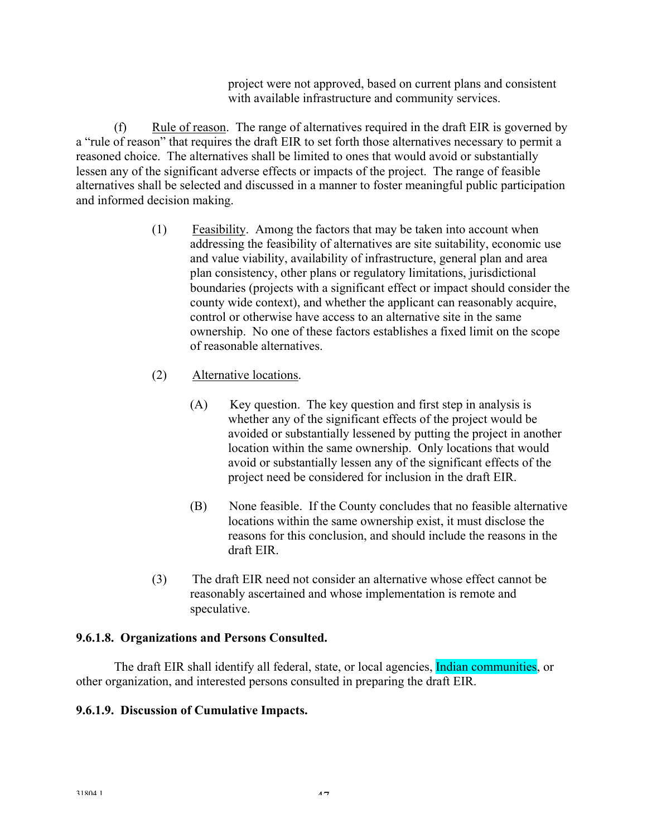project were not approved, based on current plans and consistent with available infrastructure and community services.

(f) Rule of reason. The range of alternatives required in the draft EIR is governed by a "rule of reason" that requires the draft EIR to set forth those alternatives necessary to permit a reasoned choice. The alternatives shall be limited to ones that would avoid or substantially lessen any of the significant adverse effects or impacts of the project. The range of feasible alternatives shall be selected and discussed in a manner to foster meaningful public participation and informed decision making.

- (1) Feasibility. Among the factors that may be taken into account when addressing the feasibility of alternatives are site suitability, economic use and value viability, availability of infrastructure, general plan and area plan consistency, other plans or regulatory limitations, jurisdictional boundaries (projects with a significant effect or impact should consider the county wide context), and whether the applicant can reasonably acquire, control or otherwise have access to an alternative site in the same ownership. No one of these factors establishes a fixed limit on the scope of reasonable alternatives.
- (2) Alternative locations.
	- (A) Key question. The key question and first step in analysis is whether any of the significant effects of the project would be avoided or substantially lessened by putting the project in another location within the same ownership. Only locations that would avoid or substantially lessen any of the significant effects of the project need be considered for inclusion in the draft EIR.
	- (B) None feasible. If the County concludes that no feasible alternative locations within the same ownership exist, it must disclose the reasons for this conclusion, and should include the reasons in the draft EIR.
- (3) The draft EIR need not consider an alternative whose effect cannot be reasonably ascertained and whose implementation is remote and speculative.

## **9.6.1.8. Organizations and Persons Consulted.**

 The draft EIR shall identify all federal, state, or local agencies, Indian communities, or other organization, and interested persons consulted in preparing the draft EIR.

## **9.6.1.9. Discussion of Cumulative Impacts.**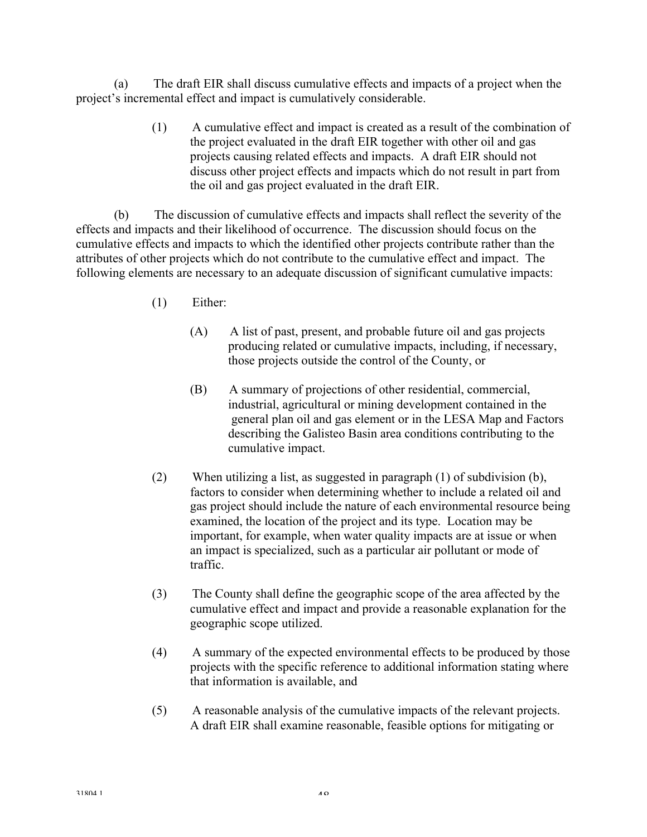(a) The draft EIR shall discuss cumulative effects and impacts of a project when the project's incremental effect and impact is cumulatively considerable.

> (1) A cumulative effect and impact is created as a result of the combination of the project evaluated in the draft EIR together with other oil and gas projects causing related effects and impacts. A draft EIR should not discuss other project effects and impacts which do not result in part from the oil and gas project evaluated in the draft EIR.

(b) The discussion of cumulative effects and impacts shall reflect the severity of the effects and impacts and their likelihood of occurrence. The discussion should focus on the cumulative effects and impacts to which the identified other projects contribute rather than the attributes of other projects which do not contribute to the cumulative effect and impact. The following elements are necessary to an adequate discussion of significant cumulative impacts:

- (1) Either:
	- (A) A list of past, present, and probable future oil and gas projects producing related or cumulative impacts, including, if necessary, those projects outside the control of the County, or
	- (B) A summary of projections of other residential, commercial, industrial, agricultural or mining development contained in the general plan oil and gas element or in the LESA Map and Factors describing the Galisteo Basin area conditions contributing to the cumulative impact.
- (2) When utilizing a list, as suggested in paragraph (1) of subdivision (b), factors to consider when determining whether to include a related oil and gas project should include the nature of each environmental resource being examined, the location of the project and its type. Location may be important, for example, when water quality impacts are at issue or when an impact is specialized, such as a particular air pollutant or mode of traffic.
- (3) The County shall define the geographic scope of the area affected by the cumulative effect and impact and provide a reasonable explanation for the geographic scope utilized.
- (4) A summary of the expected environmental effects to be produced by those projects with the specific reference to additional information stating where that information is available, and
- (5) A reasonable analysis of the cumulative impacts of the relevant projects. A draft EIR shall examine reasonable, feasible options for mitigating or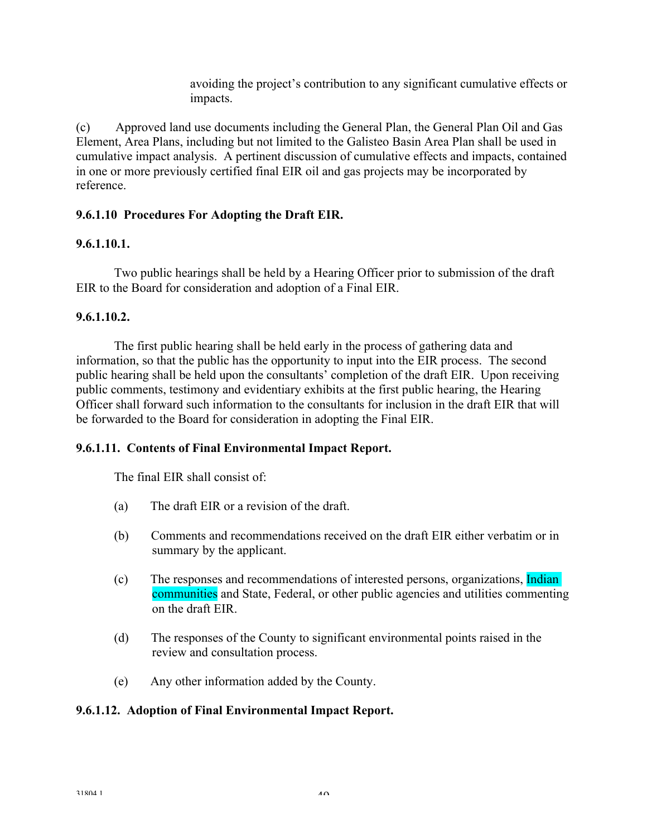avoiding the project's contribution to any significant cumulative effects or impacts.

(c) Approved land use documents including the General Plan, the General Plan Oil and Gas Element, Area Plans, including but not limited to the Galisteo Basin Area Plan shall be used in cumulative impact analysis. A pertinent discussion of cumulative effects and impacts, contained in one or more previously certified final EIR oil and gas projects may be incorporated by reference.

## **9.6.1.10 Procedures For Adopting the Draft EIR.**

## **9.6.1.10.1.**

 Two public hearings shall be held by a Hearing Officer prior to submission of the draft EIR to the Board for consideration and adoption of a Final EIR.

## **9.6.1.10.2.**

 The first public hearing shall be held early in the process of gathering data and information, so that the public has the opportunity to input into the EIR process. The second public hearing shall be held upon the consultants' completion of the draft EIR. Upon receiving public comments, testimony and evidentiary exhibits at the first public hearing, the Hearing Officer shall forward such information to the consultants for inclusion in the draft EIR that will be forwarded to the Board for consideration in adopting the Final EIR.

## **9.6.1.11. Contents of Final Environmental Impact Report.**

The final EIR shall consist of:

- (a) The draft EIR or a revision of the draft.
- (b) Comments and recommendations received on the draft EIR either verbatim or in summary by the applicant.
- (c) The responses and recommendations of interested persons, organizations, Indian communities and State, Federal, or other public agencies and utilities commenting on the draft EIR.
- (d) The responses of the County to significant environmental points raised in the review and consultation process.
- (e) Any other information added by the County.

## **9.6.1.12. Adoption of Final Environmental Impact Report.**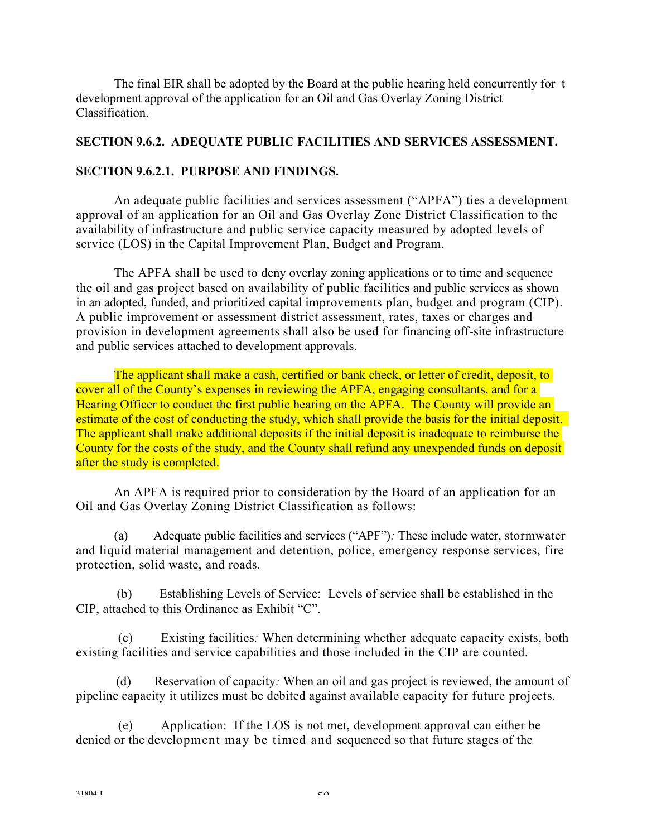The final EIR shall be adopted by the Board at the public hearing held concurrently for t development approval of the application for an Oil and Gas Overlay Zoning District Classification.

## **SECTION 9.6.2. ADEQUATE PUBLIC FACILITIES AND SERVICES ASSESSMENT.**

### **SECTION 9.6.2.1. PURPOSE AND FINDINGS.**

An adequate public facilities and services assessment ("APFA") ties a development approval of an application for an Oil and Gas Overlay Zone District Classification to the availability of infrastructure and public service capacity measured by adopted levels of service (LOS) in the Capital Improvement Plan, Budget and Program.

The APFA shall be used to deny overlay zoning applications or to time and sequence the oil and gas project based on availability of public facilities and public services as shown in an adopted, funded, and prioritized capital improvements plan, budget and program (CIP). A public improvement or assessment district assessment, rates, taxes or charges and provision in development agreements shall also be used for financing off-site infrastructure and public services attached to development approvals.

The applicant shall make a cash, certified or bank check, or letter of credit, deposit, to cover all of the County's expenses in reviewing the APFA, engaging consultants, and for a Hearing Officer to conduct the first public hearing on the APFA. The County will provide an estimate of the cost of conducting the study, which shall provide the basis for the initial deposit. The applicant shall make additional deposits if the initial deposit is inadequate to reimburse the County for the costs of the study, and the County shall refund any unexpended funds on deposit after the study is completed.

An APFA is required prior to consideration by the Board of an application for an Oil and Gas Overlay Zoning District Classification as follows:

(a) Adequate public facilities and services ("APF")*:* These include water, stormwater and liquid material management and detention, police, emergency response services, fire protection, solid waste, and roads.

(b) Establishing Levels of Service: Levels of service shall be established in the CIP, attached to this Ordinance as Exhibit "C".

(c) Existing facilities*:* When determining whether adequate capacity exists, both existing facilities and service capabilities and those included in the CIP are counted.

(d) Reservation of capacity*:* When an oil and gas project is reviewed, the amount of pipeline capacity it utilizes must be debited against available capacity for future projects.

(e) Application: If the LOS is not met, development approval can either be denied or the development may be timed and sequenced so that future stages of the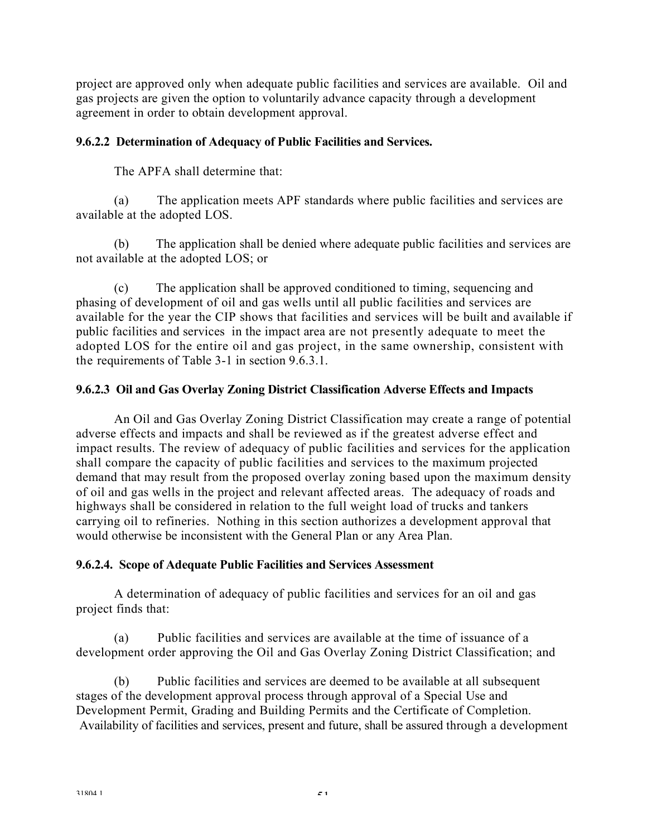project are approved only when adequate public facilities and services are available. Oil and gas projects are given the option to voluntarily advance capacity through a development agreement in order to obtain development approval.

### **9.6.2.2 Determination of Adequacy of Public Facilities and Services.**

The APFA shall determine that:

(a) The application meets APF standards where public facilities and services are available at the adopted LOS.

(b) The application shall be denied where adequate public facilities and services are not available at the adopted LOS; or

(c) The application shall be approved conditioned to timing, sequencing and phasing of development of oil and gas wells until all public facilities and services are available for the year the CIP shows that facilities and services will be built and available if public facilities and services in the impact area are not presently adequate to meet the adopted LOS for the entire oil and gas project, in the same ownership, consistent with the requirements of Table 3-1 in section 9.6.3.1.

### **9.6.2.3 Oil and Gas Overlay Zoning District Classification Adverse Effects and Impacts**

An Oil and Gas Overlay Zoning District Classification may create a range of potential adverse effects and impacts and shall be reviewed as if the greatest adverse effect and impact results. The review of adequacy of public facilities and services for the application shall compare the capacity of public facilities and services to the maximum projected demand that may result from the proposed overlay zoning based upon the maximum density of oil and gas wells in the project and relevant affected areas. The adequacy of roads and highways shall be considered in relation to the full weight load of trucks and tankers carrying oil to refineries. Nothing in this section authorizes a development approval that would otherwise be inconsistent with the General Plan or any Area Plan.

### **9.6.2.4. Scope of Adequate Public Facilities and Services Assessment**

A determination of adequacy of public facilities and services for an oil and gas project finds that:

(a) Public facilities and services are available at the time of issuance of a development order approving the Oil and Gas Overlay Zoning District Classification; and

(b) Public facilities and services are deemed to be available at all subsequent stages of the development approval process through approval of a Special Use and Development Permit, Grading and Building Permits and the Certificate of Completion. Availability of facilities and services, present and future, shall be assured through a development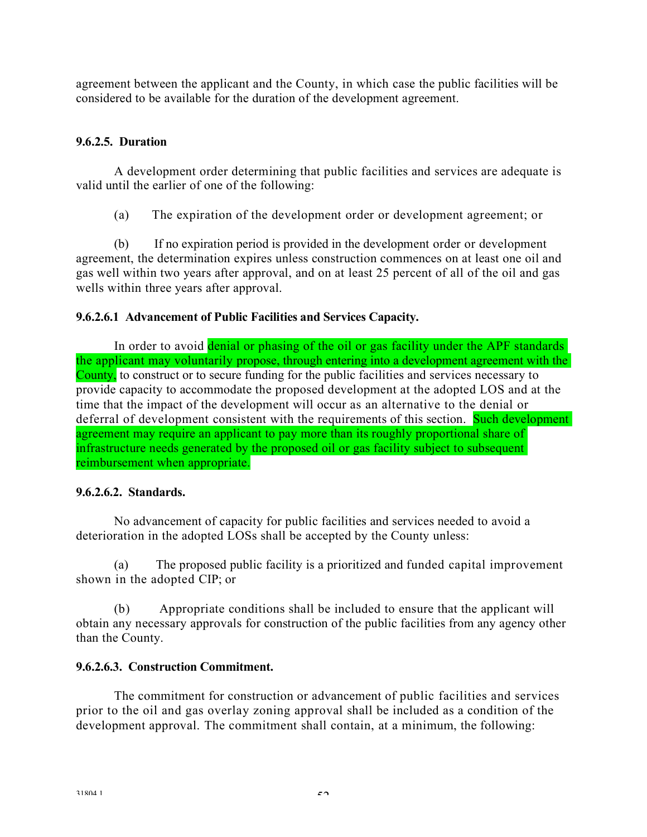agreement between the applicant and the County, in which case the public facilities will be considered to be available for the duration of the development agreement.

## **9.6.2.5. Duration**

A development order determining that public facilities and services are adequate is valid until the earlier of one of the following:

(a) The expiration of the development order or development agreement; or

(b) If no expiration period is provided in the development order or development agreement, the determination expires unless construction commences on at least one oil and gas well within two years after approval, and on at least 25 percent of all of the oil and gas wells within three years after approval.

## **9.6.2.6.1 Advancement of Public Facilities and Services Capacity.**

In order to avoid denial or phasing of the oil or gas facility under the APF standards the applicant may voluntarily propose, through entering into a development agreement with the County, to construct or to secure funding for the public facilities and services necessary to provide capacity to accommodate the proposed development at the adopted LOS and at the time that the impact of the development will occur as an alternative to the denial or deferral of development consistent with the requirements of this section. Such development agreement may require an applicant to pay more than its roughly proportional share of infrastructure needs generated by the proposed oil or gas facility subject to subsequent reimbursement when appropriate.

## **9.6.2.6.2. Standards.**

No advancement of capacity for public facilities and services needed to avoid a deterioration in the adopted LOSs shall be accepted by the County unless:

(a) The proposed public facility is a prioritized and funded capital improvement shown in the adopted CIP; or

(b) Appropriate conditions shall be included to ensure that the applicant will obtain any necessary approvals for construction of the public facilities from any agency other than the County.

## **9.6.2.6.3. Construction Commitment.**

The commitment for construction or advancement of public facilities and services prior to the oil and gas overlay zoning approval shall be included as a condition of the development approval. The commitment shall contain, at a minimum, the following: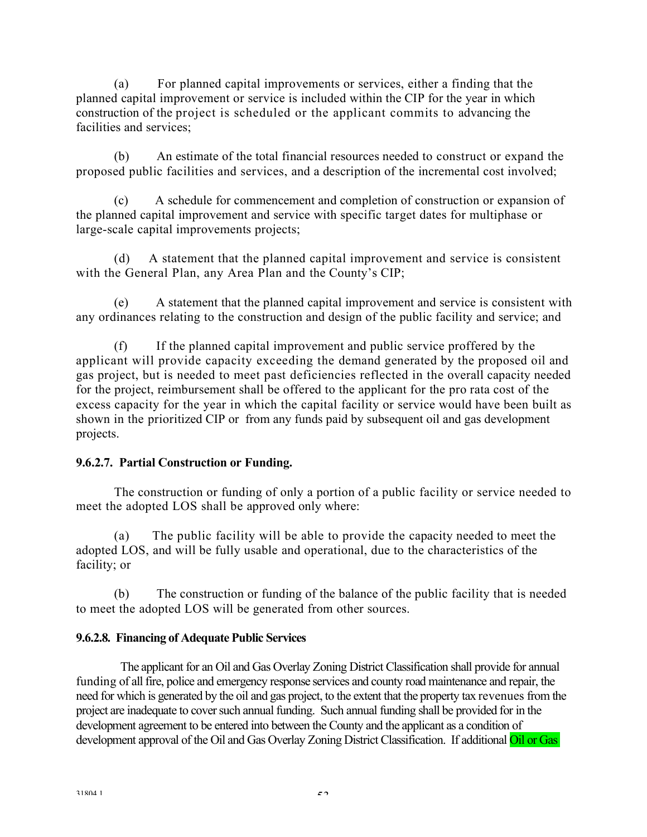(a) For planned capital improvements or services, either a finding that the planned capital improvement or service is included within the CIP for the year in which construction of the project is scheduled or the applicant commits to advancing the facilities and services;

(b) An estimate of the total financial resources needed to construct or expand the proposed public facilities and services, and a description of the incremental cost involved;

(c) A schedule for commencement and completion of construction or expansion of the planned capital improvement and service with specific target dates for multiphase or large-scale capital improvements projects;

(d) A statement that the planned capital improvement and service is consistent with the General Plan, any Area Plan and the County's CIP;

(e) A statement that the planned capital improvement and service is consistent with any ordinances relating to the construction and design of the public facility and service; and

(f) If the planned capital improvement and public service proffered by the applicant will provide capacity exceeding the demand generated by the proposed oil and gas project, but is needed to meet past deficiencies reflected in the overall capacity needed for the project, reimbursement shall be offered to the applicant for the pro rata cost of the excess capacity for the year in which the capital facility or service would have been built as shown in the prioritized CIP or from any funds paid by subsequent oil and gas development projects.

## **9.6.2.7. Partial Construction or Funding.**

The construction or funding of only a portion of a public facility or service needed to meet the adopted LOS shall be approved only where:

(a) The public facility will be able to provide the capacity needed to meet the adopted LOS, and will be fully usable and operational, due to the characteristics of the facility; or

(b) The construction or funding of the balance of the public facility that is needed to meet the adopted LOS will be generated from other sources.

## **9.6.2.8. Financing of Adequate Public Services**

The applicant for an Oil and Gas Overlay Zoning District Classification shall provide for annual funding of all fire, police and emergency response services and county road maintenance and repair, the need for which is generated by the oil and gas project, to the extent that the property tax revenues from the project are inadequate to cover such annual funding. Such annual funding shall be provided for in the development agreement to be entered into between the County and the applicant as a condition of development approval of the Oil and Gas Overlay Zoning District Classification. If additional Oil or Gas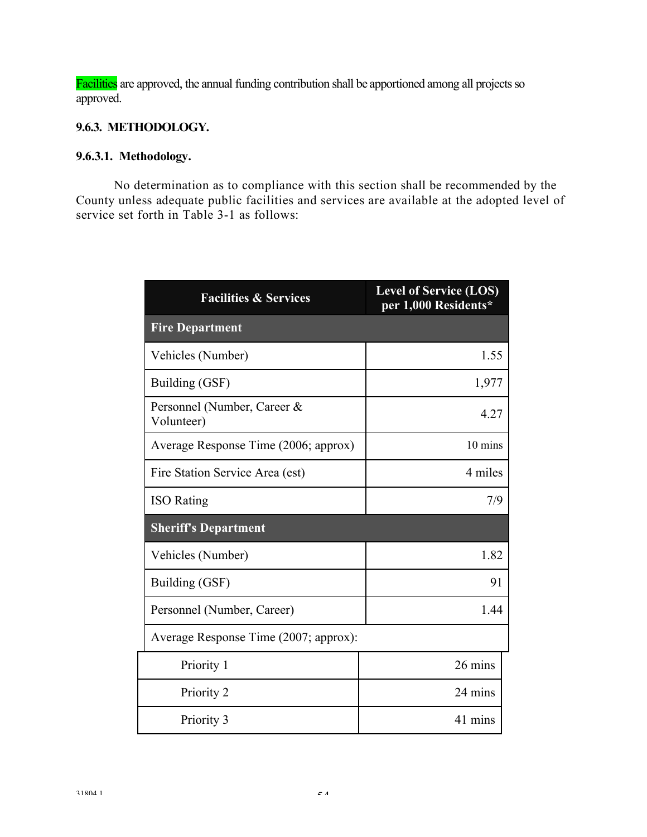Facilities are approved, the annual funding contribution shall be apportioned among all projects so approved.

## **9.6.3. METHODOLOGY.**

## **9.6.3.1. Methodology.**

No determination as to compliance with this section shall be recommended by the County unless adequate public facilities and services are available at the adopted level of service set forth in Table 3-1 as follows:

| <b>Facilities &amp; Services</b>          | <b>Level of Service (LOS)</b><br>per 1,000 Residents* |
|-------------------------------------------|-------------------------------------------------------|
| <b>Fire Department</b>                    |                                                       |
| Vehicles (Number)                         | 1.55                                                  |
| Building (GSF)                            | 1,977                                                 |
| Personnel (Number, Career &<br>Volunteer) | 4.27                                                  |
| Average Response Time (2006; approx)      | 10 mins                                               |
| Fire Station Service Area (est)           | 4 miles                                               |
| <b>ISO</b> Rating                         | 7/9                                                   |
| <b>Sheriff's Department</b>               |                                                       |
| Vehicles (Number)                         | 1.82                                                  |
| Building (GSF)                            | 91                                                    |
| Personnel (Number, Career)                | 1.44                                                  |
| Average Response Time (2007; approx):     |                                                       |
| Priority 1                                | 26 mins                                               |
| Priority 2                                | 24 mins                                               |
| Priority 3                                | 41 mins                                               |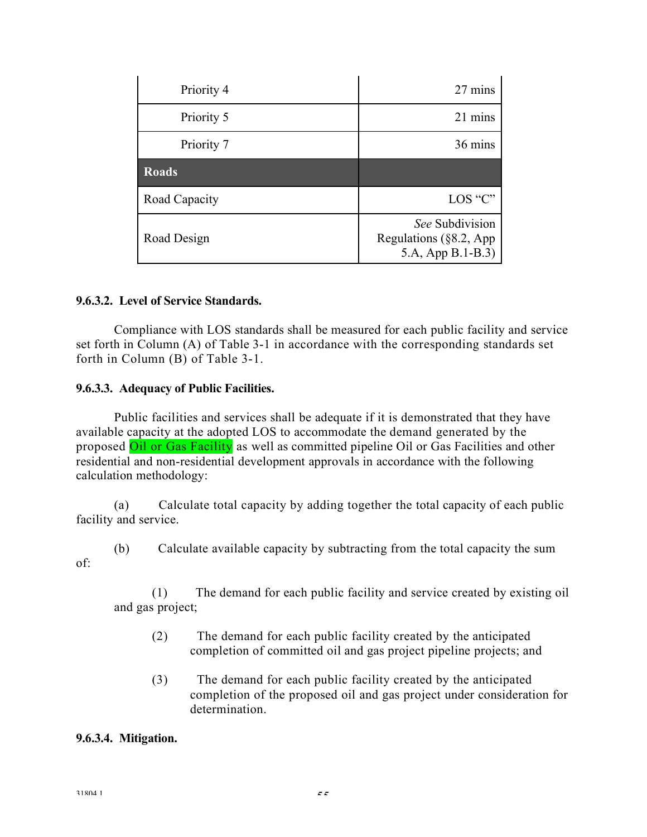| Priority 4    | 27 mins                                                             |
|---------------|---------------------------------------------------------------------|
| Priority 5    | 21 mins                                                             |
| Priority 7    | 36 mins                                                             |
| <b>Roads</b>  |                                                                     |
| Road Capacity | LOS "C"                                                             |
| Road Design   | See Subdivision<br>Regulations ( $§ 8.2$ , App<br>5.A, App B.1-B.3) |

### **9.6.3.2. Level of Service Standards.**

Compliance with LOS standards shall be measured for each public facility and service set forth in Column (A) of Table 3-1 in accordance with the corresponding standards set forth in Column (B) of Table 3-1.

### **9.6.3.3. Adequacy of Public Facilities.**

Public facilities and services shall be adequate if it is demonstrated that they have available capacity at the adopted LOS to accommodate the demand generated by the proposed Oil or Gas Facility as well as committed pipeline Oil or Gas Facilities and other residential and non-residential development approvals in accordance with the following calculation methodology:

(a) Calculate total capacity by adding together the total capacity of each public facility and service.

of:

(b) Calculate available capacity by subtracting from the total capacity the sum

(1) The demand for each public facility and service created by existing oil and gas project;

- (2) The demand for each public facility created by the anticipated completion of committed oil and gas project pipeline projects; and
- (3) The demand for each public facility created by the anticipated completion of the proposed oil and gas project under consideration for determination.

## **9.6.3.4. Mitigation.**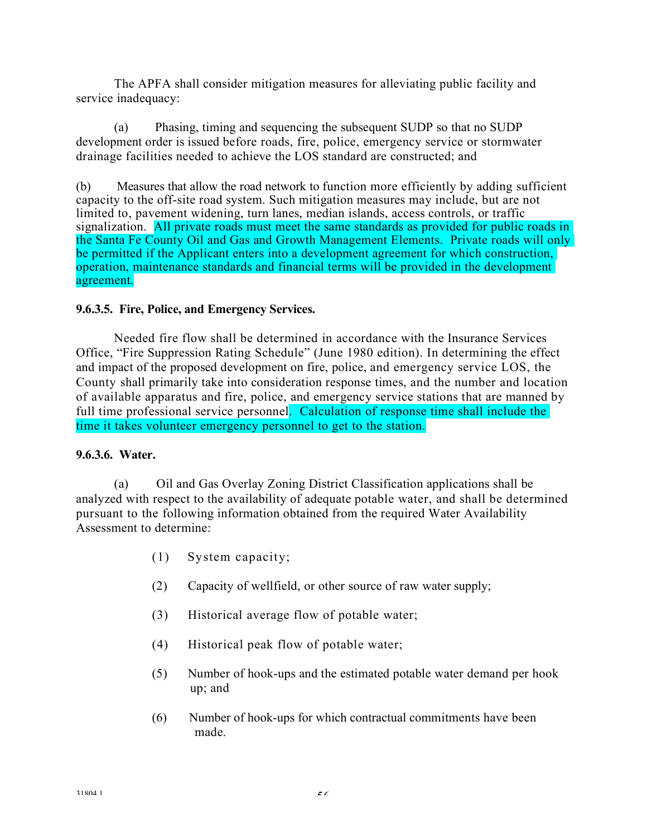The APFA shall consider mitigation measures for alleviating public facility and service inadequacy:

(a) Phasing, timing and sequencing the subsequent SUDP so that no SUDP development order is issued before roads, fire, police, emergency service or stormwater drainage facilities needed to achieve the LOS standard are constructed; and

(b) Measures that allow the road network to function more efficiently by adding sufficient capacity to the off-site road system. Such mitigation measures may include, but are not limited to, pavement widening, turn lanes, median islands, access controls, or traffic signalization. All private roads must meet the same standards as provided for public roads in the Santa Fe County Oil and Gas and Growth Management Elements. Private roads will only be permitted if the Applicant enters into a development agreement for which construction, operation, maintenance standards and financial terms will be provided in the development agreement.

### **9.6.3.5. Fire, Police, and Emergency Services.**

Needed fire flow shall be determined in accordance with the Insurance Services Office, "Fire Suppression Rating Schedule" (June 1980 edition). In determining the effect and impact of the proposed development on fire, police, and emergency service LOS, the County shall primarily take into consideration response times, and the number and location of available apparatus and fire, police, and emergency service stations that are manned by full time professional service personnel. Calculation of response time shall include the time it takes volunteer emergency personnel to get to the station.

### **9.6.3.6. Water.**

(a) Oil and Gas Overlay Zoning District Classification applications shall be analyzed with respect to the availability of adequate potable water, and shall be determined pursuant to the following information obtained from the required Water Availability Assessment to determine:

- (1) System capacity;
- (2) Capacity of wellfield, or other source of raw water supply;
- (3) Historical average flow of potable water;
- (4) Historical peak flow of potable water;
- (5) Number of hook-ups and the estimated potable water demand per hook up; and
- (6) Number of hook-ups for which contractual commitments have been made.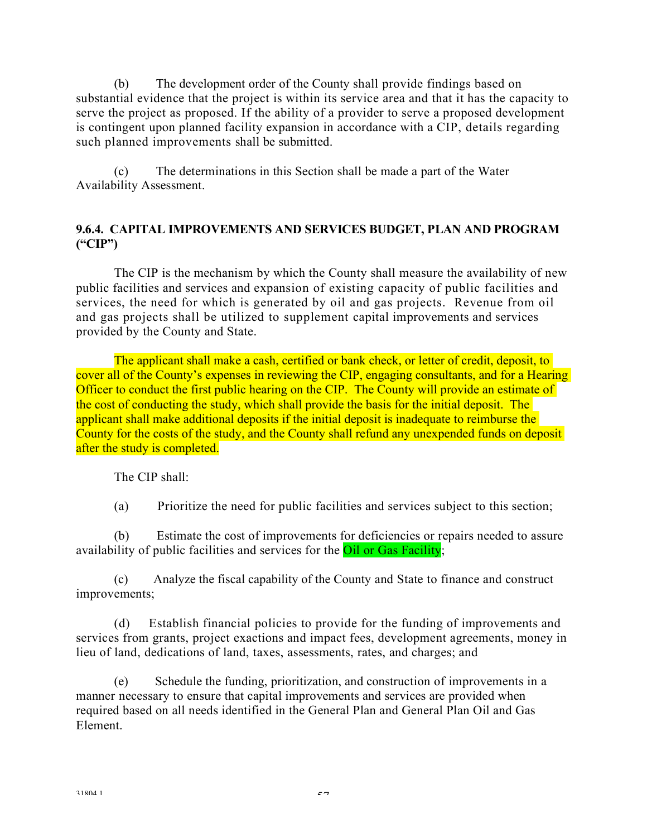(b) The development order of the County shall provide findings based on substantial evidence that the project is within its service area and that it has the capacity to serve the project as proposed. If the ability of a provider to serve a proposed development is contingent upon planned facility expansion in accordance with a CIP, details regarding such planned improvements shall be submitted.

(c) The determinations in this Section shall be made a part of the Water Availability Assessment.

## **9.6.4. CAPITAL IMPROVEMENTS AND SERVICES BUDGET, PLAN AND PROGRAM ("CIP")**

The CIP is the mechanism by which the County shall measure the availability of new public facilities and services and expansion of existing capacity of public facilities and services, the need for which is generated by oil and gas projects. Revenue from oil and gas projects shall be utilized to supplement capital improvements and services provided by the County and State.

The applicant shall make a cash, certified or bank check, or letter of credit, deposit, to cover all of the County's expenses in reviewing the CIP, engaging consultants, and for a Hearing Officer to conduct the first public hearing on the CIP. The County will provide an estimate of the cost of conducting the study, which shall provide the basis for the initial deposit. The applicant shall make additional deposits if the initial deposit is inadequate to reimburse the County for the costs of the study, and the County shall refund any unexpended funds on deposit after the study is completed.

The CIP shall:

(a) Prioritize the need for public facilities and services subject to this section;

(b) Estimate the cost of improvements for deficiencies or repairs needed to assure availability of public facilities and services for the **Oil or Gas Facility**;

(c) Analyze the fiscal capability of the County and State to finance and construct improvements;

(d) Establish financial policies to provide for the funding of improvements and services from grants, project exactions and impact fees, development agreements, money in lieu of land, dedications of land, taxes, assessments, rates, and charges; and

(e) Schedule the funding, prioritization, and construction of improvements in a manner necessary to ensure that capital improvements and services are provided when required based on all needs identified in the General Plan and General Plan Oil and Gas Element.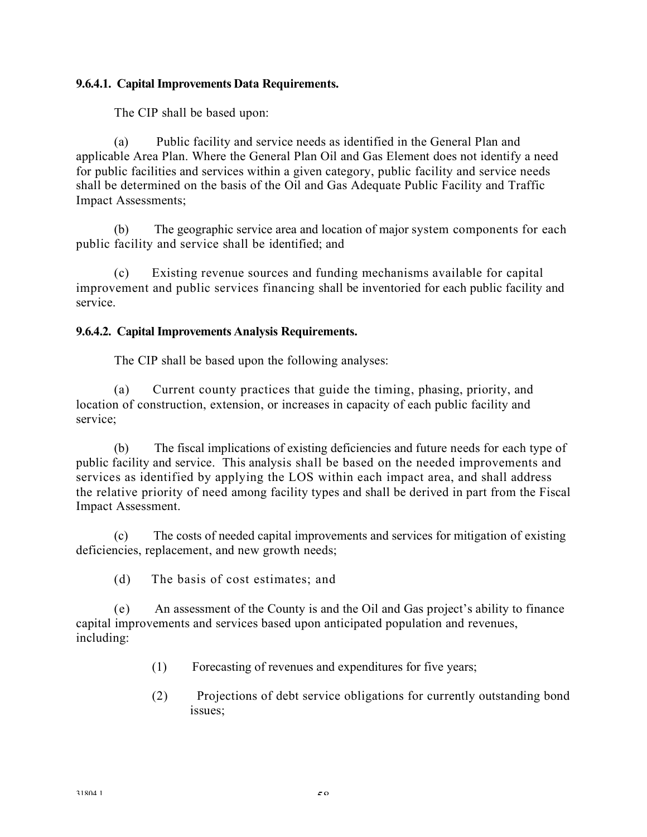### **9.6.4.1. Capital Improvements Data Requirements.**

The CIP shall be based upon:

(a) Public facility and service needs as identified in the General Plan and applicable Area Plan. Where the General Plan Oil and Gas Element does not identify a need for public facilities and services within a given category, public facility and service needs shall be determined on the basis of the Oil and Gas Adequate Public Facility and Traffic Impact Assessments;

(b) The geographic service area and location of major system components for each public facility and service shall be identified; and

(c) Existing revenue sources and funding mechanisms available for capital improvement and public services financing shall be inventoried for each public facility and service.

## **9.6.4.2. Capital Improvements Analysis Requirements.**

The CIP shall be based upon the following analyses:

(a) Current county practices that guide the timing, phasing, priority, and location of construction, extension, or increases in capacity of each public facility and service;

(b) The fiscal implications of existing deficiencies and future needs for each type of public facility and service. This analysis shall be based on the needed improvements and services as identified by applying the LOS within each impact area, and shall address the relative priority of need among facility types and shall be derived in part from the Fiscal Impact Assessment.

(c) The costs of needed capital improvements and services for mitigation of existing deficiencies, replacement, and new growth needs;

(d) The basis of cost estimates; and

(e) An assessment of the County is and the Oil and Gas project's ability to finance capital improvements and services based upon anticipated population and revenues, including:

- (1) Forecasting of revenues and expenditures for five years;
- (2) Projections of debt service obligations for currently outstanding bond issues;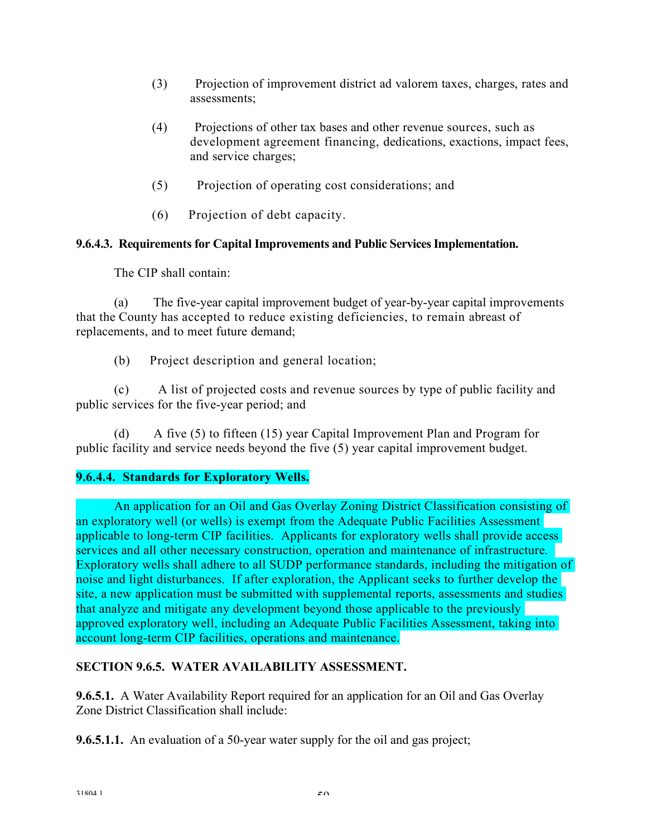- (3) Projection of improvement district ad valorem taxes, charges, rates and assessments;
- (4) Projections of other tax bases and other revenue sources, such as development agreement financing, dedications, exactions, impact fees, and service charges;
- (5) Projection of operating cost considerations; and
- (6) Projection of debt capacity.

## **9.6.4.3. Requirements for Capital Improvements and Public ServicesImplementation.**

The CIP shall contain:

(a) The five-year capital improvement budget of year-by-year capital improvements that the County has accepted to reduce existing deficiencies, to remain abreast of replacements, and to meet future demand;

(b) Project description and general location;

(c) A list of projected costs and revenue sources by type of public facility and public services for the five-year period; and

(d) A five (5) to fifteen (15) year Capital Improvement Plan and Program for public facility and service needs beyond the five (5) year capital improvement budget.

## **9.6.4.4. Standards for Exploratory Wells.**

An application for an Oil and Gas Overlay Zoning District Classification consisting of an exploratory well (or wells) is exempt from the Adequate Public Facilities Assessment applicable to long-term CIP facilities. Applicants for exploratory wells shall provide access services and all other necessary construction, operation and maintenance of infrastructure. Exploratory wells shall adhere to all SUDP performance standards, including the mitigation of noise and light disturbances. If after exploration, the Applicant seeks to further develop the site, a new application must be submitted with supplemental reports, assessments and studies that analyze and mitigate any development beyond those applicable to the previously approved exploratory well, including an Adequate Public Facilities Assessment, taking into account long-term CIP facilities, operations and maintenance.

## **SECTION 9.6.5. WATER AVAILABILITY ASSESSMENT.**

**9.6.5.1.** A Water Availability Report required for an application for an Oil and Gas Overlay Zone District Classification shall include:

**9.6.5.1.1.** An evaluation of a 50-year water supply for the oil and gas project;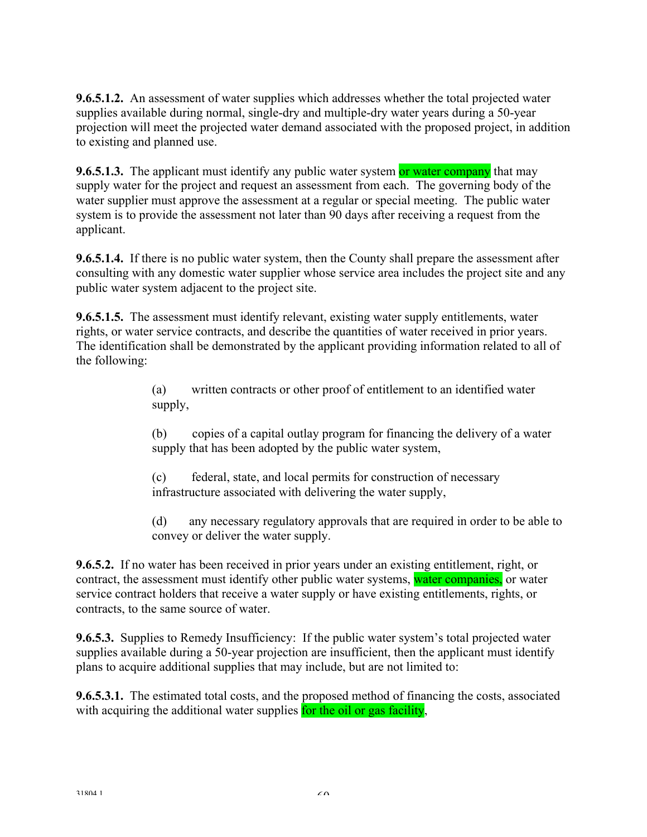**9.6.5.1.2.** An assessment of water supplies which addresses whether the total projected water supplies available during normal, single-dry and multiple-dry water years during a 50-year projection will meet the projected water demand associated with the proposed project, in addition to existing and planned use.

**9.6.5.1.3.** The applicant must identify any public water system or water company that may supply water for the project and request an assessment from each. The governing body of the water supplier must approve the assessment at a regular or special meeting. The public water system is to provide the assessment not later than 90 days after receiving a request from the applicant.

**9.6.5.1.4.** If there is no public water system, then the County shall prepare the assessment after consulting with any domestic water supplier whose service area includes the project site and any public water system adjacent to the project site.

**9.6.5.1.5.** The assessment must identify relevant, existing water supply entitlements, water rights, or water service contracts, and describe the quantities of water received in prior years. The identification shall be demonstrated by the applicant providing information related to all of the following:

> (a) written contracts or other proof of entitlement to an identified water supply,

(b) copies of a capital outlay program for financing the delivery of a water supply that has been adopted by the public water system,

(c) federal, state, and local permits for construction of necessary infrastructure associated with delivering the water supply,

(d) any necessary regulatory approvals that are required in order to be able to convey or deliver the water supply.

**9.6.5.2.** If no water has been received in prior years under an existing entitlement, right, or contract, the assessment must identify other public water systems, water companies, or water service contract holders that receive a water supply or have existing entitlements, rights, or contracts, to the same source of water.

**9.6.5.3.** Supplies to Remedy Insufficiency: If the public water system's total projected water supplies available during a 50-year projection are insufficient, then the applicant must identify plans to acquire additional supplies that may include, but are not limited to:

**9.6.5.3.1.** The estimated total costs, and the proposed method of financing the costs, associated with acquiring the additional water supplies for the oil or gas facility,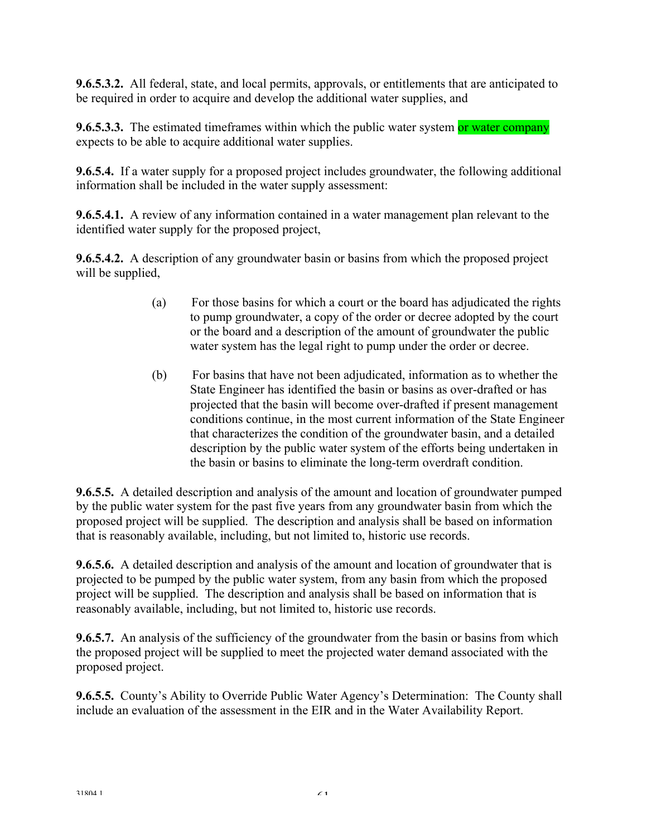**9.6.5.3.2.** All federal, state, and local permits, approvals, or entitlements that are anticipated to be required in order to acquire and develop the additional water supplies, and

**9.6.5.3.3.** The estimated timeframes within which the public water system or water company expects to be able to acquire additional water supplies.

**9.6.5.4.** If a water supply for a proposed project includes groundwater, the following additional information shall be included in the water supply assessment:

**9.6.5.4.1.** A review of any information contained in a water management plan relevant to the identified water supply for the proposed project,

**9.6.5.4.2.** A description of any groundwater basin or basins from which the proposed project will be supplied,

- (a) For those basins for which a court or the board has adjudicated the rights to pump groundwater, a copy of the order or decree adopted by the court or the board and a description of the amount of groundwater the public water system has the legal right to pump under the order or decree.
- (b) For basins that have not been adjudicated, information as to whether the State Engineer has identified the basin or basins as over-drafted or has projected that the basin will become over-drafted if present management conditions continue, in the most current information of the State Engineer that characterizes the condition of the groundwater basin, and a detailed description by the public water system of the efforts being undertaken in the basin or basins to eliminate the long-term overdraft condition.

**9.6.5.5.** A detailed description and analysis of the amount and location of groundwater pumped by the public water system for the past five years from any groundwater basin from which the proposed project will be supplied. The description and analysis shall be based on information that is reasonably available, including, but not limited to, historic use records.

**9.6.5.6.** A detailed description and analysis of the amount and location of groundwater that is projected to be pumped by the public water system, from any basin from which the proposed project will be supplied. The description and analysis shall be based on information that is reasonably available, including, but not limited to, historic use records.

**9.6.5.7.** An analysis of the sufficiency of the groundwater from the basin or basins from which the proposed project will be supplied to meet the projected water demand associated with the proposed project.

**9.6.5.5.** County's Ability to Override Public Water Agency's Determination: The County shall include an evaluation of the assessment in the EIR and in the Water Availability Report.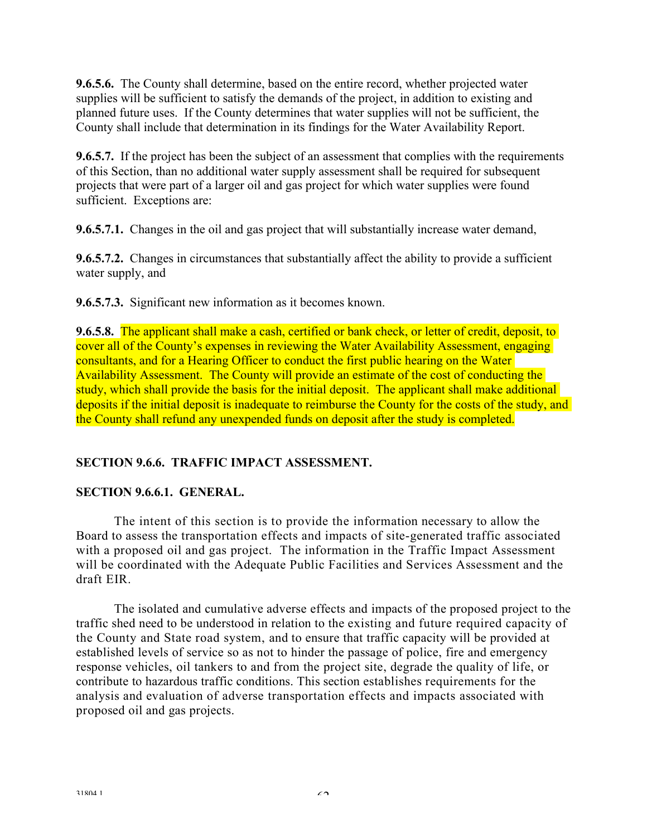**9.6.5.6.** The County shall determine, based on the entire record, whether projected water supplies will be sufficient to satisfy the demands of the project, in addition to existing and planned future uses. If the County determines that water supplies will not be sufficient, the County shall include that determination in its findings for the Water Availability Report.

**9.6.5.7.** If the project has been the subject of an assessment that complies with the requirements of this Section, than no additional water supply assessment shall be required for subsequent projects that were part of a larger oil and gas project for which water supplies were found sufficient. Exceptions are:

**9.6.5.7.1.** Changes in the oil and gas project that will substantially increase water demand,

**9.6.5.7.2.** Changes in circumstances that substantially affect the ability to provide a sufficient water supply, and

**9.6.5.7.3.** Significant new information as it becomes known.

**9.6.5.8.** The applicant shall make a cash, certified or bank check, or letter of credit, deposit, to cover all of the County's expenses in reviewing the Water Availability Assessment, engaging consultants, and for a Hearing Officer to conduct the first public hearing on the Water Availability Assessment. The County will provide an estimate of the cost of conducting the study, which shall provide the basis for the initial deposit. The applicant shall make additional deposits if the initial deposit is inadequate to reimburse the County for the costs of the study, and the County shall refund any unexpended funds on deposit after the study is completed.

## **SECTION 9.6.6. TRAFFIC IMPACT ASSESSMENT.**

### **SECTION 9.6.6.1. GENERAL.**

The intent of this section is to provide the information necessary to allow the Board to assess the transportation effects and impacts of site-generated traffic associated with a proposed oil and gas project. The information in the Traffic Impact Assessment will be coordinated with the Adequate Public Facilities and Services Assessment and the draft EIR.

The isolated and cumulative adverse effects and impacts of the proposed project to the traffic shed need to be understood in relation to the existing and future required capacity of the County and State road system, and to ensure that traffic capacity will be provided at established levels of service so as not to hinder the passage of police, fire and emergency response vehicles, oil tankers to and from the project site, degrade the quality of life, or contribute to hazardous traffic conditions. This section establishes requirements for the analysis and evaluation of adverse transportation effects and impacts associated with proposed oil and gas projects.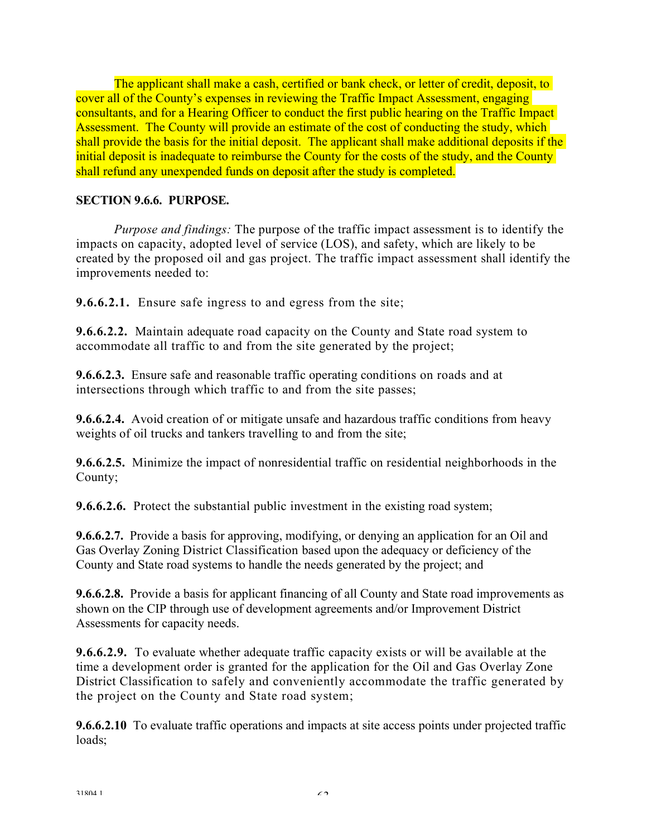The applicant shall make a cash, certified or bank check, or letter of credit, deposit, to cover all of the County's expenses in reviewing the Traffic Impact Assessment, engaging consultants, and for a Hearing Officer to conduct the first public hearing on the Traffic Impact Assessment. The County will provide an estimate of the cost of conducting the study, which shall provide the basis for the initial deposit. The applicant shall make additional deposits if the initial deposit is inadequate to reimburse the County for the costs of the study, and the County shall refund any unexpended funds on deposit after the study is completed.

## **SECTION 9.6.6. PURPOSE.**

*Purpose and findings:* The purpose of the traffic impact assessment is to identify the impacts on capacity, adopted level of service (LOS), and safety, which are likely to be created by the proposed oil and gas project. The traffic impact assessment shall identify the improvements needed to:

**9.6.6.2.1.** Ensure safe ingress to and egress from the site;

**9.6.6.2.2.** Maintain adequate road capacity on the County and State road system to accommodate all traffic to and from the site generated by the project;

**9.6.6.2.3.** Ensure safe and reasonable traffic operating conditions on roads and at intersections through which traffic to and from the site passes;

**9.6.6.2.4.** Avoid creation of or mitigate unsafe and hazardous traffic conditions from heavy weights of oil trucks and tankers travelling to and from the site;

**9.6.6.2.5.** Minimize the impact of nonresidential traffic on residential neighborhoods in the County;

**9.6.6.2.6.** Protect the substantial public investment in the existing road system;

**9.6.6.2.7.** Provide a basis for approving, modifying, or denying an application for an Oil and Gas Overlay Zoning District Classification based upon the adequacy or deficiency of the County and State road systems to handle the needs generated by the project; and

**9.6.6.2.8.** Provide a basis for applicant financing of all County and State road improvements as shown on the CIP through use of development agreements and/or Improvement District Assessments for capacity needs.

**9.6.6.2.9.** To evaluate whether adequate traffic capacity exists or will be available at the time a development order is granted for the application for the Oil and Gas Overlay Zone District Classification to safely and conveniently accommodate the traffic generated by the project on the County and State road system;

**9.6.6.2.10** To evaluate traffic operations and impacts at site access points under projected traffic loads;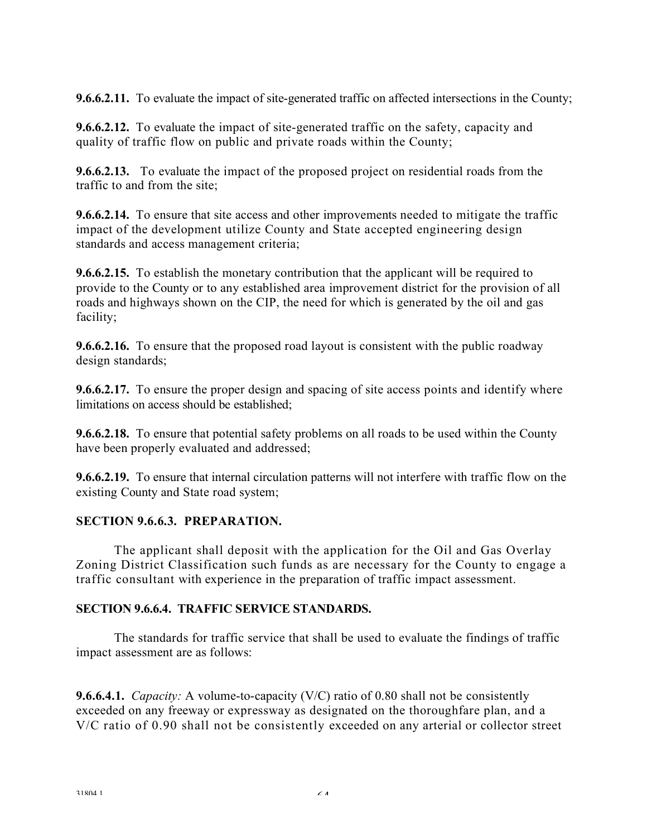**9.6.6.2.11.** To evaluate the impact of site-generated traffic on affected intersections in the County;

**9.6.6.2.12.** To evaluate the impact of site-generated traffic on the safety, capacity and quality of traffic flow on public and private roads within the County;

**9.6.6.2.13.** To evaluate the impact of the proposed project on residential roads from the traffic to and from the site;

**9.6.6.2.14.** To ensure that site access and other improvements needed to mitigate the traffic impact of the development utilize County and State accepted engineering design standards and access management criteria;

**9.6.6.2.15.** To establish the monetary contribution that the applicant will be required to provide to the County or to any established area improvement district for the provision of all roads and highways shown on the CIP, the need for which is generated by the oil and gas facility;

**9.6.6.2.16.** To ensure that the proposed road layout is consistent with the public roadway design standards;

**9.6.6.2.17.** To ensure the proper design and spacing of site access points and identify where limitations on access should be established;

**9.6.6.2.18.** To ensure that potential safety problems on all roads to be used within the County have been properly evaluated and addressed;

**9.6.6.2.19.** To ensure that internal circulation patterns will not interfere with traffic flow on the existing County and State road system;

### **SECTION 9.6.6.3. PREPARATION.**

The applicant shall deposit with the application for the Oil and Gas Overlay Zoning District Classification such funds as are necessary for the County to engage a traffic consultant with experience in the preparation of traffic impact assessment.

### **SECTION 9.6.6.4. TRAFFIC SERVICE STANDARDS.**

The standards for traffic service that shall be used to evaluate the findings of traffic impact assessment are as follows:

**9.6.6.4.1.** *Capacity:* A volume-to-capacity (V/C) ratio of 0.80 shall not be consistently exceeded on any freeway or expressway as designated on the thoroughfare plan, and a V/C ratio of 0.90 shall not be consistently exceeded on any arterial or collector street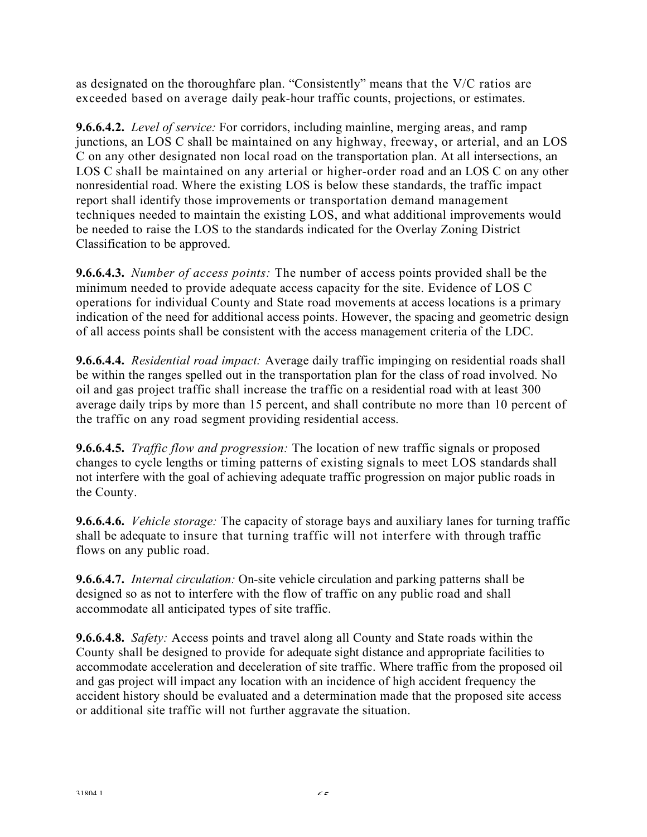as designated on the thoroughfare plan. "Consistently" means that the V/C ratios are exceeded based on average daily peak-hour traffic counts, projections, or estimates.

**9.6.6.4.2.** *Level of service:* For corridors, including mainline, merging areas, and ramp junctions, an LOS C shall be maintained on any highway, freeway, or arterial, and an LOS C on any other designated non local road on the transportation plan. At all intersections, an LOS C shall be maintained on any arterial or higher-order road and an LOS C on any other nonresidential road. Where the existing LOS is below these standards, the traffic impact report shall identify those improvements or transportation demand management techniques needed to maintain the existing LOS, and what additional improvements would be needed to raise the LOS to the standards indicated for the Overlay Zoning District Classification to be approved.

**9.6.6.4.3.** *Number of access points:* The number of access points provided shall be the minimum needed to provide adequate access capacity for the site. Evidence of LOS C operations for individual County and State road movements at access locations is a primary indication of the need for additional access points. However, the spacing and geometric design of all access points shall be consistent with the access management criteria of the LDC.

**9.6.6.4.4.** *Residential road impact:* Average daily traffic impinging on residential roads shall be within the ranges spelled out in the transportation plan for the class of road involved. No oil and gas project traffic shall increase the traffic on a residential road with at least 300 average daily trips by more than 15 percent, and shall contribute no more than 10 percent of the traffic on any road segment providing residential access.

**9.6.6.4.5.** *Traffic flow and progression:* The location of new traffic signals or proposed changes to cycle lengths or timing patterns of existing signals to meet LOS standards shall not interfere with the goal of achieving adequate traffic progression on major public roads in the County.

**9.6.6.4.6.** *Vehicle storage:* The capacity of storage bays and auxiliary lanes for turning traffic shall be adequate to insure that turning traffic will not interfere with through traffic flows on any public road.

**9.6.6.4.7.** *Internal circulation:* On-site vehicle circulation and parking patterns shall be designed so as not to interfere with the flow of traffic on any public road and shall accommodate all anticipated types of site traffic.

**9.6.6.4.8.** *Safety:* Access points and travel along all County and State roads within the County shall be designed to provide for adequate sight distance and appropriate facilities to accommodate acceleration and deceleration of site traffic. Where traffic from the proposed oil and gas project will impact any location with an incidence of high accident frequency the accident history should be evaluated and a determination made that the proposed site access or additional site traffic will not further aggravate the situation.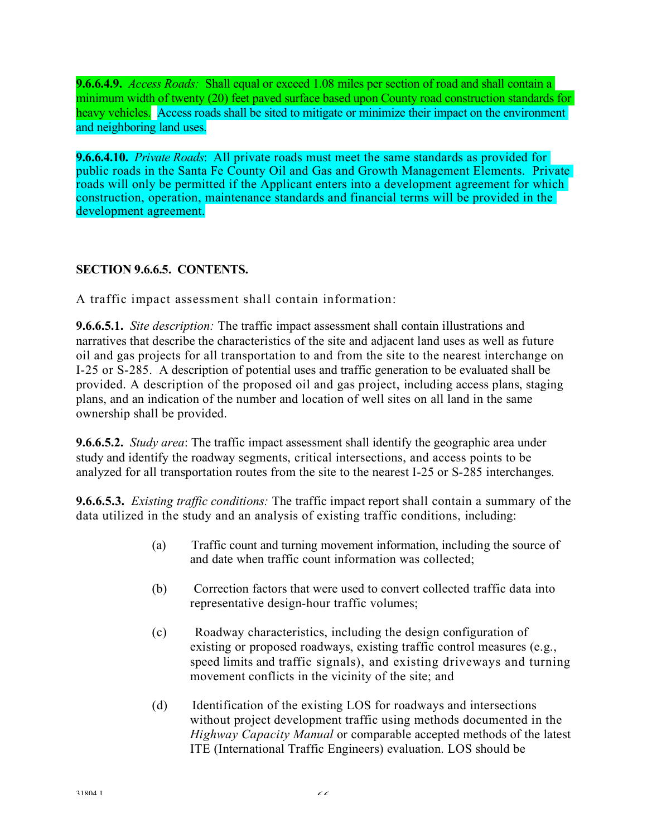**9.6.6.4.9.** *Access Roads:* Shall equal or exceed 1.08 miles per section of road and shall contain a minimum width of twenty (20) feet paved surface based upon County road construction standards for heavy vehicles. Access roads shall be sited to mitigate or minimize their impact on the environment and neighboring land uses.

**9.6.6.4.10.** *Private Roads*: All private roads must meet the same standards as provided for public roads in the Santa Fe County Oil and Gas and Growth Management Elements. Private roads will only be permitted if the Applicant enters into a development agreement for which construction, operation, maintenance standards and financial terms will be provided in the development agreement.

## **SECTION 9.6.6.5. CONTENTS.**

A traffic impact assessment shall contain information:

**9.6.6.5.1.** *Site description:* The traffic impact assessment shall contain illustrations and narratives that describe the characteristics of the site and adjacent land uses as well as future oil and gas projects for all transportation to and from the site to the nearest interchange on I-25 or S-285. A description of potential uses and traffic generation to be evaluated shall be provided. A description of the proposed oil and gas project, including access plans, staging plans, and an indication of the number and location of well sites on all land in the same ownership shall be provided.

**9.6.6.5.2.** *Study area*: The traffic impact assessment shall identify the geographic area under study and identify the roadway segments, critical intersections, and access points to be analyzed for all transportation routes from the site to the nearest I-25 or S-285 interchanges.

**9.6.6.5.3.** *Existing traffic conditions:* The traffic impact report shall contain a summary of the data utilized in the study and an analysis of existing traffic conditions, including:

- (a) Traffic count and turning movement information, including the source of and date when traffic count information was collected;
- (b) Correction factors that were used to convert collected traffic data into representative design-hour traffic volumes;
- (c) Roadway characteristics, including the design configuration of existing or proposed roadways, existing traffic control measures (e.g., speed limits and traffic signals), and existing driveways and turning movement conflicts in the vicinity of the site; and
- (d) Identification of the existing LOS for roadways and intersections without project development traffic using methods documented in the *Highway Capacity Manual* or comparable accepted methods of the latest ITE (International Traffic Engineers) evaluation. LOS should be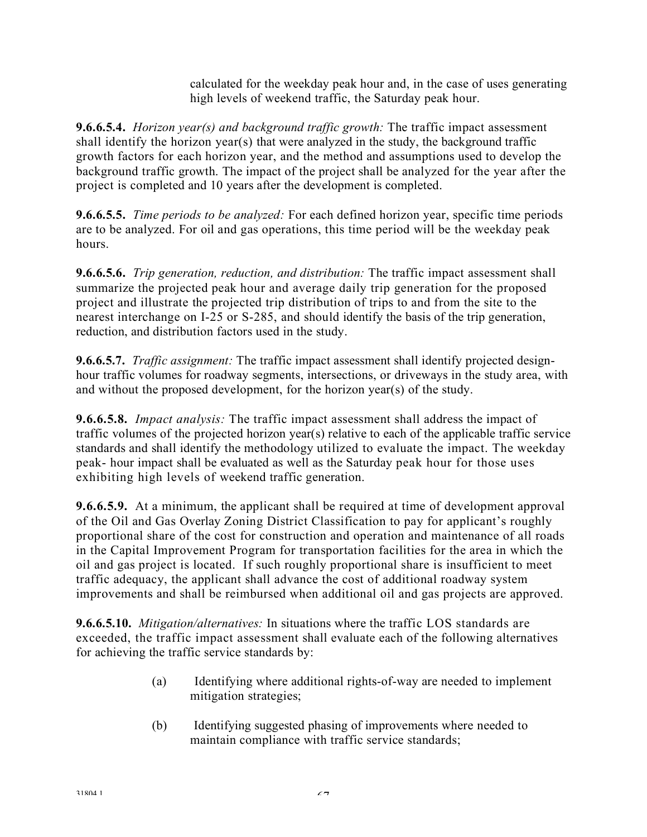calculated for the weekday peak hour and, in the case of uses generating high levels of weekend traffic, the Saturday peak hour.

**9.6.6.5.4.** *Horizon year(s) and background traffic growth:* The traffic impact assessment shall identify the horizon year(s) that were analyzed in the study, the background traffic growth factors for each horizon year, and the method and assumptions used to develop the background traffic growth. The impact of the project shall be analyzed for the year after the project is completed and 10 years after the development is completed.

**9.6.6.5.5.** *Time periods to be analyzed:* For each defined horizon year, specific time periods are to be analyzed. For oil and gas operations, this time period will be the weekday peak hours.

**9.6.6.5.6.** *Trip generation, reduction, and distribution:* The traffic impact assessment shall summarize the projected peak hour and average daily trip generation for the proposed project and illustrate the projected trip distribution of trips to and from the site to the nearest interchange on I-25 or S-285, and should identify the basis of the trip generation, reduction, and distribution factors used in the study.

**9.6.6.5.7.** *Traffic assignment:* The traffic impact assessment shall identify projected designhour traffic volumes for roadway segments, intersections, or driveways in the study area, with and without the proposed development, for the horizon year(s) of the study.

**9.6.6.5.8.** *Impact analysis:* The traffic impact assessment shall address the impact of traffic volumes of the projected horizon year(s) relative to each of the applicable traffic service standards and shall identify the methodology utilized to evaluate the impact. The weekday peak- hour impact shall be evaluated as well as the Saturday peak hour for those uses exhibiting high levels of weekend traffic generation.

**9.6.6.5.9.** At a minimum, the applicant shall be required at time of development approval of the Oil and Gas Overlay Zoning District Classification to pay for applicant's roughly proportional share of the cost for construction and operation and maintenance of all roads in the Capital Improvement Program for transportation facilities for the area in which the oil and gas project is located. If such roughly proportional share is insufficient to meet traffic adequacy, the applicant shall advance the cost of additional roadway system improvements and shall be reimbursed when additional oil and gas projects are approved.

**9.6.6.5.10.** *Mitigation/alternatives:* In situations where the traffic LOS standards are exceeded, the traffic impact assessment shall evaluate each of the following alternatives for achieving the traffic service standards by:

- (a) Identifying where additional rights-of-way are needed to implement mitigation strategies;
- (b) Identifying suggested phasing of improvements where needed to maintain compliance with traffic service standards;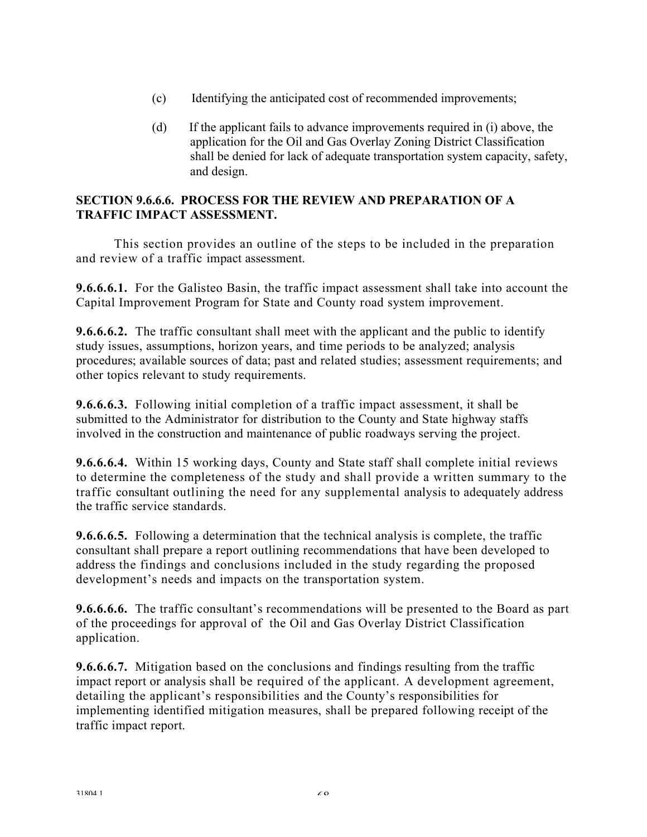- (c) Identifying the anticipated cost of recommended improvements;
- (d) If the applicant fails to advance improvements required in (i) above, the application for the Oil and Gas Overlay Zoning District Classification shall be denied for lack of adequate transportation system capacity, safety, and design.

## **SECTION 9.6.6.6. PROCESS FOR THE REVIEW AND PREPARATION OF A TRAFFIC IMPACT ASSESSMENT.**

This section provides an outline of the steps to be included in the preparation and review of a traffic impact assessment.

**9.6.6.6.1.** For the Galisteo Basin, the traffic impact assessment shall take into account the Capital Improvement Program for State and County road system improvement.

**9.6.6.6.2.** The traffic consultant shall meet with the applicant and the public to identify study issues, assumptions, horizon years, and time periods to be analyzed; analysis procedures; available sources of data; past and related studies; assessment requirements; and other topics relevant to study requirements.

**9.6.6.6.3.** Following initial completion of a traffic impact assessment, it shall be submitted to the Administrator for distribution to the County and State highway staffs involved in the construction and maintenance of public roadways serving the project.

**9.6.6.6.4.** Within 15 working days, County and State staff shall complete initial reviews to determine the completeness of the study and shall provide a written summary to the traffic consultant outlining the need for any supplemental analysis to adequately address the traffic service standards.

**9.6.6.6.5.** Following a determination that the technical analysis is complete, the traffic consultant shall prepare a report outlining recommendations that have been developed to address the findings and conclusions included in the study regarding the proposed development's needs and impacts on the transportation system.

**9.6.6.6.6.** The traffic consultant's recommendations will be presented to the Board as part of the proceedings for approval of the Oil and Gas Overlay District Classification application.

**9.6.6.6.7.** Mitigation based on the conclusions and findings resulting from the traffic impact report or analysis shall be required of the applicant. A development agreement, detailing the applicant's responsibilities and the County's responsibilities for implementing identified mitigation measures, shall be prepared following receipt of the traffic impact report.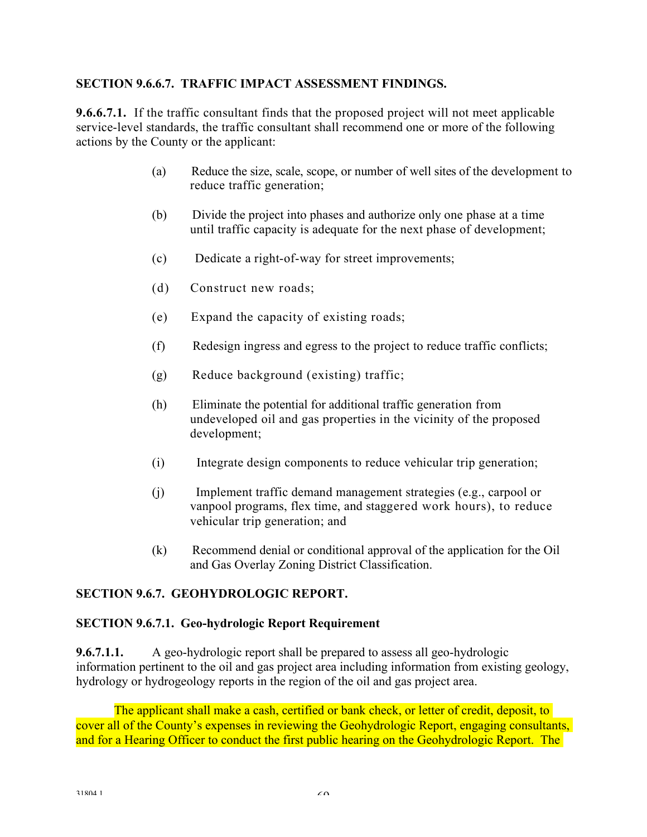## **SECTION 9.6.6.7. TRAFFIC IMPACT ASSESSMENT FINDINGS.**

**9.6.6.7.1.** If the traffic consultant finds that the proposed project will not meet applicable service-level standards, the traffic consultant shall recommend one or more of the following actions by the County or the applicant:

- (a) Reduce the size, scale, scope, or number of well sites of the development to reduce traffic generation;
- (b) Divide the project into phases and authorize only one phase at a time until traffic capacity is adequate for the next phase of development;
- (c) Dedicate a right-of-way for street improvements;
- (d) Construct new roads;
- (e) Expand the capacity of existing roads;
- (f) Redesign ingress and egress to the project to reduce traffic conflicts;
- (g) Reduce background (existing) traffic;
- (h) Eliminate the potential for additional traffic generation from undeveloped oil and gas properties in the vicinity of the proposed development;
- (i) Integrate design components to reduce vehicular trip generation;
- (j) Implement traffic demand management strategies (e.g., carpool or vanpool programs, flex time, and staggered work hours), to reduce vehicular trip generation; and
- (k) Recommend denial or conditional approval of the application for the Oil and Gas Overlay Zoning District Classification.

### **SECTION 9.6.7. GEOHYDROLOGIC REPORT.**

### **SECTION 9.6.7.1. Geo-hydrologic Report Requirement**

**9.6.7.1.1.** A geo-hydrologic report shall be prepared to assess all geo-hydrologic information pertinent to the oil and gas project area including information from existing geology, hydrology or hydrogeology reports in the region of the oil and gas project area.

The applicant shall make a cash, certified or bank check, or letter of credit, deposit, to cover all of the County's expenses in reviewing the Geohydrologic Report, engaging consultants, and for a Hearing Officer to conduct the first public hearing on the Geohydrologic Report. The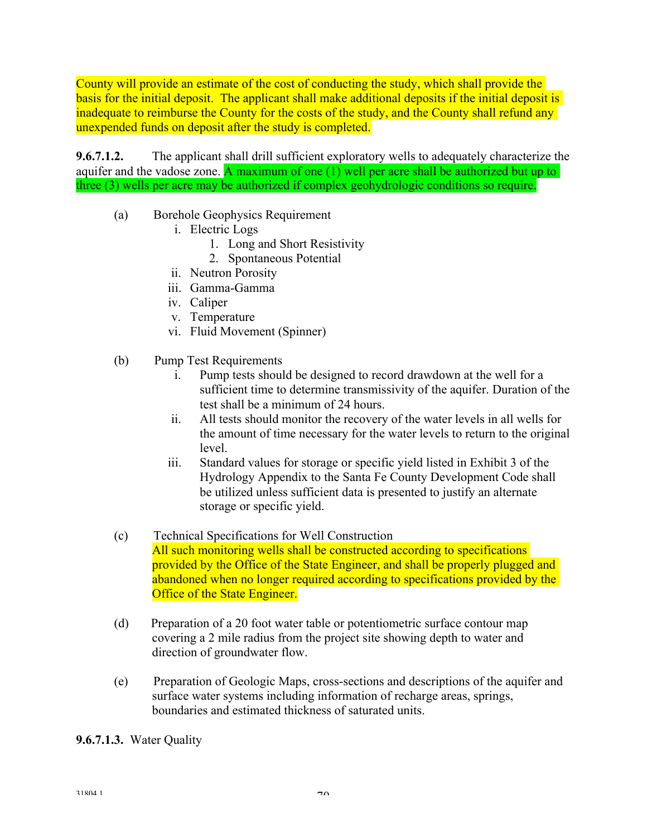County will provide an estimate of the cost of conducting the study, which shall provide the basis for the initial deposit. The applicant shall make additional deposits if the initial deposit is inadequate to reimburse the County for the costs of the study, and the County shall refund any unexpended funds on deposit after the study is completed.

**9.6.7.1.2.** The applicant shall drill sufficient exploratory wells to adequately characterize the aquifer and the vadose zone. A maximum of one  $(1)$  well per acre shall be authorized but up to three (3) wells per acre may be authorized if complex geohydrologic conditions so require.

- (a) Borehole Geophysics Requirement
	- i. Electric Logs
		- 1. Long and Short Resistivity
		- 2. Spontaneous Potential
	- ii. Neutron Porosity
	- iii. Gamma-Gamma
	- iv. Caliper
	- v. Temperature
	- vi. Fluid Movement (Spinner)
- (b) Pump Test Requirements
	- i. Pump tests should be designed to record drawdown at the well for a sufficient time to determine transmissivity of the aquifer. Duration of the test shall be a minimum of 24 hours.
	- ii. All tests should monitor the recovery of the water levels in all wells for the amount of time necessary for the water levels to return to the original level.
	- iii. Standard values for storage or specific yield listed in Exhibit 3 of the Hydrology Appendix to the Santa Fe County Development Code shall be utilized unless sufficient data is presented to justify an alternate storage or specific yield.
- (c) Technical Specifications for Well Construction All such monitoring wells shall be constructed according to specifications provided by the Office of the State Engineer, and shall be properly plugged and abandoned when no longer required according to specifications provided by the Office of the State Engineer.
- (d) Preparation of a 20 foot water table or potentiometric surface contour map covering a 2 mile radius from the project site showing depth to water and direction of groundwater flow.
- (e) Preparation of Geologic Maps, cross-sections and descriptions of the aquifer and surface water systems including information of recharge areas, springs, boundaries and estimated thickness of saturated units.

**9.6.7.1.3.** Water Quality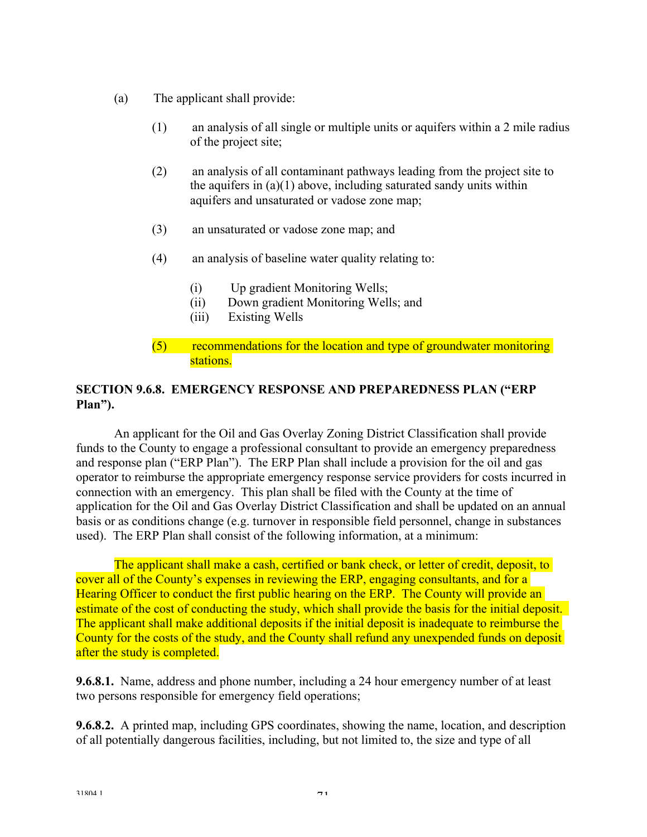- (a) The applicant shall provide:
	- (1) an analysis of all single or multiple units or aquifers within a 2 mile radius of the project site;
	- (2) an analysis of all contaminant pathways leading from the project site to the aquifers in  $(a)(1)$  above, including saturated sandy units within aquifers and unsaturated or vadose zone map;
	- (3) an unsaturated or vadose zone map; and
	- (4) an analysis of baseline water quality relating to:
		- (i) Up gradient Monitoring Wells;
		- (ii) Down gradient Monitoring Wells; and
		- (iii) Existing Wells
	- (5) recommendations for the location and type of groundwater monitoring stations.

## **SECTION 9.6.8. EMERGENCY RESPONSE AND PREPAREDNESS PLAN ("ERP Plan").**

 An applicant for the Oil and Gas Overlay Zoning District Classification shall provide funds to the County to engage a professional consultant to provide an emergency preparedness and response plan ("ERP Plan"). The ERP Plan shall include a provision for the oil and gas operator to reimburse the appropriate emergency response service providers for costs incurred in connection with an emergency. This plan shall be filed with the County at the time of application for the Oil and Gas Overlay District Classification and shall be updated on an annual basis or as conditions change (e.g. turnover in responsible field personnel, change in substances used). The ERP Plan shall consist of the following information, at a minimum:

The applicant shall make a cash, certified or bank check, or letter of credit, deposit, to cover all of the County's expenses in reviewing the ERP, engaging consultants, and for a Hearing Officer to conduct the first public hearing on the ERP. The County will provide an estimate of the cost of conducting the study, which shall provide the basis for the initial deposit. The applicant shall make additional deposits if the initial deposit is inadequate to reimburse the County for the costs of the study, and the County shall refund any unexpended funds on deposit after the study is completed.

**9.6.8.1.** Name, address and phone number, including a 24 hour emergency number of at least two persons responsible for emergency field operations;

**9.6.8.2.** A printed map, including GPS coordinates, showing the name, location, and description of all potentially dangerous facilities, including, but not limited to, the size and type of all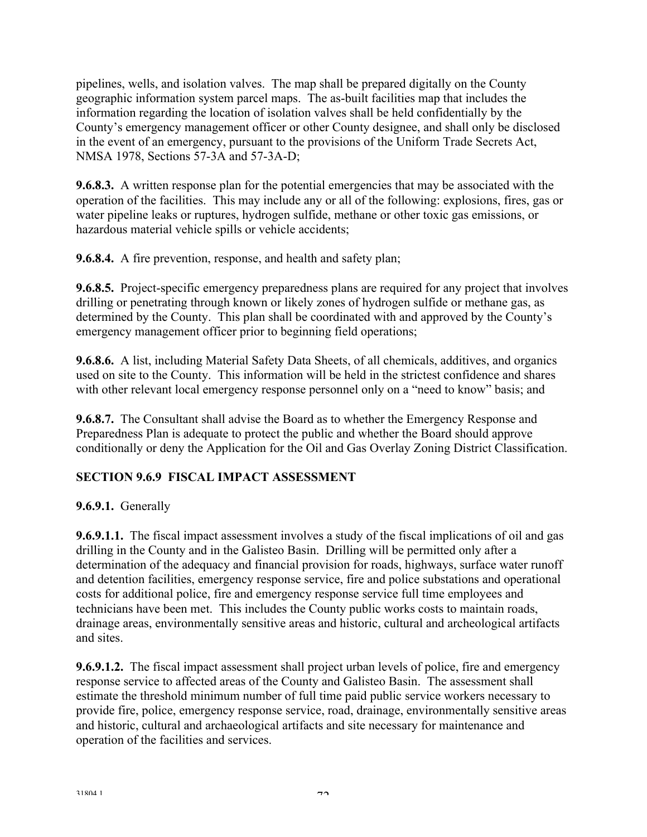pipelines, wells, and isolation valves. The map shall be prepared digitally on the County geographic information system parcel maps. The as-built facilities map that includes the information regarding the location of isolation valves shall be held confidentially by the County's emergency management officer or other County designee, and shall only be disclosed in the event of an emergency, pursuant to the provisions of the Uniform Trade Secrets Act, NMSA 1978, Sections 57-3A and 57-3A-D;

**9.6.8.3.** A written response plan for the potential emergencies that may be associated with the operation of the facilities. This may include any or all of the following: explosions, fires, gas or water pipeline leaks or ruptures, hydrogen sulfide, methane or other toxic gas emissions, or hazardous material vehicle spills or vehicle accidents;

**9.6.8.4.** A fire prevention, response, and health and safety plan;

**9.6.8.5.** Project-specific emergency preparedness plans are required for any project that involves drilling or penetrating through known or likely zones of hydrogen sulfide or methane gas, as determined by the County. This plan shall be coordinated with and approved by the County's emergency management officer prior to beginning field operations;

**9.6.8.6.** A list, including Material Safety Data Sheets, of all chemicals, additives, and organics used on site to the County. This information will be held in the strictest confidence and shares with other relevant local emergency response personnel only on a "need to know" basis; and

**9.6.8.7.** The Consultant shall advise the Board as to whether the Emergency Response and Preparedness Plan is adequate to protect the public and whether the Board should approve conditionally or deny the Application for the Oil and Gas Overlay Zoning District Classification.

# **SECTION 9.6.9 FISCAL IMPACT ASSESSMENT**

# **9.6.9.1.** Generally

**9.6.9.1.1.** The fiscal impact assessment involves a study of the fiscal implications of oil and gas drilling in the County and in the Galisteo Basin. Drilling will be permitted only after a determination of the adequacy and financial provision for roads, highways, surface water runoff and detention facilities, emergency response service, fire and police substations and operational costs for additional police, fire and emergency response service full time employees and technicians have been met. This includes the County public works costs to maintain roads, drainage areas, environmentally sensitive areas and historic, cultural and archeological artifacts and sites.

**9.6.9.1.2.** The fiscal impact assessment shall project urban levels of police, fire and emergency response service to affected areas of the County and Galisteo Basin. The assessment shall estimate the threshold minimum number of full time paid public service workers necessary to provide fire, police, emergency response service, road, drainage, environmentally sensitive areas and historic, cultural and archaeological artifacts and site necessary for maintenance and operation of the facilities and services.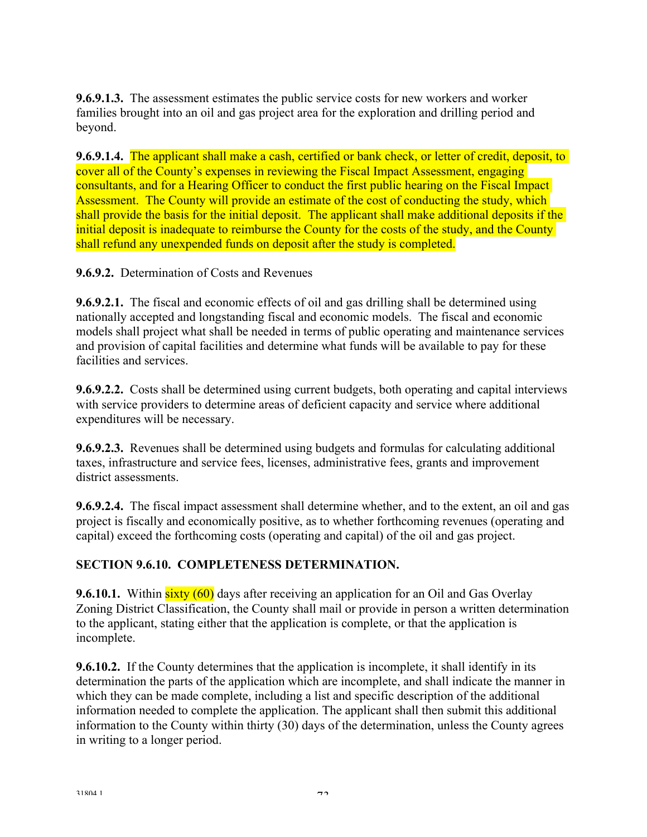**9.6.9.1.3.** The assessment estimates the public service costs for new workers and worker families brought into an oil and gas project area for the exploration and drilling period and beyond.

**9.6.9.1.4.** The applicant shall make a cash, certified or bank check, or letter of credit, deposit, to cover all of the County's expenses in reviewing the Fiscal Impact Assessment, engaging consultants, and for a Hearing Officer to conduct the first public hearing on the Fiscal Impact Assessment. The County will provide an estimate of the cost of conducting the study, which shall provide the basis for the initial deposit. The applicant shall make additional deposits if the initial deposit is inadequate to reimburse the County for the costs of the study, and the County shall refund any unexpended funds on deposit after the study is completed.

**9.6.9.2.** Determination of Costs and Revenues

**9.6.9.2.1.** The fiscal and economic effects of oil and gas drilling shall be determined using nationally accepted and longstanding fiscal and economic models. The fiscal and economic models shall project what shall be needed in terms of public operating and maintenance services and provision of capital facilities and determine what funds will be available to pay for these facilities and services.

**9.6.9.2.2.** Costs shall be determined using current budgets, both operating and capital interviews with service providers to determine areas of deficient capacity and service where additional expenditures will be necessary.

**9.6.9.2.3.** Revenues shall be determined using budgets and formulas for calculating additional taxes, infrastructure and service fees, licenses, administrative fees, grants and improvement district assessments.

**9.6.9.2.4.** The fiscal impact assessment shall determine whether, and to the extent, an oil and gas project is fiscally and economically positive, as to whether forthcoming revenues (operating and capital) exceed the forthcoming costs (operating and capital) of the oil and gas project.

## **SECTION 9.6.10. COMPLETENESS DETERMINATION.**

**9.6.10.1.** Within sixty (60) days after receiving an application for an Oil and Gas Overlay Zoning District Classification, the County shall mail or provide in person a written determination to the applicant, stating either that the application is complete, or that the application is incomplete.

**9.6.10.2.** If the County determines that the application is incomplete, it shall identify in its determination the parts of the application which are incomplete, and shall indicate the manner in which they can be made complete, including a list and specific description of the additional information needed to complete the application. The applicant shall then submit this additional information to the County within thirty (30) days of the determination, unless the County agrees in writing to a longer period.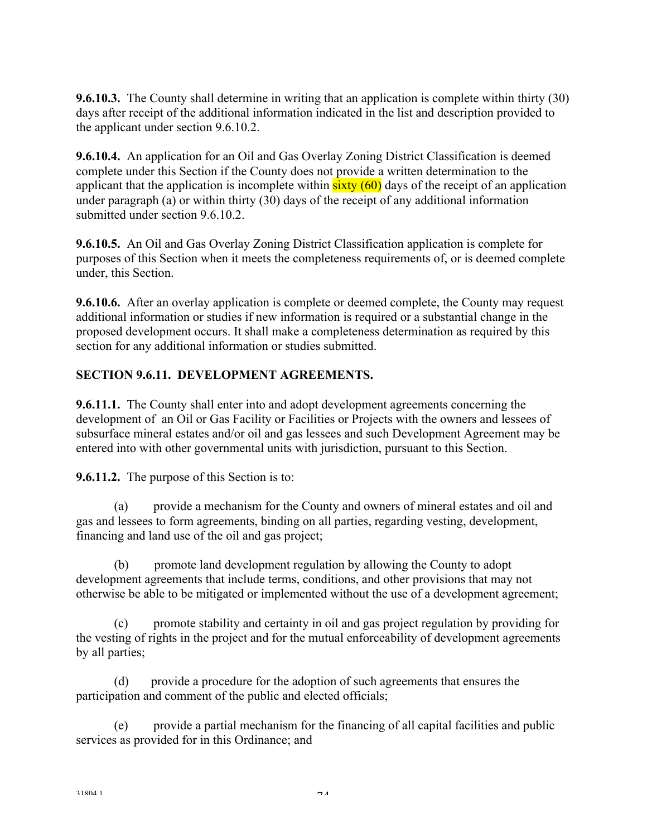**9.6.10.3.** The County shall determine in writing that an application is complete within thirty (30) days after receipt of the additional information indicated in the list and description provided to the applicant under section 9.6.10.2.

**9.6.10.4.** An application for an Oil and Gas Overlay Zoning District Classification is deemed complete under this Section if the County does not provide a written determination to the applicant that the application is incomplete within  $sixty(60)$  days of the receipt of an application under paragraph (a) or within thirty (30) days of the receipt of any additional information submitted under section 9.6.10.2.

**9.6.10.5.** An Oil and Gas Overlay Zoning District Classification application is complete for purposes of this Section when it meets the completeness requirements of, or is deemed complete under, this Section.

**9.6.10.6.** After an overlay application is complete or deemed complete, the County may request additional information or studies if new information is required or a substantial change in the proposed development occurs. It shall make a completeness determination as required by this section for any additional information or studies submitted.

## **SECTION 9.6.11. DEVELOPMENT AGREEMENTS.**

**9.6.11.1.** The County shall enter into and adopt development agreements concerning the development of an Oil or Gas Facility or Facilities or Projects with the owners and lessees of subsurface mineral estates and/or oil and gas lessees and such Development Agreement may be entered into with other governmental units with jurisdiction, pursuant to this Section.

**9.6.11.2.** The purpose of this Section is to:

 (a) provide a mechanism for the County and owners of mineral estates and oil and gas and lessees to form agreements, binding on all parties, regarding vesting, development, financing and land use of the oil and gas project;

 (b) promote land development regulation by allowing the County to adopt development agreements that include terms, conditions, and other provisions that may not otherwise be able to be mitigated or implemented without the use of a development agreement;

 (c) promote stability and certainty in oil and gas project regulation by providing for the vesting of rights in the project and for the mutual enforceability of development agreements by all parties;

 (d) provide a procedure for the adoption of such agreements that ensures the participation and comment of the public and elected officials;

 (e) provide a partial mechanism for the financing of all capital facilities and public services as provided for in this Ordinance; and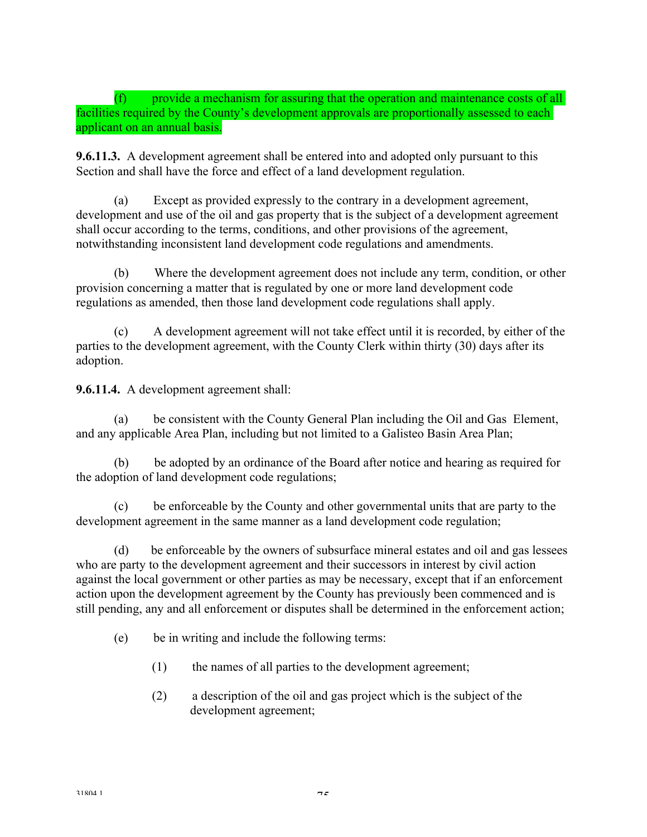(f) provide a mechanism for assuring that the operation and maintenance costs of all facilities required by the County's development approvals are proportionally assessed to each applicant on an annual basis.

**9.6.11.3.** A development agreement shall be entered into and adopted only pursuant to this Section and shall have the force and effect of a land development regulation.

 (a) Except as provided expressly to the contrary in a development agreement, development and use of the oil and gas property that is the subject of a development agreement shall occur according to the terms, conditions, and other provisions of the agreement, notwithstanding inconsistent land development code regulations and amendments.

 (b) Where the development agreement does not include any term, condition, or other provision concerning a matter that is regulated by one or more land development code regulations as amended, then those land development code regulations shall apply.

 (c) A development agreement will not take effect until it is recorded, by either of the parties to the development agreement, with the County Clerk within thirty (30) days after its adoption.

**9.6.11.4.** A development agreement shall:

be consistent with the County General Plan including the Oil and Gas Element, and any applicable Area Plan, including but not limited to a Galisteo Basin Area Plan;

 (b) be adopted by an ordinance of the Board after notice and hearing as required for the adoption of land development code regulations;

 (c) be enforceable by the County and other governmental units that are party to the development agreement in the same manner as a land development code regulation;

 (d) be enforceable by the owners of subsurface mineral estates and oil and gas lessees who are party to the development agreement and their successors in interest by civil action against the local government or other parties as may be necessary, except that if an enforcement action upon the development agreement by the County has previously been commenced and is still pending, any and all enforcement or disputes shall be determined in the enforcement action;

(e) be in writing and include the following terms:

(1) the names of all parties to the development agreement;

(2) a description of the oil and gas project which is the subject of the development agreement;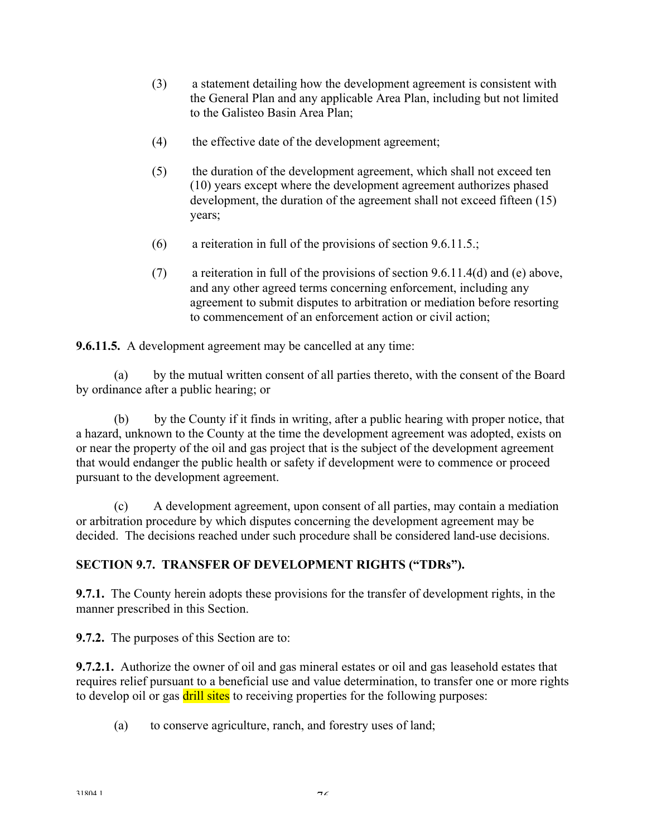- (3) a statement detailing how the development agreement is consistent with the General Plan and any applicable Area Plan, including but not limited to the Galisteo Basin Area Plan;
- (4) the effective date of the development agreement;
- (5) the duration of the development agreement, which shall not exceed ten (10) years except where the development agreement authorizes phased development, the duration of the agreement shall not exceed fifteen (15) years;
- (6) a reiteration in full of the provisions of section 9.6.11.5.;
- (7) a reiteration in full of the provisions of section 9.6.11.4(d) and (e) above, and any other agreed terms concerning enforcement, including any agreement to submit disputes to arbitration or mediation before resorting to commencement of an enforcement action or civil action;

**9.6.11.5.** A development agreement may be cancelled at any time:

 (a) by the mutual written consent of all parties thereto, with the consent of the Board by ordinance after a public hearing; or

 (b) by the County if it finds in writing, after a public hearing with proper notice, that a hazard, unknown to the County at the time the development agreement was adopted, exists on or near the property of the oil and gas project that is the subject of the development agreement that would endanger the public health or safety if development were to commence or proceed pursuant to the development agreement.

 (c) A development agreement, upon consent of all parties, may contain a mediation or arbitration procedure by which disputes concerning the development agreement may be decided. The decisions reached under such procedure shall be considered land-use decisions.

## **SECTION 9.7. TRANSFER OF DEVELOPMENT RIGHTS ("TDRs").**

**9.7.1.** The County herein adopts these provisions for the transfer of development rights, in the manner prescribed in this Section.

**9.7.2.** The purposes of this Section are to:

**9.7.2.1.** Authorize the owner of oil and gas mineral estates or oil and gas leasehold estates that requires relief pursuant to a beneficial use and value determination, to transfer one or more rights to develop oil or gas drill sites to receiving properties for the following purposes:

(a) to conserve agriculture, ranch, and forestry uses of land;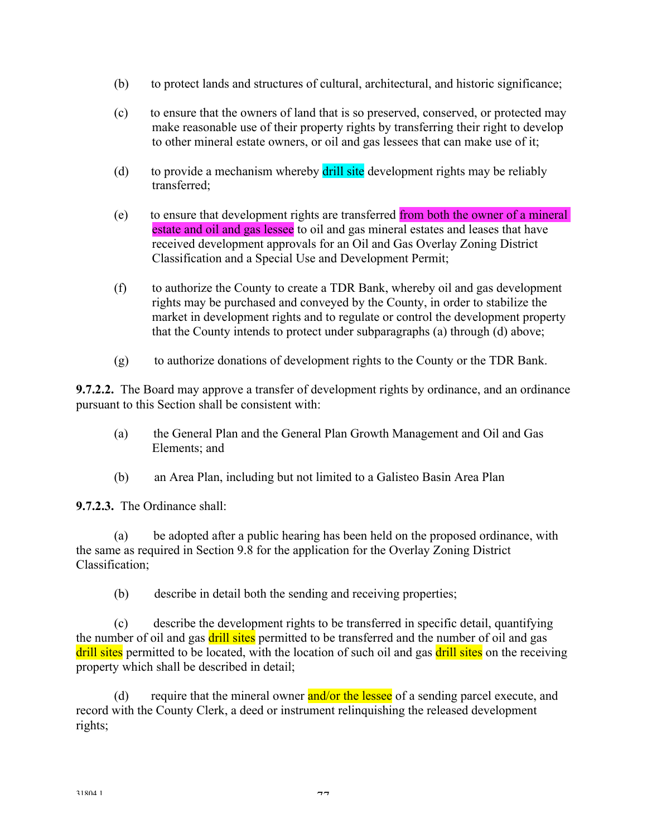- (b) to protect lands and structures of cultural, architectural, and historic significance;
- (c) to ensure that the owners of land that is so preserved, conserved, or protected may make reasonable use of their property rights by transferring their right to develop to other mineral estate owners, or oil and gas lessees that can make use of it;
- (d) to provide a mechanism whereby drill site development rights may be reliably transferred;
- (e) to ensure that development rights are transferred from both the owner of a mineral estate and oil and gas lessee to oil and gas mineral estates and leases that have received development approvals for an Oil and Gas Overlay Zoning District Classification and a Special Use and Development Permit;
- (f) to authorize the County to create a TDR Bank, whereby oil and gas development rights may be purchased and conveyed by the County, in order to stabilize the market in development rights and to regulate or control the development property that the County intends to protect under subparagraphs (a) through (d) above;
- (g) to authorize donations of development rights to the County or the TDR Bank.

**9.7.2.2.** The Board may approve a transfer of development rights by ordinance, and an ordinance pursuant to this Section shall be consistent with:

- (a) the General Plan and the General Plan Growth Management and Oil and Gas Elements; and
- (b) an Area Plan, including but not limited to a Galisteo Basin Area Plan

**9.7.2.3.** The Ordinance shall:

 (a) be adopted after a public hearing has been held on the proposed ordinance, with the same as required in Section 9.8 for the application for the Overlay Zoning District Classification;

(b) describe in detail both the sending and receiving properties;

 (c) describe the development rights to be transferred in specific detail, quantifying the number of oil and gas drill sites permitted to be transferred and the number of oil and gas drill sites permitted to be located, with the location of such oil and gas drill sites on the receiving property which shall be described in detail;

(d) require that the mineral owner and/or the lessee of a sending parcel execute, and record with the County Clerk, a deed or instrument relinquishing the released development rights;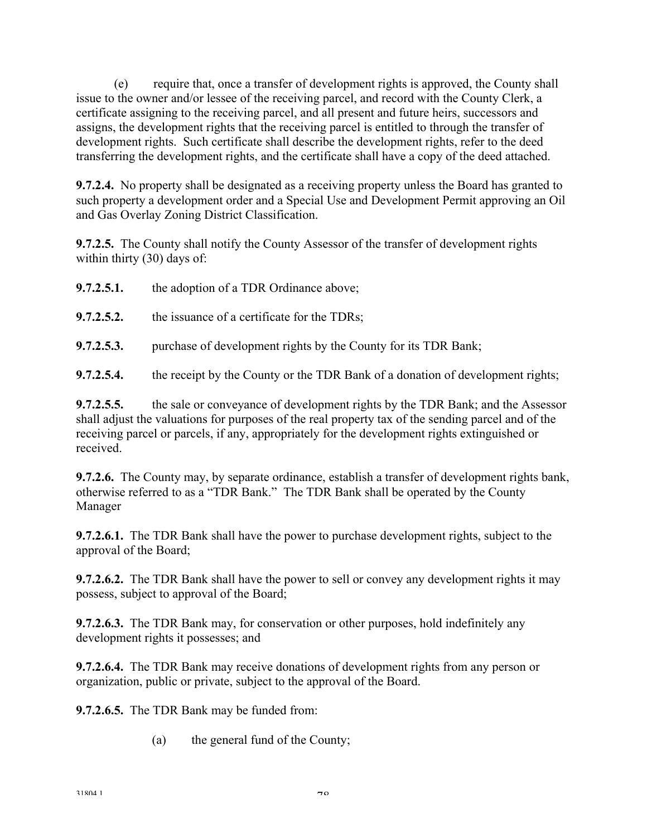(e) require that, once a transfer of development rights is approved, the County shall issue to the owner and/or lessee of the receiving parcel, and record with the County Clerk, a certificate assigning to the receiving parcel, and all present and future heirs, successors and assigns, the development rights that the receiving parcel is entitled to through the transfer of development rights. Such certificate shall describe the development rights, refer to the deed transferring the development rights, and the certificate shall have a copy of the deed attached.

**9.7.2.4.** No property shall be designated as a receiving property unless the Board has granted to such property a development order and a Special Use and Development Permit approving an Oil and Gas Overlay Zoning District Classification.

**9.7.2.5.** The County shall notify the County Assessor of the transfer of development rights within thirty (30) days of:

| 9.7.2.5.1. | the adoption of a TDR Ordinance above;                                         |
|------------|--------------------------------------------------------------------------------|
| 9.7.2.5.2. | the issuance of a certificate for the TDRs;                                    |
| 9.7.2.5.3. | purchase of development rights by the County for its TDR Bank;                 |
| 9.7.2.5.4. | the receipt by the County or the TDR Bank of a donation of development rights; |

**9.7.2.5.5.** the sale or conveyance of development rights by the TDR Bank; and the Assessor shall adjust the valuations for purposes of the real property tax of the sending parcel and of the receiving parcel or parcels, if any, appropriately for the development rights extinguished or received.

**9.7.2.6.** The County may, by separate ordinance, establish a transfer of development rights bank, otherwise referred to as a "TDR Bank." The TDR Bank shall be operated by the County Manager

**9.7.2.6.1.** The TDR Bank shall have the power to purchase development rights, subject to the approval of the Board;

**9.7.2.6.2.** The TDR Bank shall have the power to sell or convey any development rights it may possess, subject to approval of the Board;

**9.7.2.6.3.** The TDR Bank may, for conservation or other purposes, hold indefinitely any development rights it possesses; and

**9.7.2.6.4.** The TDR Bank may receive donations of development rights from any person or organization, public or private, subject to the approval of the Board.

**9.7.2.6.5.** The TDR Bank may be funded from:

(a) the general fund of the County;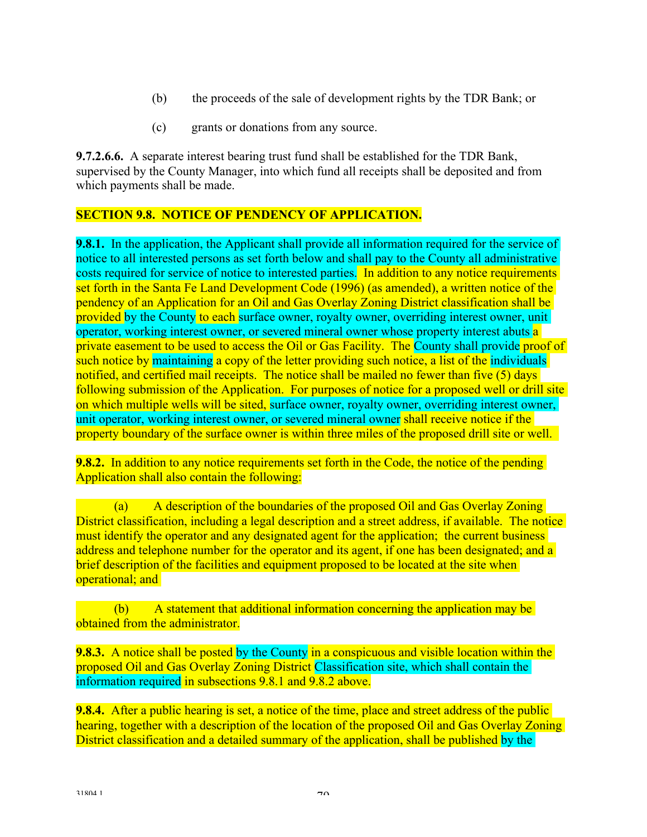- (b) the proceeds of the sale of development rights by the TDR Bank; or
- (c) grants or donations from any source.

**9.7.2.6.6.** A separate interest bearing trust fund shall be established for the TDR Bank, supervised by the County Manager, into which fund all receipts shall be deposited and from which payments shall be made.

#### **SECTION 9.8. NOTICE OF PENDENCY OF APPLICATION.**

**9.8.1.** In the application, the Applicant shall provide all information required for the service of notice to all interested persons as set forth below and shall pay to the County all administrative costs required for service of notice to interested parties. In addition to any notice requirements set forth in the Santa Fe Land Development Code (1996) (as amended), a written notice of the pendency of an Application for an Oil and Gas Overlay Zoning District classification shall be provided by the County to each surface owner, royalty owner, overriding interest owner, unit operator, working interest owner, or severed mineral owner whose property interest abuts a private easement to be used to access the Oil or Gas Facility. The County shall provide proof of such notice by maintaining a copy of the letter providing such notice, a list of the individuals notified, and certified mail receipts. The notice shall be mailed no fewer than five (5) days following submission of the Application. For purposes of notice for a proposed well or drill site on which multiple wells will be sited, surface owner, royalty owner, overriding interest owner, unit operator, working interest owner, or severed mineral owner shall receive notice if the property boundary of the surface owner is within three miles of the proposed drill site or well.

**9.8.2.** In addition to any notice requirements set forth in the Code, the notice of the pending Application shall also contain the following:

 (a) A description of the boundaries of the proposed Oil and Gas Overlay Zoning District classification, including a legal description and a street address, if available. The notice must identify the operator and any designated agent for the application; the current business address and telephone number for the operator and its agent, if one has been designated; and a brief description of the facilities and equipment proposed to be located at the site when operational; and

 (b) A statement that additional information concerning the application may be obtained from the administrator.

**9.8.3.** A notice shall be posted by the County in a conspicuous and visible location within the proposed Oil and Gas Overlay Zoning District Classification site, which shall contain the information required in subsections 9.8.1 and 9.8.2 above.

**9.8.4.** After a public hearing is set, a notice of the time, place and street address of the public hearing, together with a description of the location of the proposed Oil and Gas Overlay Zoning District classification and a detailed summary of the application, shall be published by the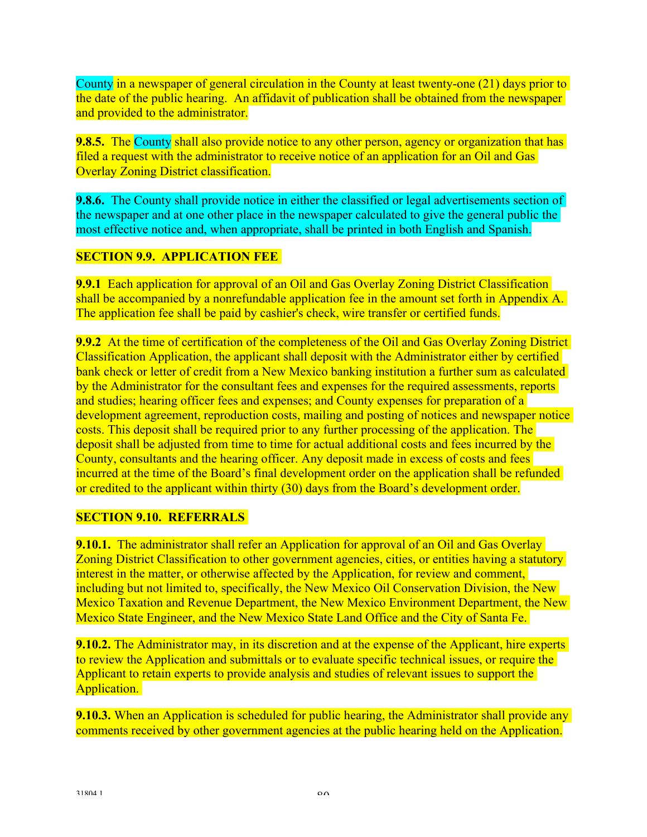County in a newspaper of general circulation in the County at least twenty-one (21) days prior to the date of the public hearing. An affidavit of publication shall be obtained from the newspaper and provided to the administrator.

**9.8.5.** The County shall also provide notice to any other person, agency or organization that has filed a request with the administrator to receive notice of an application for an Oil and Gas Overlay Zoning District classification.

**9.8.6.** The County shall provide notice in either the classified or legal advertisements section of the newspaper and at one other place in the newspaper calculated to give the general public the most effective notice and, when appropriate, shall be printed in both English and Spanish.

## **SECTION 9.9. APPLICATION FEE**

**9.9.1** Each application for approval of an Oil and Gas Overlay Zoning District Classification shall be accompanied by a nonrefundable application fee in the amount set forth in Appendix A. The application fee shall be paid by cashier's check, wire transfer or certified funds.

**9.9.2** At the time of certification of the completeness of the Oil and Gas Overlay Zoning District Classification Application, the applicant shall deposit with the Administrator either by certified bank check or letter of credit from a New Mexico banking institution a further sum as calculated by the Administrator for the consultant fees and expenses for the required assessments, reports and studies; hearing officer fees and expenses; and County expenses for preparation of a development agreement, reproduction costs, mailing and posting of notices and newspaper notice costs. This deposit shall be required prior to any further processing of the application. The deposit shall be adjusted from time to time for actual additional costs and fees incurred by the County, consultants and the hearing officer. Any deposit made in excess of costs and fees incurred at the time of the Board's final development order on the application shall be refunded or credited to the applicant within thirty (30) days from the Board's development order.

#### **SECTION 9.10. REFERRALS**

**9.10.1.** The administrator shall refer an Application for approval of an Oil and Gas Overlay Zoning District Classification to other government agencies, cities, or entities having a statutory interest in the matter, or otherwise affected by the Application, for review and comment, including but not limited to, specifically, the New Mexico Oil Conservation Division, the New Mexico Taxation and Revenue Department, the New Mexico Environment Department, the New Mexico State Engineer, and the New Mexico State Land Office and the City of Santa Fe.

**9.10.2.** The Administrator may, in its discretion and at the expense of the Applicant, hire experts to review the Application and submittals or to evaluate specific technical issues, or require the Applicant to retain experts to provide analysis and studies of relevant issues to support the Application.

**9.10.3.** When an Application is scheduled for public hearing, the Administrator shall provide any comments received by other government agencies at the public hearing held on the Application.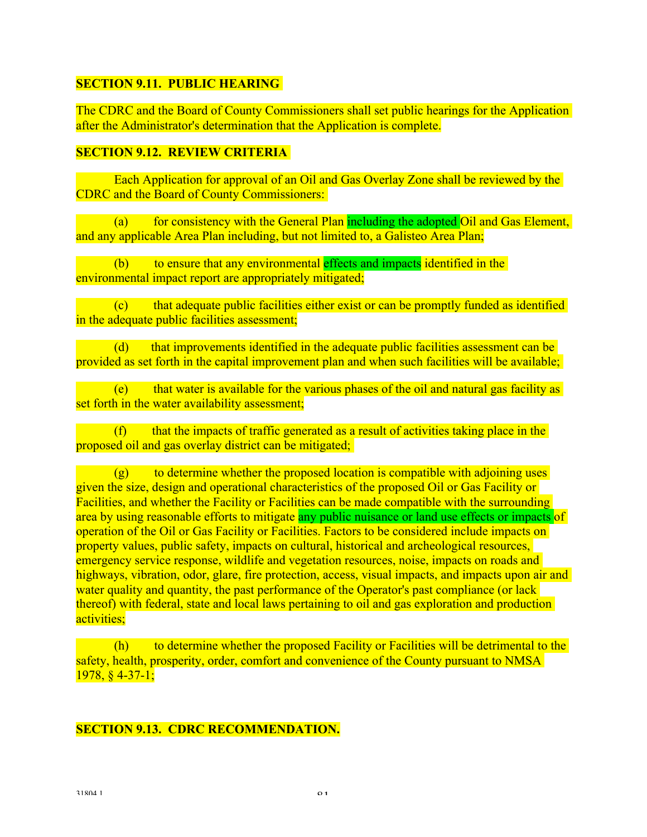#### **SECTION 9.11. PUBLIC HEARING**

The CDRC and the Board of County Commissioners shall set public hearings for the Application after the Administrator's determination that the Application is complete.

### **SECTION 9.12. REVIEW CRITERIA**

 Each Application for approval of an Oil and Gas Overlay Zone shall be reviewed by the CDRC and the Board of County Commissioners:

 (a) for consistency with the General Plan including the adopted Oil and Gas Element, and any applicable Area Plan including, but not limited to, a Galisteo Area Plan;

 (b) to ensure that any environmental effects and impacts identified in the environmental impact report are appropriately mitigated;

 (c) that adequate public facilities either exist or can be promptly funded as identified in the adequate public facilities assessment;

 (d) that improvements identified in the adequate public facilities assessment can be provided as set forth in the capital improvement plan and when such facilities will be available;

 (e) that water is available for the various phases of the oil and natural gas facility as set forth in the water availability assessment;

 $(f)$  that the impacts of traffic generated as a result of activities taking place in the proposed oil and gas overlay district can be mitigated;

 $(g)$  to determine whether the proposed location is compatible with adjoining uses given the size, design and operational characteristics of the proposed Oil or Gas Facility or Facilities, and whether the Facility or Facilities can be made compatible with the surrounding area by using reasonable efforts to mitigate any public nuisance or land use effects or impacts of operation of the Oil or Gas Facility or Facilities. Factors to be considered include impacts on property values, public safety, impacts on cultural, historical and archeological resources, emergency service response, wildlife and vegetation resources, noise, impacts on roads and highways, vibration, odor, glare, fire protection, access, visual impacts, and impacts upon air and water quality and quantity, the past performance of the Operator's past compliance (or lack thereof) with federal, state and local laws pertaining to oil and gas exploration and production activities;

 (h) to determine whether the proposed Facility or Facilities will be detrimental to the safety, health, prosperity, order, comfort and convenience of the County pursuant to NMSA 1978, § 4-37-1;

#### **SECTION 9.13. CDRC RECOMMENDATION.**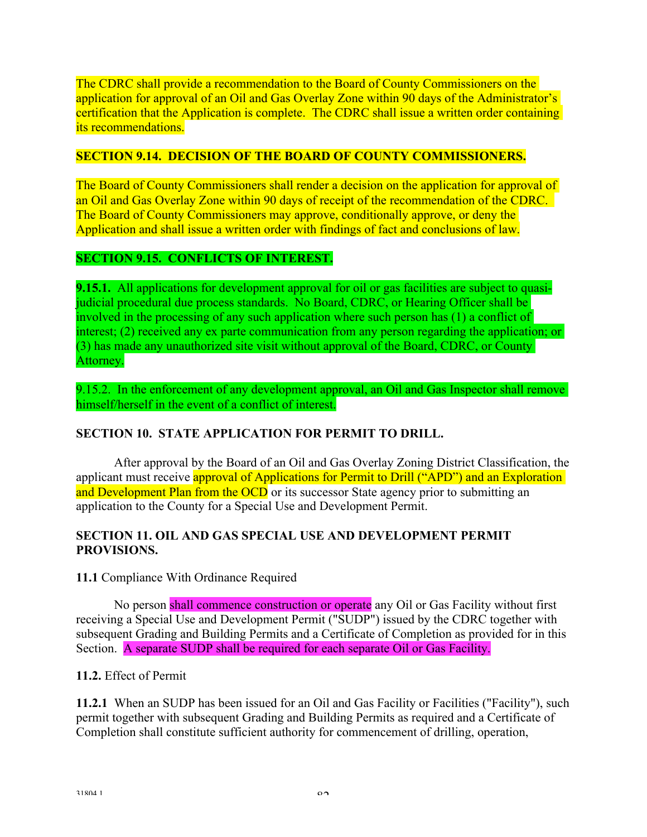The CDRC shall provide a recommendation to the Board of County Commissioners on the application for approval of an Oil and Gas Overlay Zone within 90 days of the Administrator's certification that the Application is complete. The CDRC shall issue a written order containing its recommendations.

### **SECTION 9.14. DECISION OF THE BOARD OF COUNTY COMMISSIONERS.**

The Board of County Commissioners shall render a decision on the application for approval of an Oil and Gas Overlay Zone within 90 days of receipt of the recommendation of the CDRC. The Board of County Commissioners may approve, conditionally approve, or deny the Application and shall issue a written order with findings of fact and conclusions of law.

#### **SECTION 9.15. CONFLICTS OF INTEREST.**

**9.15.1.** All applications for development approval for oil or gas facilities are subject to quasijudicial procedural due process standards. No Board, CDRC, or Hearing Officer shall be involved in the processing of any such application where such person has (1) a conflict of interest; (2) received any ex parte communication from any person regarding the application; or (3) has made any unauthorized site visit without approval of the Board, CDRC, or County Attorney.

9.15.2. In the enforcement of any development approval, an Oil and Gas Inspector shall remove himself/herself in the event of a conflict of interest.

## **SECTION 10. STATE APPLICATION FOR PERMIT TO DRILL.**

 After approval by the Board of an Oil and Gas Overlay Zoning District Classification, the applicant must receive approval of Applications for Permit to Drill ("APD") and an Exploration and Development Plan from the OCD or its successor State agency prior to submitting an application to the County for a Special Use and Development Permit.

#### **SECTION 11. OIL AND GAS SPECIAL USE AND DEVELOPMENT PERMIT PROVISIONS.**

**11.1** Compliance With Ordinance Required

 No person shall commence construction or operate any Oil or Gas Facility without first receiving a Special Use and Development Permit ("SUDP") issued by the CDRC together with subsequent Grading and Building Permits and a Certificate of Completion as provided for in this Section. A separate SUDP shall be required for each separate Oil or Gas Facility.

#### **11.2.** Effect of Permit

**11.2.1** When an SUDP has been issued for an Oil and Gas Facility or Facilities ("Facility"), such permit together with subsequent Grading and Building Permits as required and a Certificate of Completion shall constitute sufficient authority for commencement of drilling, operation,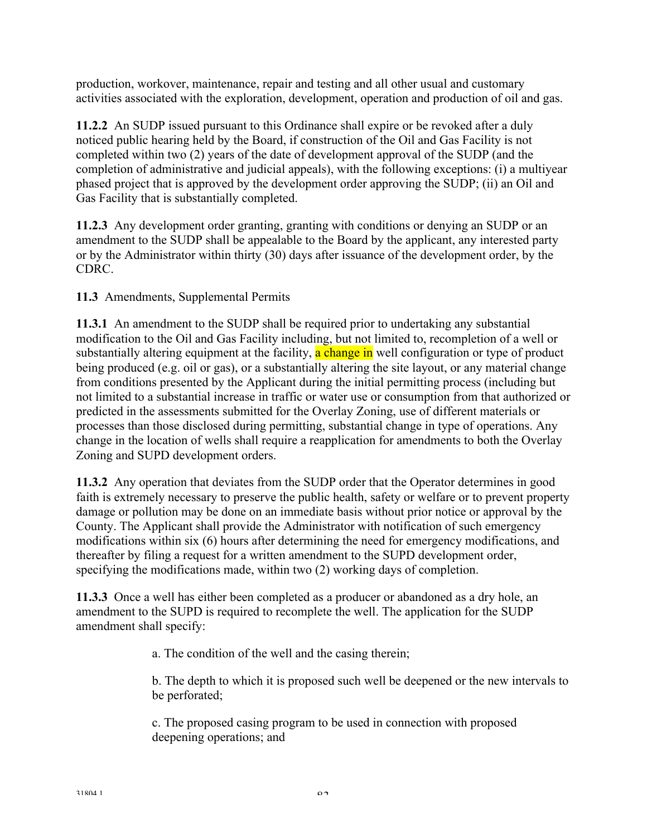production, workover, maintenance, repair and testing and all other usual and customary activities associated with the exploration, development, operation and production of oil and gas.

**11.2.2** An SUDP issued pursuant to this Ordinance shall expire or be revoked after a duly noticed public hearing held by the Board, if construction of the Oil and Gas Facility is not completed within two (2) years of the date of development approval of the SUDP (and the completion of administrative and judicial appeals), with the following exceptions: (i) a multiyear phased project that is approved by the development order approving the SUDP; (ii) an Oil and Gas Facility that is substantially completed.

**11.2.3** Any development order granting, granting with conditions or denying an SUDP or an amendment to the SUDP shall be appealable to the Board by the applicant, any interested party or by the Administrator within thirty (30) days after issuance of the development order, by the CDRC.

**11.3** Amendments, Supplemental Permits

**11.3.1** An amendment to the SUDP shall be required prior to undertaking any substantial modification to the Oil and Gas Facility including, but not limited to, recompletion of a well or substantially altering equipment at the facility, a change in well configuration or type of product being produced (e.g. oil or gas), or a substantially altering the site layout, or any material change from conditions presented by the Applicant during the initial permitting process (including but not limited to a substantial increase in traffic or water use or consumption from that authorized or predicted in the assessments submitted for the Overlay Zoning, use of different materials or processes than those disclosed during permitting, substantial change in type of operations. Any change in the location of wells shall require a reapplication for amendments to both the Overlay Zoning and SUPD development orders.

**11.3.2** Any operation that deviates from the SUDP order that the Operator determines in good faith is extremely necessary to preserve the public health, safety or welfare or to prevent property damage or pollution may be done on an immediate basis without prior notice or approval by the County. The Applicant shall provide the Administrator with notification of such emergency modifications within six (6) hours after determining the need for emergency modifications, and thereafter by filing a request for a written amendment to the SUPD development order, specifying the modifications made, within two (2) working days of completion.

**11.3.3** Once a well has either been completed as a producer or abandoned as a dry hole, an amendment to the SUPD is required to recomplete the well. The application for the SUDP amendment shall specify:

a. The condition of the well and the casing therein;

b. The depth to which it is proposed such well be deepened or the new intervals to be perforated;

c. The proposed casing program to be used in connection with proposed deepening operations; and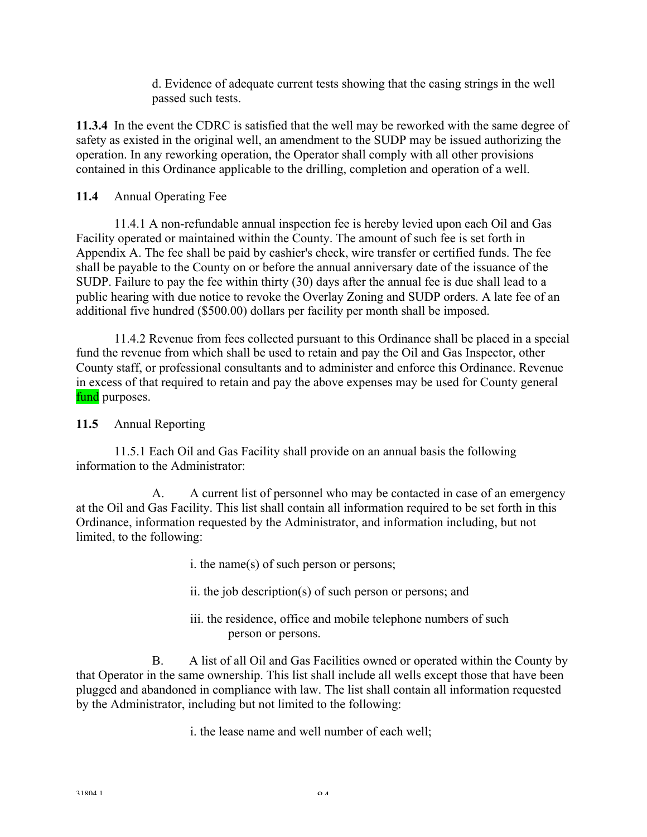d. Evidence of adequate current tests showing that the casing strings in the well passed such tests.

**11.3.4** In the event the CDRC is satisfied that the well may be reworked with the same degree of safety as existed in the original well, an amendment to the SUDP may be issued authorizing the operation. In any reworking operation, the Operator shall comply with all other provisions contained in this Ordinance applicable to the drilling, completion and operation of a well.

## **11.4** Annual Operating Fee

 11.4.1 A non-refundable annual inspection fee is hereby levied upon each Oil and Gas Facility operated or maintained within the County. The amount of such fee is set forth in Appendix A. The fee shall be paid by cashier's check, wire transfer or certified funds. The fee shall be payable to the County on or before the annual anniversary date of the issuance of the SUDP. Failure to pay the fee within thirty (30) days after the annual fee is due shall lead to a public hearing with due notice to revoke the Overlay Zoning and SUDP orders. A late fee of an additional five hundred (\$500.00) dollars per facility per month shall be imposed.

 11.4.2 Revenue from fees collected pursuant to this Ordinance shall be placed in a special fund the revenue from which shall be used to retain and pay the Oil and Gas Inspector, other County staff, or professional consultants and to administer and enforce this Ordinance. Revenue in excess of that required to retain and pay the above expenses may be used for County general fund purposes.

## **11.5** Annual Reporting

 11.5.1 Each Oil and Gas Facility shall provide on an annual basis the following information to the Administrator:

 A. A current list of personnel who may be contacted in case of an emergency at the Oil and Gas Facility. This list shall contain all information required to be set forth in this Ordinance, information requested by the Administrator, and information including, but not limited, to the following:

- i. the name(s) of such person or persons;
- ii. the job description(s) of such person or persons; and
- iii. the residence, office and mobile telephone numbers of such person or persons.

 B. A list of all Oil and Gas Facilities owned or operated within the County by that Operator in the same ownership. This list shall include all wells except those that have been plugged and abandoned in compliance with law. The list shall contain all information requested by the Administrator, including but not limited to the following:

i. the lease name and well number of each well;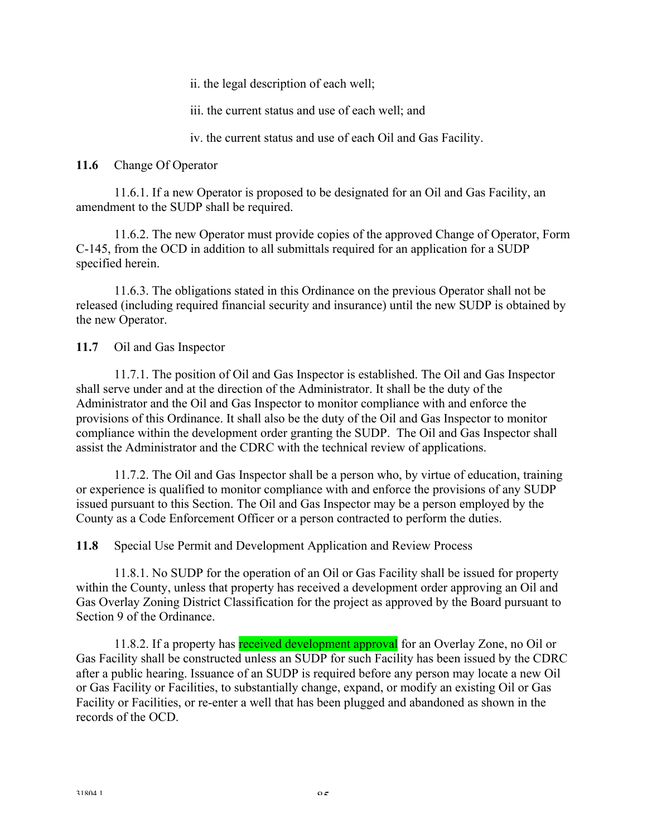ii. the legal description of each well;

iii. the current status and use of each well; and

iv. the current status and use of each Oil and Gas Facility.

**11.6** Change Of Operator

 11.6.1. If a new Operator is proposed to be designated for an Oil and Gas Facility, an amendment to the SUDP shall be required.

 11.6.2. The new Operator must provide copies of the approved Change of Operator, Form C-145, from the OCD in addition to all submittals required for an application for a SUDP specified herein.

 11.6.3. The obligations stated in this Ordinance on the previous Operator shall not be released (including required financial security and insurance) until the new SUDP is obtained by the new Operator.

**11.7** Oil and Gas Inspector

 11.7.1. The position of Oil and Gas Inspector is established. The Oil and Gas Inspector shall serve under and at the direction of the Administrator. It shall be the duty of the Administrator and the Oil and Gas Inspector to monitor compliance with and enforce the provisions of this Ordinance. It shall also be the duty of the Oil and Gas Inspector to monitor compliance within the development order granting the SUDP. The Oil and Gas Inspector shall assist the Administrator and the CDRC with the technical review of applications.

 11.7.2. The Oil and Gas Inspector shall be a person who, by virtue of education, training or experience is qualified to monitor compliance with and enforce the provisions of any SUDP issued pursuant to this Section. The Oil and Gas Inspector may be a person employed by the County as a Code Enforcement Officer or a person contracted to perform the duties.

**11.8** Special Use Permit and Development Application and Review Process

 11.8.1. No SUDP for the operation of an Oil or Gas Facility shall be issued for property within the County, unless that property has received a development order approving an Oil and Gas Overlay Zoning District Classification for the project as approved by the Board pursuant to Section 9 of the Ordinance.

11.8.2. If a property has **received development approval** for an Overlay Zone, no Oil or Gas Facility shall be constructed unless an SUDP for such Facility has been issued by the CDRC after a public hearing. Issuance of an SUDP is required before any person may locate a new Oil or Gas Facility or Facilities, to substantially change, expand, or modify an existing Oil or Gas Facility or Facilities, or re-enter a well that has been plugged and abandoned as shown in the records of the OCD.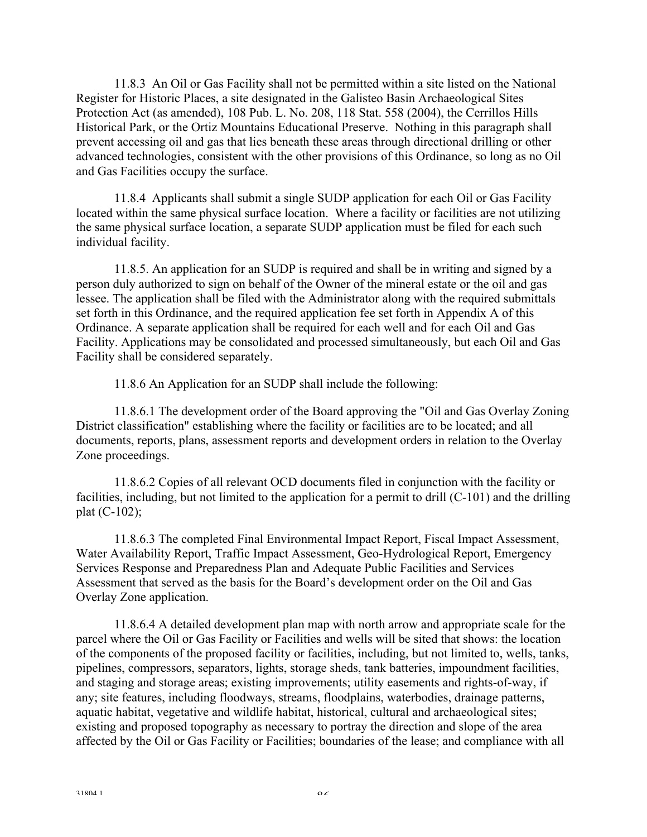11.8.3 An Oil or Gas Facility shall not be permitted within a site listed on the National Register for Historic Places, a site designated in the Galisteo Basin Archaeological Sites Protection Act (as amended), 108 Pub. L. No. 208, 118 Stat. 558 (2004), the Cerrillos Hills Historical Park, or the Ortiz Mountains Educational Preserve. Nothing in this paragraph shall prevent accessing oil and gas that lies beneath these areas through directional drilling or other advanced technologies, consistent with the other provisions of this Ordinance, so long as no Oil and Gas Facilities occupy the surface.

 11.8.4 Applicants shall submit a single SUDP application for each Oil or Gas Facility located within the same physical surface location. Where a facility or facilities are not utilizing the same physical surface location, a separate SUDP application must be filed for each such individual facility.

 11.8.5. An application for an SUDP is required and shall be in writing and signed by a person duly authorized to sign on behalf of the Owner of the mineral estate or the oil and gas lessee. The application shall be filed with the Administrator along with the required submittals set forth in this Ordinance, and the required application fee set forth in Appendix A of this Ordinance. A separate application shall be required for each well and for each Oil and Gas Facility. Applications may be consolidated and processed simultaneously, but each Oil and Gas Facility shall be considered separately.

11.8.6 An Application for an SUDP shall include the following:

 11.8.6.1 The development order of the Board approving the "Oil and Gas Overlay Zoning District classification" establishing where the facility or facilities are to be located; and all documents, reports, plans, assessment reports and development orders in relation to the Overlay Zone proceedings.

 11.8.6.2 Copies of all relevant OCD documents filed in conjunction with the facility or facilities, including, but not limited to the application for a permit to drill (C-101) and the drilling plat (C-102);

 11.8.6.3 The completed Final Environmental Impact Report, Fiscal Impact Assessment, Water Availability Report, Traffic Impact Assessment, Geo-Hydrological Report, Emergency Services Response and Preparedness Plan and Adequate Public Facilities and Services Assessment that served as the basis for the Board's development order on the Oil and Gas Overlay Zone application.

 11.8.6.4 A detailed development plan map with north arrow and appropriate scale for the parcel where the Oil or Gas Facility or Facilities and wells will be sited that shows: the location of the components of the proposed facility or facilities, including, but not limited to, wells, tanks, pipelines, compressors, separators, lights, storage sheds, tank batteries, impoundment facilities, and staging and storage areas; existing improvements; utility easements and rights-of-way, if any; site features, including floodways, streams, floodplains, waterbodies, drainage patterns, aquatic habitat, vegetative and wildlife habitat, historical, cultural and archaeological sites; existing and proposed topography as necessary to portray the direction and slope of the area affected by the Oil or Gas Facility or Facilities; boundaries of the lease; and compliance with all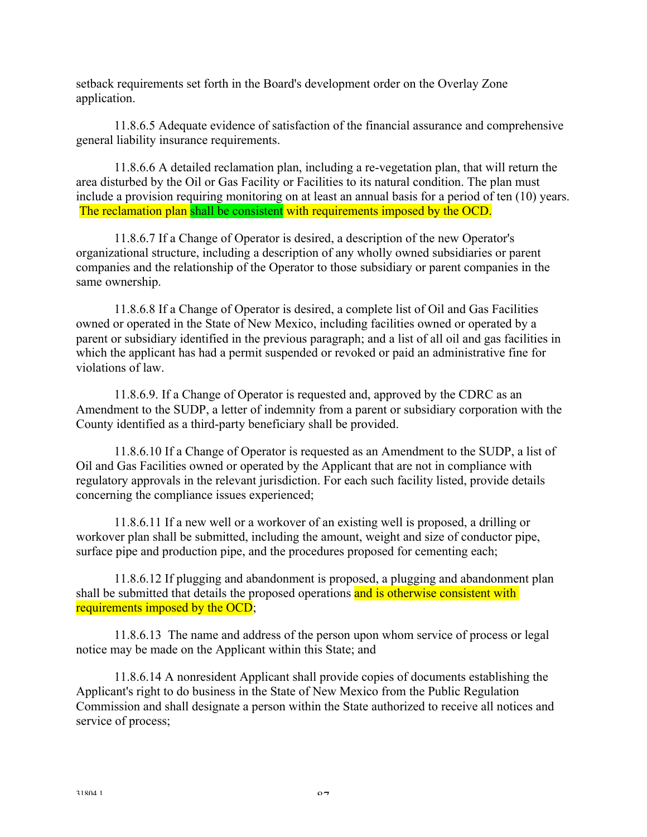setback requirements set forth in the Board's development order on the Overlay Zone application.

 11.8.6.5 Adequate evidence of satisfaction of the financial assurance and comprehensive general liability insurance requirements.

 11.8.6.6 A detailed reclamation plan, including a re-vegetation plan, that will return the area disturbed by the Oil or Gas Facility or Facilities to its natural condition. The plan must include a provision requiring monitoring on at least an annual basis for a period of ten (10) years. The reclamation plan shall be consistent with requirements imposed by the OCD.

 11.8.6.7 If a Change of Operator is desired, a description of the new Operator's organizational structure, including a description of any wholly owned subsidiaries or parent companies and the relationship of the Operator to those subsidiary or parent companies in the same ownership.

 11.8.6.8 If a Change of Operator is desired, a complete list of Oil and Gas Facilities owned or operated in the State of New Mexico, including facilities owned or operated by a parent or subsidiary identified in the previous paragraph; and a list of all oil and gas facilities in which the applicant has had a permit suspended or revoked or paid an administrative fine for violations of law.

11.8.6.9. If a Change of Operator is requested and, approved by the CDRC as an Amendment to the SUDP, a letter of indemnity from a parent or subsidiary corporation with the County identified as a third-party beneficiary shall be provided.

 11.8.6.10 If a Change of Operator is requested as an Amendment to the SUDP, a list of Oil and Gas Facilities owned or operated by the Applicant that are not in compliance with regulatory approvals in the relevant jurisdiction. For each such facility listed, provide details concerning the compliance issues experienced;

 11.8.6.11 If a new well or a workover of an existing well is proposed, a drilling or workover plan shall be submitted, including the amount, weight and size of conductor pipe, surface pipe and production pipe, and the procedures proposed for cementing each;

 11.8.6.12 If plugging and abandonment is proposed, a plugging and abandonment plan shall be submitted that details the proposed operations and is otherwise consistent with requirements imposed by the OCD;

 11.8.6.13 The name and address of the person upon whom service of process or legal notice may be made on the Applicant within this State; and

 11.8.6.14 A nonresident Applicant shall provide copies of documents establishing the Applicant's right to do business in the State of New Mexico from the Public Regulation Commission and shall designate a person within the State authorized to receive all notices and service of process;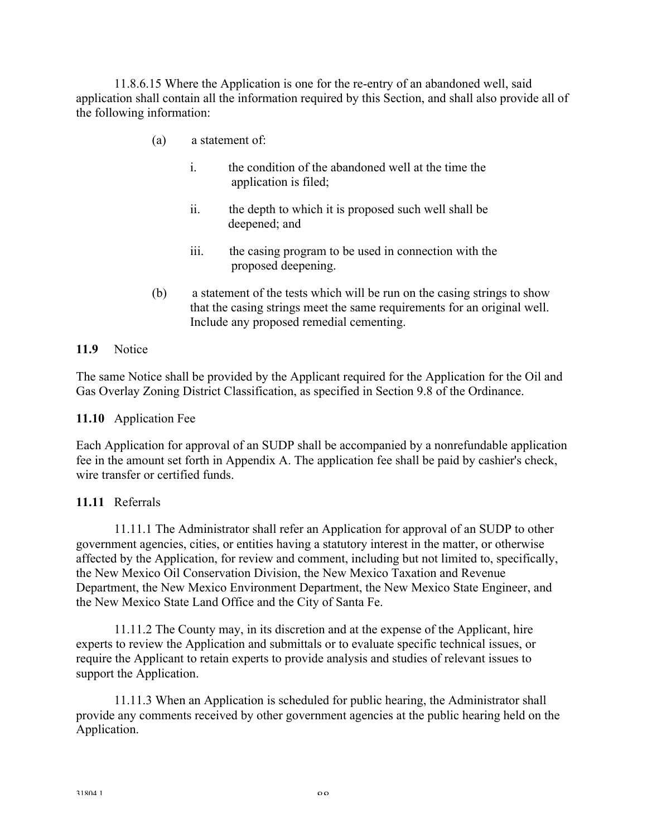11.8.6.15 Where the Application is one for the re-entry of an abandoned well, said application shall contain all the information required by this Section, and shall also provide all of the following information:

- (a) a statement of:
	- i. the condition of the abandoned well at the time the application is filed;
	- ii. the depth to which it is proposed such well shall be deepened; and
	- iii. the casing program to be used in connection with the proposed deepening.
- (b) a statement of the tests which will be run on the casing strings to show that the casing strings meet the same requirements for an original well. Include any proposed remedial cementing.

#### **11.9** Notice

The same Notice shall be provided by the Applicant required for the Application for the Oil and Gas Overlay Zoning District Classification, as specified in Section 9.8 of the Ordinance.

#### **11.10** Application Fee

Each Application for approval of an SUDP shall be accompanied by a nonrefundable application fee in the amount set forth in Appendix A. The application fee shall be paid by cashier's check, wire transfer or certified funds.

#### **11.11** Referrals

 11.11.1 The Administrator shall refer an Application for approval of an SUDP to other government agencies, cities, or entities having a statutory interest in the matter, or otherwise affected by the Application, for review and comment, including but not limited to, specifically, the New Mexico Oil Conservation Division, the New Mexico Taxation and Revenue Department, the New Mexico Environment Department, the New Mexico State Engineer, and the New Mexico State Land Office and the City of Santa Fe.

 11.11.2 The County may, in its discretion and at the expense of the Applicant, hire experts to review the Application and submittals or to evaluate specific technical issues, or require the Applicant to retain experts to provide analysis and studies of relevant issues to support the Application.

 11.11.3 When an Application is scheduled for public hearing, the Administrator shall provide any comments received by other government agencies at the public hearing held on the Application.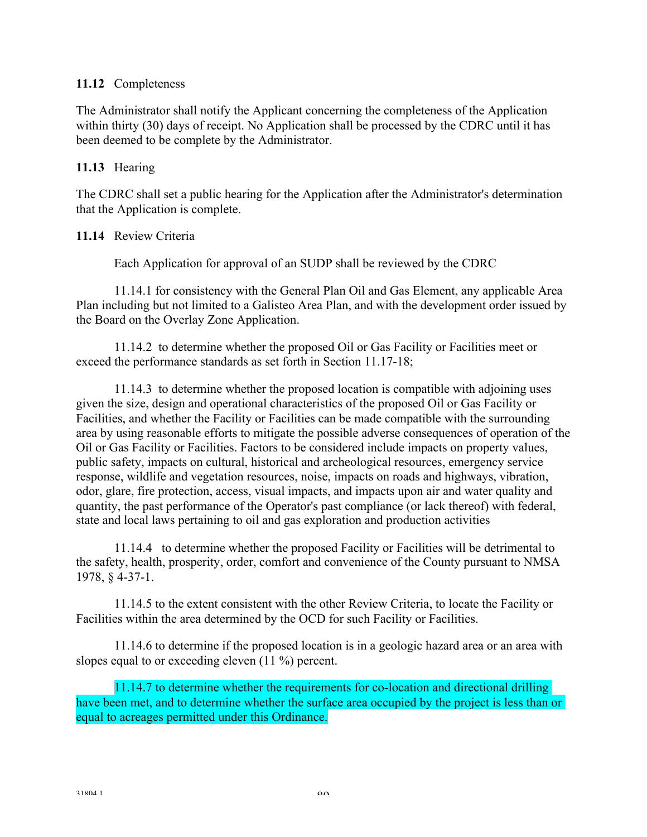#### **11.12** Completeness

The Administrator shall notify the Applicant concerning the completeness of the Application within thirty (30) days of receipt. No Application shall be processed by the CDRC until it has been deemed to be complete by the Administrator.

#### **11.13** Hearing

The CDRC shall set a public hearing for the Application after the Administrator's determination that the Application is complete.

#### **11.14** Review Criteria

Each Application for approval of an SUDP shall be reviewed by the CDRC

 11.14.1 for consistency with the General Plan Oil and Gas Element, any applicable Area Plan including but not limited to a Galisteo Area Plan, and with the development order issued by the Board on the Overlay Zone Application.

 11.14.2 to determine whether the proposed Oil or Gas Facility or Facilities meet or exceed the performance standards as set forth in Section 11.17-18;

 11.14.3 to determine whether the proposed location is compatible with adjoining uses given the size, design and operational characteristics of the proposed Oil or Gas Facility or Facilities, and whether the Facility or Facilities can be made compatible with the surrounding area by using reasonable efforts to mitigate the possible adverse consequences of operation of the Oil or Gas Facility or Facilities. Factors to be considered include impacts on property values, public safety, impacts on cultural, historical and archeological resources, emergency service response, wildlife and vegetation resources, noise, impacts on roads and highways, vibration, odor, glare, fire protection, access, visual impacts, and impacts upon air and water quality and quantity, the past performance of the Operator's past compliance (or lack thereof) with federal, state and local laws pertaining to oil and gas exploration and production activities

 11.14.4 to determine whether the proposed Facility or Facilities will be detrimental to the safety, health, prosperity, order, comfort and convenience of the County pursuant to NMSA 1978, § 4-37-1.

 11.14.5 to the extent consistent with the other Review Criteria, to locate the Facility or Facilities within the area determined by the OCD for such Facility or Facilities.

 11.14.6 to determine if the proposed location is in a geologic hazard area or an area with slopes equal to or exceeding eleven (11 %) percent.

11.14.7 to determine whether the requirements for co-location and directional drilling have been met, and to determine whether the surface area occupied by the project is less than or equal to acreages permitted under this Ordinance.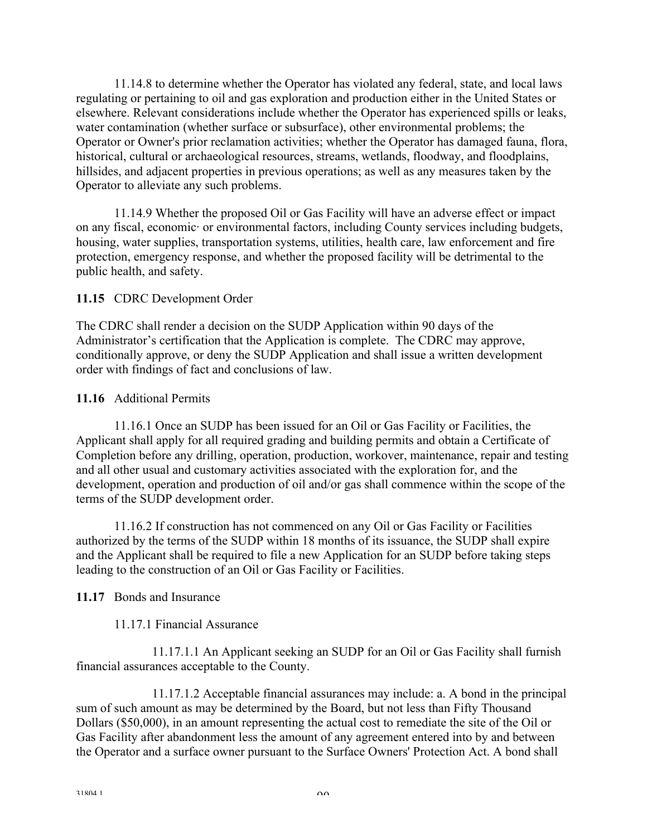11.14.8 to determine whether the Operator has violated any federal, state, and local laws regulating or pertaining to oil and gas exploration and production either in the United States or elsewhere. Relevant considerations include whether the Operator has experienced spills or leaks, water contamination (whether surface or subsurface), other environmental problems; the Operator or Owner's prior reclamation activities; whether the Operator has damaged fauna, flora, historical, cultural or archaeological resources, streams, wetlands, floodway, and floodplains, hillsides, and adjacent properties in previous operations; as well as any measures taken by the Operator to alleviate any such problems.

 11.14.9 Whether the proposed Oil or Gas Facility will have an adverse effect or impact on any fiscal, economic· or environmental factors, including County services including budgets, housing, water supplies, transportation systems, utilities, health care, law enforcement and fire protection, emergency response, and whether the proposed facility will be detrimental to the public health, and safety.

## **11.15** CDRC Development Order

The CDRC shall render a decision on the SUDP Application within 90 days of the Administrator's certification that the Application is complete. The CDRC may approve, conditionally approve, or deny the SUDP Application and shall issue a written development order with findings of fact and conclusions of law.

#### **11.16** Additional Permits

 11.16.1 Once an SUDP has been issued for an Oil or Gas Facility or Facilities, the Applicant shall apply for all required grading and building permits and obtain a Certificate of Completion before any drilling, operation, production, workover, maintenance, repair and testing and all other usual and customary activities associated with the exploration for, and the development, operation and production of oil and/or gas shall commence within the scope of the terms of the SUDP development order.

 11.16.2 If construction has not commenced on any Oil or Gas Facility or Facilities authorized by the terms of the SUDP within 18 months of its issuance, the SUDP shall expire and the Applicant shall be required to file a new Application for an SUDP before taking steps leading to the construction of an Oil or Gas Facility or Facilities.

## **11.17** Bonds and Insurance

## 11.17.1 Financial Assurance

 11.17.1.1 An Applicant seeking an SUDP for an Oil or Gas Facility shall furnish financial assurances acceptable to the County.

 11.17.1.2 Acceptable financial assurances may include: a. A bond in the principal sum of such amount as may be determined by the Board, but not less than Fifty Thousand Dollars (\$50,000), in an amount representing the actual cost to remediate the site of the Oil or Gas Facility after abandonment less the amount of any agreement entered into by and between the Operator and a surface owner pursuant to the Surface Owners' Protection Act. A bond shall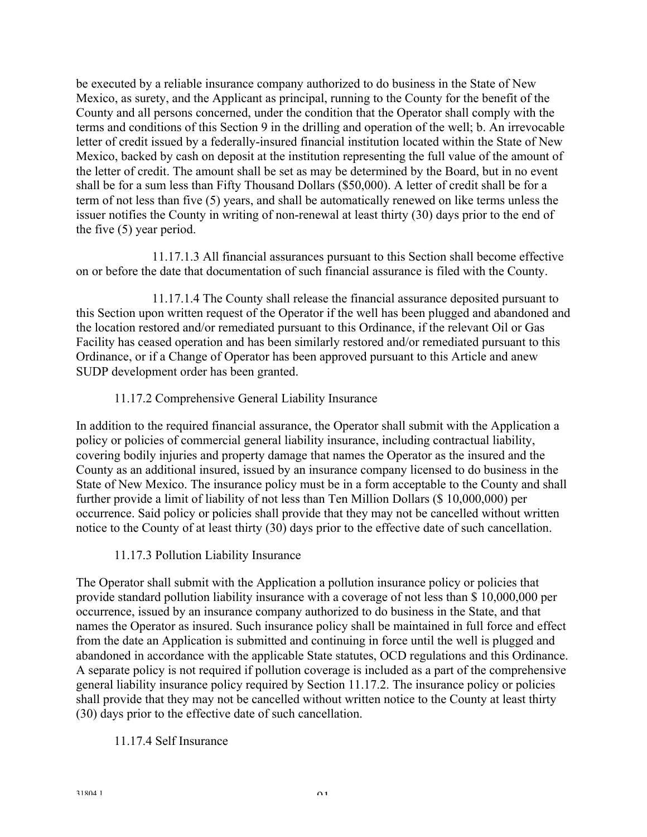be executed by a reliable insurance company authorized to do business in the State of New Mexico, as surety, and the Applicant as principal, running to the County for the benefit of the County and all persons concerned, under the condition that the Operator shall comply with the terms and conditions of this Section 9 in the drilling and operation of the well; b. An irrevocable letter of credit issued by a federally-insured financial institution located within the State of New Mexico, backed by cash on deposit at the institution representing the full value of the amount of the letter of credit. The amount shall be set as may be determined by the Board, but in no event shall be for a sum less than Fifty Thousand Dollars (\$50,000). A letter of credit shall be for a term of not less than five (5) years, and shall be automatically renewed on like terms unless the issuer notifies the County in writing of non-renewal at least thirty (30) days prior to the end of the five (5) year period.

 11.17.1.3 All financial assurances pursuant to this Section shall become effective on or before the date that documentation of such financial assurance is filed with the County.

 11.17.1.4 The County shall release the financial assurance deposited pursuant to this Section upon written request of the Operator if the well has been plugged and abandoned and the location restored and/or remediated pursuant to this Ordinance, if the relevant Oil or Gas Facility has ceased operation and has been similarly restored and/or remediated pursuant to this Ordinance, or if a Change of Operator has been approved pursuant to this Article and anew SUDP development order has been granted.

## 11.17.2 Comprehensive General Liability Insurance

In addition to the required financial assurance, the Operator shall submit with the Application a policy or policies of commercial general liability insurance, including contractual liability, covering bodily injuries and property damage that names the Operator as the insured and the County as an additional insured, issued by an insurance company licensed to do business in the State of New Mexico. The insurance policy must be in a form acceptable to the County and shall further provide a limit of liability of not less than Ten Million Dollars (\$ 10,000,000) per occurrence. Said policy or policies shall provide that they may not be cancelled without written notice to the County of at least thirty (30) days prior to the effective date of such cancellation.

11.17.3 Pollution Liability Insurance

The Operator shall submit with the Application a pollution insurance policy or policies that provide standard pollution liability insurance with a coverage of not less than \$ 10,000,000 per occurrence, issued by an insurance company authorized to do business in the State, and that names the Operator as insured. Such insurance policy shall be maintained in full force and effect from the date an Application is submitted and continuing in force until the well is plugged and abandoned in accordance with the applicable State statutes, OCD regulations and this Ordinance. A separate policy is not required if pollution coverage is included as a part of the comprehensive general liability insurance policy required by Section 11.17.2. The insurance policy or policies shall provide that they may not be cancelled without written notice to the County at least thirty (30) days prior to the effective date of such cancellation.

## 11.17.4 Self Insurance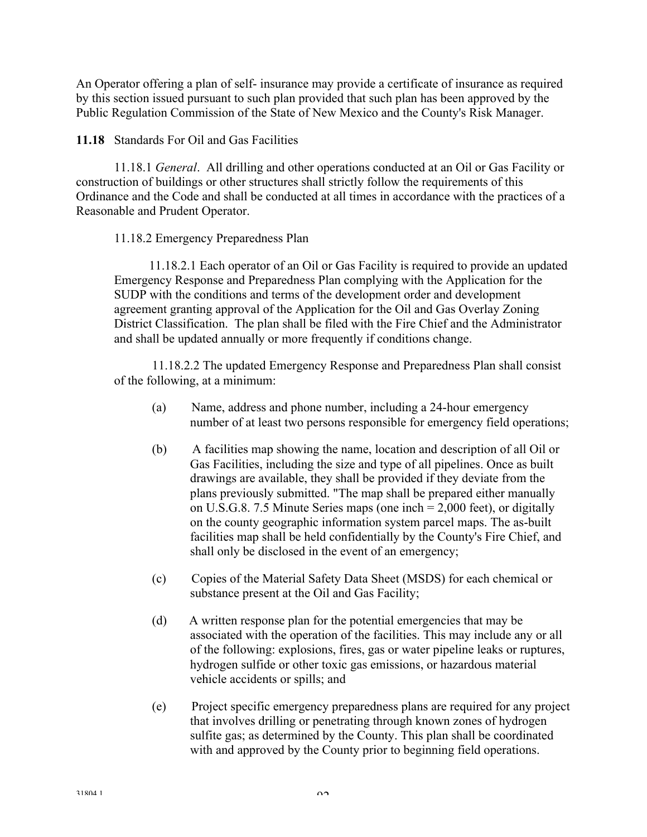An Operator offering a plan of self- insurance may provide a certificate of insurance as required by this section issued pursuant to such plan provided that such plan has been approved by the Public Regulation Commission of the State of New Mexico and the County's Risk Manager.

**11.18** Standards For Oil and Gas Facilities

 11.18.1 *General*. All drilling and other operations conducted at an Oil or Gas Facility or construction of buildings or other structures shall strictly follow the requirements of this Ordinance and the Code and shall be conducted at all times in accordance with the practices of a Reasonable and Prudent Operator.

## 11.18.2 Emergency Preparedness Plan

 11.18.2.1 Each operator of an Oil or Gas Facility is required to provide an updated Emergency Response and Preparedness Plan complying with the Application for the SUDP with the conditions and terms of the development order and development agreement granting approval of the Application for the Oil and Gas Overlay Zoning District Classification. The plan shall be filed with the Fire Chief and the Administrator and shall be updated annually or more frequently if conditions change.

11.18.2.2 The updated Emergency Response and Preparedness Plan shall consist of the following, at a minimum:

- (a) Name, address and phone number, including a 24-hour emergency number of at least two persons responsible for emergency field operations;
- (b) A facilities map showing the name, location and description of all Oil or Gas Facilities, including the size and type of all pipelines. Once as built drawings are available, they shall be provided if they deviate from the plans previously submitted. "The map shall be prepared either manually on U.S.G.8. 7.5 Minute Series maps (one inch = 2,000 feet), or digitally on the county geographic information system parcel maps. The as-built facilities map shall be held confidentially by the County's Fire Chief, and shall only be disclosed in the event of an emergency;
- (c) Copies of the Material Safety Data Sheet (MSDS) for each chemical or substance present at the Oil and Gas Facility;
- (d) A written response plan for the potential emergencies that may be associated with the operation of the facilities. This may include any or all of the following: explosions, fires, gas or water pipeline leaks or ruptures, hydrogen sulfide or other toxic gas emissions, or hazardous material vehicle accidents or spills; and
- (e) Project specific emergency preparedness plans are required for any project that involves drilling or penetrating through known zones of hydrogen sulfite gas; as determined by the County. This plan shall be coordinated with and approved by the County prior to beginning field operations.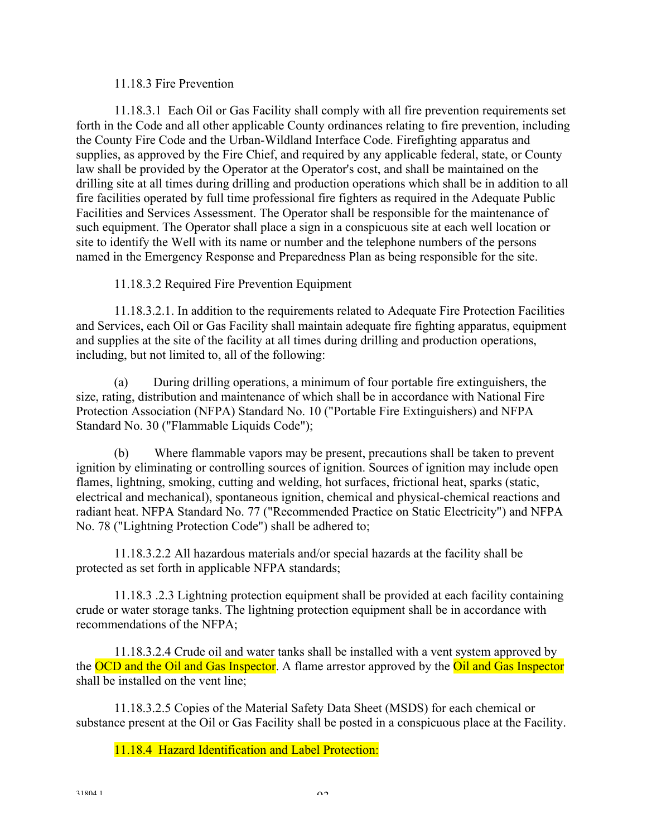#### 11.18.3 Fire Prevention

11.18.3.1 Each Oil or Gas Facility shall comply with all fire prevention requirements set forth in the Code and all other applicable County ordinances relating to fire prevention, including the County Fire Code and the Urban-Wildland Interface Code. Firefighting apparatus and supplies, as approved by the Fire Chief, and required by any applicable federal, state, or County law shall be provided by the Operator at the Operator's cost, and shall be maintained on the drilling site at all times during drilling and production operations which shall be in addition to all fire facilities operated by full time professional fire fighters as required in the Adequate Public Facilities and Services Assessment. The Operator shall be responsible for the maintenance of such equipment. The Operator shall place a sign in a conspicuous site at each well location or site to identify the Well with its name or number and the telephone numbers of the persons named in the Emergency Response and Preparedness Plan as being responsible for the site.

11.18.3.2 Required Fire Prevention Equipment

11.18.3.2.1. In addition to the requirements related to Adequate Fire Protection Facilities and Services, each Oil or Gas Facility shall maintain adequate fire fighting apparatus, equipment and supplies at the site of the facility at all times during drilling and production operations, including, but not limited to, all of the following:

 (a) During drilling operations, a minimum of four portable fire extinguishers, the size, rating, distribution and maintenance of which shall be in accordance with National Fire Protection Association (NFPA) Standard No. 10 ("Portable Fire Extinguishers) and NFPA Standard No. 30 ("Flammable Liquids Code");

 (b) Where flammable vapors may be present, precautions shall be taken to prevent ignition by eliminating or controlling sources of ignition. Sources of ignition may include open flames, lightning, smoking, cutting and welding, hot surfaces, frictional heat, sparks (static, electrical and mechanical), spontaneous ignition, chemical and physical-chemical reactions and radiant heat. NFPA Standard No. 77 ("Recommended Practice on Static Electricity") and NFPA No. 78 ("Lightning Protection Code") shall be adhered to;

11.18.3.2.2 All hazardous materials and/or special hazards at the facility shall be protected as set forth in applicable NFPA standards;

11.18.3 .2.3 Lightning protection equipment shall be provided at each facility containing crude or water storage tanks. The lightning protection equipment shall be in accordance with recommendations of the NFPA;

 11.18.3.2.4 Crude oil and water tanks shall be installed with a vent system approved by the OCD and the Oil and Gas Inspector. A flame arrestor approved by the Oil and Gas Inspector shall be installed on the vent line;

 11.18.3.2.5 Copies of the Material Safety Data Sheet (MSDS) for each chemical or substance present at the Oil or Gas Facility shall be posted in a conspicuous place at the Facility.

11.18.4 Hazard Identification and Label Protection: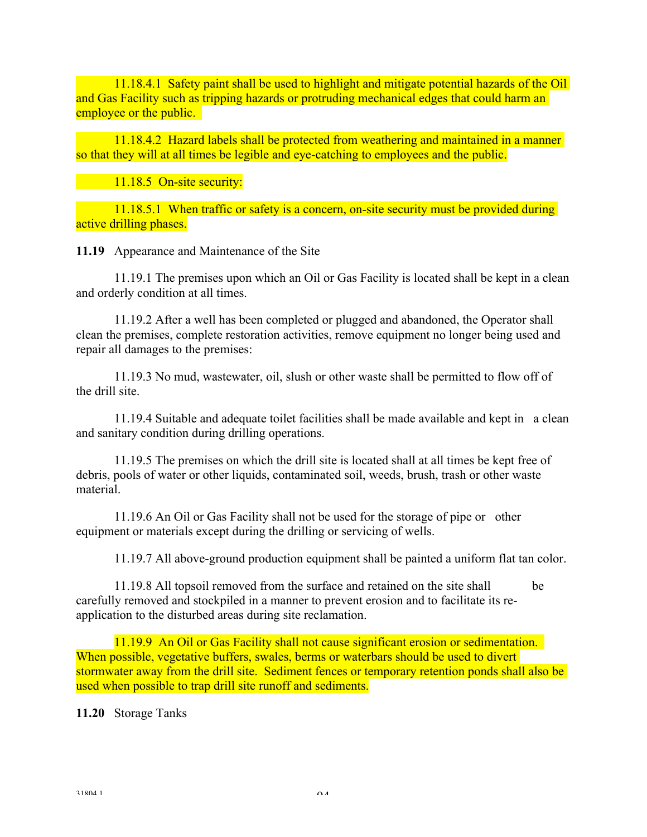11.18.4.1 Safety paint shall be used to highlight and mitigate potential hazards of the Oil and Gas Facility such as tripping hazards or protruding mechanical edges that could harm an employee or the public.

 11.18.4.2 Hazard labels shall be protected from weathering and maintained in a manner so that they will at all times be legible and eye-catching to employees and the public.

11.18.5 On-site security:

11.18.5.1 When traffic or safety is a concern, on-site security must be provided during active drilling phases.

**11.19** Appearance and Maintenance of the Site

 11.19.1 The premises upon which an Oil or Gas Facility is located shall be kept in a clean and orderly condition at all times.

 11.19.2 After a well has been completed or plugged and abandoned, the Operator shall clean the premises, complete restoration activities, remove equipment no longer being used and repair all damages to the premises:

 11.19.3 No mud, wastewater, oil, slush or other waste shall be permitted to flow off of the drill site.

 11.19.4 Suitable and adequate toilet facilities shall be made available and kept in a clean and sanitary condition during drilling operations.

 11.19.5 The premises on which the drill site is located shall at all times be kept free of debris, pools of water or other liquids, contaminated soil, weeds, brush, trash or other waste material.

11.19.6 An Oil or Gas Facility shall not be used for the storage of pipe or other equipment or materials except during the drilling or servicing of wells.

11.19.7 All above-ground production equipment shall be painted a uniform flat tan color.

 11.19.8 All topsoil removed from the surface and retained on the site shall be carefully removed and stockpiled in a manner to prevent erosion and to facilitate its reapplication to the disturbed areas during site reclamation.

 11.19.9 An Oil or Gas Facility shall not cause significant erosion or sedimentation. When possible, vegetative buffers, swales, berms or waterbars should be used to divert stormwater away from the drill site. Sediment fences or temporary retention ponds shall also be used when possible to trap drill site runoff and sediments.

**11.20** Storage Tanks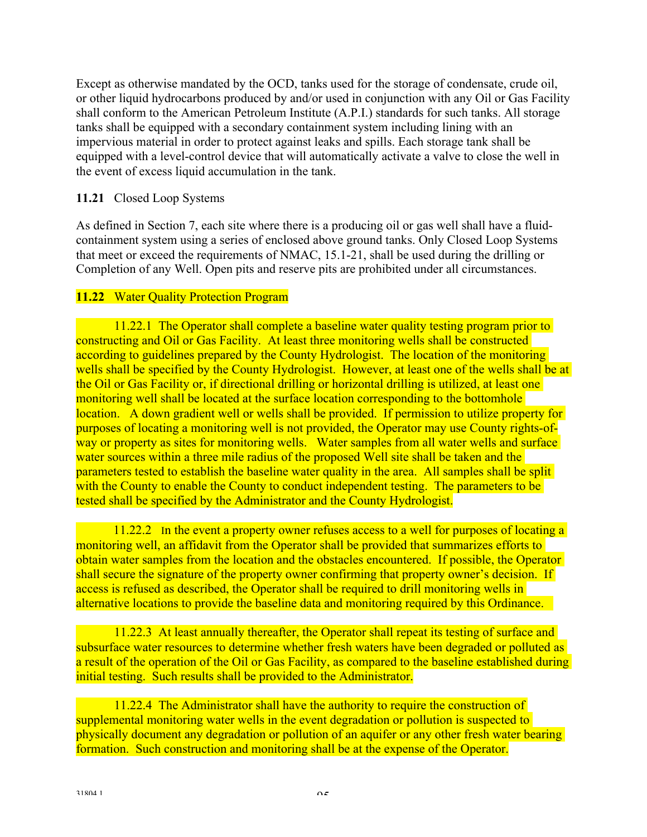Except as otherwise mandated by the OCD, tanks used for the storage of condensate, crude oil, or other liquid hydrocarbons produced by and/or used in conjunction with any Oil or Gas Facility shall conform to the American Petroleum Institute (A.P.I.) standards for such tanks. All storage tanks shall be equipped with a secondary containment system including lining with an impervious material in order to protect against leaks and spills. Each storage tank shall be equipped with a level-control device that will automatically activate a valve to close the well in the event of excess liquid accumulation in the tank.

## **11.21** Closed Loop Systems

As defined in Section 7, each site where there is a producing oil or gas well shall have a fluidcontainment system using a series of enclosed above ground tanks. Only Closed Loop Systems that meet or exceed the requirements of NMAC, 15.1-21, shall be used during the drilling or Completion of any Well. Open pits and reserve pits are prohibited under all circumstances.

## **11.22** Water Quality Protection Program

 11.22.1 The Operator shall complete a baseline water quality testing program prior to constructing and Oil or Gas Facility. At least three monitoring wells shall be constructed according to guidelines prepared by the County Hydrologist. The location of the monitoring wells shall be specified by the County Hydrologist. However, at least one of the wells shall be at the Oil or Gas Facility or, if directional drilling or horizontal drilling is utilized, at least one monitoring well shall be located at the surface location corresponding to the bottomhole location. A down gradient well or wells shall be provided. If permission to utilize property for purposes of locating a monitoring well is not provided, the Operator may use County rights-ofway or property as sites for monitoring wells. Water samples from all water wells and surface water sources within a three mile radius of the proposed Well site shall be taken and the parameters tested to establish the baseline water quality in the area. All samples shall be split with the County to enable the County to conduct independent testing. The parameters to be tested shall be specified by the Administrator and the County Hydrologist.

11.22.2 In the event a property owner refuses access to a well for purposes of locating a monitoring well, an affidavit from the Operator shall be provided that summarizes efforts to obtain water samples from the location and the obstacles encountered. If possible, the Operator shall secure the signature of the property owner confirming that property owner's decision. If access is refused as described, the Operator shall be required to drill monitoring wells in alternative locations to provide the baseline data and monitoring required by this Ordinance.

 11.22.3 At least annually thereafter, the Operator shall repeat its testing of surface and subsurface water resources to determine whether fresh waters have been degraded or polluted as a result of the operation of the Oil or Gas Facility, as compared to the baseline established during initial testing. Such results shall be provided to the Administrator.

 11.22.4 The Administrator shall have the authority to require the construction of supplemental monitoring water wells in the event degradation or pollution is suspected to physically document any degradation or pollution of an aquifer or any other fresh water bearing formation. Such construction and monitoring shall be at the expense of the Operator.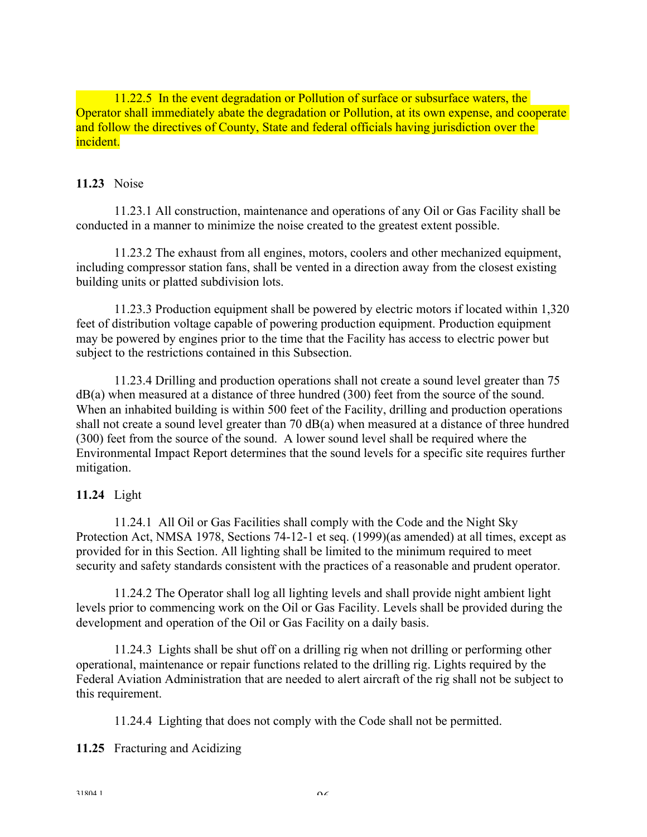11.22.5 In the event degradation or Pollution of surface or subsurface waters, the Operator shall immediately abate the degradation or Pollution, at its own expense, and cooperate and follow the directives of County, State and federal officials having jurisdiction over the incident.

#### **11.23** Noise

 11.23.1 All construction, maintenance and operations of any Oil or Gas Facility shall be conducted in a manner to minimize the noise created to the greatest extent possible.

 11.23.2 The exhaust from all engines, motors, coolers and other mechanized equipment, including compressor station fans, shall be vented in a direction away from the closest existing building units or platted subdivision lots.

 11.23.3 Production equipment shall be powered by electric motors if located within 1,320 feet of distribution voltage capable of powering production equipment. Production equipment may be powered by engines prior to the time that the Facility has access to electric power but subject to the restrictions contained in this Subsection.

 11.23.4 Drilling and production operations shall not create a sound level greater than 75 dB(a) when measured at a distance of three hundred (300) feet from the source of the sound. When an inhabited building is within 500 feet of the Facility, drilling and production operations shall not create a sound level greater than 70 dB(a) when measured at a distance of three hundred (300) feet from the source of the sound. A lower sound level shall be required where the Environmental Impact Report determines that the sound levels for a specific site requires further mitigation.

## **11.24** Light

 11.24.1 All Oil or Gas Facilities shall comply with the Code and the Night Sky Protection Act, NMSA 1978, Sections 74-12-1 et seq. (1999)(as amended) at all times, except as provided for in this Section. All lighting shall be limited to the minimum required to meet security and safety standards consistent with the practices of a reasonable and prudent operator.

 11.24.2 The Operator shall log all lighting levels and shall provide night ambient light levels prior to commencing work on the Oil or Gas Facility. Levels shall be provided during the development and operation of the Oil or Gas Facility on a daily basis.

 11.24.3 Lights shall be shut off on a drilling rig when not drilling or performing other operational, maintenance or repair functions related to the drilling rig. Lights required by the Federal Aviation Administration that are needed to alert aircraft of the rig shall not be subject to this requirement.

11.24.4 Lighting that does not comply with the Code shall not be permitted.

#### **11.25** Fracturing and Acidizing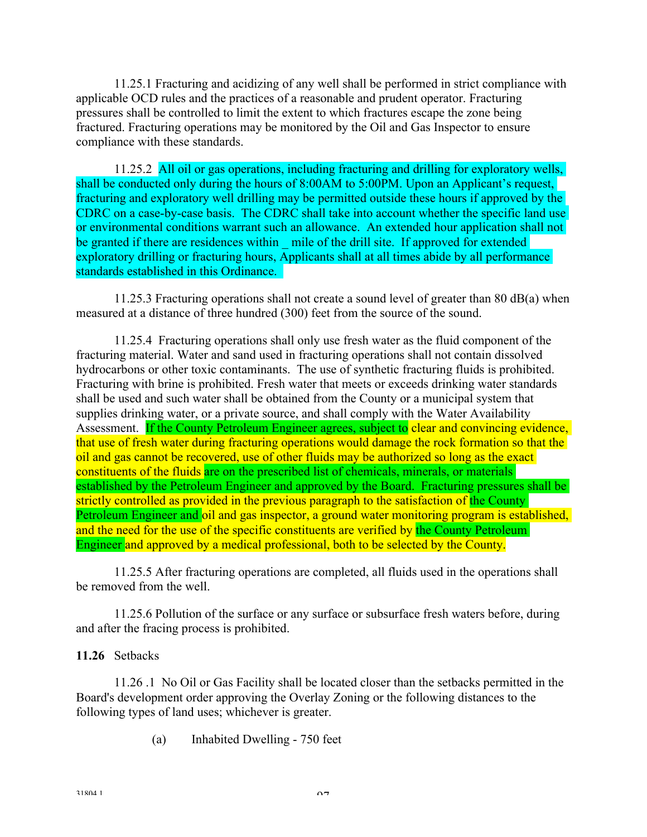11.25.1 Fracturing and acidizing of any well shall be performed in strict compliance with applicable OCD rules and the practices of a reasonable and prudent operator. Fracturing pressures shall be controlled to limit the extent to which fractures escape the zone being fractured. Fracturing operations may be monitored by the Oil and Gas Inspector to ensure compliance with these standards.

 11.25.2 All oil or gas operations, including fracturing and drilling for exploratory wells, shall be conducted only during the hours of 8:00AM to 5:00PM. Upon an Applicant's request, fracturing and exploratory well drilling may be permitted outside these hours if approved by the CDRC on a case-by-case basis. The CDRC shall take into account whether the specific land use or environmental conditions warrant such an allowance. An extended hour application shall not be granted if there are residences within — mile of the drill site. If approved for extended exploratory drilling or fracturing hours, Applicants shall at all times abide by all performance standards established in this Ordinance.

 11.25.3 Fracturing operations shall not create a sound level of greater than 80 dB(a) when measured at a distance of three hundred (300) feet from the source of the sound.

 11.25.4 Fracturing operations shall only use fresh water as the fluid component of the fracturing material. Water and sand used in fracturing operations shall not contain dissolved hydrocarbons or other toxic contaminants. The use of synthetic fracturing fluids is prohibited. Fracturing with brine is prohibited. Fresh water that meets or exceeds drinking water standards shall be used and such water shall be obtained from the County or a municipal system that supplies drinking water, or a private source, and shall comply with the Water Availability Assessment. If the County Petroleum Engineer agrees, subject to clear and convincing evidence, that use of fresh water during fracturing operations would damage the rock formation so that the oil and gas cannot be recovered, use of other fluids may be authorized so long as the exact constituents of the fluids are on the prescribed list of chemicals, minerals, or materials established by the Petroleum Engineer and approved by the Board. Fracturing pressures shall be strictly controlled as provided in the previous paragraph to the satisfaction of the County Petroleum Engineer and oil and gas inspector, a ground water monitoring program is established, and the need for the use of the specific constituents are verified by the County Petroleum Engineer and approved by a medical professional, both to be selected by the County.

11.25.5 After fracturing operations are completed, all fluids used in the operations shall be removed from the well.

 11.25.6 Pollution of the surface or any surface or subsurface fresh waters before, during and after the fracing process is prohibited.

#### **11.26** Setbacks

 11.26 .1 No Oil or Gas Facility shall be located closer than the setbacks permitted in the Board's development order approving the Overlay Zoning or the following distances to the following types of land uses; whichever is greater.

(a) Inhabited Dwelling - 750 feet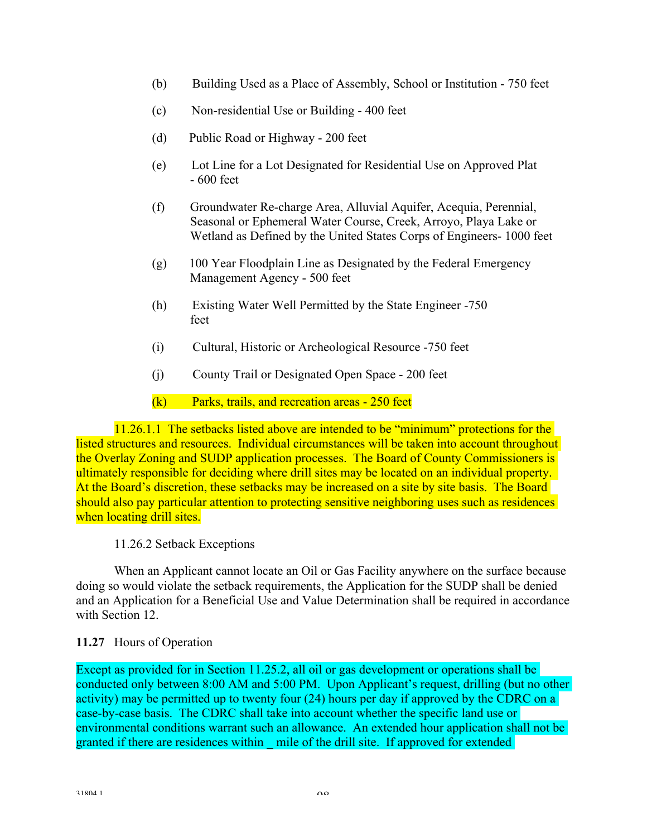- (b) Building Used as a Place of Assembly, School or Institution 750 feet
- (c) Non-residential Use or Building 400 feet
- (d) Public Road or Highway 200 feet
- (e) Lot Line for a Lot Designated for Residential Use on Approved Plat - 600 feet
- (f) Groundwater Re-charge Area, Alluvial Aquifer, Acequia, Perennial, Seasonal or Ephemeral Water Course, Creek, Arroyo, Playa Lake or Wetland as Defined by the United States Corps of Engineers- 1000 feet
- (g) 100 Year Floodplain Line as Designated by the Federal Emergency Management Agency - 500 feet
- (h) Existing Water Well Permitted by the State Engineer -750 feet
- (i) Cultural, Historic or Archeological Resource -750 feet
- (j) County Trail or Designated Open Space 200 feet

 $(k)$  Parks, trails, and recreation areas - 250 feet

 11.26.1.1 The setbacks listed above are intended to be "minimum" protections for the listed structures and resources. Individual circumstances will be taken into account throughout the Overlay Zoning and SUDP application processes. The Board of County Commissioners is ultimately responsible for deciding where drill sites may be located on an individual property. At the Board's discretion, these setbacks may be increased on a site by site basis. The Board should also pay particular attention to protecting sensitive neighboring uses such as residences when locating drill sites.

#### 11.26.2 Setback Exceptions

When an Applicant cannot locate an Oil or Gas Facility anywhere on the surface because doing so would violate the setback requirements, the Application for the SUDP shall be denied and an Application for a Beneficial Use and Value Determination shall be required in accordance with Section 12.

## **11.27** Hours of Operation

Except as provided for in Section 11.25.2, all oil or gas development or operations shall be conducted only between 8:00 AM and 5:00 PM. Upon Applicant's request, drilling (but no other activity) may be permitted up to twenty four (24) hours per day if approved by the CDRC on a case-by-case basis. The CDRC shall take into account whether the specific land use or environmental conditions warrant such an allowance. An extended hour application shall not be granted if there are residences within mile of the drill site. If approved for extended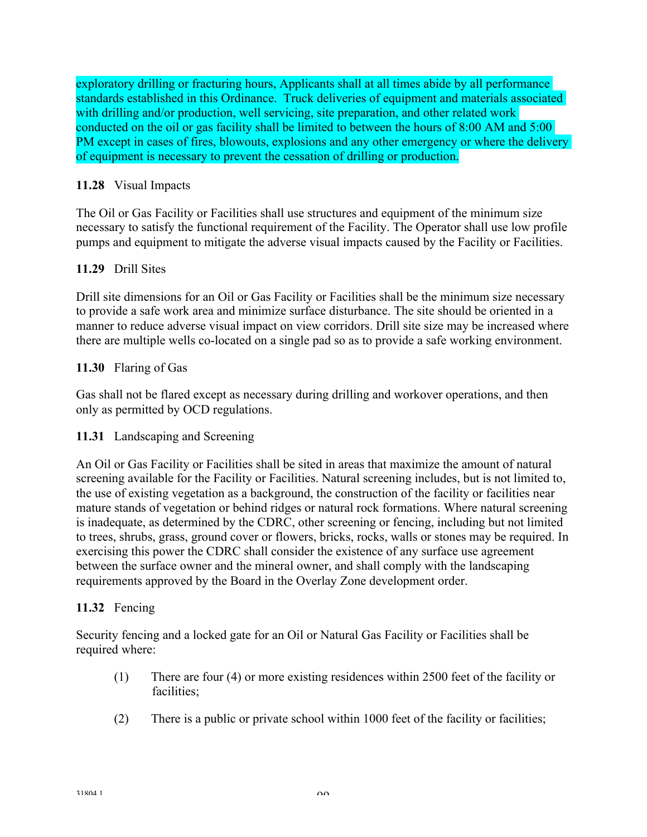exploratory drilling or fracturing hours, Applicants shall at all times abide by all performance standards established in this Ordinance. Truck deliveries of equipment and materials associated with drilling and/or production, well servicing, site preparation, and other related work conducted on the oil or gas facility shall be limited to between the hours of 8:00 AM and 5:00 PM except in cases of fires, blowouts, explosions and any other emergency or where the delivery of equipment is necessary to prevent the cessation of drilling or production.

## **11.28** Visual Impacts

The Oil or Gas Facility or Facilities shall use structures and equipment of the minimum size necessary to satisfy the functional requirement of the Facility. The Operator shall use low profile pumps and equipment to mitigate the adverse visual impacts caused by the Facility or Facilities.

## **11.29** Drill Sites

Drill site dimensions for an Oil or Gas Facility or Facilities shall be the minimum size necessary to provide a safe work area and minimize surface disturbance. The site should be oriented in a manner to reduce adverse visual impact on view corridors. Drill site size may be increased where there are multiple wells co-located on a single pad so as to provide a safe working environment.

## **11.30** Flaring of Gas

Gas shall not be flared except as necessary during drilling and workover operations, and then only as permitted by OCD regulations.

## **11.31** Landscaping and Screening

An Oil or Gas Facility or Facilities shall be sited in areas that maximize the amount of natural screening available for the Facility or Facilities. Natural screening includes, but is not limited to, the use of existing vegetation as a background, the construction of the facility or facilities near mature stands of vegetation or behind ridges or natural rock formations. Where natural screening is inadequate, as determined by the CDRC, other screening or fencing, including but not limited to trees, shrubs, grass, ground cover or flowers, bricks, rocks, walls or stones may be required. In exercising this power the CDRC shall consider the existence of any surface use agreement between the surface owner and the mineral owner, and shall comply with the landscaping requirements approved by the Board in the Overlay Zone development order.

## **11.32** Fencing

Security fencing and a locked gate for an Oil or Natural Gas Facility or Facilities shall be required where:

- (1) There are four (4) or more existing residences within 2500 feet of the facility or facilities;
- (2) There is a public or private school within 1000 feet of the facility or facilities;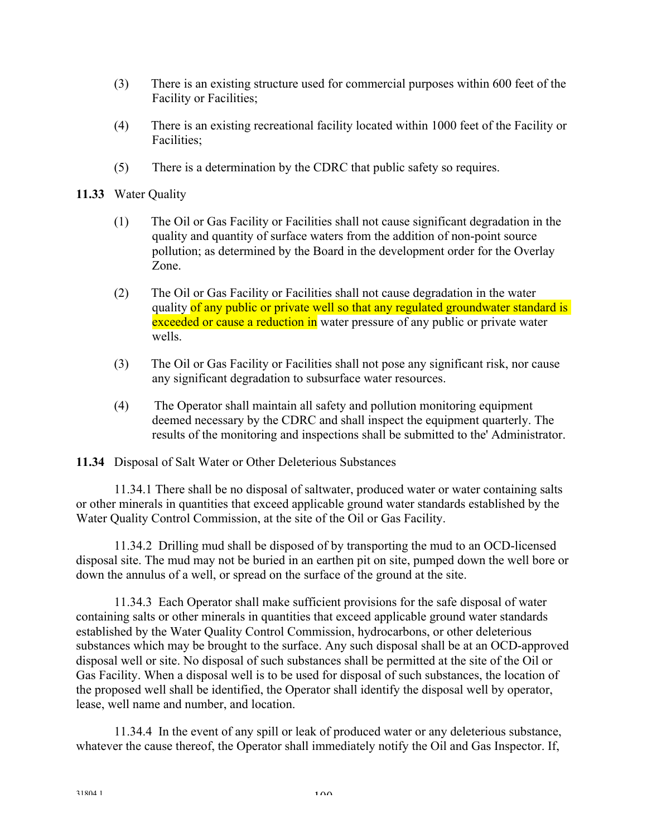- (3) There is an existing structure used for commercial purposes within 600 feet of the Facility or Facilities;
- (4) There is an existing recreational facility located within 1000 feet of the Facility or Facilities;
- (5) There is a determination by the CDRC that public safety so requires.
- **11.33** Water Quality
	- (1) The Oil or Gas Facility or Facilities shall not cause significant degradation in the quality and quantity of surface waters from the addition of non-point source pollution; as determined by the Board in the development order for the Overlay Zone.
	- (2) The Oil or Gas Facility or Facilities shall not cause degradation in the water quality of any public or private well so that any regulated groundwater standard is exceeded or cause a reduction in water pressure of any public or private water wells.
	- (3) The Oil or Gas Facility or Facilities shall not pose any significant risk, nor cause any significant degradation to subsurface water resources.
	- (4) The Operator shall maintain all safety and pollution monitoring equipment deemed necessary by the CDRC and shall inspect the equipment quarterly. The results of the monitoring and inspections shall be submitted to the' Administrator.

**11.34** Disposal of Salt Water or Other Deleterious Substances

 11.34.1 There shall be no disposal of saltwater, produced water or water containing salts or other minerals in quantities that exceed applicable ground water standards established by the Water Quality Control Commission, at the site of the Oil or Gas Facility.

 11.34.2 Drilling mud shall be disposed of by transporting the mud to an OCD-licensed disposal site. The mud may not be buried in an earthen pit on site, pumped down the well bore or down the annulus of a well, or spread on the surface of the ground at the site.

 11.34.3 Each Operator shall make sufficient provisions for the safe disposal of water containing salts or other minerals in quantities that exceed applicable ground water standards established by the Water Quality Control Commission, hydrocarbons, or other deleterious substances which may be brought to the surface. Any such disposal shall be at an OCD-approved disposal well or site. No disposal of such substances shall be permitted at the site of the Oil or Gas Facility. When a disposal well is to be used for disposal of such substances, the location of the proposed well shall be identified, the Operator shall identify the disposal well by operator, lease, well name and number, and location.

 11.34.4 In the event of any spill or leak of produced water or any deleterious substance, whatever the cause thereof, the Operator shall immediately notify the Oil and Gas Inspector. If,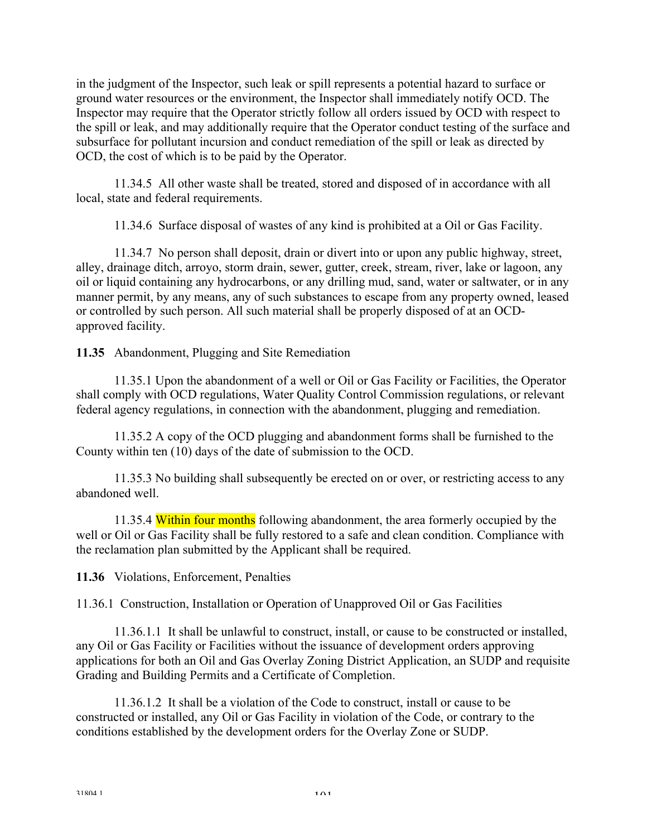in the judgment of the Inspector, such leak or spill represents a potential hazard to surface or ground water resources or the environment, the Inspector shall immediately notify OCD. The Inspector may require that the Operator strictly follow all orders issued by OCD with respect to the spill or leak, and may additionally require that the Operator conduct testing of the surface and subsurface for pollutant incursion and conduct remediation of the spill or leak as directed by OCD, the cost of which is to be paid by the Operator.

 11.34.5 All other waste shall be treated, stored and disposed of in accordance with all local, state and federal requirements.

11.34.6 Surface disposal of wastes of any kind is prohibited at a Oil or Gas Facility.

 11.34.7 No person shall deposit, drain or divert into or upon any public highway, street, alley, drainage ditch, arroyo, storm drain, sewer, gutter, creek, stream, river, lake or lagoon, any oil or liquid containing any hydrocarbons, or any drilling mud, sand, water or saltwater, or in any manner permit, by any means, any of such substances to escape from any property owned, leased or controlled by such person. All such material shall be properly disposed of at an OCDapproved facility.

**11.35** Abandonment, Plugging and Site Remediation

 11.35.1 Upon the abandonment of a well or Oil or Gas Facility or Facilities, the Operator shall comply with OCD regulations, Water Quality Control Commission regulations, or relevant federal agency regulations, in connection with the abandonment, plugging and remediation.

 11.35.2 A copy of the OCD plugging and abandonment forms shall be furnished to the County within ten (10) days of the date of submission to the OCD.

 11.35.3 No building shall subsequently be erected on or over, or restricting access to any abandoned well.

11.35.4 Within four months following abandonment, the area formerly occupied by the well or Oil or Gas Facility shall be fully restored to a safe and clean condition. Compliance with the reclamation plan submitted by the Applicant shall be required.

**11.36** Violations, Enforcement, Penalties

11.36.1 Construction, Installation or Operation of Unapproved Oil or Gas Facilities

11.36.1.1 It shall be unlawful to construct, install, or cause to be constructed or installed, any Oil or Gas Facility or Facilities without the issuance of development orders approving applications for both an Oil and Gas Overlay Zoning District Application, an SUDP and requisite Grading and Building Permits and a Certificate of Completion.

11.36.1.2 It shall be a violation of the Code to construct, install or cause to be constructed or installed, any Oil or Gas Facility in violation of the Code, or contrary to the conditions established by the development orders for the Overlay Zone or SUDP.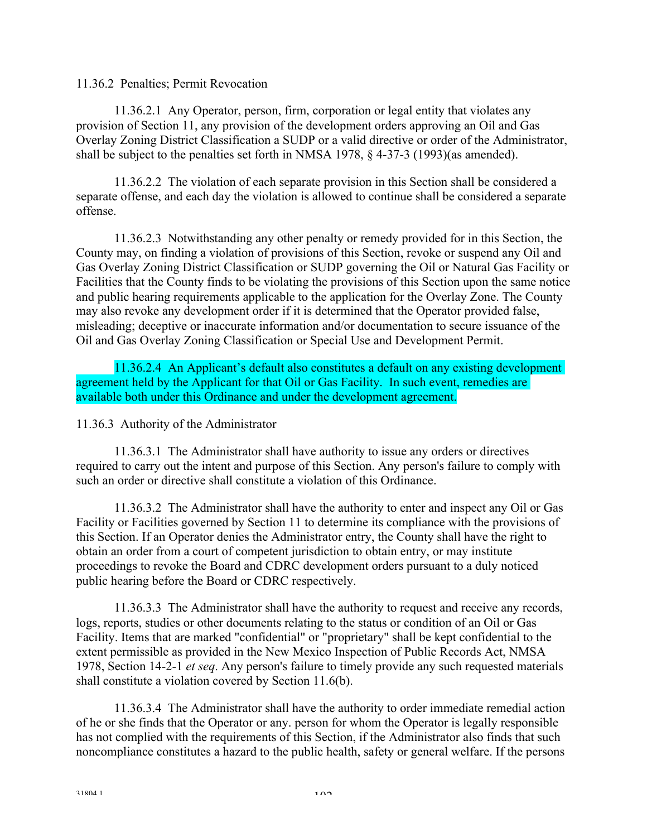11.36.2 Penalties; Permit Revocation

11.36.2.1 Any Operator, person, firm, corporation or legal entity that violates any provision of Section 11, any provision of the development orders approving an Oil and Gas Overlay Zoning District Classification a SUDP or a valid directive or order of the Administrator, shall be subject to the penalties set forth in NMSA 1978, § 4-37-3 (1993)(as amended).

11.36.2.2 The violation of each separate provision in this Section shall be considered a separate offense, and each day the violation is allowed to continue shall be considered a separate offense.

11.36.2.3 Notwithstanding any other penalty or remedy provided for in this Section, the County may, on finding a violation of provisions of this Section, revoke or suspend any Oil and Gas Overlay Zoning District Classification or SUDP governing the Oil or Natural Gas Facility or Facilities that the County finds to be violating the provisions of this Section upon the same notice and public hearing requirements applicable to the application for the Overlay Zone. The County may also revoke any development order if it is determined that the Operator provided false, misleading; deceptive or inaccurate information and/or documentation to secure issuance of the Oil and Gas Overlay Zoning Classification or Special Use and Development Permit.

11.36.2.4 An Applicant's default also constitutes a default on any existing development agreement held by the Applicant for that Oil or Gas Facility. In such event, remedies are available both under this Ordinance and under the development agreement.

11.36.3 Authority of the Administrator

 11.36.3.1 The Administrator shall have authority to issue any orders or directives required to carry out the intent and purpose of this Section. Any person's failure to comply with such an order or directive shall constitute a violation of this Ordinance.

 11.36.3.2 The Administrator shall have the authority to enter and inspect any Oil or Gas Facility or Facilities governed by Section 11 to determine its compliance with the provisions of this Section. If an Operator denies the Administrator entry, the County shall have the right to obtain an order from a court of competent jurisdiction to obtain entry, or may institute proceedings to revoke the Board and CDRC development orders pursuant to a duly noticed public hearing before the Board or CDRC respectively.

 11.36.3.3 The Administrator shall have the authority to request and receive any records, logs, reports, studies or other documents relating to the status or condition of an Oil or Gas Facility. Items that are marked "confidential" or "proprietary" shall be kept confidential to the extent permissible as provided in the New Mexico Inspection of Public Records Act, NMSA 1978, Section 14-2-1 *et seq*. Any person's failure to timely provide any such requested materials shall constitute a violation covered by Section 11.6(b).

 11.36.3.4 The Administrator shall have the authority to order immediate remedial action of he or she finds that the Operator or any. person for whom the Operator is legally responsible has not complied with the requirements of this Section, if the Administrator also finds that such noncompliance constitutes a hazard to the public health, safety or general welfare. If the persons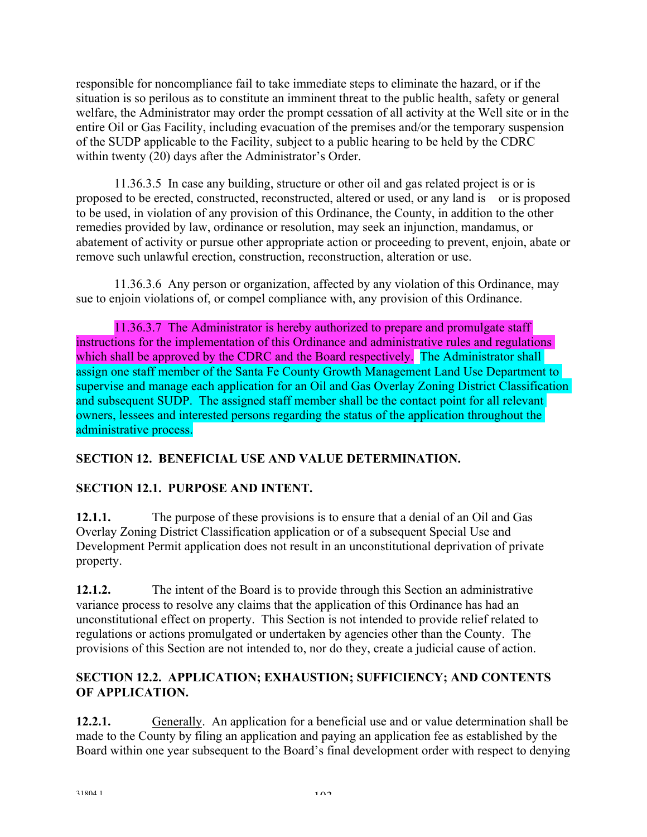responsible for noncompliance fail to take immediate steps to eliminate the hazard, or if the situation is so perilous as to constitute an imminent threat to the public health, safety or general welfare, the Administrator may order the prompt cessation of all activity at the Well site or in the entire Oil or Gas Facility, including evacuation of the premises and/or the temporary suspension of the SUDP applicable to the Facility, subject to a public hearing to be held by the CDRC within twenty (20) days after the Administrator's Order.

 11.36.3.5 In case any building, structure or other oil and gas related project is or is proposed to be erected, constructed, reconstructed, altered or used, or any land is or is proposed to be used, in violation of any provision of this Ordinance, the County, in addition to the other remedies provided by law, ordinance or resolution, may seek an injunction, mandamus, or abatement of activity or pursue other appropriate action or proceeding to prevent, enjoin, abate or remove such unlawful erection, construction, reconstruction, alteration or use.

11.36.3.6 Any person or organization, affected by any violation of this Ordinance, may sue to enjoin violations of, or compel compliance with, any provision of this Ordinance.

11.36.3.7The Administrator is hereby authorized to prepare and promulgate staff instructions for the implementation of this Ordinance and administrative rules and regulations which shall be approved by the CDRC and the Board respectively. The Administrator shall assign one staff member of the Santa Fe County Growth Management Land Use Department to supervise and manage each application for an Oil and Gas Overlay Zoning District Classification and subsequent SUDP. The assigned staff member shall be the contact point for all relevant owners, lessees and interested persons regarding the status of the application throughout the administrative process.

# **SECTION 12. BENEFICIAL USE AND VALUE DETERMINATION.**

# **SECTION 12.1. PURPOSE AND INTENT.**

**12.1.1.** The purpose of these provisions is to ensure that a denial of an Oil and Gas Overlay Zoning District Classification application or of a subsequent Special Use and Development Permit application does not result in an unconstitutional deprivation of private property.

**12.1.2.** The intent of the Board is to provide through this Section an administrative variance process to resolve any claims that the application of this Ordinance has had an unconstitutional effect on property. This Section is not intended to provide relief related to regulations or actions promulgated or undertaken by agencies other than the County. The provisions of this Section are not intended to, nor do they, create a judicial cause of action.

## **SECTION 12.2. APPLICATION; EXHAUSTION; SUFFICIENCY; AND CONTENTS OF APPLICATION.**

12.2.1. **Generally.** An application for a beneficial use and or value determination shall be made to the County by filing an application and paying an application fee as established by the Board within one year subsequent to the Board's final development order with respect to denying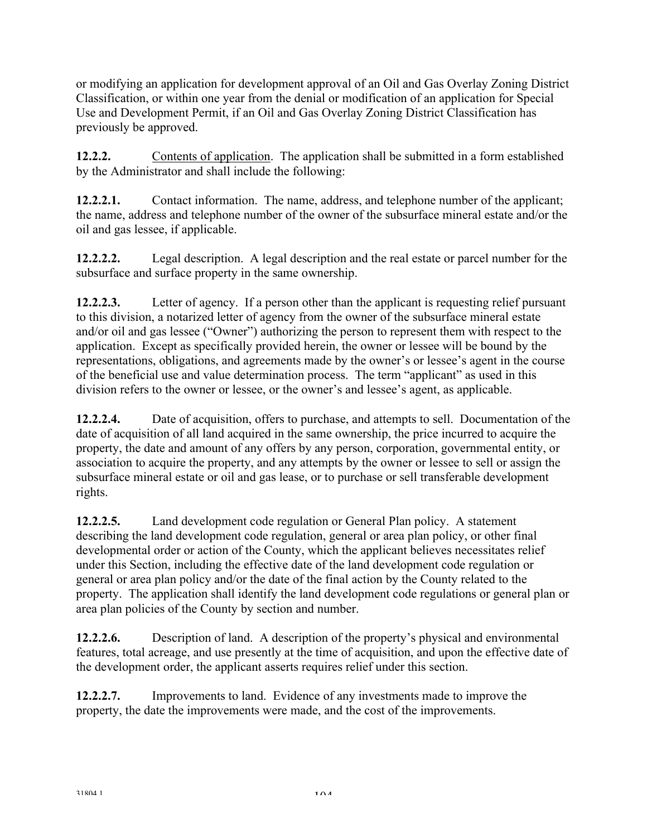or modifying an application for development approval of an Oil and Gas Overlay Zoning District Classification, or within one year from the denial or modification of an application for Special Use and Development Permit, if an Oil and Gas Overlay Zoning District Classification has previously be approved.

**12.2.2.** Contents of application. The application shall be submitted in a form established by the Administrator and shall include the following:

**12.2.2.1.** Contact information. The name, address, and telephone number of the applicant; the name, address and telephone number of the owner of the subsurface mineral estate and/or the oil and gas lessee, if applicable.

**12.2.2.2.** Legal description. A legal description and the real estate or parcel number for the subsurface and surface property in the same ownership.

**12.2.2.3.** Letter of agency. If a person other than the applicant is requesting relief pursuant to this division, a notarized letter of agency from the owner of the subsurface mineral estate and/or oil and gas lessee ("Owner") authorizing the person to represent them with respect to the application. Except as specifically provided herein, the owner or lessee will be bound by the representations, obligations, and agreements made by the owner's or lessee's agent in the course of the beneficial use and value determination process. The term "applicant" as used in this division refers to the owner or lessee, or the owner's and lessee's agent, as applicable.

**12.2.2.4.** Date of acquisition, offers to purchase, and attempts to sell. Documentation of the date of acquisition of all land acquired in the same ownership, the price incurred to acquire the property, the date and amount of any offers by any person, corporation, governmental entity, or association to acquire the property, and any attempts by the owner or lessee to sell or assign the subsurface mineral estate or oil and gas lease, or to purchase or sell transferable development rights.

**12.2.2.5.** Land development code regulation or General Plan policy. A statement describing the land development code regulation, general or area plan policy, or other final developmental order or action of the County, which the applicant believes necessitates relief under this Section, including the effective date of the land development code regulation or general or area plan policy and/or the date of the final action by the County related to the property. The application shall identify the land development code regulations or general plan or area plan policies of the County by section and number.

**12.2.2.6.** Description of land. A description of the property's physical and environmental features, total acreage, and use presently at the time of acquisition, and upon the effective date of the development order, the applicant asserts requires relief under this section.

**12.2.2.7.** Improvements to land. Evidence of any investments made to improve the property, the date the improvements were made, and the cost of the improvements.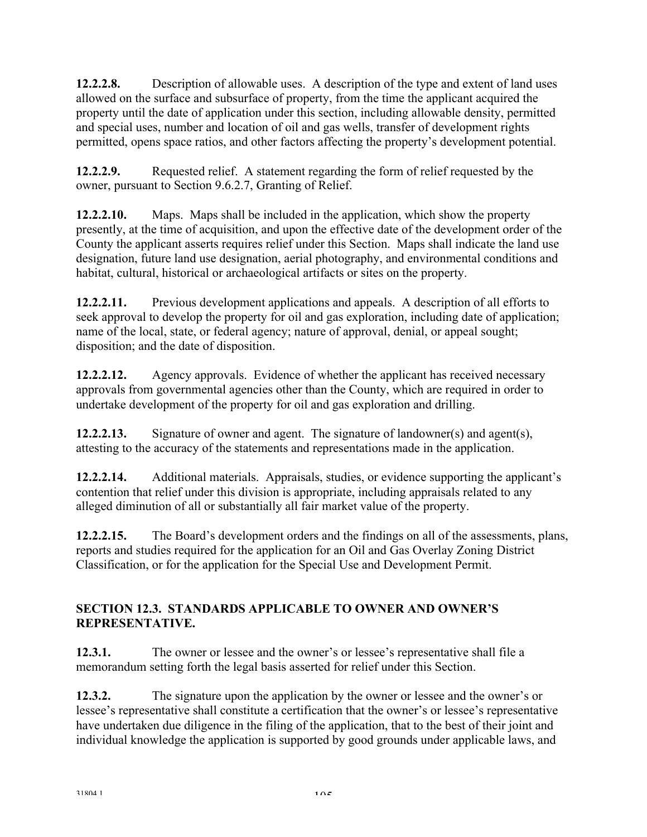**12.2.2.8.** Description of allowable uses. A description of the type and extent of land uses allowed on the surface and subsurface of property, from the time the applicant acquired the property until the date of application under this section, including allowable density, permitted and special uses, number and location of oil and gas wells, transfer of development rights permitted, opens space ratios, and other factors affecting the property's development potential.

**12.2.2.9.** Requested relief. A statement regarding the form of relief requested by the owner, pursuant to Section 9.6.2.7, Granting of Relief.

**12.2.2.10.** Maps. Maps shall be included in the application, which show the property presently, at the time of acquisition, and upon the effective date of the development order of the County the applicant asserts requires relief under this Section. Maps shall indicate the land use designation, future land use designation, aerial photography, and environmental conditions and habitat, cultural, historical or archaeological artifacts or sites on the property.

**12.2.2.11.** Previous development applications and appeals. A description of all efforts to seek approval to develop the property for oil and gas exploration, including date of application; name of the local, state, or federal agency; nature of approval, denial, or appeal sought; disposition; and the date of disposition.

**12.2.2.12.** Agency approvals. Evidence of whether the applicant has received necessary approvals from governmental agencies other than the County, which are required in order to undertake development of the property for oil and gas exploration and drilling.

**12.2.2.13.** Signature of owner and agent. The signature of landowner(s) and agent(s), attesting to the accuracy of the statements and representations made in the application.

**12.2.2.14.** Additional materials. Appraisals, studies, or evidence supporting the applicant's contention that relief under this division is appropriate, including appraisals related to any alleged diminution of all or substantially all fair market value of the property.

**12.2.2.15.** The Board's development orders and the findings on all of the assessments, plans, reports and studies required for the application for an Oil and Gas Overlay Zoning District Classification, or for the application for the Special Use and Development Permit.

## **SECTION 12.3. STANDARDS APPLICABLE TO OWNER AND OWNER'S REPRESENTATIVE.**

**12.3.1.** The owner or lessee and the owner's or lessee's representative shall file a memorandum setting forth the legal basis asserted for relief under this Section.

**12.3.2.** The signature upon the application by the owner or lessee and the owner's or lessee's representative shall constitute a certification that the owner's or lessee's representative have undertaken due diligence in the filing of the application, that to the best of their joint and individual knowledge the application is supported by good grounds under applicable laws, and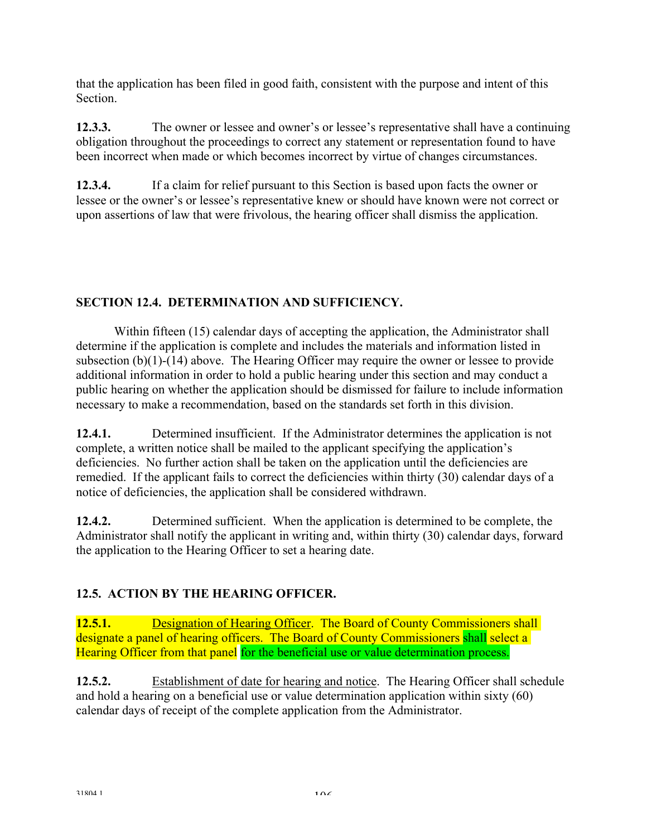that the application has been filed in good faith, consistent with the purpose and intent of this **Section** 

**12.3.3.** The owner or lessee and owner's or lessee's representative shall have a continuing obligation throughout the proceedings to correct any statement or representation found to have been incorrect when made or which becomes incorrect by virtue of changes circumstances.

**12.3.4.** If a claim for relief pursuant to this Section is based upon facts the owner or lessee or the owner's or lessee's representative knew or should have known were not correct or upon assertions of law that were frivolous, the hearing officer shall dismiss the application.

# **SECTION 12.4. DETERMINATION AND SUFFICIENCY.**

Within fifteen (15) calendar days of accepting the application, the Administrator shall determine if the application is complete and includes the materials and information listed in subsection (b)(1)-(14) above. The Hearing Officer may require the owner or lessee to provide additional information in order to hold a public hearing under this section and may conduct a public hearing on whether the application should be dismissed for failure to include information necessary to make a recommendation, based on the standards set forth in this division.

**12.4.1.** Determined insufficient. If the Administrator determines the application is not complete, a written notice shall be mailed to the applicant specifying the application's deficiencies. No further action shall be taken on the application until the deficiencies are remedied. If the applicant fails to correct the deficiencies within thirty (30) calendar days of a notice of deficiencies, the application shall be considered withdrawn.

**12.4.2.** Determined sufficient. When the application is determined to be complete, the Administrator shall notify the applicant in writing and, within thirty (30) calendar days, forward the application to the Hearing Officer to set a hearing date.

# **12.5. ACTION BY THE HEARING OFFICER.**

**12.5.1. Designation of Hearing Officer.** The Board of County Commissioners shall designate a panel of hearing officers. The Board of County Commissioners shall select a Hearing Officer from that panel for the beneficial use or value determination process.

**12.5.2.** Establishment of date for hearing and notice. The Hearing Officer shall schedule and hold a hearing on a beneficial use or value determination application within sixty (60) calendar days of receipt of the complete application from the Administrator.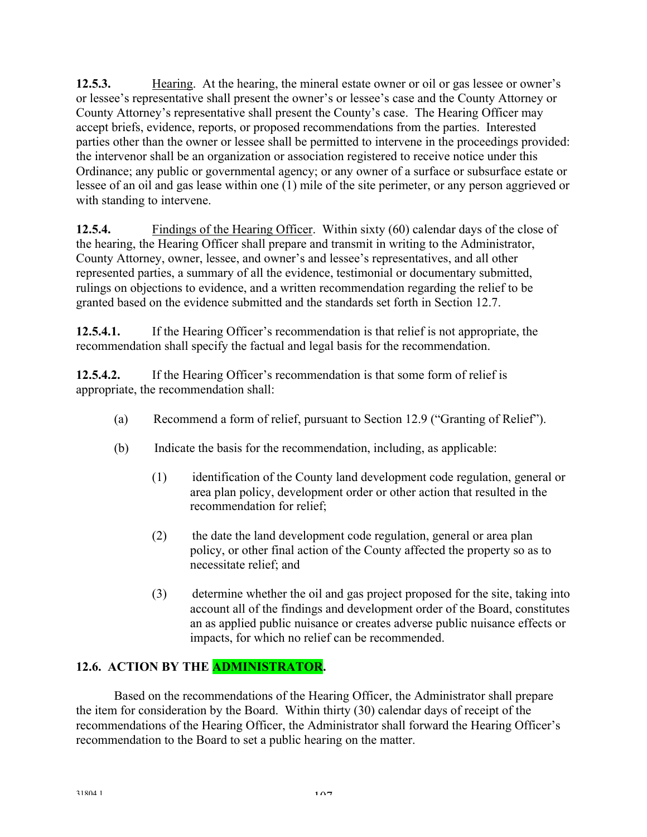**12.5.3.** Hearing. At the hearing, the mineral estate owner or oil or gas lessee or owner's or lessee's representative shall present the owner's or lessee's case and the County Attorney or County Attorney's representative shall present the County's case. The Hearing Officer may accept briefs, evidence, reports, or proposed recommendations from the parties. Interested parties other than the owner or lessee shall be permitted to intervene in the proceedings provided: the intervenor shall be an organization or association registered to receive notice under this Ordinance; any public or governmental agency; or any owner of a surface or subsurface estate or lessee of an oil and gas lease within one (1) mile of the site perimeter, or any person aggrieved or with standing to intervene.

**12.5.4.** Findings of the Hearing Officer. Within sixty (60) calendar days of the close of the hearing, the Hearing Officer shall prepare and transmit in writing to the Administrator, County Attorney, owner, lessee, and owner's and lessee's representatives, and all other represented parties, a summary of all the evidence, testimonial or documentary submitted, rulings on objections to evidence, and a written recommendation regarding the relief to be granted based on the evidence submitted and the standards set forth in Section 12.7.

**12.5.4.1.** If the Hearing Officer's recommendation is that relief is not appropriate, the recommendation shall specify the factual and legal basis for the recommendation.

**12.5.4.2.** If the Hearing Officer's recommendation is that some form of relief is appropriate, the recommendation shall:

- (a) Recommend a form of relief, pursuant to Section 12.9 ("Granting of Relief").
- (b) Indicate the basis for the recommendation, including, as applicable:
	- (1) identification of the County land development code regulation, general or area plan policy, development order or other action that resulted in the recommendation for relief;
	- (2) the date the land development code regulation, general or area plan policy, or other final action of the County affected the property so as to necessitate relief; and
	- (3) determine whether the oil and gas project proposed for the site, taking into account all of the findings and development order of the Board, constitutes an as applied public nuisance or creates adverse public nuisance effects or impacts, for which no relief can be recommended.

# **12.6. ACTION BY THE ADMINISTRATOR.**

 Based on the recommendations of the Hearing Officer, the Administrator shall prepare the item for consideration by the Board. Within thirty (30) calendar days of receipt of the recommendations of the Hearing Officer, the Administrator shall forward the Hearing Officer's recommendation to the Board to set a public hearing on the matter.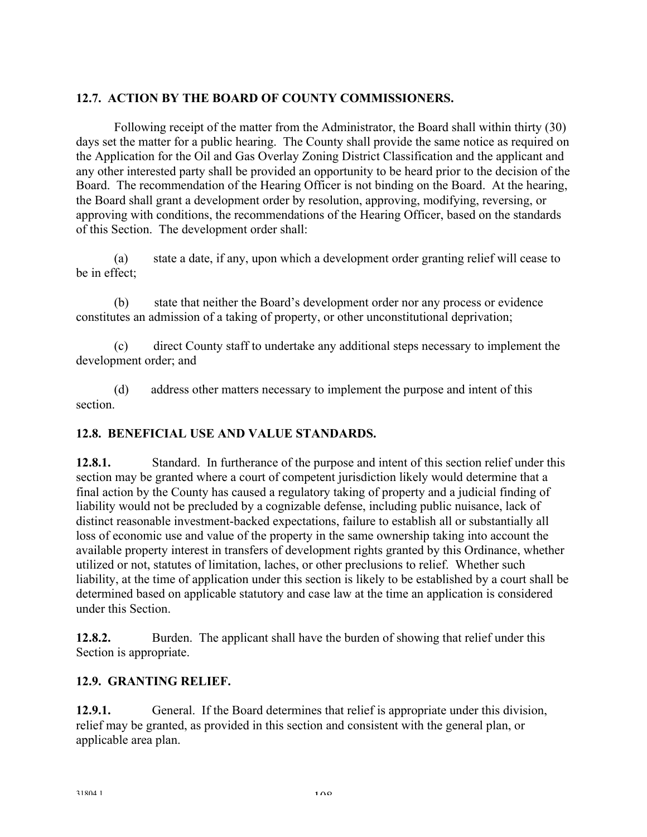## **12.7. ACTION BY THE BOARD OF COUNTY COMMISSIONERS.**

 Following receipt of the matter from the Administrator, the Board shall within thirty (30) days set the matter for a public hearing. The County shall provide the same notice as required on the Application for the Oil and Gas Overlay Zoning District Classification and the applicant and any other interested party shall be provided an opportunity to be heard prior to the decision of the Board. The recommendation of the Hearing Officer is not binding on the Board. At the hearing, the Board shall grant a development order by resolution, approving, modifying, reversing, or approving with conditions, the recommendations of the Hearing Officer, based on the standards of this Section. The development order shall:

(a) state a date, if any, upon which a development order granting relief will cease to be in effect;

(b) state that neither the Board's development order nor any process or evidence constitutes an admission of a taking of property, or other unconstitutional deprivation;

(c) direct County staff to undertake any additional steps necessary to implement the development order; and

(d) address other matters necessary to implement the purpose and intent of this section.

## **12.8. BENEFICIAL USE AND VALUE STANDARDS.**

**12.8.1.** Standard. In furtherance of the purpose and intent of this section relief under this section may be granted where a court of competent jurisdiction likely would determine that a final action by the County has caused a regulatory taking of property and a judicial finding of liability would not be precluded by a cognizable defense, including public nuisance, lack of distinct reasonable investment-backed expectations, failure to establish all or substantially all loss of economic use and value of the property in the same ownership taking into account the available property interest in transfers of development rights granted by this Ordinance, whether utilized or not, statutes of limitation, laches, or other preclusions to relief. Whether such liability, at the time of application under this section is likely to be established by a court shall be determined based on applicable statutory and case law at the time an application is considered under this Section.

**12.8.2.** Burden. The applicant shall have the burden of showing that relief under this Section is appropriate.

## **12.9. GRANTING RELIEF.**

**12.9.1.** General. If the Board determines that relief is appropriate under this division, relief may be granted, as provided in this section and consistent with the general plan, or applicable area plan.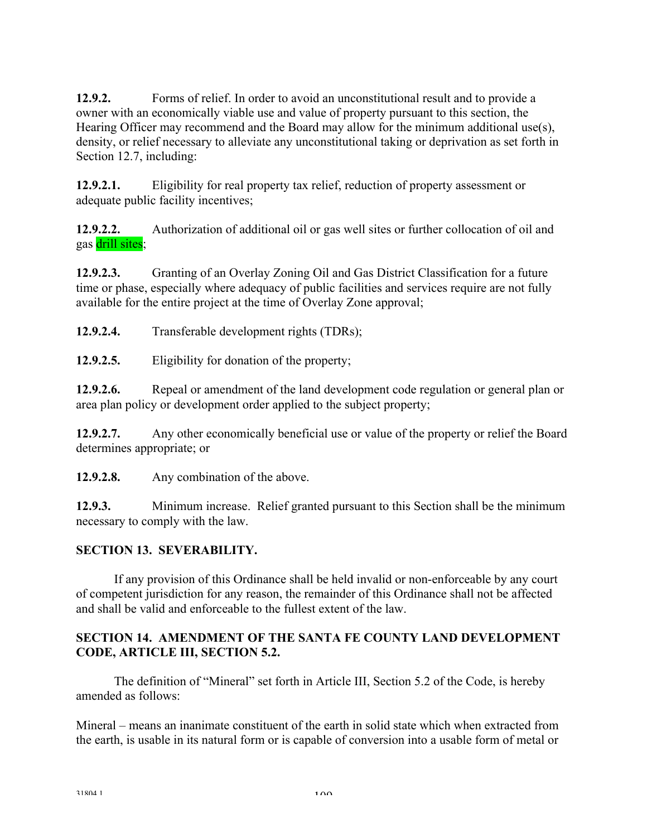**12.9.2.** Forms of relief. In order to avoid an unconstitutional result and to provide a owner with an economically viable use and value of property pursuant to this section, the Hearing Officer may recommend and the Board may allow for the minimum additional use(s), density, or relief necessary to alleviate any unconstitutional taking or deprivation as set forth in Section 12.7, including:

**12.9.2.1.** Eligibility for real property tax relief, reduction of property assessment or adequate public facility incentives;

**12.9.2.2.** Authorization of additional oil or gas well sites or further collocation of oil and gas drill sites;

**12.9.2.3.** Granting of an Overlay Zoning Oil and Gas District Classification for a future time or phase, especially where adequacy of public facilities and services require are not fully available for the entire project at the time of Overlay Zone approval;

**12.9.2.4.** Transferable development rights (TDRs);

**12.9.2.5.** Eligibility for donation of the property;

**12.9.2.6.** Repeal or amendment of the land development code regulation or general plan or area plan policy or development order applied to the subject property;

**12.9.2.7.** Any other economically beneficial use or value of the property or relief the Board determines appropriate; or

**12.9.2.8.** Any combination of the above.

**12.9.3.** Minimum increase. Relief granted pursuant to this Section shall be the minimum necessary to comply with the law.

## **SECTION 13. SEVERABILITY.**

If any provision of this Ordinance shall be held invalid or non-enforceable by any court of competent jurisdiction for any reason, the remainder of this Ordinance shall not be affected and shall be valid and enforceable to the fullest extent of the law.

### **SECTION 14. AMENDMENT OF THE SANTA FE COUNTY LAND DEVELOPMENT CODE, ARTICLE III, SECTION 5.2.**

 The definition of "Mineral" set forth in Article III, Section 5.2 of the Code, is hereby amended as follows:

Mineral – means an inanimate constituent of the earth in solid state which when extracted from the earth, is usable in its natural form or is capable of conversion into a usable form of metal or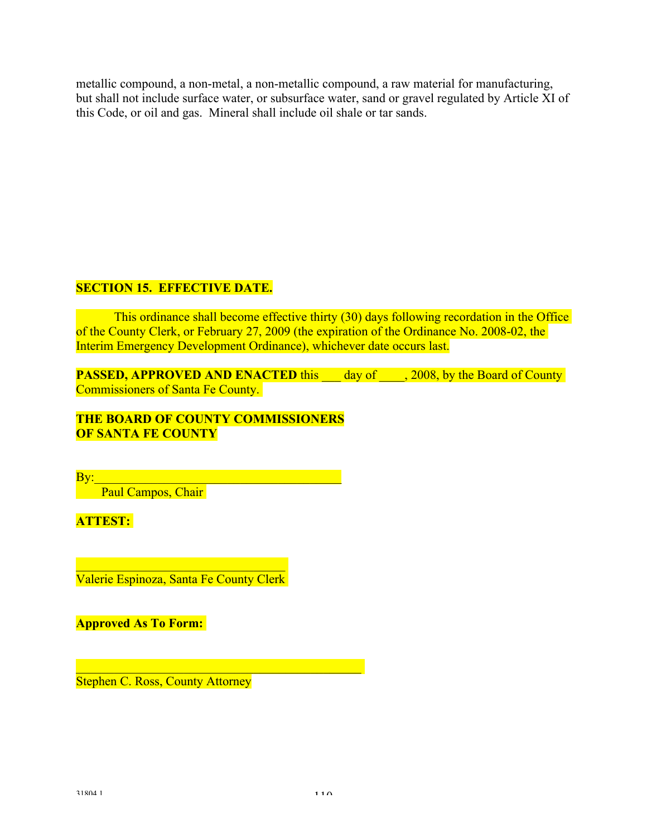metallic compound, a non-metal, a non-metallic compound, a raw material for manufacturing, but shall not include surface water, or subsurface water, sand or gravel regulated by Article XI of this Code, or oil and gas. Mineral shall include oil shale or tar sands.

#### **SECTION 15. EFFECTIVE DATE.**

 This ordinance shall become effective thirty (30) days following recordation in the Office of the County Clerk, or February 27, 2009 (the expiration of the Ordinance No. 2008-02, the Interim Emergency Development Ordinance), whichever date occurs last.

**PASSED, APPROVED AND ENACTED** this day of , 2008, by the Board of County Commissioners of Santa Fe County.

#### **THE BOARD OF COUNTY COMMISSIONERS OF SANTA FE COUNTY**

 $\overline{\text{By:}}$  . The contract of the contract of the contract of the contract of the contract of the contract of the contract of the contract of the contract of the contract of the contract of the contract of the contract of

Paul Campos, Chair

**ATTEST:**

 $\mathcal{L}_\text{max}$ Valerie Espinoza, Santa Fe County Clerk

 $\mathcal{L}_\text{max} = \mathcal{L}_\text{max} = \mathcal{L}_\text{max} = \mathcal{L}_\text{max} = \mathcal{L}_\text{max} = \mathcal{L}_\text{max} = \mathcal{L}_\text{max}$ 

**Approved As To Form:**

Stephen C. Ross, County Attorney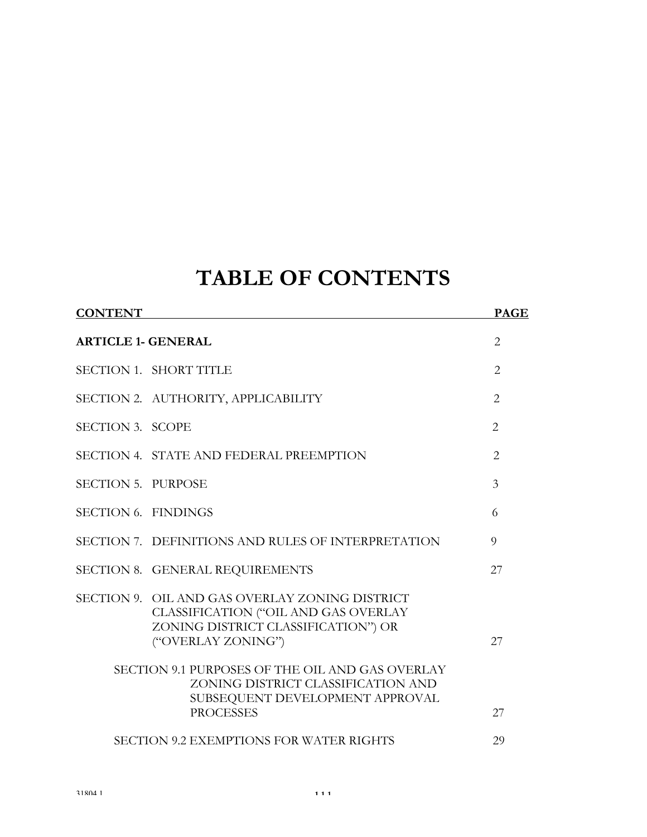# **TABLE OF CONTENTS**

| <b>CONTENT</b>                                 |                                                                                                                                                     | <b>PAGE</b>    |
|------------------------------------------------|-----------------------------------------------------------------------------------------------------------------------------------------------------|----------------|
| <b>ARTICLE 1- GENERAL</b>                      |                                                                                                                                                     |                |
|                                                | SECTION 1. SHORT TITLE                                                                                                                              | 2              |
|                                                | SECTION 2. AUTHORITY, APPLICABILITY                                                                                                                 | $\overline{2}$ |
| SECTION 3. SCOPE                               |                                                                                                                                                     | $\overline{2}$ |
|                                                | SECTION 4. STATE AND FEDERAL PREEMPTION                                                                                                             | 2              |
| SECTION 5. PURPOSE                             |                                                                                                                                                     | 3              |
| SECTION 6. FINDINGS                            |                                                                                                                                                     | 6              |
|                                                | SECTION 7. DEFINITIONS AND RULES OF INTERPRETATION                                                                                                  | 9              |
|                                                | SECTION 8. GENERAL REQUIREMENTS                                                                                                                     | 27             |
|                                                | SECTION 9. OIL AND GAS OVERLAY ZONING DISTRICT<br>CLASSIFICATION ("OIL AND GAS OVERLAY<br>ZONING DISTRICT CLASSIFICATION") OR<br>("OVERLAY ZONING") | 27             |
|                                                | SECTION 9.1 PURPOSES OF THE OIL AND GAS OVERLAY<br>ZONING DISTRICT CLASSIFICATION AND<br>SUBSEQUENT DEVELOPMENT APPROVAL<br><b>PROCESSES</b>        | 27             |
| <b>SECTION 9.2 EXEMPTIONS FOR WATER RIGHTS</b> |                                                                                                                                                     |                |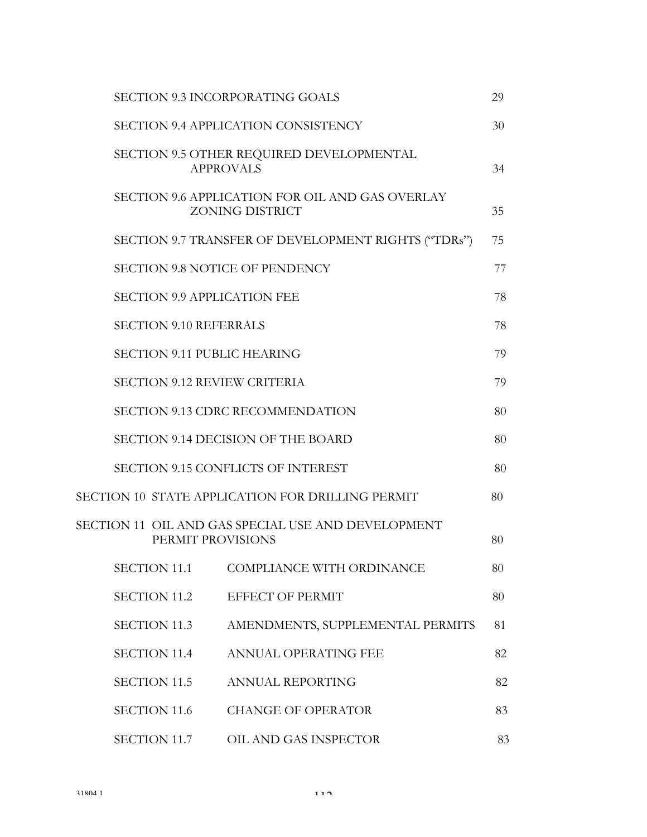|                                     | <b>SECTION 9.3 INCORPORATING GOALS</b>                                    | 29 |
|-------------------------------------|---------------------------------------------------------------------------|----|
|                                     | SECTION 9.4 APPLICATION CONSISTENCY                                       | 30 |
|                                     | SECTION 9.5 OTHER REQUIRED DEVELOPMENTAL<br><b>APPROVALS</b>              | 34 |
|                                     | SECTION 9.6 APPLICATION FOR OIL AND GAS OVERLAY<br><b>ZONING DISTRICT</b> | 35 |
|                                     | SECTION 9.7 TRANSFER OF DEVELOPMENT RIGHTS ("TDRs")                       | 75 |
|                                     | <b>SECTION 9.8 NOTICE OF PENDENCY</b>                                     | 77 |
| <b>SECTION 9.9 APPLICATION FEE</b>  |                                                                           | 78 |
| <b>SECTION 9.10 REFERRALS</b>       |                                                                           | 78 |
| <b>SECTION 9.11 PUBLIC HEARING</b>  |                                                                           | 79 |
| <b>SECTION 9.12 REVIEW CRITERIA</b> |                                                                           | 79 |
|                                     | <b>SECTION 9.13 CDRC RECOMMENDATION</b>                                   | 80 |
|                                     | SECTION 9.14 DECISION OF THE BOARD                                        | 80 |
|                                     | SECTION 9.15 CONFLICTS OF INTEREST                                        | 80 |
|                                     | SECTION 10 STATE APPLICATION FOR DRILLING PERMIT                          | 80 |
| PERMIT PROVISIONS                   | SECTION 11 OIL AND GAS SPECIAL USE AND DEVELOPMENT                        | 80 |
| <b>SECTION 11.1</b>                 | COMPLIANCE WITH ORDINANCE                                                 | 80 |
| <b>SECTION 11.2</b>                 | EFFECT OF PERMIT                                                          | 80 |
| <b>SECTION 11.3</b>                 | AMENDMENTS, SUPPLEMENTAL PERMITS                                          | 81 |
| <b>SECTION 11.4</b>                 | ANNUAL OPERATING FEE                                                      | 82 |
| <b>SECTION 11.5</b>                 | <b>ANNUAL REPORTING</b>                                                   | 82 |
| <b>SECTION 11.6</b>                 | <b>CHANGE OF OPERATOR</b>                                                 | 83 |
| <b>SECTION 11.7</b>                 | OIL AND GAS INSPECTOR                                                     | 83 |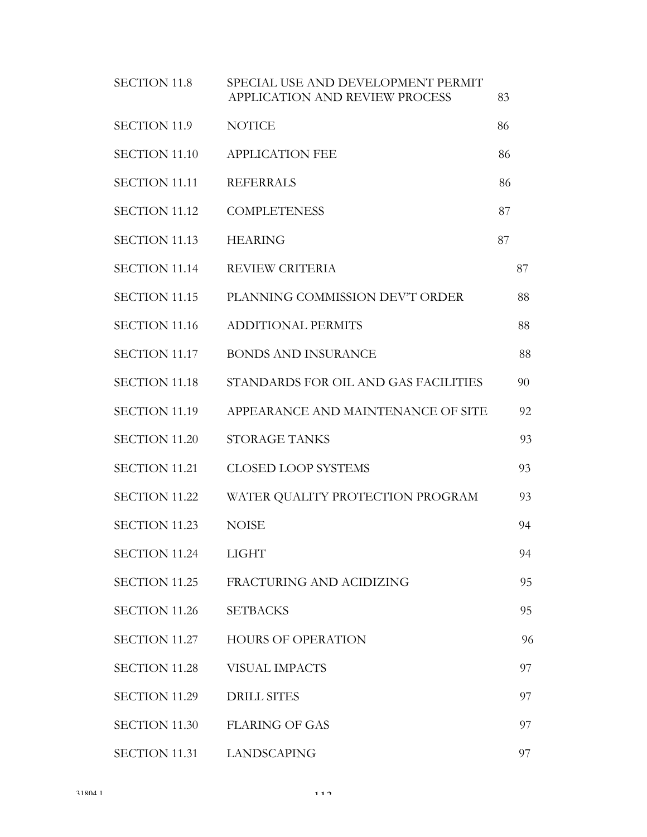| <b>SECTION 11.8</b>  | SPECIAL USE AND DEVELOPMENT PERMIT<br>APPLICATION AND REVIEW PROCESS | 83 |    |
|----------------------|----------------------------------------------------------------------|----|----|
| <b>SECTION 11.9</b>  | <b>NOTICE</b>                                                        | 86 |    |
| <b>SECTION 11.10</b> | <b>APPLICATION FEE</b>                                               | 86 |    |
| <b>SECTION 11.11</b> | <b>REFERRALS</b>                                                     | 86 |    |
| <b>SECTION 11.12</b> | <b>COMPLETENESS</b>                                                  | 87 |    |
| <b>SECTION 11.13</b> | <b>HEARING</b>                                                       | 87 |    |
| <b>SECTION 11.14</b> | <b>REVIEW CRITERIA</b>                                               |    | 87 |
| SECTION 11.15        | PLANNING COMMISSION DEV'T ORDER                                      |    | 88 |
| <b>SECTION 11.16</b> | <b>ADDITIONAL PERMITS</b>                                            |    | 88 |
| <b>SECTION 11.17</b> | <b>BONDS AND INSURANCE</b>                                           |    | 88 |
| <b>SECTION 11.18</b> | STANDARDS FOR OIL AND GAS FACILITIES                                 |    | 90 |
| <b>SECTION 11.19</b> | APPEARANCE AND MAINTENANCE OF SITE                                   |    | 92 |
| <b>SECTION 11.20</b> | <b>STORAGE TANKS</b>                                                 |    | 93 |
| <b>SECTION 11.21</b> | <b>CLOSED LOOP SYSTEMS</b>                                           |    | 93 |
| <b>SECTION 11.22</b> | WATER QUALITY PROTECTION PROGRAM                                     |    | 93 |
| <b>SECTION 11.23</b> | <b>NOISE</b>                                                         |    | 94 |
| <b>SECTION 11.24</b> | <b>LIGHT</b>                                                         |    | 94 |
| SECTION 11.25        | FRACTURING AND ACIDIZING                                             |    | 95 |
| <b>SECTION 11.26</b> | <b>SETBACKS</b>                                                      |    | 95 |
| <b>SECTION 11.27</b> | <b>HOURS OF OPERATION</b>                                            |    | 96 |
| <b>SECTION 11.28</b> | VISUAL IMPACTS                                                       |    | 97 |
| <b>SECTION 11.29</b> | <b>DRILL SITES</b>                                                   |    | 97 |
| <b>SECTION 11.30</b> | <b>FLARING OF GAS</b>                                                |    | 97 |
| <b>SECTION 11.31</b> | <b>LANDSCAPING</b>                                                   |    | 97 |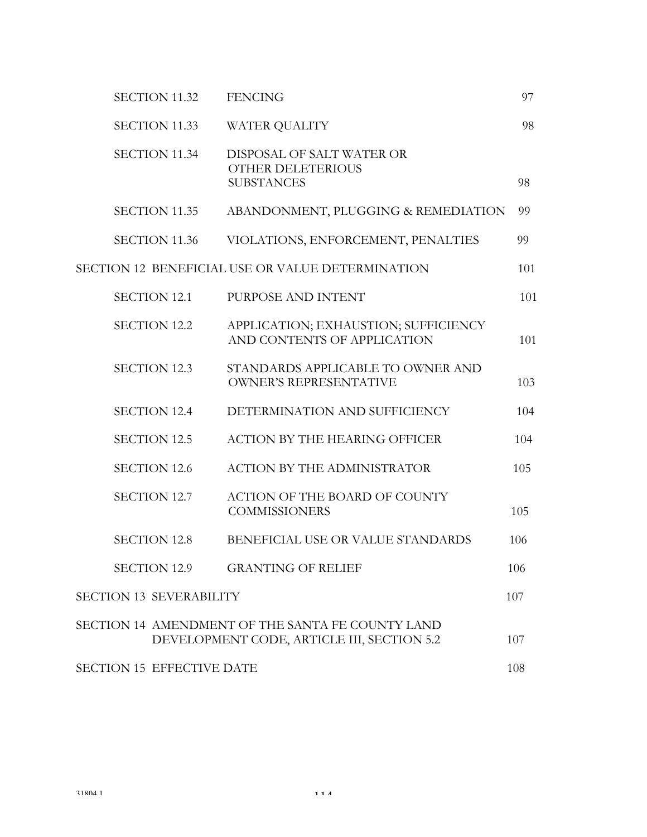|                                  | <b>SECTION 11.32</b> | <b>FENCING</b>                                                                                 | 97  |
|----------------------------------|----------------------|------------------------------------------------------------------------------------------------|-----|
|                                  | <b>SECTION 11.33</b> | WATER QUALITY                                                                                  | 98  |
|                                  | <b>SECTION 11.34</b> | DISPOSAL OF SALT WATER OR<br><b>OTHER DELETERIOUS</b><br><b>SUBSTANCES</b>                     | 98  |
|                                  | <b>SECTION 11.35</b> | ABANDONMENT, PLUGGING & REMEDIATION                                                            | 99  |
|                                  | <b>SECTION 11.36</b> | VIOLATIONS, ENFORCEMENT, PENALTIES                                                             | 99  |
|                                  |                      | SECTION 12 BENEFICIAL USE OR VALUE DETERMINATION                                               | 101 |
| <b>SECTION 12.1</b>              |                      | PURPOSE AND INTENT                                                                             | 101 |
| <b>SECTION 12.2</b>              |                      | APPLICATION; EXHAUSTION; SUFFICIENCY<br>AND CONTENTS OF APPLICATION                            | 101 |
| <b>SECTION 12.3</b>              |                      | STANDARDS APPLICABLE TO OWNER AND<br><b>OWNER'S REPRESENTATIVE</b>                             | 103 |
| <b>SECTION 12.4</b>              |                      | DETERMINATION AND SUFFICIENCY                                                                  | 104 |
| <b>SECTION 12.5</b>              |                      | <b>ACTION BY THE HEARING OFFICER</b>                                                           | 104 |
| <b>SECTION 12.6</b>              |                      | <b>ACTION BY THE ADMINISTRATOR</b>                                                             | 105 |
| <b>SECTION 12.7</b>              |                      | ACTION OF THE BOARD OF COUNTY<br><b>COMMISSIONERS</b>                                          | 105 |
| <b>SECTION 12.8</b>              |                      | BENEFICIAL USE OR VALUE STANDARDS                                                              | 106 |
| <b>SECTION 12.9</b>              |                      | <b>GRANTING OF RELIEF</b>                                                                      | 106 |
| <b>SECTION 13 SEVERABILITY</b>   |                      |                                                                                                | 107 |
|                                  |                      | SECTION 14 AMENDMENT OF THE SANTA FE COUNTY LAND<br>DEVELOPMENT CODE, ARTICLE III, SECTION 5.2 | 107 |
| <b>SECTION 15 EFFECTIVE DATE</b> |                      |                                                                                                | 108 |